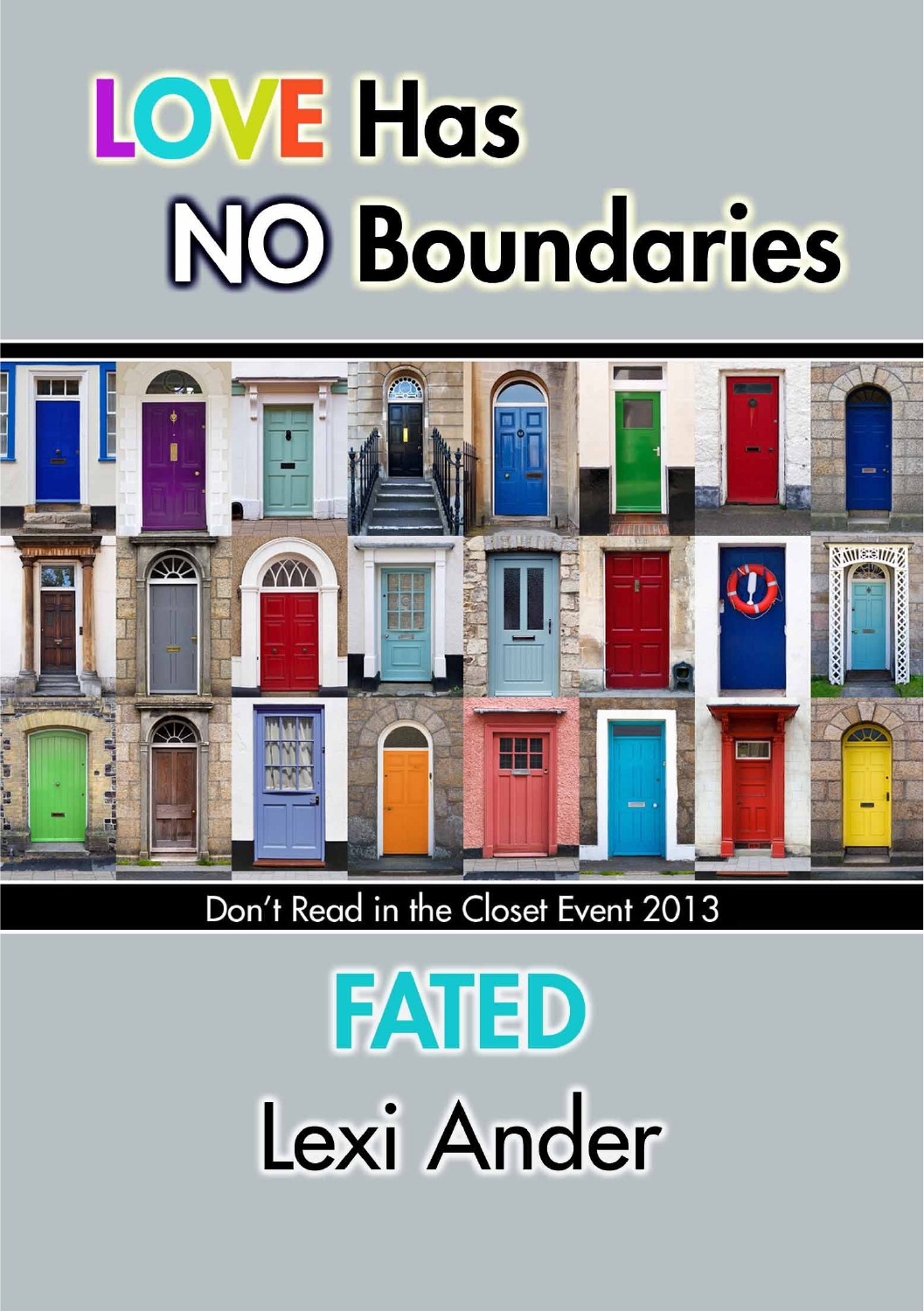# **LOVE Has NO Boundaries**



Don't Read in the Closet Event 2013

FATED Lexi Ander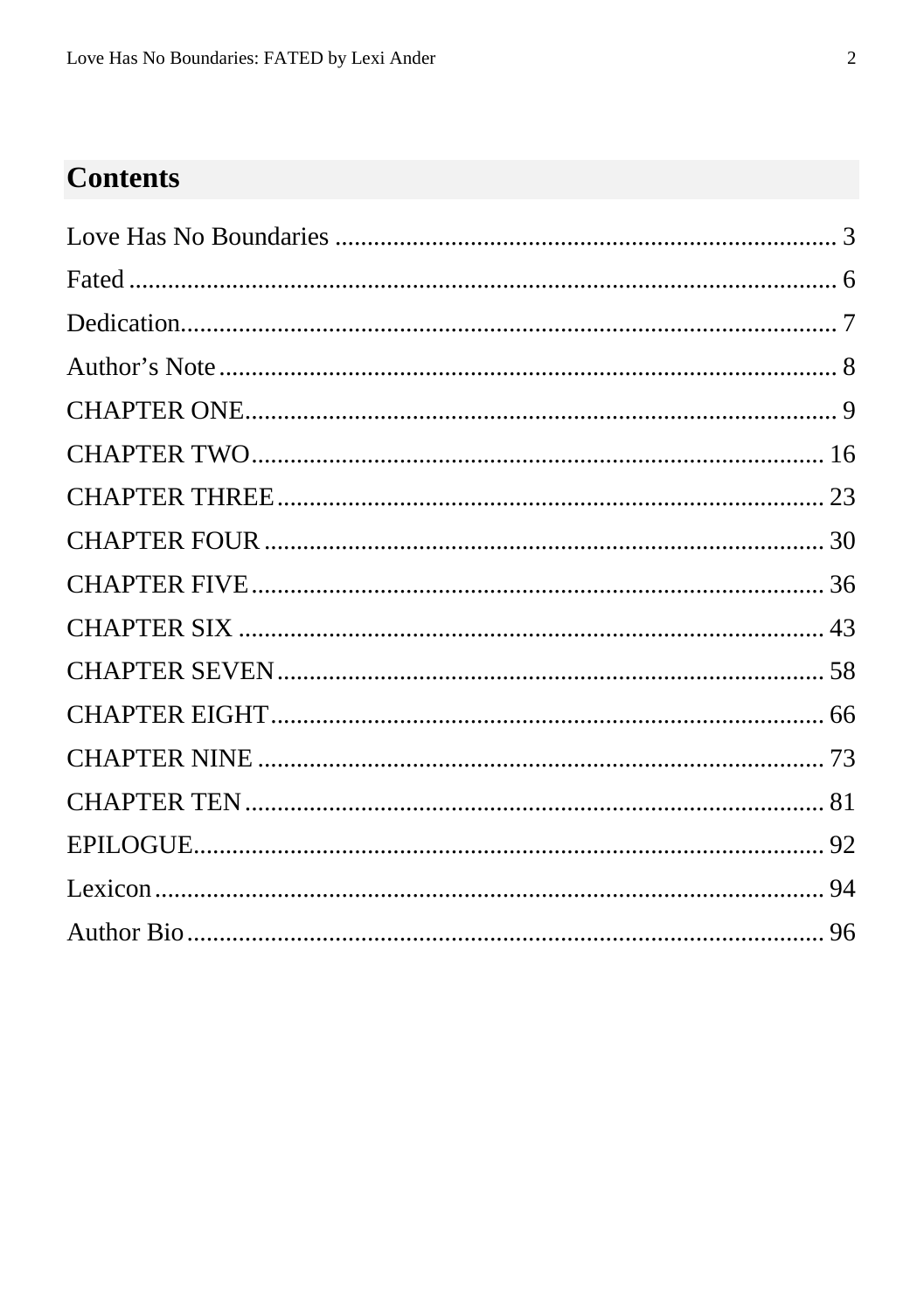# **Contents**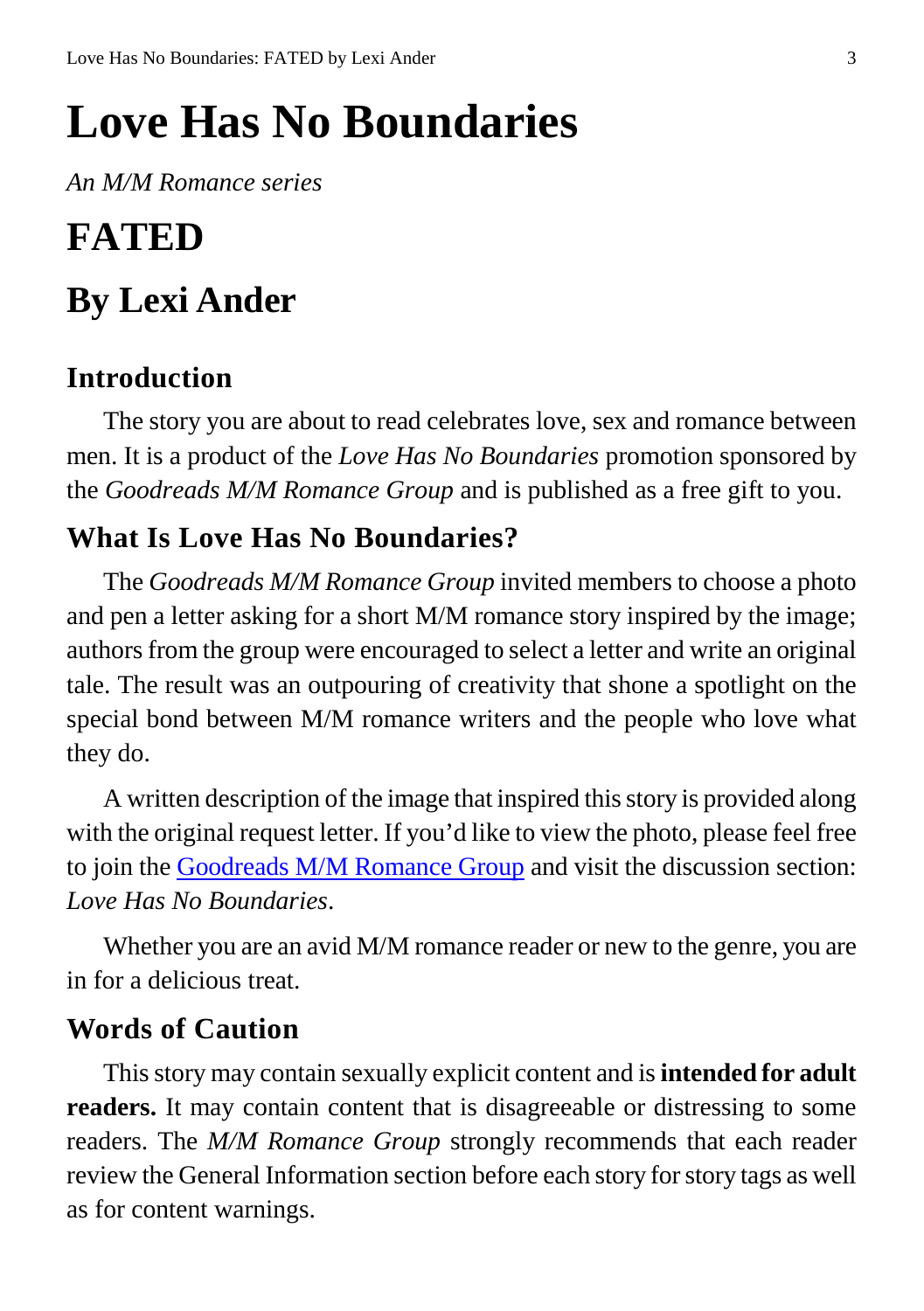# <span id="page-2-0"></span>**Love Has No Boundaries**

*An M/M Romance series*

# **FATED By Lexi Ander**

# **Introduction**

The story you are about to read celebrates love, sex and romance between men. It is a product of the *Love Has No Boundaries* promotion sponsored by the *Goodreads M/M Romance Group* and is published as a free gift to you.

# **What Is Love Has No Boundaries?**

The *Goodreads M/M Romance Group* invited members to choose a photo and pen a letter asking for a short M/M romance story inspired by the image; authors from the group were encouraged to select a letter and write an original tale. The result was an outpouring of creativity that shone a spotlight on the special bond between M/M romance writers and the people who love what they do.

A written description of the image that inspired this story is provided along with the original request letter. If you'd like to view the photo, please feel free to join the [Goodreads M/M Romance Group](http://www.goodreads.com/group/show/20149-m-m-romance) and visit the discussion section: *Love Has No Boundaries*.

Whether you are an avid M/M romance reader or new to the genre, you are in for a delicious treat.

# **Words of Caution**

This story may contain sexually explicit content and is **intended for adult readers.** It may contain content that is disagreeable or distressing to some readers. The *M/M Romance Group* strongly recommends that each reader review the General Information section before each story for story tags as well as for content warnings.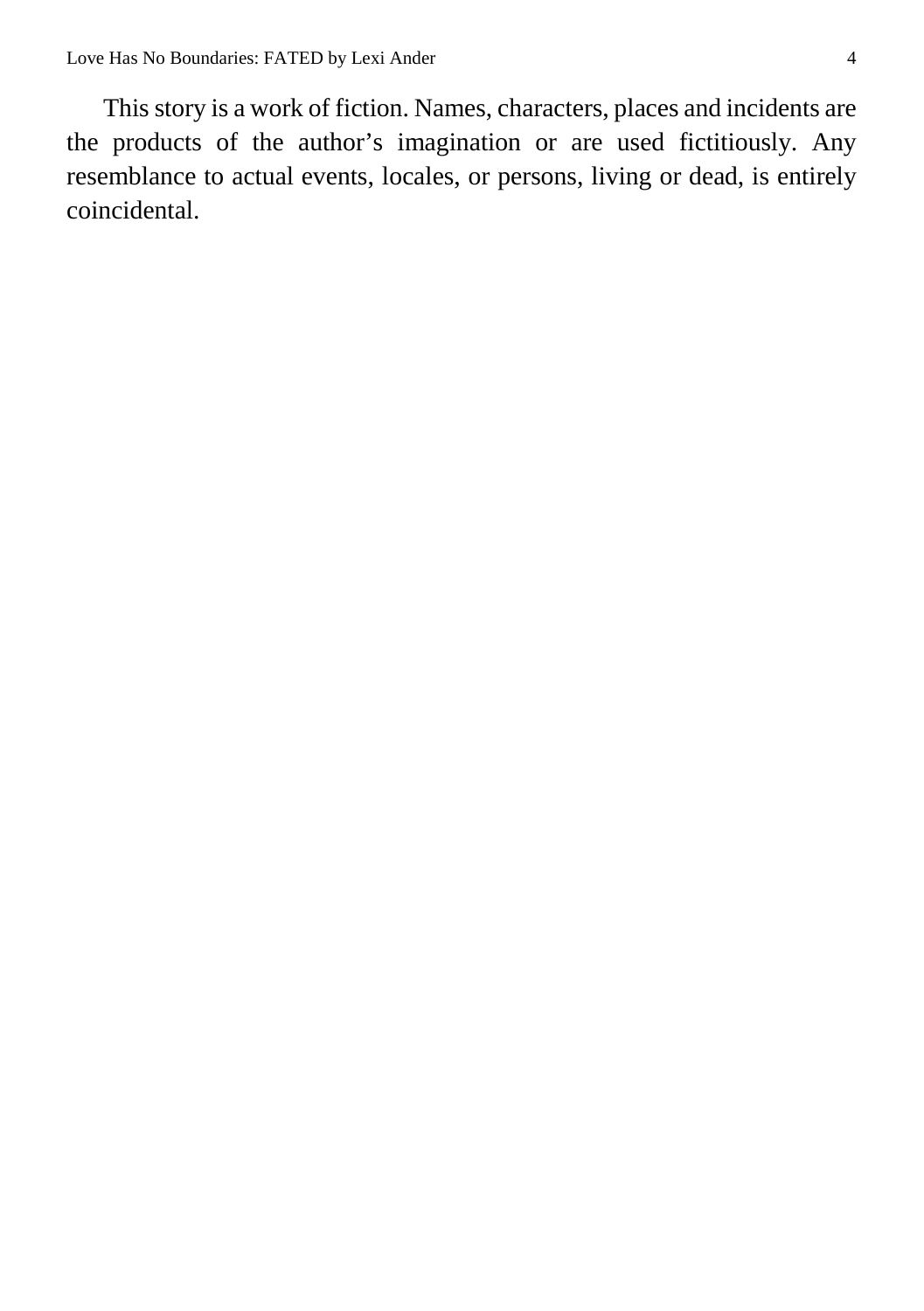This story is a work of fiction. Names, characters, places and incidents are the products of the author's imagination or are used fictitiously. Any resemblance to actual events, locales, or persons, living or dead, is entirely coincidental.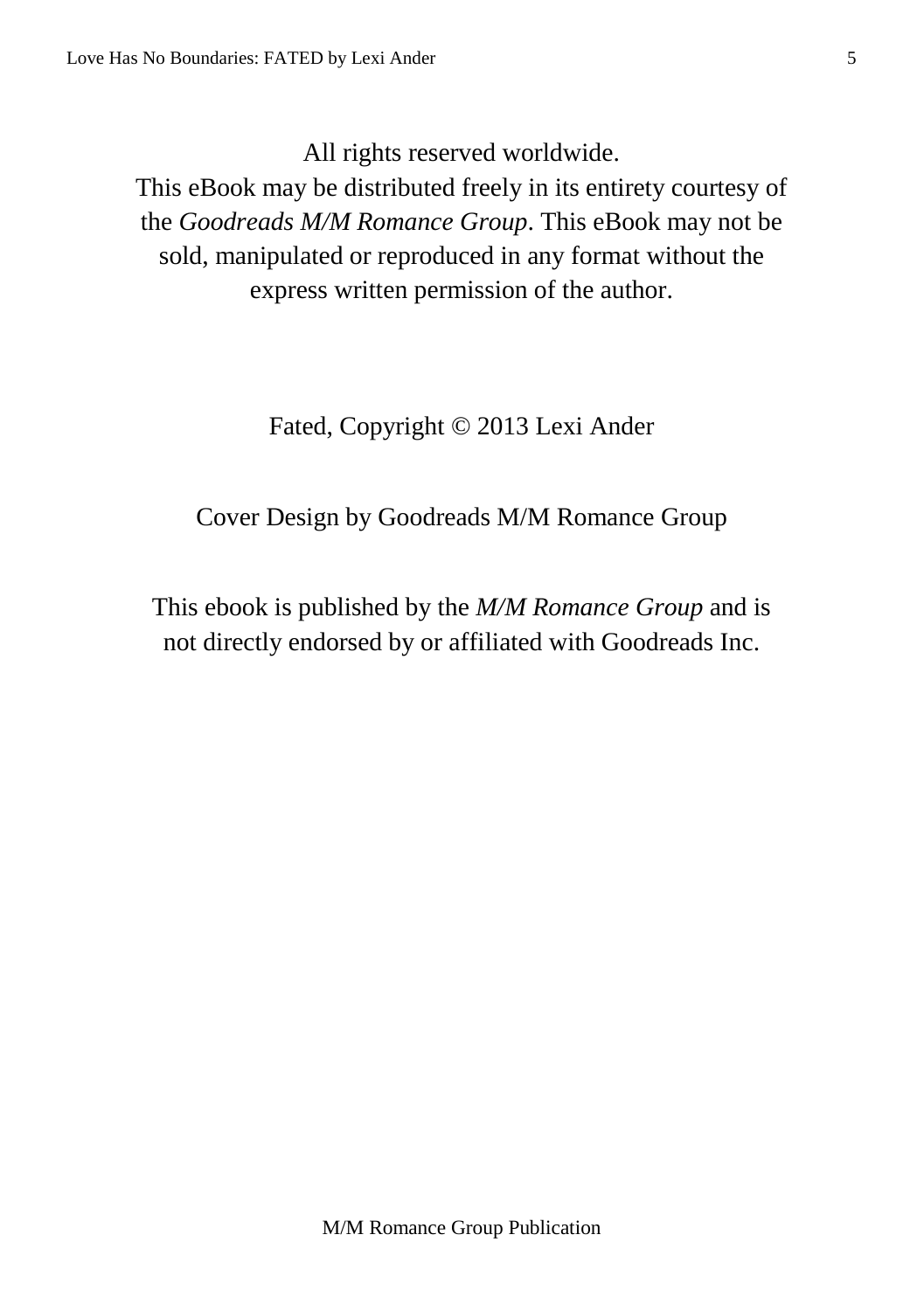All rights reserved worldwide.

This eBook may be distributed freely in its entirety courtesy of the *Goodreads M/M Romance Group*. This eBook may not be sold, manipulated or reproduced in any format without the express written permission of the author.

Fated, Copyright © 2013 Lexi Ander

Cover Design by Goodreads M/M Romance Group

This ebook is published by the *M/M Romance Group* and is not directly endorsed by or affiliated with Goodreads Inc.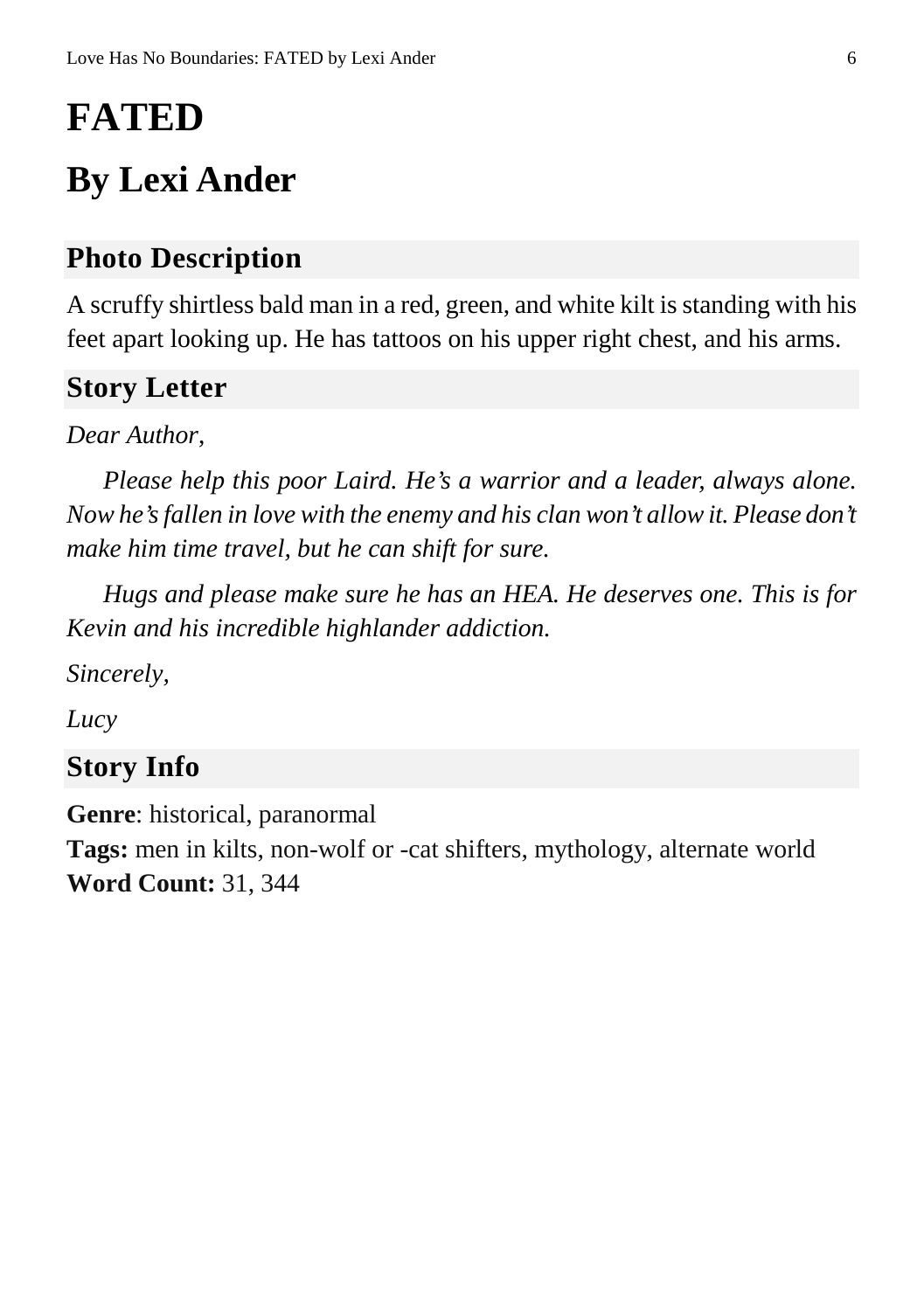# <span id="page-5-0"></span>**FATED By Lexi Ander**

# **Photo Description**

A scruffy shirtless bald man in a red, green, and white kilt is standing with his feet apart looking up. He has tattoos on his upper right chest, and his arms.

# **Story Letter**

# *Dear Author*,

*Please help this poor Laird. He's a warrior and a leader, always alone. Now he'sfallen in love with the enemy and his clan won't allowit. Please don't make him time travel, but he can shift for sure.*

*Hugs and please make sure he has an HEA. He deserves one. This is for Kevin and his incredible highlander addiction.*

*Sincerely,*

*Lucy*

# **Story Info**

**Genre**: historical, paranormal

**Tags:** men in kilts, non-wolf or -cat shifters, mythology, alternate world **Word Count:** 31, 344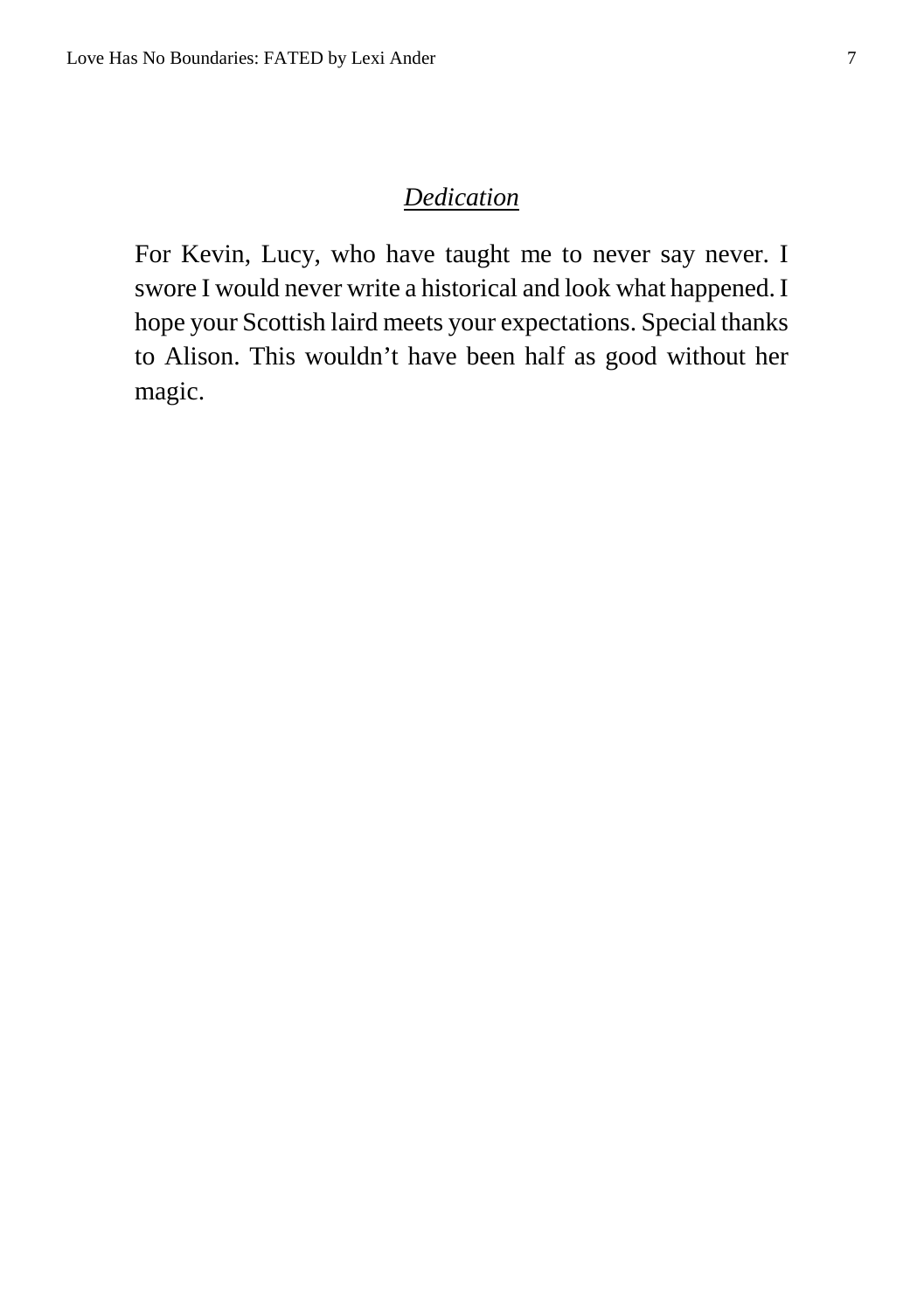## *Dedication*

<span id="page-6-0"></span>For Kevin, Lucy, who have taught me to never say never. I swore I would never write a historical and look what happened. I hope your Scottish laird meets your expectations. Special thanks to Alison. This wouldn't have been half as good without her magic.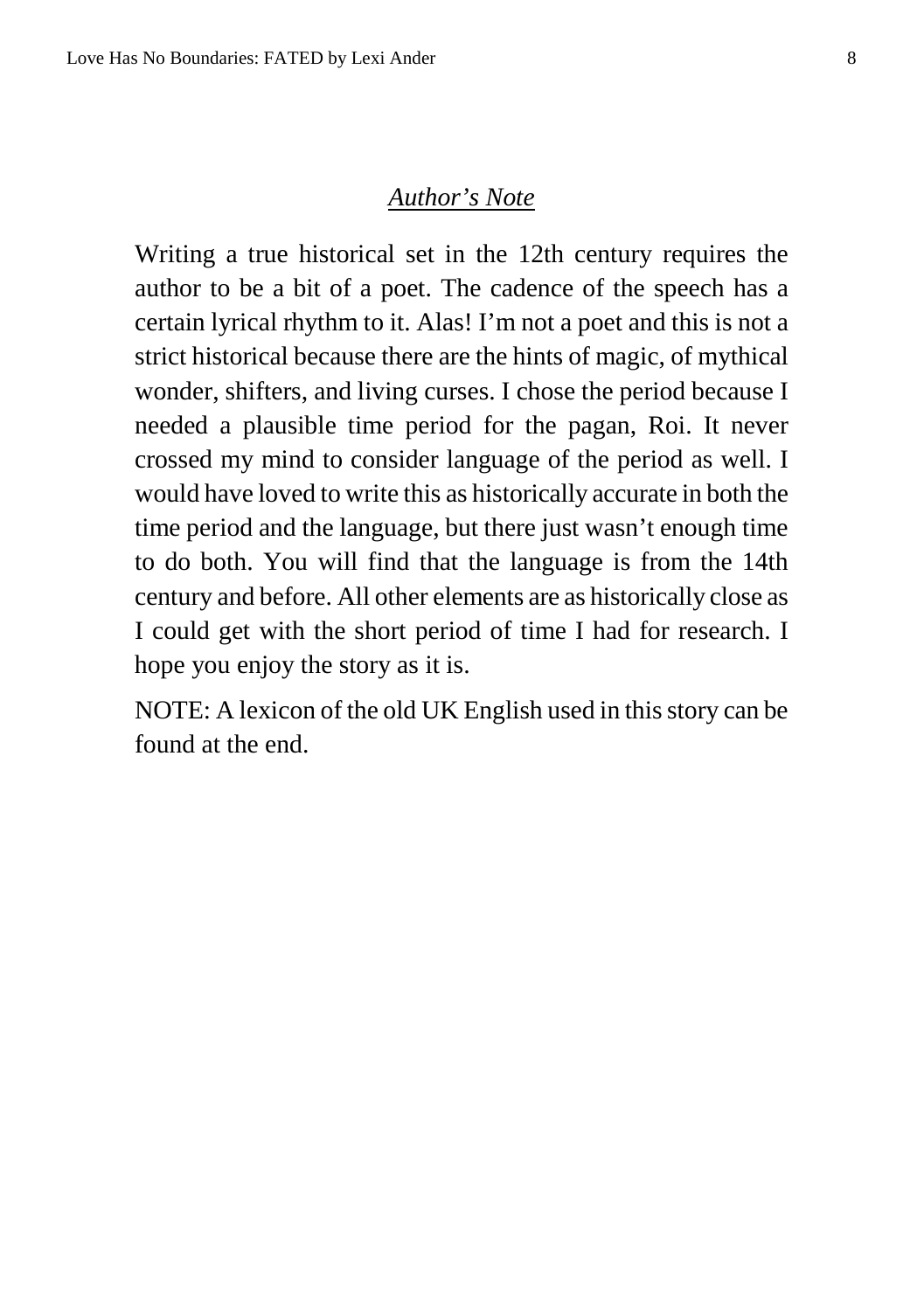### *Author's Note*

<span id="page-7-0"></span>Writing a true historical set in the 12th century requires the author to be a bit of a poet. The cadence of the speech has a certain lyrical rhythm to it. Alas! I'm not a poet and this is not a strict historical because there are the hints of magic, of mythical wonder, shifters, and living curses. I chose the period because I needed a plausible time period for the pagan, Roi. It never crossed my mind to consider language of the period as well. I would have loved to write this as historically accurate in both the time period and the language, but there just wasn't enough time to do both. You will find that the language is from the 14th century and before. All other elements are as historically close as I could get with the short period of time I had for research. I hope you enjoy the story as it is.

NOTE: A lexicon of the old UK English used in this story can be found at the end.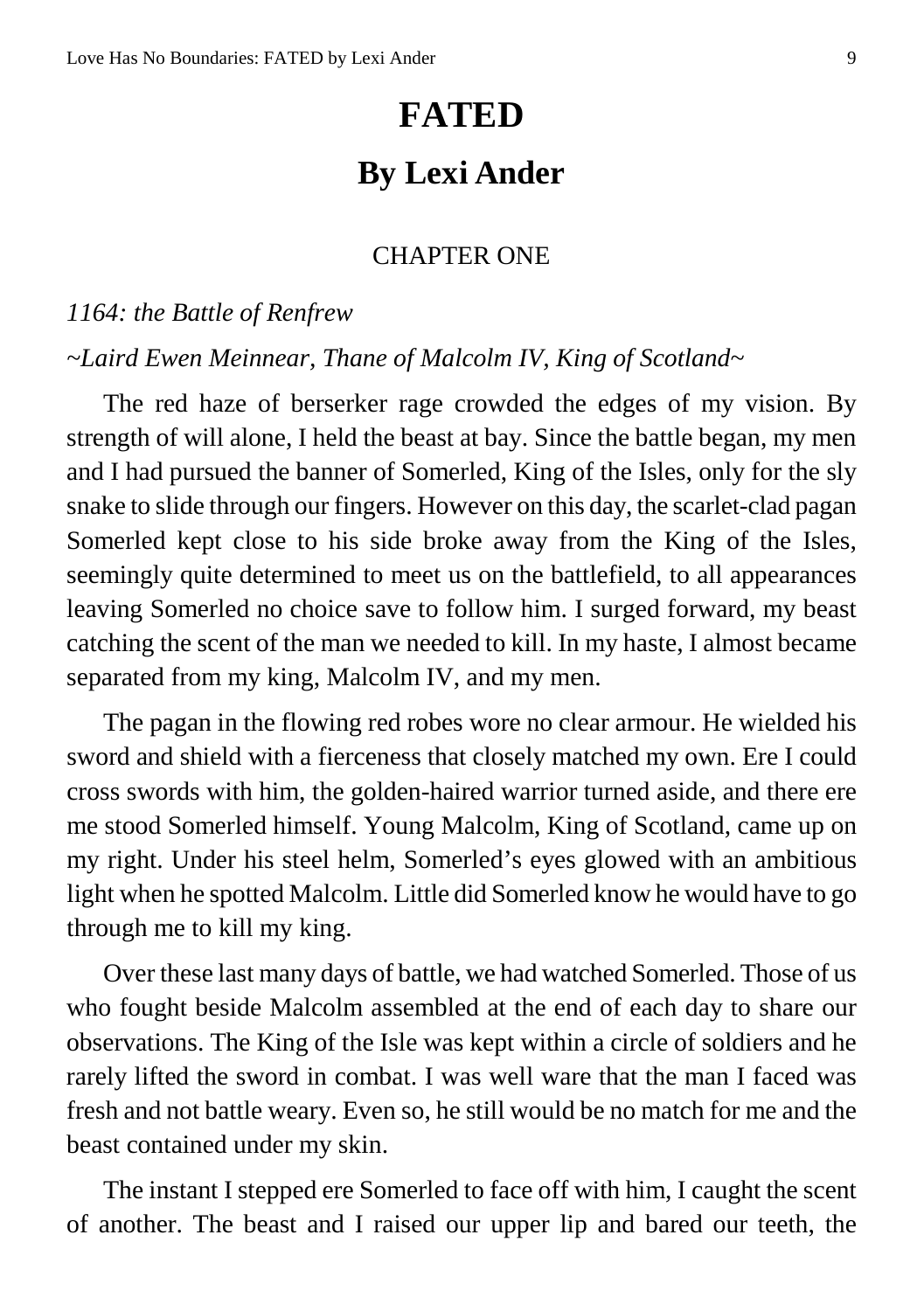# **FATED By Lexi Ander**

### CHAPTER ONE

<span id="page-8-0"></span>*1164: the Battle of Renfrew*

### *~Laird Ewen Meinnear, Thane of Malcolm IV, King of Scotland~*

The red haze of berserker rage crowded the edges of my vision. By strength of will alone, I held the beast at bay. Since the battle began, my men and I had pursued the banner of Somerled, King of the Isles, only for the sly snake to slide through our fingers. However on this day, the scarlet-clad pagan Somerled kept close to his side broke away from the King of the Isles, seemingly quite determined to meet us on the battlefield, to all appearances leaving Somerled no choice save to follow him. I surged forward, my beast catching the scent of the man we needed to kill. In my haste, I almost became separated from my king, Malcolm IV, and my men.

The pagan in the flowing red robes wore no clear armour. He wielded his sword and shield with a fierceness that closely matched my own. Ere I could cross swords with him, the golden-haired warrior turned aside, and there ere me stood Somerled himself. Young Malcolm, King of Scotland, came up on my right. Under his steel helm, Somerled's eyes glowed with an ambitious light when he spotted Malcolm. Little did Somerled know he would have to go through me to kill my king.

Over these last many days of battle, we had watched Somerled. Those of us who fought beside Malcolm assembled at the end of each day to share our observations. The King of the Isle was kept within a circle of soldiers and he rarely lifted the sword in combat. I was well ware that the man I faced was fresh and not battle weary. Even so, he still would be no match for me and the beast contained under my skin.

The instant I stepped ere Somerled to face off with him, I caught the scent of another. The beast and I raised our upper lip and bared our teeth, the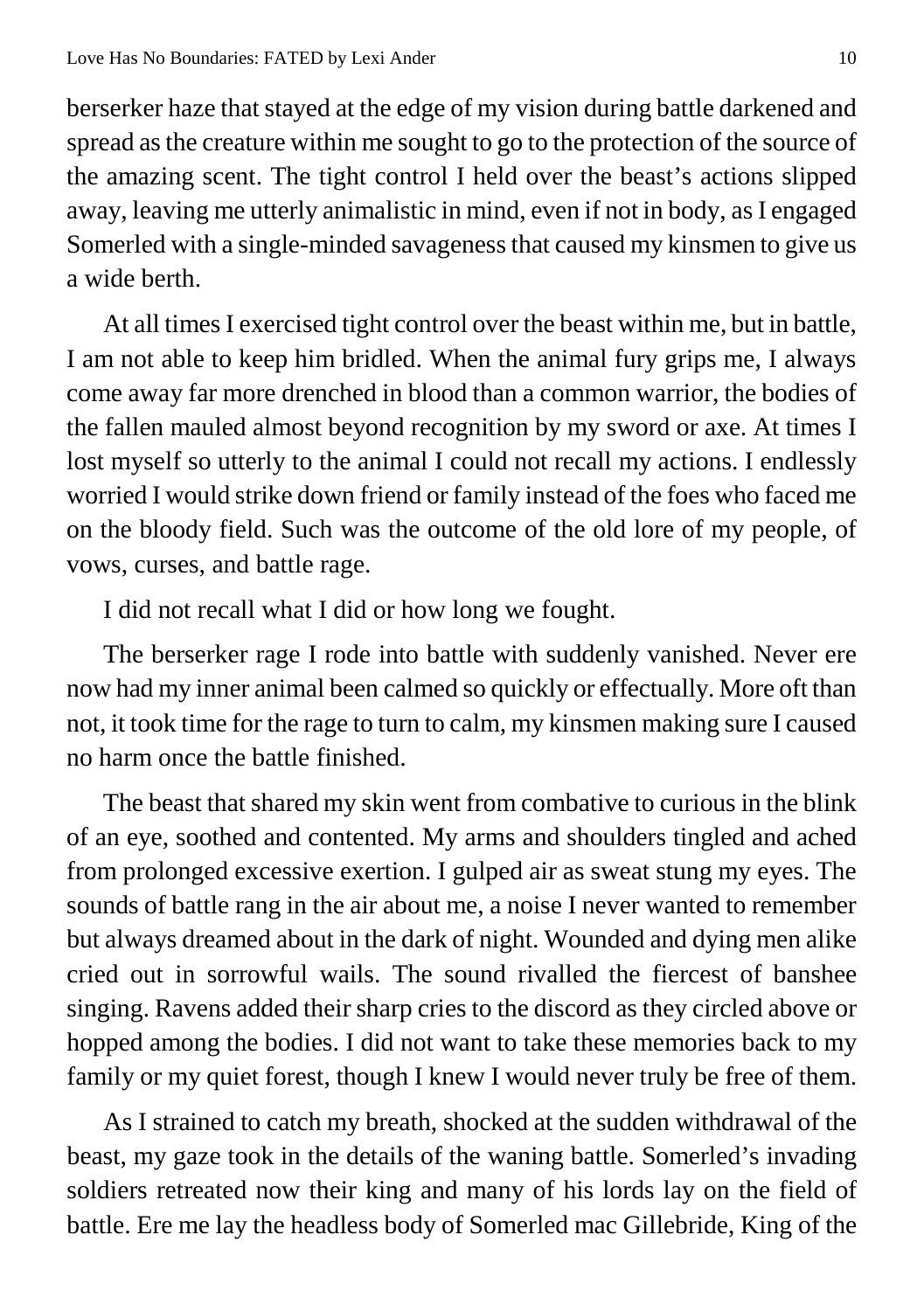berserker haze that stayed at the edge of my vision during battle darkened and spread asthe creature within me sought to go to the protection of the source of the amazing scent. The tight control I held over the beast's actions slipped away, leaving me utterly animalistic in mind, even if not in body, as I engaged Somerled with a single-minded savagenessthat caused my kinsmen to give us a wide berth.

At all times I exercised tight control over the beast within me, but in battle, I am not able to keep him bridled. When the animal fury grips me, I always come away far more drenched in blood than a common warrior, the bodies of the fallen mauled almost beyond recognition by my sword or axe. At times I lost myself so utterly to the animal I could not recall my actions. I endlessly worried I would strike down friend or family instead of the foes who faced me on the bloody field. Such was the outcome of the old lore of my people, of vows, curses, and battle rage.

I did not recall what I did or how long we fought.

The berserker rage I rode into battle with suddenly vanished. Never ere now had my inner animal been calmed so quickly or effectually. More oft than not, it took time for the rage to turn to calm, my kinsmen making sure I caused no harm once the battle finished.

The beast that shared my skin went from combative to curious in the blink of an eye, soothed and contented. My arms and shoulders tingled and ached from prolonged excessive exertion. I gulped air as sweat stung my eyes. The sounds of battle rang in the air about me, a noise I never wanted to remember but always dreamed about in the dark of night. Wounded and dying men alike cried out in sorrowful wails. The sound rivalled the fiercest of banshee singing. Ravens added their sharp cries to the discord as they circled above or hopped among the bodies. I did not want to take these memories back to my family or my quiet forest, though I knew I would never truly be free of them.

As I strained to catch my breath, shocked at the sudden withdrawal of the beast, my gaze took in the details of the waning battle. Somerled's invading soldiers retreated now their king and many of his lords lay on the field of battle. Ere me lay the headless body of Somerled mac Gillebride, King of the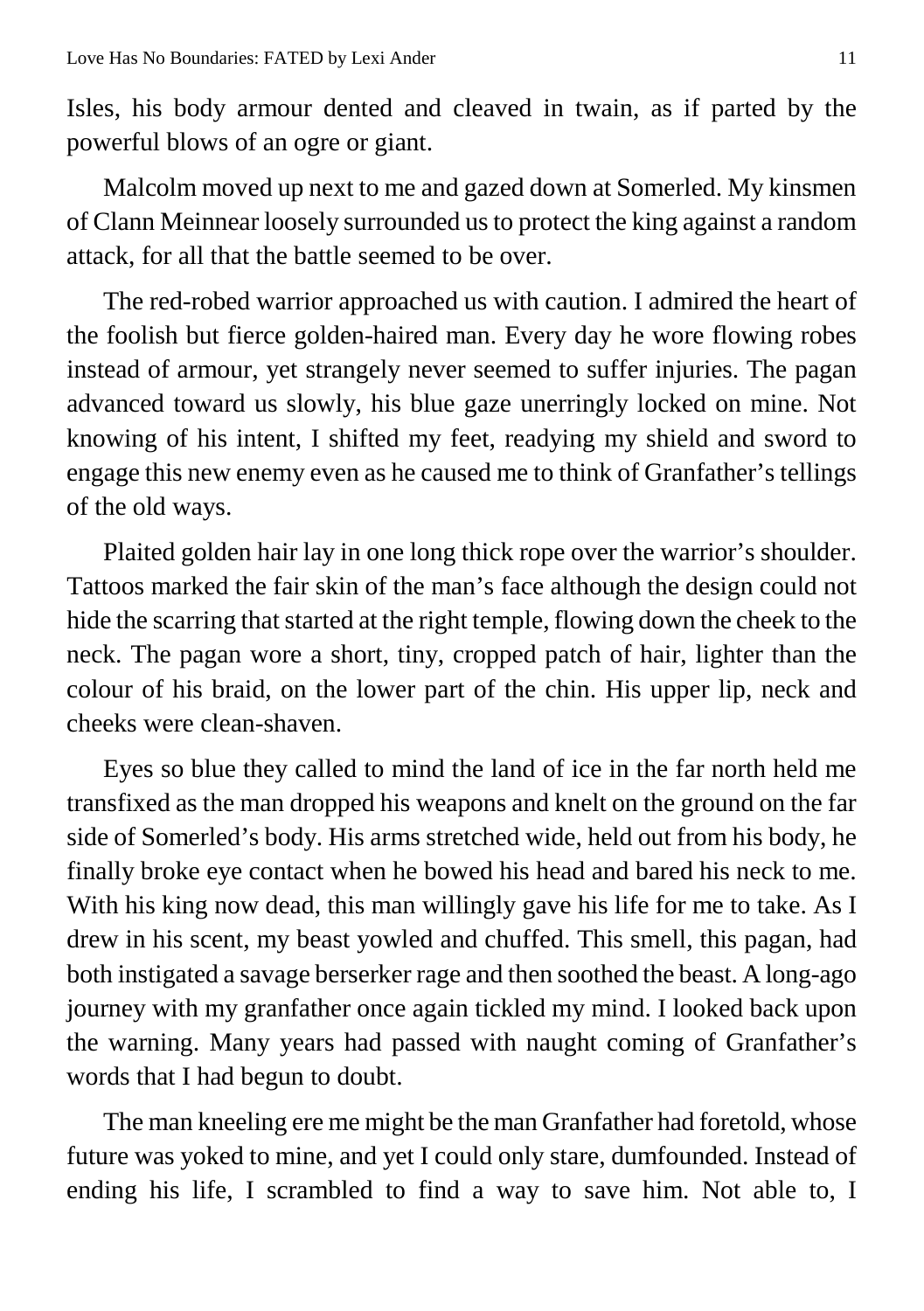Isles, his body armour dented and cleaved in twain, as if parted by the powerful blows of an ogre or giant.

Malcolm moved up next to me and gazed down at Somerled. My kinsmen of Clann Meinnear loosely surrounded usto protect the king against a random attack, for all that the battle seemed to be over.

The red-robed warrior approached us with caution. I admired the heart of the foolish but fierce golden-haired man. Every day he wore flowing robes instead of armour, yet strangely never seemed to suffer injuries. The pagan advanced toward us slowly, his blue gaze unerringly locked on mine. Not knowing of his intent, I shifted my feet, readying my shield and sword to engage this new enemy even as he caused me to think of Granfather's tellings of the old ways.

Plaited golden hair lay in one long thick rope over the warrior's shoulder. Tattoos marked the fair skin of the man's face although the design could not hide the scarring that started at the right temple, flowing down the cheek to the neck. The pagan wore a short, tiny, cropped patch of hair, lighter than the colour of his braid, on the lower part of the chin. His upper lip, neck and cheeks were clean-shaven.

Eyes so blue they called to mind the land of ice in the far north held me transfixed as the man dropped his weapons and knelt on the ground on the far side of Somerled's body. His arms stretched wide, held out from his body, he finally broke eye contact when he bowed his head and bared his neck to me. With his king now dead, this man willingly gave his life for me to take. As I drew in his scent, my beast yowled and chuffed. This smell, this pagan, had both instigated a savage berserker rage and then soothed the beast. A long-ago journey with my granfather once again tickled my mind. I looked back upon the warning. Many years had passed with naught coming of Granfather's words that I had begun to doubt.

The man kneeling ere me might be the man Granfather had foretold, whose future was yoked to mine, and yet I could only stare, dumfounded. Instead of ending his life, I scrambled to find a way to save him. Not able to, I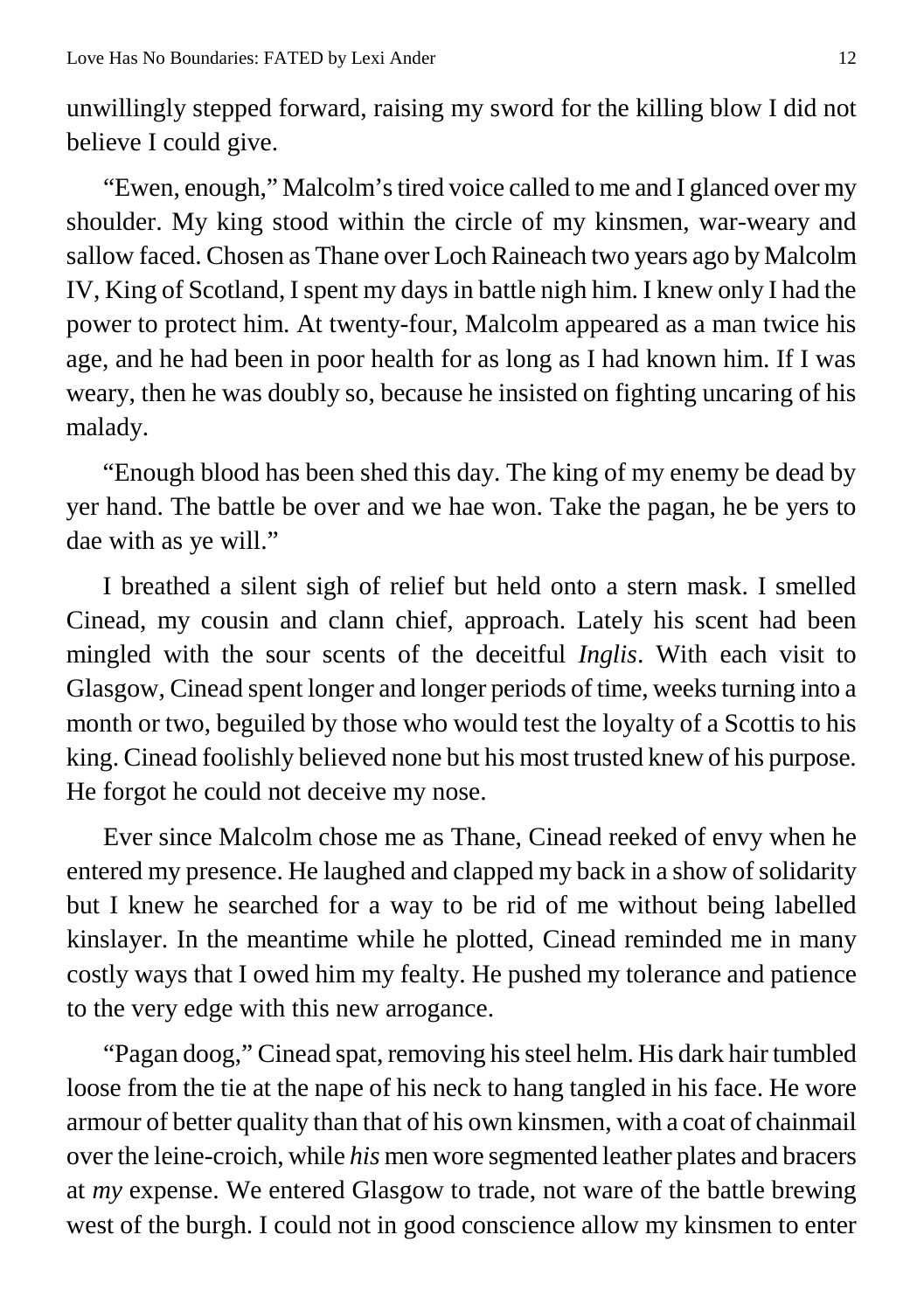unwillingly stepped forward, raising my sword for the killing blow I did not believe I could give.

"Ewen, enough," Malcolm'stired voice called to me and I glanced over my shoulder. My king stood within the circle of my kinsmen, war-weary and sallow faced. Chosen as Thane over Loch Raineach two years ago by Malcolm IV, King of Scotland, Ispent my daysin battle nigh him. I knew only I had the power to protect him. At twenty-four, Malcolm appeared as a man twice his age, and he had been in poor health for as long as I had known him. If I was weary, then he was doubly so, because he insisted on fighting uncaring of his malady.

"Enough blood has been shed this day. The king of my enemy be dead by yer hand. The battle be over and we hae won. Take the pagan, he be yers to dae with as ye will."

I breathed a silent sigh of relief but held onto a stern mask. I smelled Cinead, my cousin and clann chief, approach. Lately his scent had been mingled with the sour scents of the deceitful *Inglis*. With each visit to Glasgow, Cinead spent longer and longer periods of time, weeks turning into a month or two, beguiled by those who would test the loyalty of a Scottis to his king. Cinead foolishly believed none but his most trusted knew of his purpose. He forgot he could not deceive my nose.

Ever since Malcolm chose me as Thane, Cinead reeked of envy when he entered my presence. He laughed and clapped my back in a show of solidarity but I knew he searched for a way to be rid of me without being labelled kinslayer. In the meantime while he plotted, Cinead reminded me in many costly ways that I owed him my fealty. He pushed my tolerance and patience to the very edge with this new arrogance.

"Pagan doog," Cinead spat, removing hissteel helm. His dark hair tumbled loose from the tie at the nape of his neck to hang tangled in his face. He wore armour of better quality than that of his own kinsmen, with a coat of chainmail over the leine-croich, while *his* men wore segmented leather plates and bracers at *my* expense. We entered Glasgow to trade, not ware of the battle brewing west of the burgh. I could not in good conscience allow my kinsmen to enter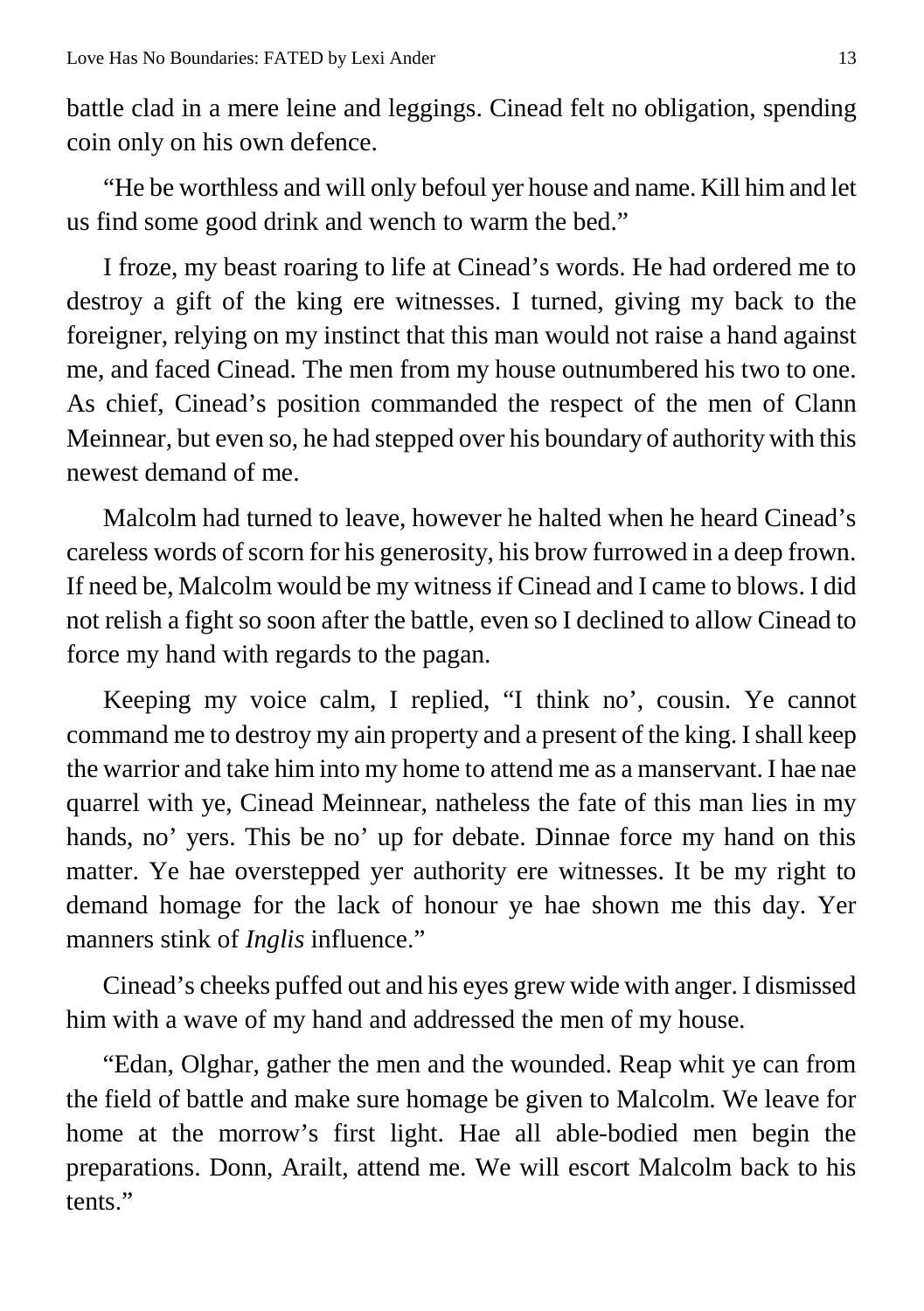battle clad in a mere leine and leggings. Cinead felt no obligation, spending coin only on his own defence.

"He be worthless and will only befoul yer house and name. Kill himand let us find some good drink and wench to warm the bed."

I froze, my beast roaring to life at Cinead's words. He had ordered me to destroy a gift of the king ere witnesses. I turned, giving my back to the foreigner, relying on my instinct that this man would not raise a hand against me, and faced Cinead. The men from my house outnumbered his two to one. As chief, Cinead's position commanded the respect of the men of Clann Meinnear, but even so, he had stepped over his boundary of authority with this newest demand of me.

Malcolm had turned to leave, however he halted when he heard Cinead's careless words of scorn for his generosity, his brow furrowed in a deep frown. If need be, Malcolm would be my witnessif Cinead and I came to blows. I did not relish a fight so soon after the battle, even so I declined to allow Cinead to force my hand with regards to the pagan.

Keeping my voice calm, I replied, "I think no', cousin. Ye cannot command me to destroy my ain property and a present of the king. Ishall keep the warrior and take him into my home to attend me as a manservant. I hae nae quarrel with ye, Cinead Meinnear, natheless the fate of this man lies in my hands, no' yers. This be no' up for debate. Dinnae force my hand on this matter. Ye hae overstepped yer authority ere witnesses. It be my right to demand homage for the lack of honour ye hae shown me this day. Yer manners stink of *Inglis* influence."

Cinead's cheeks puffed out and his eyes grew wide with anger. I dismissed him with a wave of my hand and addressed the men of my house.

"Edan, Olghar, gather the men and the wounded. Reap whit ye can from the field of battle and make sure homage be given to Malcolm. We leave for home at the morrow's first light. Hae all able-bodied men begin the preparations. Donn, Arailt, attend me. We will escort Malcolm back to his tents<sup>"</sup>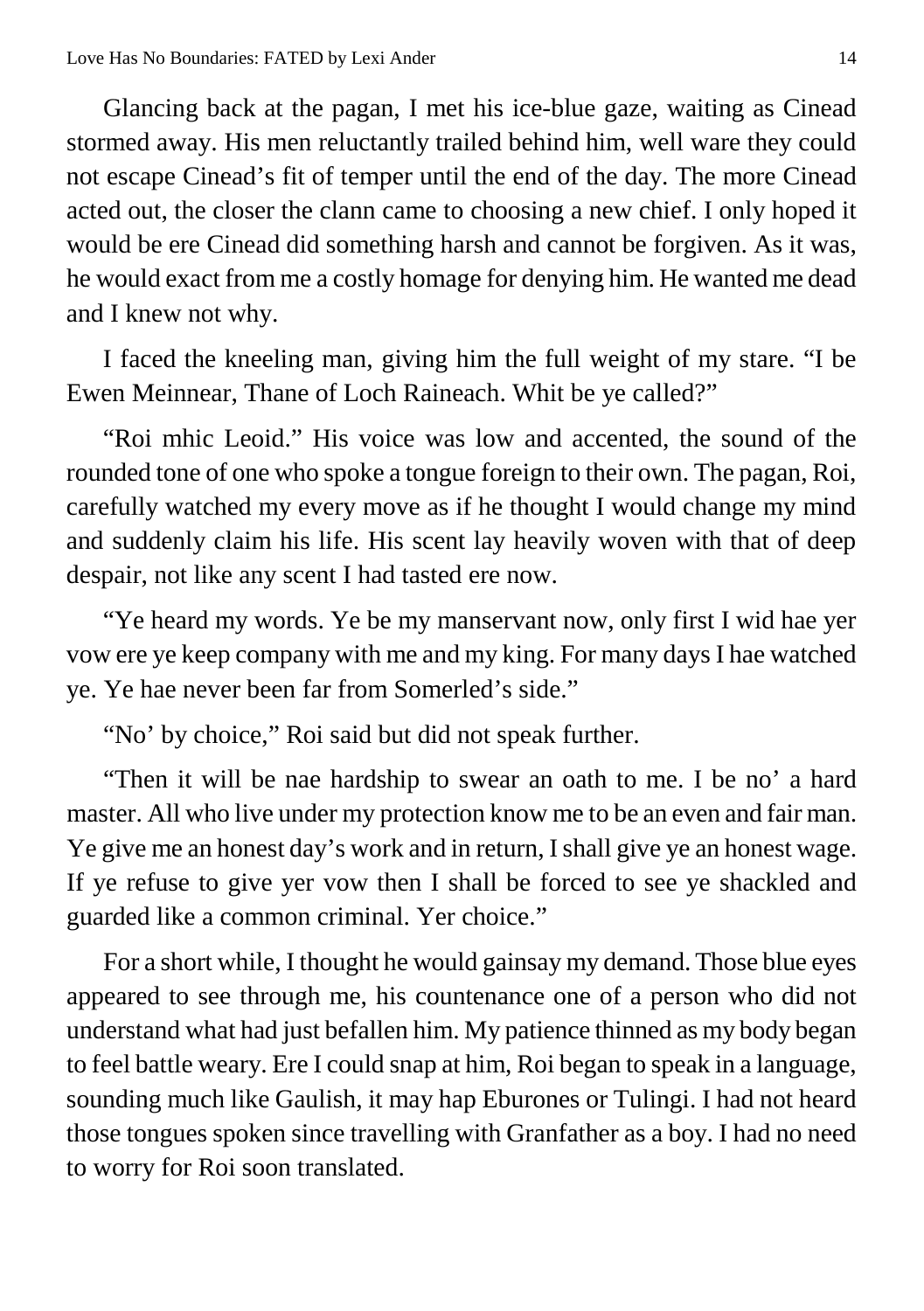Glancing back at the pagan, I met his ice-blue gaze, waiting as Cinead stormed away. His men reluctantly trailed behind him, well ware they could not escape Cinead's fit of temper until the end of the day. The more Cinead acted out, the closer the clann came to choosing a new chief. I only hoped it would be ere Cinead did something harsh and cannot be forgiven. As it was, he would exact from me a costly homage for denying him. He wanted me dead and I knew not why.

I faced the kneeling man, giving him the full weight of my stare. "I be Ewen Meinnear, Thane of Loch Raineach. Whit be ye called?"

"Roi mhic Leoid." His voice was low and accented, the sound of the rounded tone of one who spoke a tongue foreign to their own. The pagan, Roi, carefully watched my every move as if he thought I would change my mind and suddenly claim his life. His scent lay heavily woven with that of deep despair, not like any scent I had tasted ere now.

"Ye heard my words. Ye be my manservant now, only first I wid hae yer vow ere ye keep company with me and my king. For many daysI hae watched ye. Ye hae never been far from Somerled's side."

"No' by choice," Roi said but did not speak further.

"Then it will be nae hardship to swear an oath to me. I be no' a hard master. All who live under my protection know me to be an even and fair man. Ye give me an honest day's work and in return, Ishall give ye an honest wage. If ye refuse to give yer vow then I shall be forced to see ye shackled and guarded like a common criminal. Yer choice."

For a short while, I thought he would gainsay my demand. Those blue eyes appeared to see through me, his countenance one of a person who did not understand what had just befallen him. My patience thinned as my body began to feel battle weary. Ere I could snap at him, Roi began to speak in a language, sounding much like Gaulish, it may hap Eburones or Tulingi. I had not heard those tongues spoken since travelling with Granfather as a boy. I had no need to worry for Roi soon translated.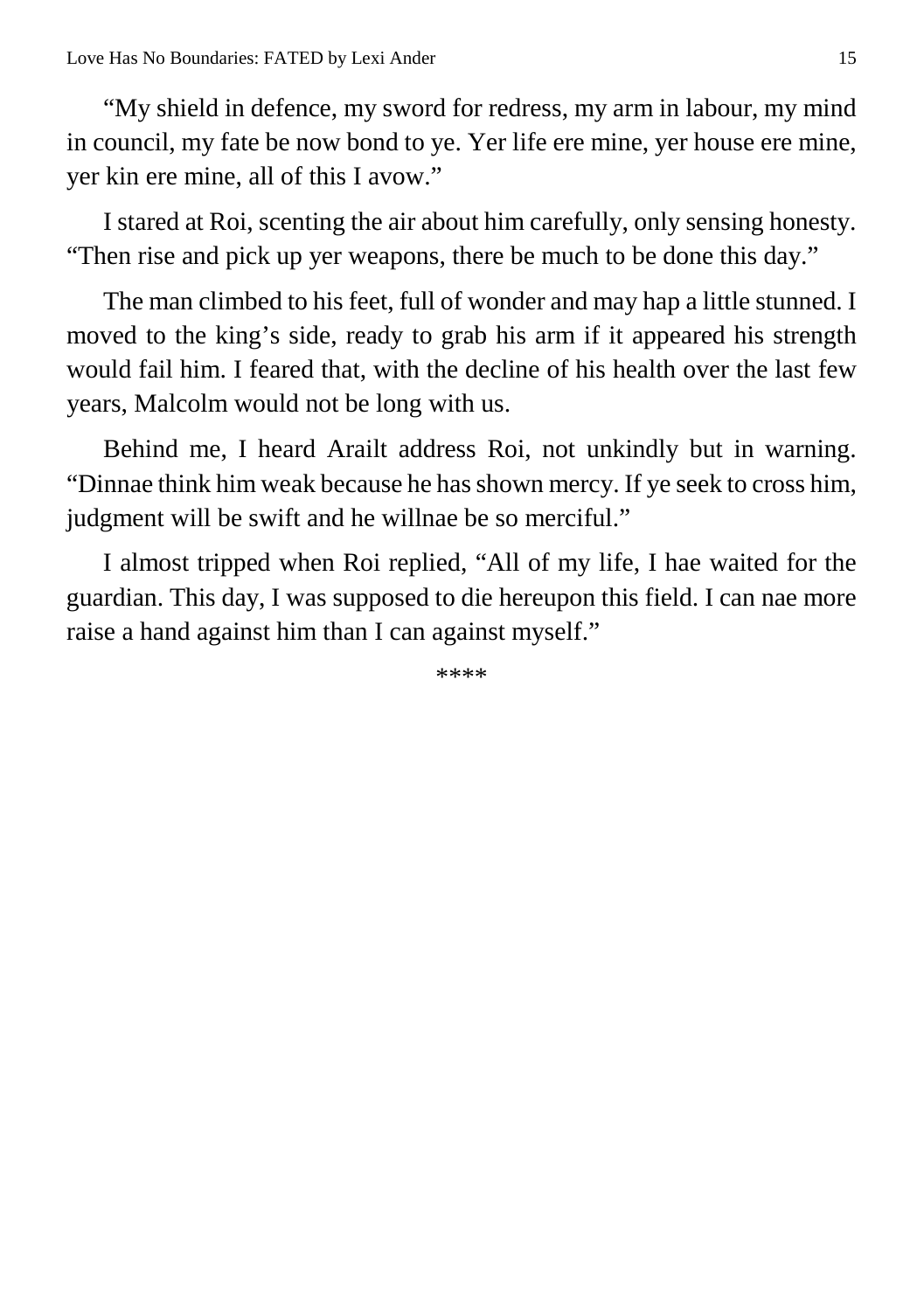"My shield in defence, my sword for redress, my arm in labour, my mind in council, my fate be now bond to ye. Yer life ere mine, yer house ere mine, yer kin ere mine, all of this I avow."

I stared at Roi, scenting the air about him carefully, only sensing honesty. "Then rise and pick up yer weapons, there be much to be done this day."

The man climbed to his feet, full of wonder and may hap a little stunned. I moved to the king's side, ready to grab his arm if it appeared his strength would fail him. I feared that, with the decline of his health over the last few years, Malcolm would not be long with us.

Behind me, I heard Arailt address Roi, not unkindly but in warning. "Dinnae think him weak because he has shown mercy. If ye seek to cross him, judgment will be swift and he willnae be so merciful."

I almost tripped when Roi replied, "All of my life, I hae waited for the guardian. This day, I was supposed to die hereupon this field. I can nae more raise a hand against him than I can against myself."

\*\*\*\*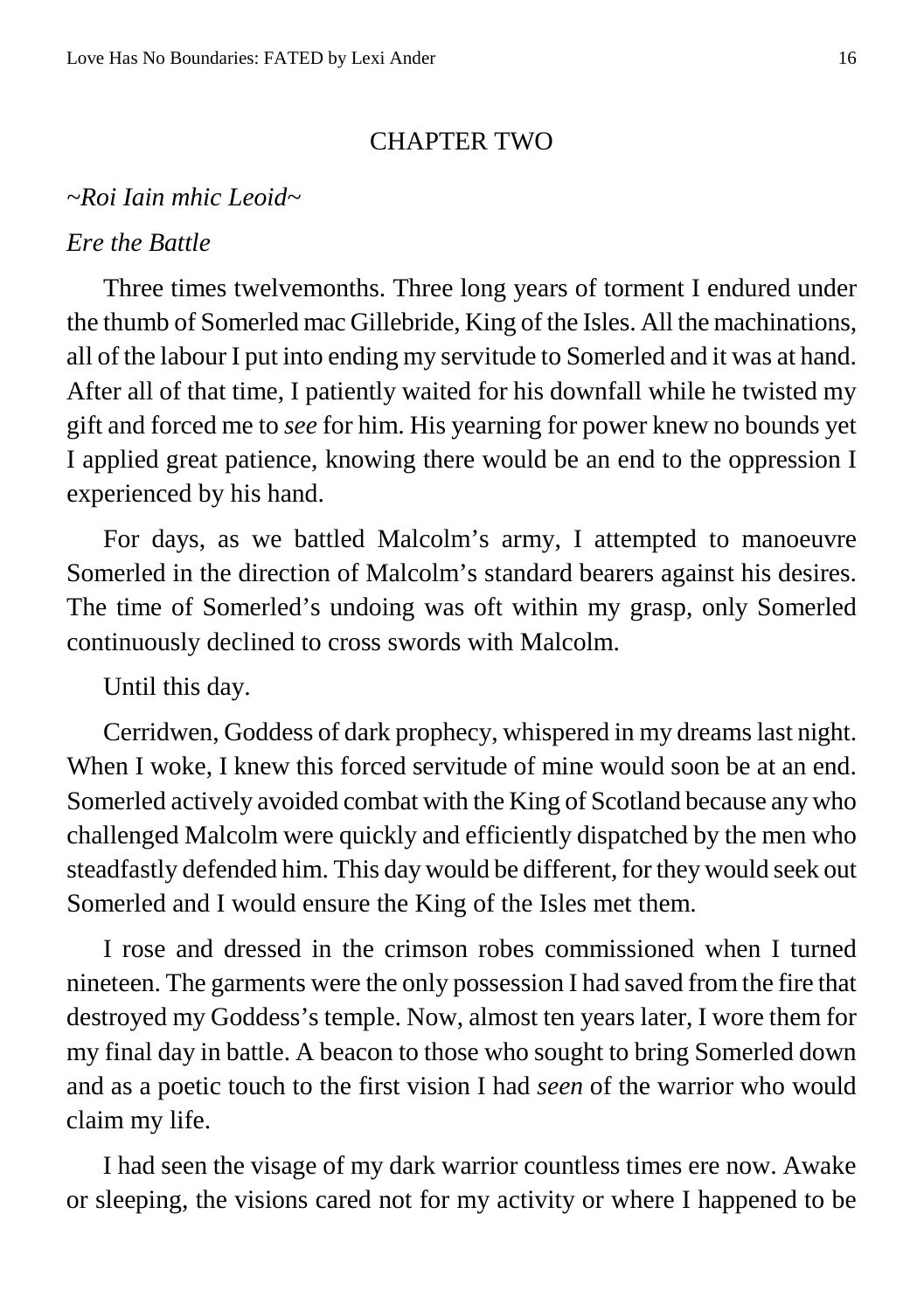#### CHAPTER TWO

### <span id="page-15-0"></span>*~Roi Iain mhic Leoid~*

### *Ere the Battle*

Three times twelvemonths. Three long years of torment I endured under the thumb of Somerled mac Gillebride, King of the Isles. All the machinations, all of the labour I put into ending my servitude to Somerled and it was at hand. After all of that time, I patiently waited for his downfall while he twisted my gift and forced me to *see* for him. His yearning for power knew no bounds yet I applied great patience, knowing there would be an end to the oppression I experienced by his hand.

For days, as we battled Malcolm's army, I attempted to manoeuvre Somerled in the direction of Malcolm's standard bearers against his desires. The time of Somerled's undoing was oft within my grasp, only Somerled continuously declined to cross swords with Malcolm.

Until this day.

Cerridwen, Goddess of dark prophecy, whispered in my dreams last night. When I woke, I knew this forced servitude of mine would soon be at an end. Somerled actively avoided combat with the King of Scotland because any who challenged Malcolm were quickly and efficiently dispatched by the men who steadfastly defended him. This day would be different, for they would seek out Somerled and I would ensure the King of the Isles met them.

I rose and dressed in the crimson robes commissioned when I turned nineteen. The garments were the only possession I had saved from the fire that destroyed my Goddess's temple. Now, almost ten years later, I wore them for my final day in battle. A beacon to those who sought to bring Somerled down and as a poetic touch to the first vision I had *seen* of the warrior who would claim my life.

I had seen the visage of my dark warrior countless times ere now. Awake or sleeping, the visions cared not for my activity or where I happened to be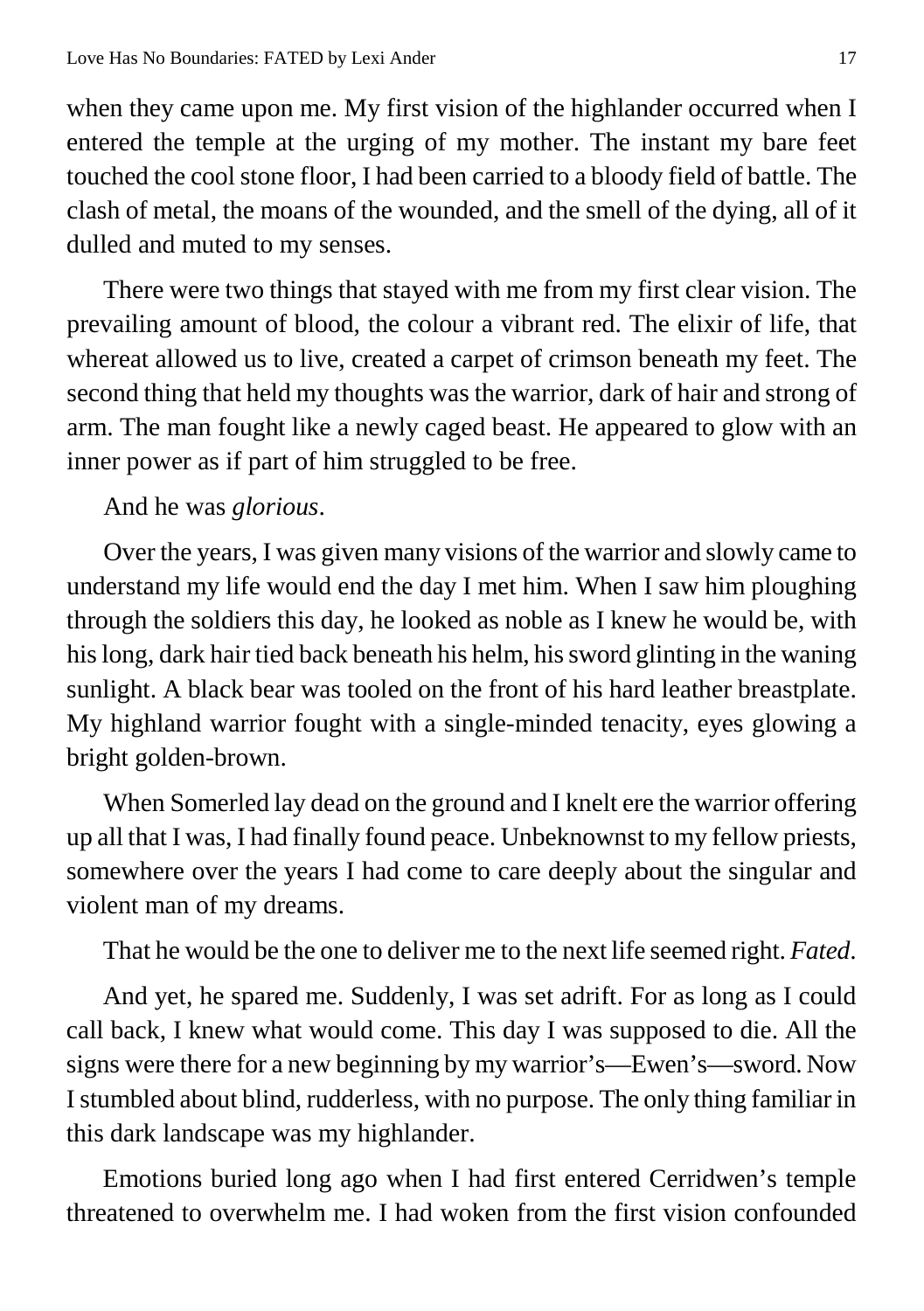when they came upon me. My first vision of the highlander occurred when I entered the temple at the urging of my mother. The instant my bare feet touched the cool stone floor, I had been carried to a bloody field of battle. The clash of metal, the moans of the wounded, and the smell of the dying, all of it dulled and muted to my senses.

There were two things that stayed with me from my first clear vision. The prevailing amount of blood, the colour a vibrant red. The elixir of life, that whereat allowed us to live, created a carpet of crimson beneath my feet. The second thing that held my thoughts was the warrior, dark of hair and strong of arm. The man fought like a newly caged beast. He appeared to glow with an inner power as if part of him struggled to be free.

And he was *glorious*.

Over the years, I was given many visions of the warrior and slowly came to understand my life would end the day I met him. When I saw him ploughing through the soldiers this day, he looked as noble as I knew he would be, with his long, dark hair tied back beneath his helm, his sword glinting in the waning sunlight. A black bear was tooled on the front of his hard leather breastplate. My highland warrior fought with a single-minded tenacity, eyes glowing a bright golden-brown.

When Somerled lay dead on the ground and I knelt ere the warrior offering up all that I was, I had finally found peace. Unbeknownst to my fellow priests, somewhere over the years I had come to care deeply about the singular and violent man of my dreams.

That he would be the one to deliver me to the next life seemed right. *Fated*.

And yet, he spared me. Suddenly, I was set adrift. For as long as I could call back, I knew what would come. This day I was supposed to die. All the signs were there for a new beginning by my warrior's—Ewen's—sword. Now Istumbled about blind, rudderless, with no purpose. The only thing familiar in this dark landscape was my highlander.

Emotions buried long ago when I had first entered Cerridwen's temple threatened to overwhelm me. I had woken from the first vision confounded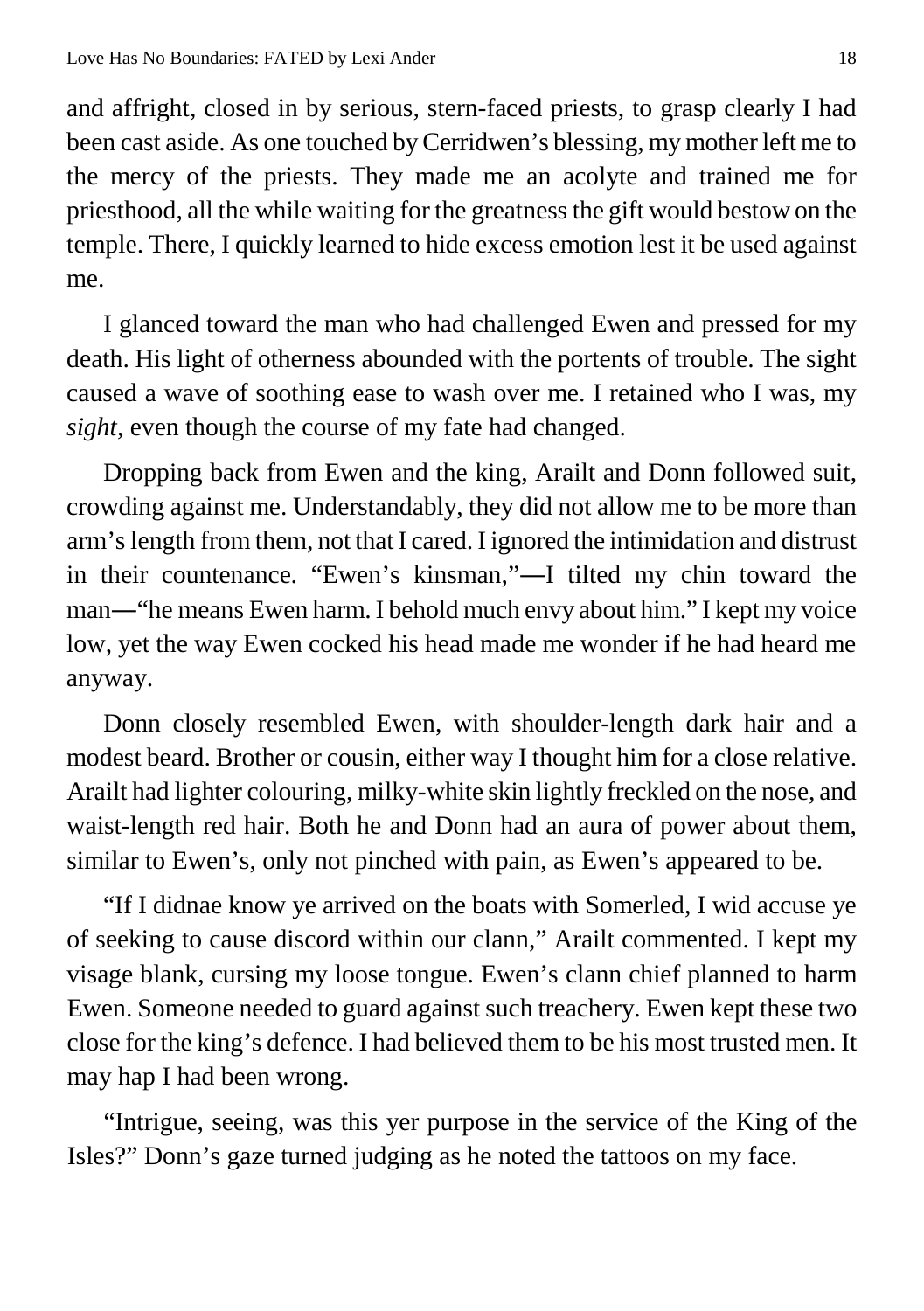and affright, closed in by serious, stern-faced priests, to grasp clearly I had been cast aside. As one touched byCerridwen's blessing, my mother left me to the mercy of the priests. They made me an acolyte and trained me for priesthood, all the while waiting for the greatnessthe gift would bestow on the temple. There, I quickly learned to hide excess emotion lest it be used against me.

I glanced toward the man who had challenged Ewen and pressed for my death. His light of otherness abounded with the portents of trouble. The sight caused a wave of soothing ease to wash over me. I retained who I was, my *sight*, even though the course of my fate had changed.

Dropping back from Ewen and the king, Arailt and Donn followed suit, crowding against me. Understandably, they did not allow me to be more than arm'slength from them, not that I cared. I ignored the intimidation and distrust in their countenance. "Ewen's kinsman,"―I tilted my chin toward the man―"he means Ewen harm. I behold much envy about him." I kept my voice low, yet the way Ewen cocked his head made me wonder if he had heard me anyway.

Donn closely resembled Ewen, with shoulder-length dark hair and a modest beard. Brother or cousin, either way I thought him for a close relative. Arailt had lighter colouring, milky-white skin lightly freckled on the nose, and waist-length red hair. Both he and Donn had an aura of power about them, similar to Ewen's, only not pinched with pain, as Ewen's appeared to be.

"If I didnae know ye arrived on the boats with Somerled, I wid accuse ye of seeking to cause discord within our clann," Arailt commented. I kept my visage blank, cursing my loose tongue. Ewen's clann chief planned to harm Ewen. Someone needed to guard against such treachery. Ewen kept these two close for the king's defence. I had believed them to be his most trusted men. It may hap I had been wrong.

"Intrigue, seeing, was this yer purpose in the service of the King of the Isles?" Donn's gaze turned judging as he noted the tattoos on my face.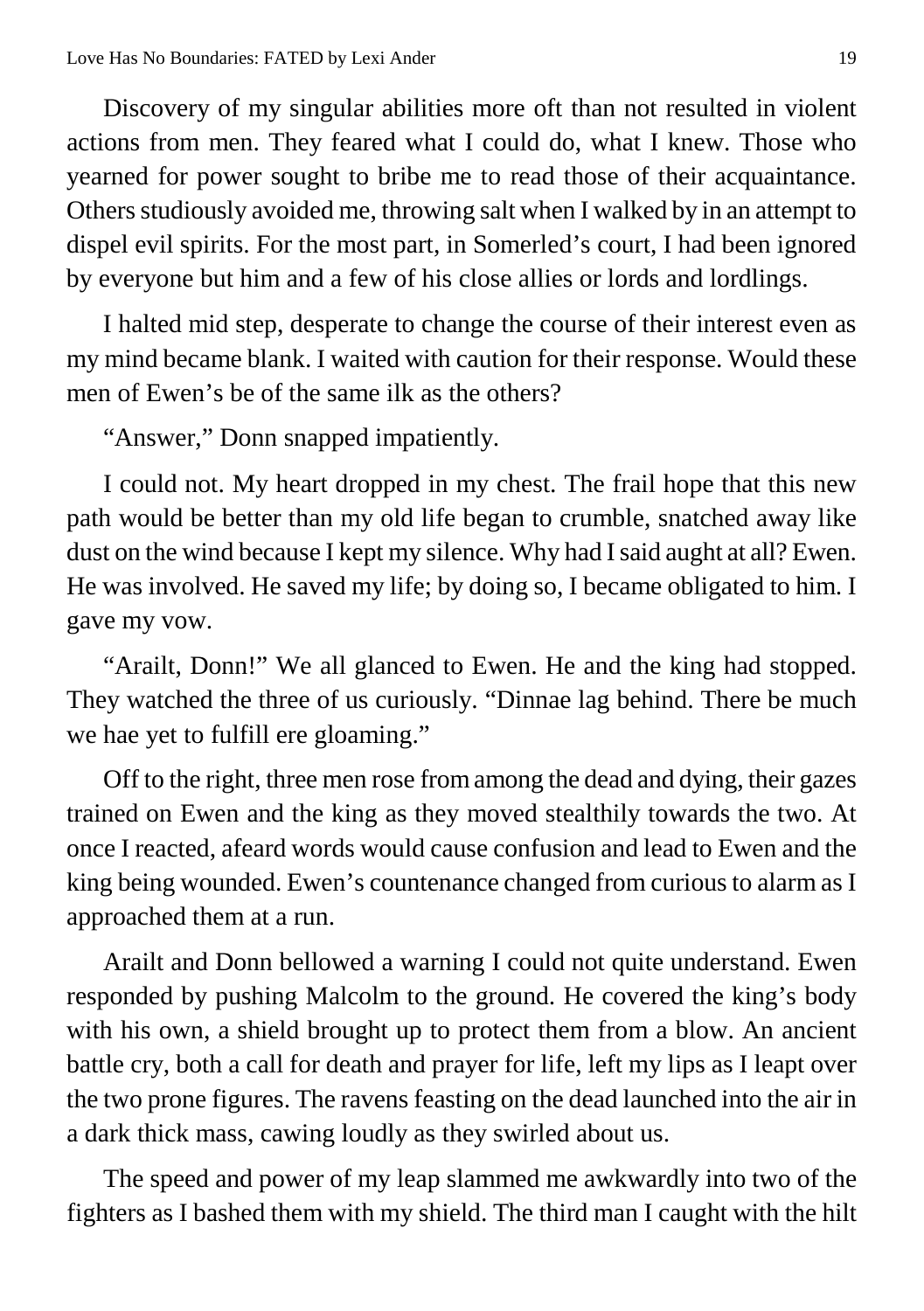Discovery of my singular abilities more oft than not resulted in violent actions from men. They feared what I could do, what I knew. Those who yearned for power sought to bribe me to read those of their acquaintance. Others studiously avoided me, throwing salt when I walked by in an attempt to dispel evil spirits. For the most part, in Somerled's court, I had been ignored by everyone but him and a few of his close allies or lords and lordlings.

I halted mid step, desperate to change the course of their interest even as my mind became blank. I waited with caution for their response. Would these men of Ewen's be of the same ilk as the others?

"Answer," Donn snapped impatiently.

I could not. My heart dropped in my chest. The frail hope that this new path would be better than my old life began to crumble, snatched away like dust on the wind because I kept my silence. Why had I said aught at all? Ewen. He was involved. He saved my life; by doing so, I became obligated to him. I gave my vow.

"Arailt, Donn!" We all glanced to Ewen. He and the king had stopped. They watched the three of us curiously. "Dinnae lag behind. There be much we hae yet to fulfill ere gloaming."

Off to the right, three men rose fromamong the dead and dying, their gazes trained on Ewen and the king as they moved stealthily towards the two. At once I reacted, afeard words would cause confusion and lead to Ewen and the king being wounded. Ewen's countenance changed from curious to alarm as I approached them at a run.

Arailt and Donn bellowed a warning I could not quite understand. Ewen responded by pushing Malcolm to the ground. He covered the king's body with his own, a shield brought up to protect them from a blow. An ancient battle cry, both a call for death and prayer for life, left my lips as I leapt over the two prone figures. The ravens feasting on the dead launched into the air in a dark thick mass, cawing loudly as they swirled about us.

The speed and power of my leap slammed me awkwardly into two of the fighters as I bashed them with my shield. The third man I caught with the hilt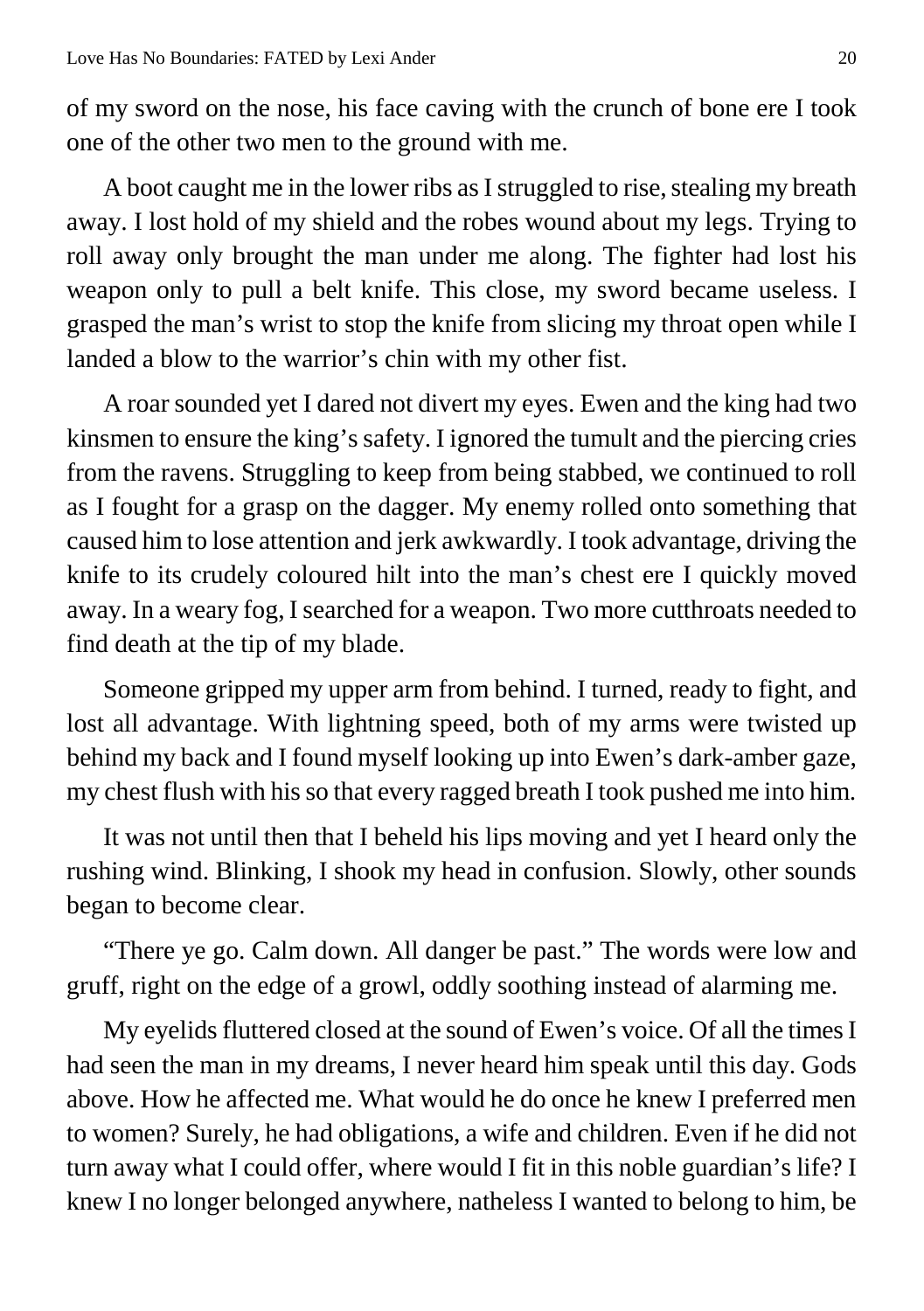of my sword on the nose, his face caving with the crunch of bone ere I took one of the other two men to the ground with me.

A boot caught me in the lower ribs as I struggled to rise, stealing my breath away. I lost hold of my shield and the robes wound about my legs. Trying to roll away only brought the man under me along. The fighter had lost his weapon only to pull a belt knife. This close, my sword became useless. I grasped the man's wrist to stop the knife from slicing my throat open while I landed a blow to the warrior's chin with my other fist.

A roar sounded yet I dared not divert my eyes. Ewen and the king had two kinsmen to ensure the king's safety. I ignored the tumult and the piercing cries from the ravens. Struggling to keep from being stabbed, we continued to roll as I fought for a grasp on the dagger. My enemy rolled onto something that caused him to lose attention and jerk awkwardly. I took advantage, driving the knife to its crudely coloured hilt into the man's chest ere I quickly moved away. In a weary fog, I searched for a weapon. Two more cutthroats needed to find death at the tip of my blade.

Someone gripped my upper arm from behind. I turned, ready to fight, and lost all advantage. With lightning speed, both of my arms were twisted up behind my back and I found myself looking up into Ewen's dark-amber gaze, my chest flush with hisso that every ragged breath I took pushed me into him.

It was not until then that I beheld his lips moving and yet I heard only the rushing wind. Blinking, I shook my head in confusion. Slowly, other sounds began to become clear.

"There ye go. Calm down. All danger be past." The words were low and gruff, right on the edge of a growl, oddly soothing instead of alarming me.

My eyelids fluttered closed at the sound of Ewen's voice. Of all the times I had seen the man in my dreams, I never heard him speak until this day. Gods above. How he affected me. What would he do once he knew I preferred men to women? Surely, he had obligations, a wife and children. Even if he did not turn away what I could offer, where would I fit in this noble guardian's life? I knew I no longer belonged anywhere, natheless I wanted to belong to him, be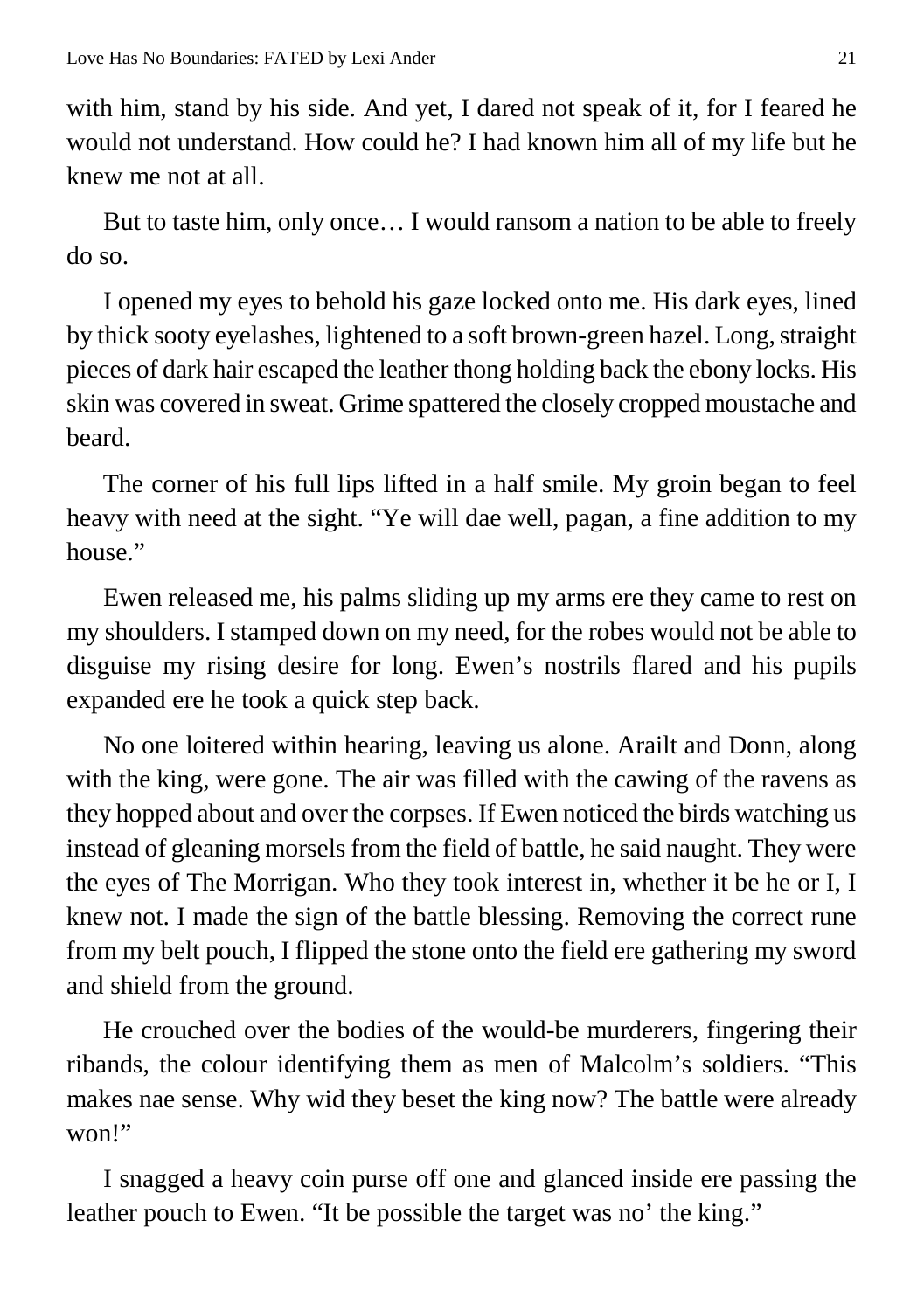with him, stand by his side. And yet, I dared not speak of it, for I feared he would not understand. How could he? I had known him all of my life but he knew me not at all.

But to taste him, only once… I would ransom a nation to be able to freely do so.

I opened my eyes to behold his gaze locked onto me. His dark eyes, lined by thick sooty eyelashes, lightened to a soft brown-green hazel. Long, straight pieces of dark hair escaped the leather thong holding back the ebony locks. His skin was covered in sweat. Grime spattered the closely cropped moustache and beard.

The corner of his full lips lifted in a half smile. My groin began to feel heavy with need at the sight. "Ye will dae well, pagan, a fine addition to my house."

Ewen released me, his palms sliding up my arms ere they came to rest on my shoulders. I stamped down on my need, for the robes would not be able to disguise my rising desire for long. Ewen's nostrils flared and his pupils expanded ere he took a quick step back.

No one loitered within hearing, leaving us alone. Arailt and Donn, along with the king, were gone. The air was filled with the cawing of the ravens as they hopped about and over the corpses. If Ewen noticed the birds watching us instead of gleaning morsels from the field of battle, he said naught. They were the eyes of The Morrigan. Who they took interest in, whether it be he or I, I knew not. I made the sign of the battle blessing. Removing the correct rune from my belt pouch, I flipped the stone onto the field ere gathering my sword and shield from the ground.

He crouched over the bodies of the would-be murderers, fingering their ribands, the colour identifying them as men of Malcolm's soldiers. "This makes nae sense. Why wid they beset the king now? The battle were already won!"

I snagged a heavy coin purse off one and glanced inside ere passing the leather pouch to Ewen. "It be possible the target was no' the king."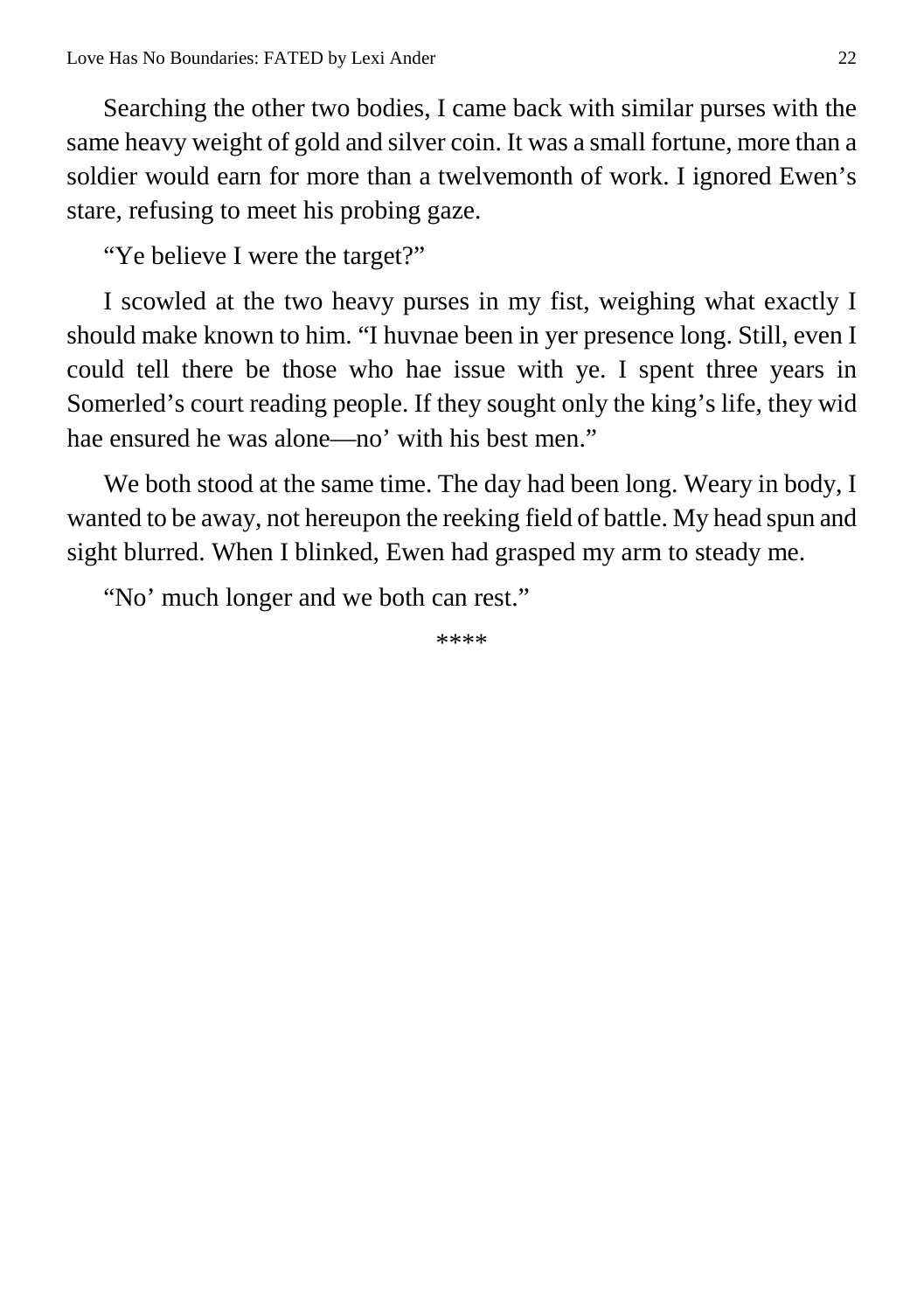Searching the other two bodies, I came back with similar purses with the same heavy weight of gold and silver coin. It was a small fortune, more than a soldier would earn for more than a twelvemonth of work. I ignored Ewen's stare, refusing to meet his probing gaze.

"Ye believe I were the target?"

I scowled at the two heavy purses in my fist, weighing what exactly I should make known to him. "I huvnae been in yer presence long. Still, even I could tell there be those who hae issue with ye. I spent three years in Somerled's court reading people. If they sought only the king's life, they wid hae ensured he was alone—no' with his best men."

We both stood at the same time. The day had been long. Weary in body, I wanted to be away, not hereupon the reeking field of battle. My head spun and sight blurred. When I blinked, Ewen had grasped my arm to steady me.

"No' much longer and we both can rest."

\*\*\*\*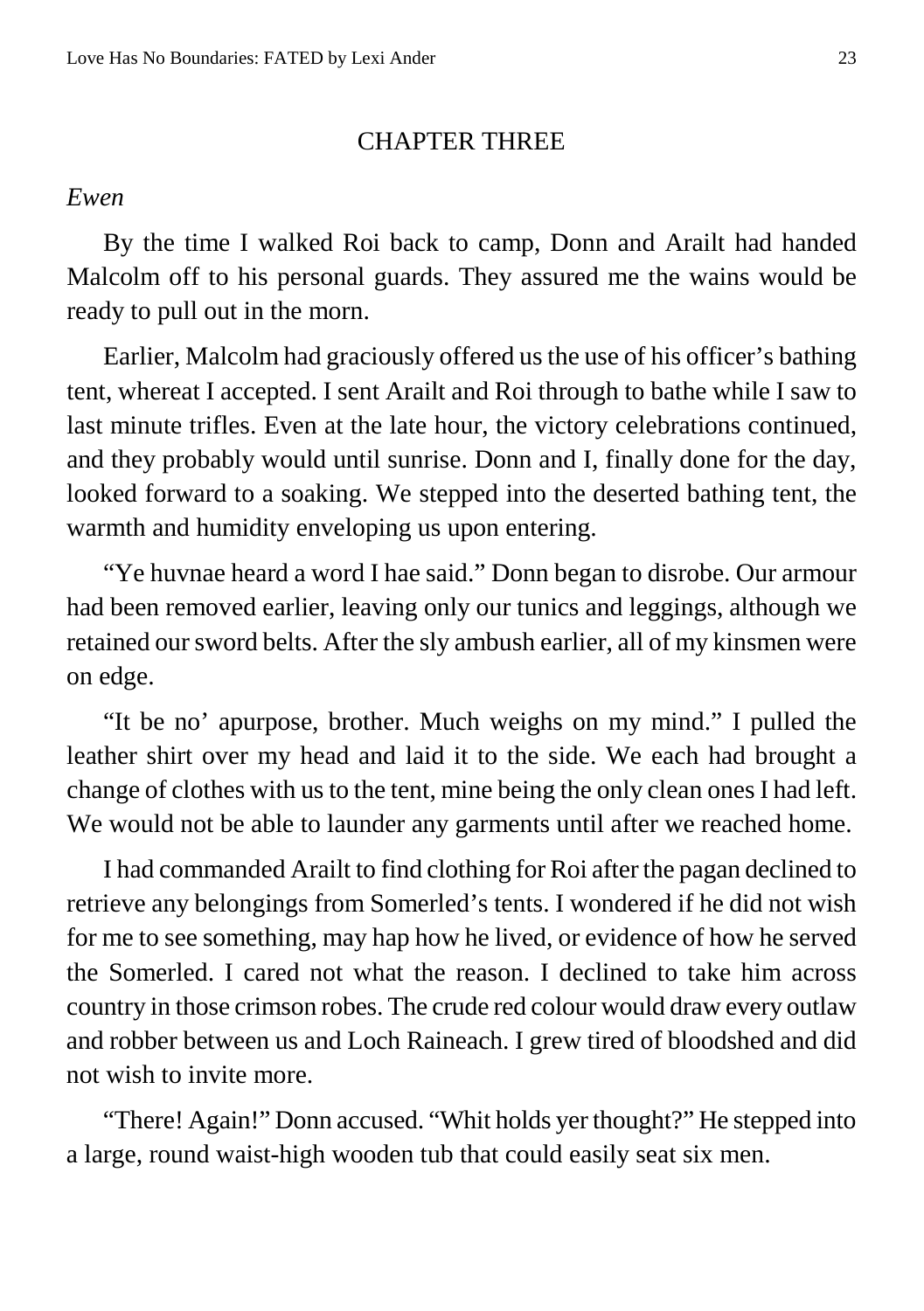### CHAPTER THREE

#### <span id="page-22-0"></span>*Ewen*

By the time I walked Roi back to camp, Donn and Arailt had handed Malcolm off to his personal guards. They assured me the wains would be ready to pull out in the morn.

Earlier, Malcolm had graciously offered usthe use of his officer's bathing tent, whereat I accepted. I sent Arailt and Roi through to bathe while I saw to last minute trifles. Even at the late hour, the victory celebrations continued, and they probably would until sunrise. Donn and I, finally done for the day, looked forward to a soaking. We stepped into the deserted bathing tent, the warmth and humidity enveloping us upon entering.

"Ye huvnae heard a word I hae said." Donn began to disrobe. Our armour had been removed earlier, leaving only our tunics and leggings, although we retained oursword belts. After the sly ambush earlier, all of my kinsmen were on edge.

"It be no' apurpose, brother. Much weighs on my mind." I pulled the leather shirt over my head and laid it to the side. We each had brought a change of clothes with us to the tent, mine being the only clean ones I had left. We would not be able to launder any garments until after we reached home.

I had commanded Arailt to find clothing for Roi after the pagan declined to retrieve any belongings from Somerled's tents. I wondered if he did not wish for me to see something, may hap how he lived, or evidence of how he served the Somerled. I cared not what the reason. I declined to take him across country in those crimson robes. The crude red colour would draw every outlaw and robber between us and Loch Raineach. I grew tired of bloodshed and did not wish to invite more.

"There! Again!" Donn accused. "Whit holds yer thought?" He stepped into a large, round waist-high wooden tub that could easily seat six men.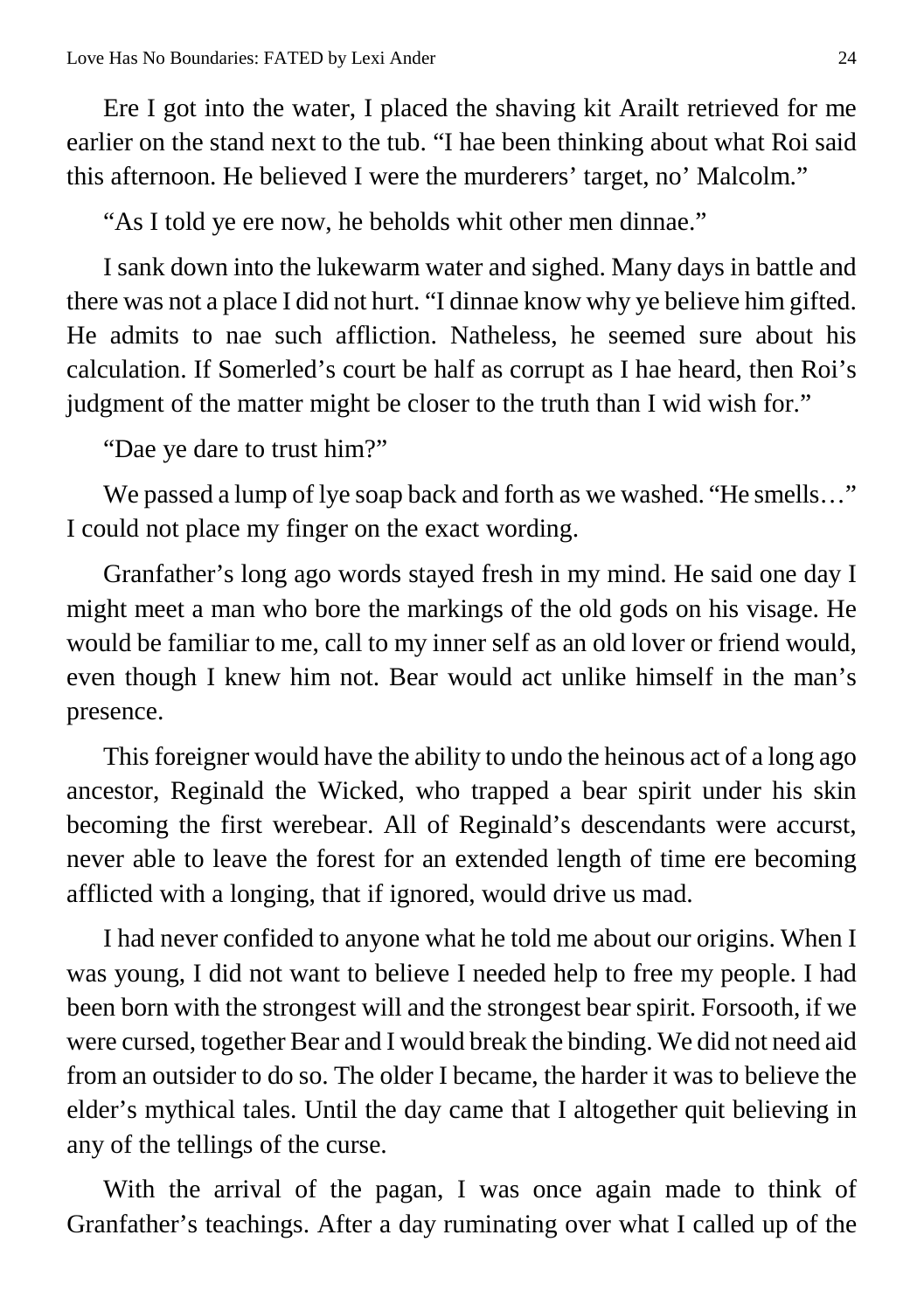Ere I got into the water, I placed the shaving kit Arailt retrieved for me earlier on the stand next to the tub. "I hae been thinking about what Roi said this afternoon. He believed I were the murderers' target, no' Malcolm."

"As I told ye ere now, he beholds whit other men dinnae."

I sank down into the lukewarm water and sighed. Many days in battle and there was not a place I did not hurt. "I dinnae know why ye believe him gifted. He admits to nae such affliction. Natheless, he seemed sure about his calculation. If Somerled's court be half as corrupt as I hae heard, then Roi's judgment of the matter might be closer to the truth than I wid wish for."

"Dae ye dare to trust him?"

We passed a lump of lye soap back and forth as we washed. "He smells..." I could not place my finger on the exact wording.

Granfather's long ago words stayed fresh in my mind. He said one day I might meet a man who bore the markings of the old gods on his visage. He would be familiar to me, call to my inner self as an old lover or friend would, even though I knew him not. Bear would act unlike himself in the man's presence.

This foreigner would have the ability to undo the heinous act of a long ago ancestor, Reginald the Wicked, who trapped a bear spirit under his skin becoming the first werebear. All of Reginald's descendants were accurst, never able to leave the forest for an extended length of time ere becoming afflicted with a longing, that if ignored, would drive us mad.

I had never confided to anyone what he told me about our origins. When I was young, I did not want to believe I needed help to free my people. I had been born with the strongest will and the strongest bear spirit. Forsooth, if we were cursed, together Bear and I would break the binding. We did not need aid from an outsider to do so. The older I became, the harder it was to believe the elder's mythical tales. Until the day came that I altogether quit believing in any of the tellings of the curse.

With the arrival of the pagan, I was once again made to think of Granfather's teachings. After a day ruminating over what I called up of the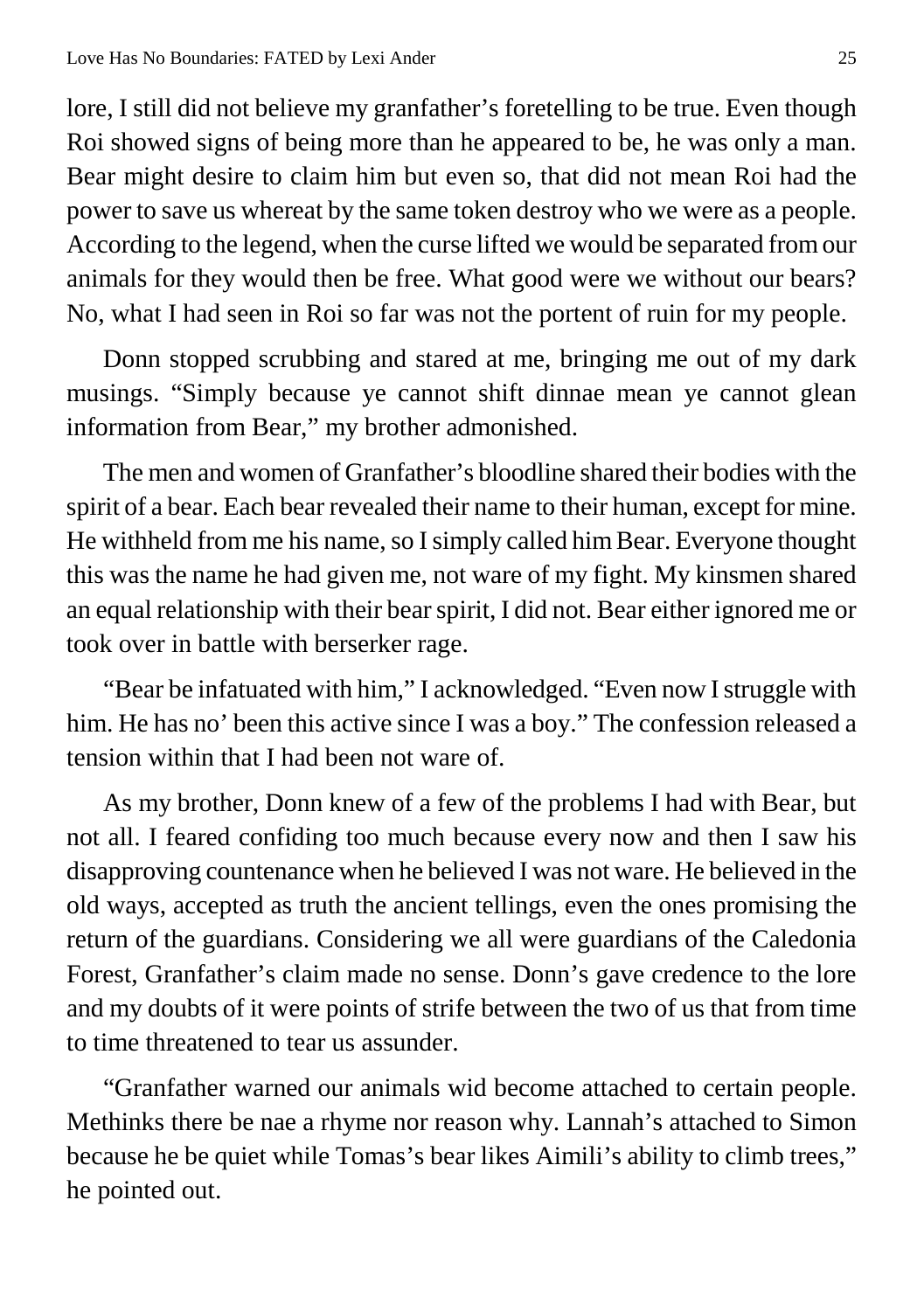lore, I still did not believe my granfather's foretelling to be true. Even though Roi showed signs of being more than he appeared to be, he was only a man. Bear might desire to claim him but even so, that did not mean Roi had the power to save us whereat by the same token destroy who we were as a people. According to the legend, when the curse lifted we would be separated fromour animals for they would then be free. What good were we without our bears? No, what I had seen in Roi so far was not the portent of ruin for my people.

Donn stopped scrubbing and stared at me, bringing me out of my dark musings. "Simply because ye cannot shift dinnae mean ye cannot glean information from Bear," my brother admonished.

The men and women of Granfather's bloodline shared their bodies with the spirit of a bear. Each bear revealed their name to their human, except for mine. He withheld from me his name, so I simply called him Bear. Everyone thought this was the name he had given me, not ware of my fight. My kinsmen shared an equal relationship with their bearspirit, I did not. Bear either ignored me or took over in battle with berserker rage.

"Bear be infatuated with him," I acknowledged. "Even now Istruggle with him. He has no' been this active since I was a boy." The confession released a tension within that I had been not ware of.

As my brother, Donn knew of a few of the problems I had with Bear, but not all. I feared confiding too much because every now and then I saw his disapproving countenance when he believed I was not ware. He believed in the old ways, accepted as truth the ancient tellings, even the ones promising the return of the guardians. Considering we all were guardians of the Caledonia Forest, Granfather's claim made no sense. Donn's gave credence to the lore and my doubts of it were points of strife between the two of us that from time to time threatened to tear us assunder.

"Granfather warned our animals wid become attached to certain people. Methinks there be nae a rhyme nor reason why. Lannah's attached to Simon because he be quiet while Tomas's bear likes Aimili's ability to climb trees," he pointed out.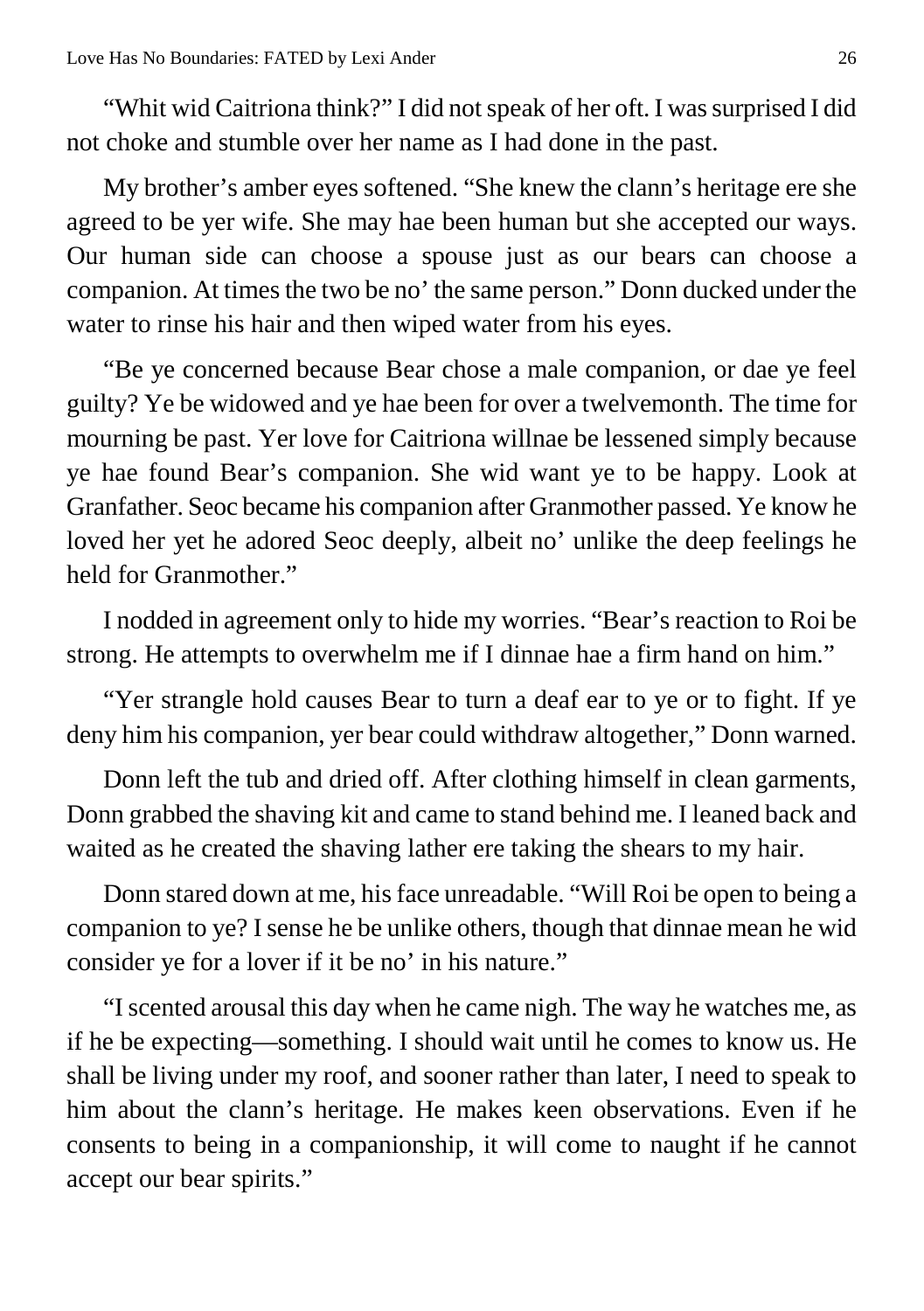"Whit wid Caitriona think?" I did not speak of her oft. I was surprised I did not choke and stumble over her name as I had done in the past.

My brother's amber eyes softened. "She knew the clann's heritage ere she agreed to be yer wife. She may hae been human but she accepted our ways. Our human side can choose a spouse just as our bears can choose a companion. At times the two be no' the same person." Donn ducked under the water to rinse his hair and then wiped water from his eyes.

"Be ye concerned because Bear chose a male companion, or dae ye feel guilty? Ye be widowed and ye hae been for over a twelvemonth. The time for mourning be past. Yer love for Caitriona willnae be lessened simply because ye hae found Bear's companion. She wid want ye to be happy. Look at Granfather. Seoc became his companion after Granmother passed. Ye know he loved her yet he adored Seoc deeply, albeit no' unlike the deep feelings he held for Granmother."

I nodded in agreement only to hide my worries. "Bear's reaction to Roi be strong. He attempts to overwhelm me if I dinnae hae a firm hand on him."

"Yer strangle hold causes Bear to turn a deaf ear to ye or to fight. If ye deny him his companion, yer bear could withdraw altogether," Donn warned.

Donn left the tub and dried off. After clothing himself in clean garments, Donn grabbed the shaving kit and came to stand behind me. I leaned back and waited as he created the shaving lather ere taking the shears to my hair.

Donn stared down at me, hisface unreadable. "Will Roi be open to being a companion to ye? I sense he be unlike others, though that dinnae mean he wid consider ye for a lover if it be no' in his nature."

"Iscented arousal this day when he came nigh. The way he watches me, as if he be expecting—something. I should wait until he comes to know us. He shall be living under my roof, and sooner rather than later, I need to speak to him about the clann's heritage. He makes keen observations. Even if he consents to being in a companionship, it will come to naught if he cannot accept our bear spirits."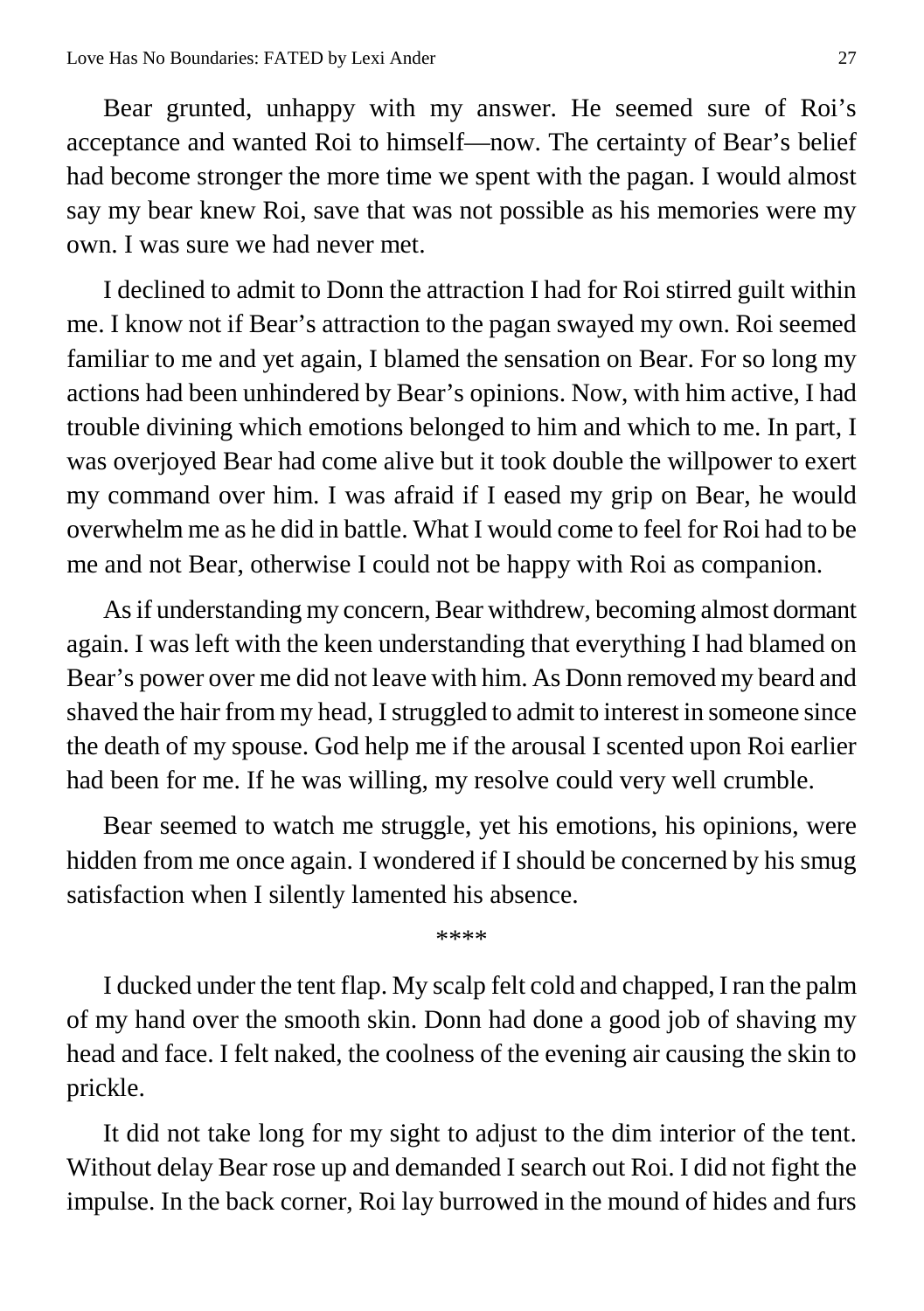Bear grunted, unhappy with my answer. He seemed sure of Roi's acceptance and wanted Roi to himself—now. The certainty of Bear's belief had become stronger the more time we spent with the pagan. I would almost say my bear knew Roi, save that was not possible as his memories were my own. I was sure we had never met.

I declined to admit to Donn the attraction I had for Roi stirred guilt within me. I know not if Bear's attraction to the pagan swayed my own. Roi seemed familiar to me and yet again, I blamed the sensation on Bear. For so long my actions had been unhindered by Bear's opinions. Now, with him active, I had trouble divining which emotions belonged to him and which to me. In part, I was overjoyed Bear had come alive but it took double the willpower to exert my command over him. I was afraid if I eased my grip on Bear, he would overwhelm me as he did in battle. What I would come to feel for Roi had to be me and not Bear, otherwise I could not be happy with Roi as companion.

As if understanding my concern, Bear withdrew, becoming almost dormant again. I was left with the keen understanding that everything I had blamed on Bear's power over me did not leave with him. As Donn removed my beard and shaved the hair from my head, Istruggled to admit to interest in someone since the death of my spouse. God help me if the arousal I scented upon Roi earlier had been for me. If he was willing, my resolve could very well crumble.

Bear seemed to watch me struggle, yet his emotions, his opinions, were hidden from me once again. I wondered if I should be concerned by his smug satisfaction when I silently lamented his absence.

\*\*\*\*

I ducked under the tent flap. My scalp felt cold and chapped, I ran the palm of my hand over the smooth skin. Donn had done a good job of shaving my head and face. I felt naked, the coolness of the evening air causing the skin to prickle.

It did not take long for my sight to adjust to the dim interior of the tent. Without delay Bear rose up and demanded I search out Roi. I did not fight the impulse. In the back corner, Roi lay burrowed in the mound of hides and furs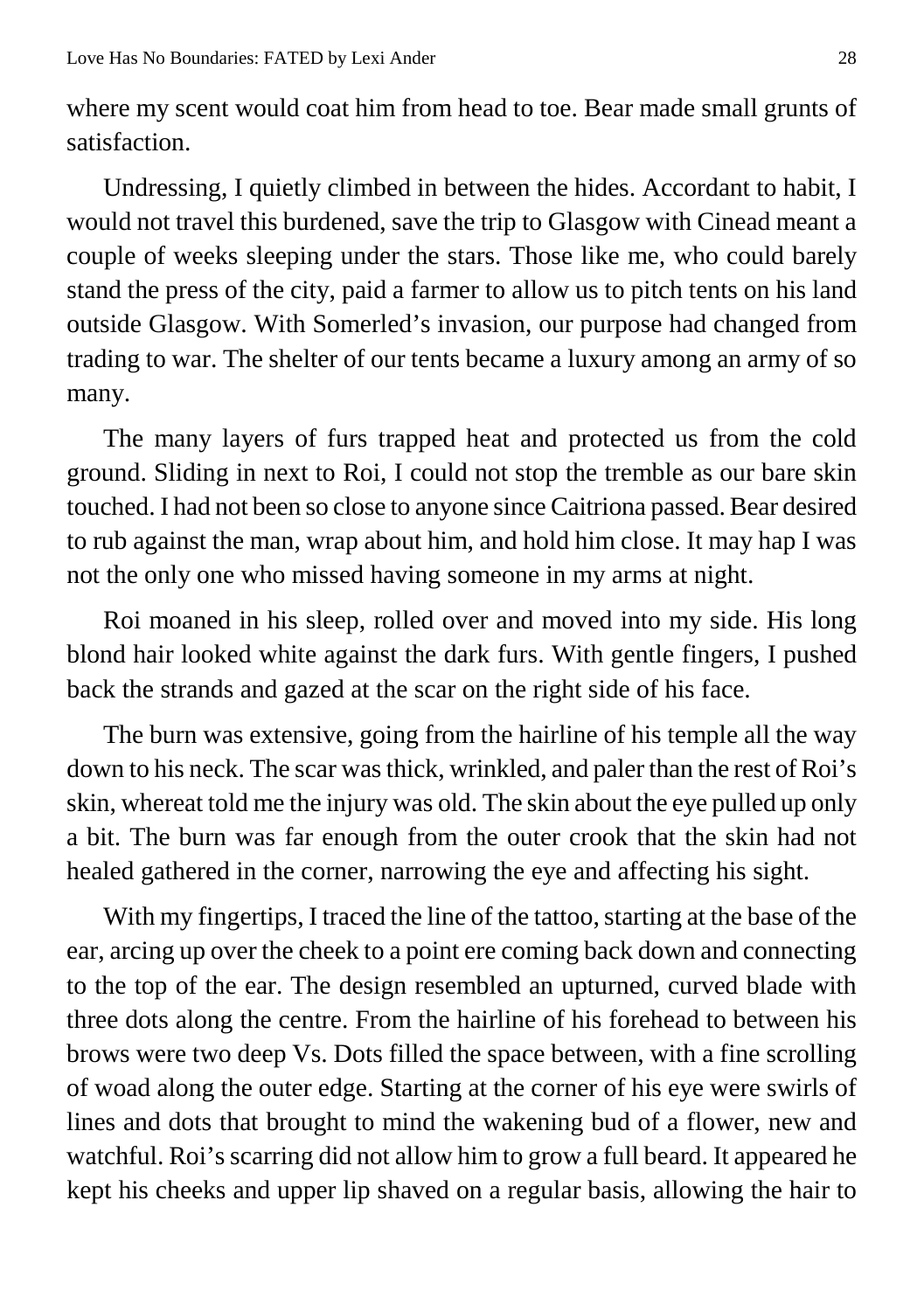where my scent would coat him from head to toe. Bear made small grunts of satisfaction.

Undressing, I quietly climbed in between the hides. Accordant to habit, I would not travel this burdened, save the trip to Glasgow with Cinead meant a couple of weeks sleeping under the stars. Those like me, who could barely stand the press of the city, paid a farmer to allow us to pitch tents on his land outside Glasgow. With Somerled's invasion, our purpose had changed from trading to war. The shelter of our tents became a luxury among an army of so many.

The many layers of furs trapped heat and protected us from the cold ground. Sliding in next to Roi, I could not stop the tremble as our bare skin touched. I had not been so close to anyone since Caitriona passed. Bear desired to rub against the man, wrap about him, and hold him close. It may hap I was not the only one who missed having someone in my arms at night.

Roi moaned in his sleep, rolled over and moved into my side. His long blond hair looked white against the dark furs. With gentle fingers, I pushed back the strands and gazed at the scar on the right side of his face.

The burn was extensive, going from the hairline of his temple all the way down to his neck. The scar wasthick, wrinkled, and paler than the rest of Roi's skin, whereat told me the injury was old. The skin about the eye pulled up only a bit. The burn was far enough from the outer crook that the skin had not healed gathered in the corner, narrowing the eye and affecting his sight.

With my fingertips, I traced the line of the tattoo, starting at the base of the ear, arcing up over the cheek to a point ere coming back down and connecting to the top of the ear. The design resembled an upturned, curved blade with three dots along the centre. From the hairline of his forehead to between his brows were two deep Vs. Dots filled the space between, with a fine scrolling of woad along the outer edge. Starting at the corner of his eye were swirls of lines and dots that brought to mind the wakening bud of a flower, new and watchful. Roi's scarring did not allow him to grow a full beard. It appeared he kept his cheeks and upper lip shaved on a regular basis, allowing the hair to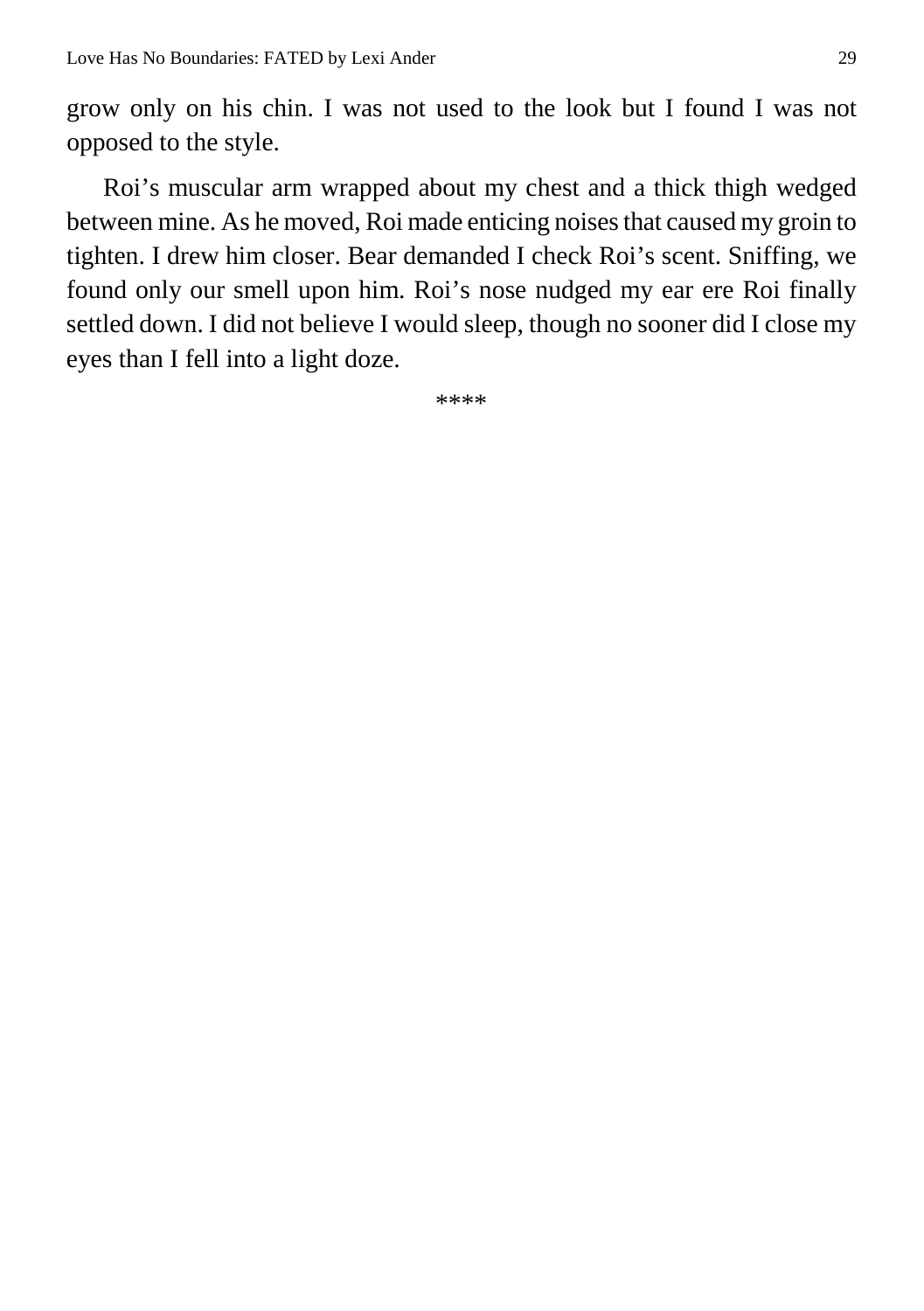grow only on his chin. I was not used to the look but I found I was not opposed to the style.

Roi's muscular arm wrapped about my chest and a thick thigh wedged between mine. As he moved, Roi made enticing noises that caused my groin to tighten. I drew him closer. Bear demanded I check Roi's scent. Sniffing, we found only our smell upon him. Roi's nose nudged my ear ere Roi finally settled down. I did not believe I would sleep, though no sooner did I close my eyes than I fell into a light doze.

\*\*\*\*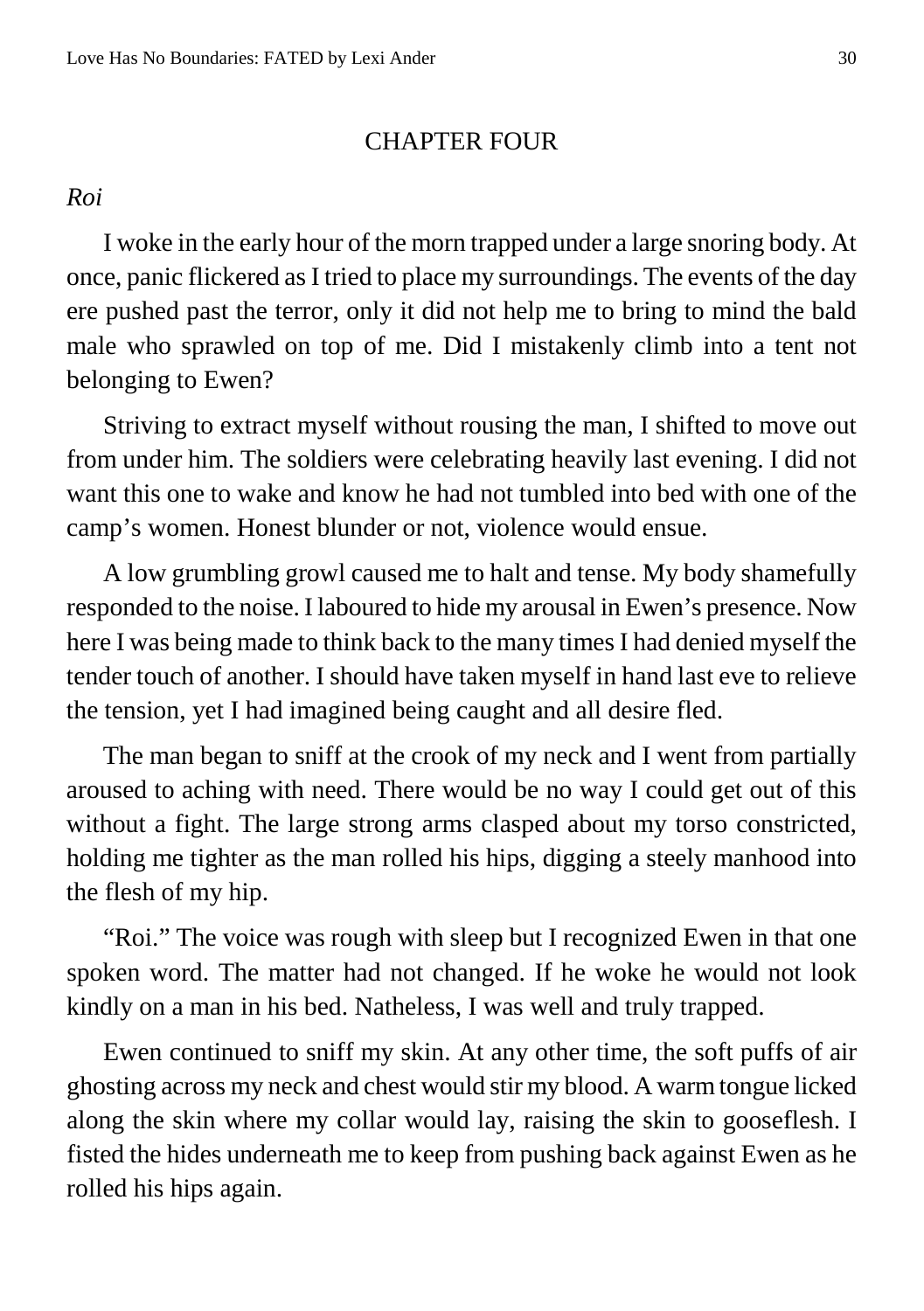### CHAPTER FOUR

#### <span id="page-29-0"></span>*Roi*

I woke in the early hour of the morn trapped under a large snoring body. At once, panic flickered as I tried to place my surroundings. The events of the day ere pushed past the terror, only it did not help me to bring to mind the bald male who sprawled on top of me. Did I mistakenly climb into a tent not belonging to Ewen?

Striving to extract myself without rousing the man, I shifted to move out from under him. The soldiers were celebrating heavily last evening. I did not want this one to wake and know he had not tumbled into bed with one of the camp's women. Honest blunder or not, violence would ensue.

A low grumbling growl caused me to halt and tense. My body shamefully responded to the noise. I laboured to hide my arousal in Ewen's presence. Now here I was being made to think back to the many times I had denied myself the tender touch of another. I should have taken myself in hand last eve to relieve the tension, yet I had imagined being caught and all desire fled.

The man began to sniff at the crook of my neck and I went from partially aroused to aching with need. There would be no way I could get out of this without a fight. The large strong arms clasped about my torso constricted, holding me tighter as the man rolled his hips, digging a steely manhood into the flesh of my hip.

"Roi." The voice was rough with sleep but I recognized Ewen in that one spoken word. The matter had not changed. If he woke he would not look kindly on a man in his bed. Natheless, I was well and truly trapped.

Ewen continued to sniff my skin. At any other time, the soft puffs of air ghosting across my neck and chest would stir my blood. A warmtongue licked along the skin where my collar would lay, raising the skin to gooseflesh. I fisted the hides underneath me to keep from pushing back against Ewen as he rolled his hips again.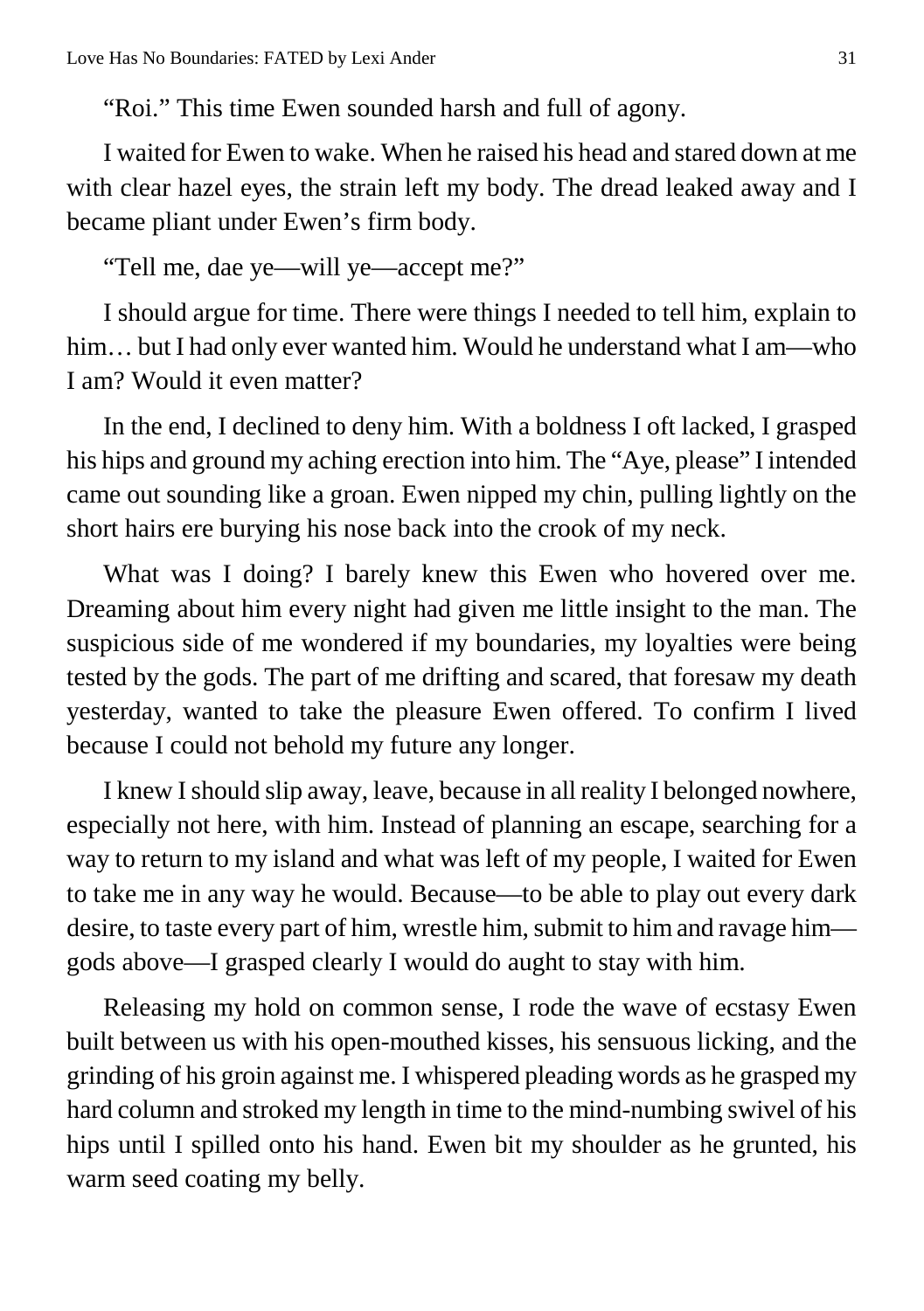"Roi." This time Ewen sounded harsh and full of agony.

I waited for Ewen to wake. When he raised his head and stared down at me with clear hazel eyes, the strain left my body. The dread leaked away and I became pliant under Ewen's firm body.

"Tell me, dae ye—will ye—accept me?"

I should argue for time. There were things I needed to tell him, explain to him... but I had only ever wanted him. Would he understand what I am—who I am? Would it even matter?

In the end, I declined to deny him. With a boldness I oft lacked, I grasped his hips and ground my aching erection into him. The "Aye, please" I intended came out sounding like a groan. Ewen nipped my chin, pulling lightly on the short hairs ere burying his nose back into the crook of my neck.

What was I doing? I barely knew this Ewen who hovered over me. Dreaming about him every night had given me little insight to the man. The suspicious side of me wondered if my boundaries, my loyalties were being tested by the gods. The part of me drifting and scared, that foresaw my death yesterday, wanted to take the pleasure Ewen offered. To confirm I lived because I could not behold my future any longer.

I knew I should slip away, leave, because in all reality I belonged nowhere, especially not here, with him. Instead of planning an escape, searching for a way to return to my island and what was left of my people, I waited for Ewen to take me in any way he would. Because—to be able to play out every dark desire, to taste every part of him, wrestle him, submit to him and ravage him gods above—I grasped clearly I would do aught to stay with him.

Releasing my hold on common sense, I rode the wave of ecstasy Ewen built between us with his open-mouthed kisses, his sensuous licking, and the grinding of his groin against me. I whispered pleading words as he grasped my hard column and stroked my length in time to the mind-numbing swivel of his hips until I spilled onto his hand. Ewen bit my shoulder as he grunted, his warm seed coating my belly.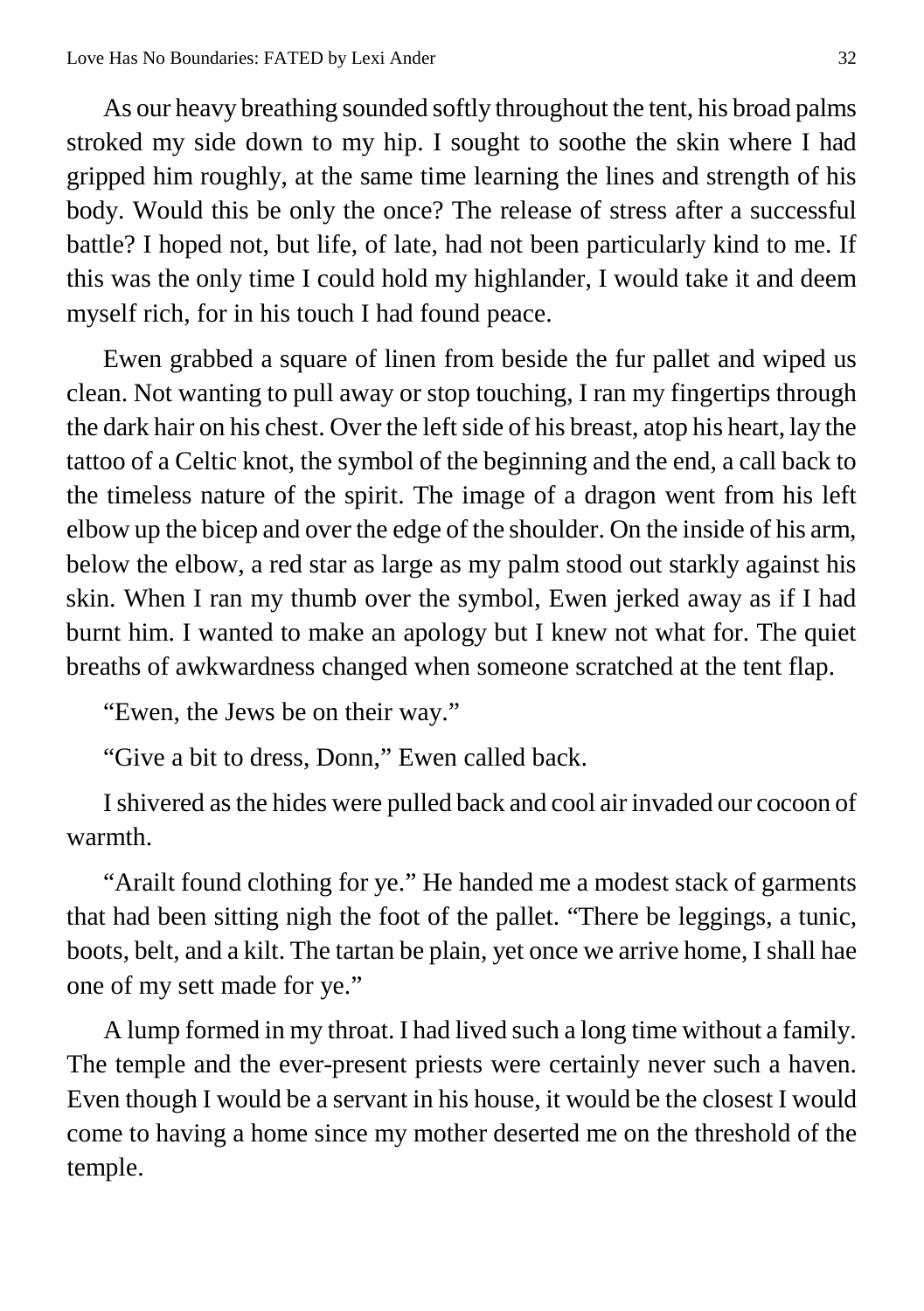As our heavy breathing sounded softly throughout the tent, his broad palms stroked my side down to my hip. I sought to soothe the skin where I had gripped him roughly, at the same time learning the lines and strength of his body. Would this be only the once? The release of stress after a successful battle? I hoped not, but life, of late, had not been particularly kind to me. If this was the only time I could hold my highlander, I would take it and deem myself rich, for in his touch I had found peace.

Ewen grabbed a square of linen from beside the fur pallet and wiped us clean. Not wanting to pull away or stop touching, I ran my fingertips through the dark hair on his chest. Over the left side of his breast, atop his heart, lay the tattoo of a Celtic knot, the symbol of the beginning and the end, a call back to the timeless nature of the spirit. The image of a dragon went from his left elbow up the bicep and over the edge of the shoulder. On the inside of his arm, below the elbow, a red star as large as my palm stood out starkly against his skin. When I ran my thumb over the symbol, Ewen jerked away as if I had burnt him. I wanted to make an apology but I knew not what for. The quiet breaths of awkwardness changed when someone scratched at the tent flap.

"Ewen, the Jews be on their way."

"Give a bit to dress, Donn," Ewen called back.

Ishivered asthe hides were pulled back and cool air invaded our cocoon of warmth.

"Arailt found clothing for ye." He handed me a modest stack of garments that had been sitting nigh the foot of the pallet. "There be leggings, a tunic, boots, belt, and a kilt. The tartan be plain, yet once we arrive home, I shall hae one of my sett made for ye."

A lump formed in my throat. I had lived such a long time without a family. The temple and the ever-present priests were certainly never such a haven. Even though I would be a servant in his house, it would be the closest I would come to having a home since my mother deserted me on the threshold of the temple.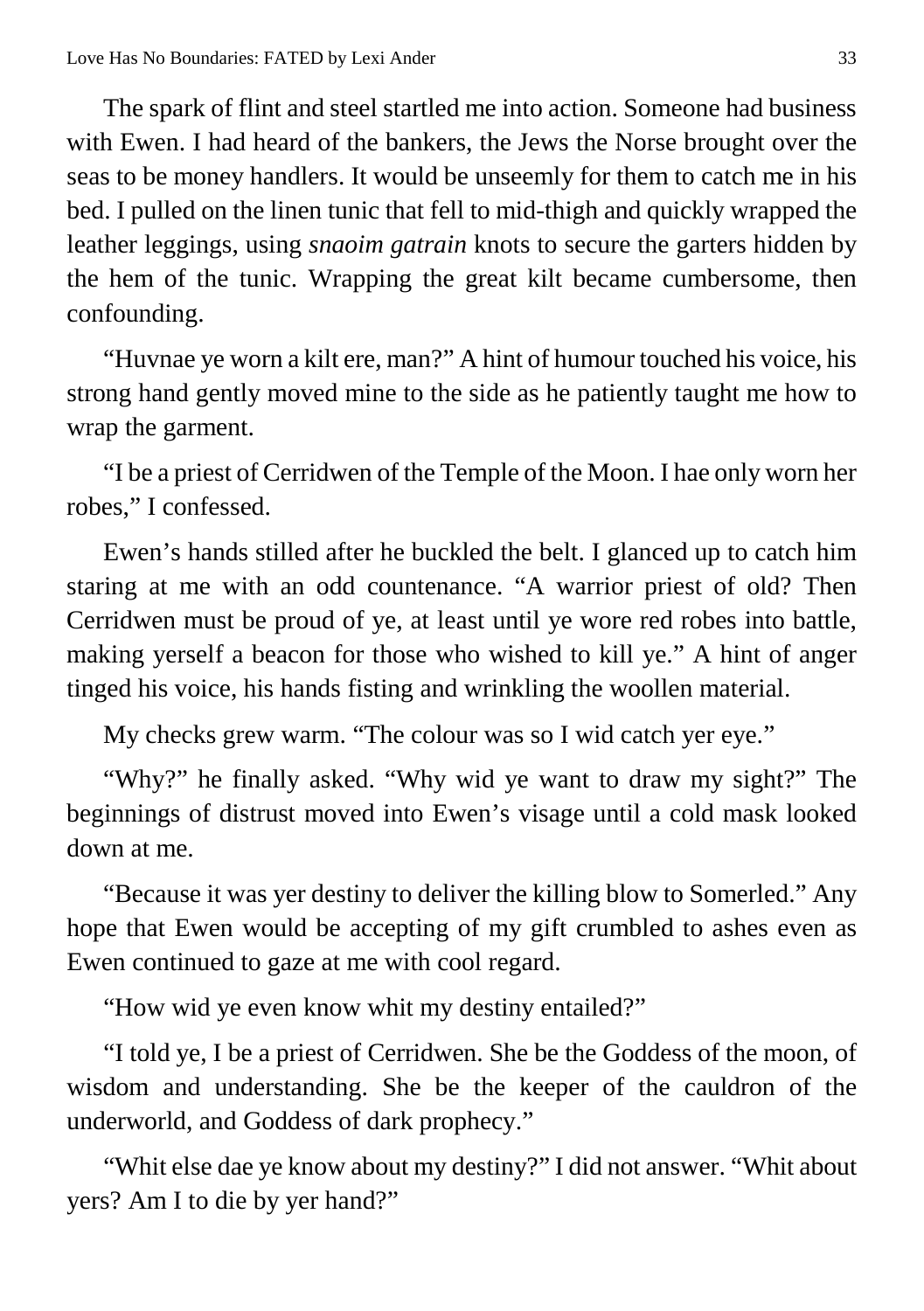The spark of flint and steel startled me into action. Someone had business with Ewen. I had heard of the bankers, the Jews the Norse brought over the seas to be money handlers. It would be unseemly for them to catch me in his bed. I pulled on the linen tunic that fell to mid-thigh and quickly wrapped the leather leggings, using *snaoim gatrain* knots to secure the garters hidden by the hem of the tunic. Wrapping the great kilt became cumbersome, then confounding.

"Huvnae ye worn a kilt ere, man?" A hint of humour touched his voice, his strong hand gently moved mine to the side as he patiently taught me how to wrap the garment.

"I be a priest of Cerridwen of the Temple of the Moon. I hae only worn her robes," I confessed.

Ewen's hands stilled after he buckled the belt. I glanced up to catch him staring at me with an odd countenance. "A warrior priest of old? Then Cerridwen must be proud of ye, at least until ye wore red robes into battle, making yerself a beacon for those who wished to kill ye." A hint of anger tinged his voice, his hands fisting and wrinkling the woollen material.

My checks grew warm. "The colour was so I wid catch yer eye."

"Why?" he finally asked. "Why wid ye want to draw my sight?" The beginnings of distrust moved into Ewen's visage until a cold mask looked down at me.

"Because it was yer destiny to deliver the killing blow to Somerled." Any hope that Ewen would be accepting of my gift crumbled to ashes even as Ewen continued to gaze at me with cool regard.

"How wid ye even know whit my destiny entailed?"

"I told ye, I be a priest of Cerridwen. She be the Goddess of the moon, of wisdom and understanding. She be the keeper of the cauldron of the underworld, and Goddess of dark prophecy."

"Whit else dae ye know about my destiny?" I did not answer. "Whit about yers? Am I to die by yer hand?"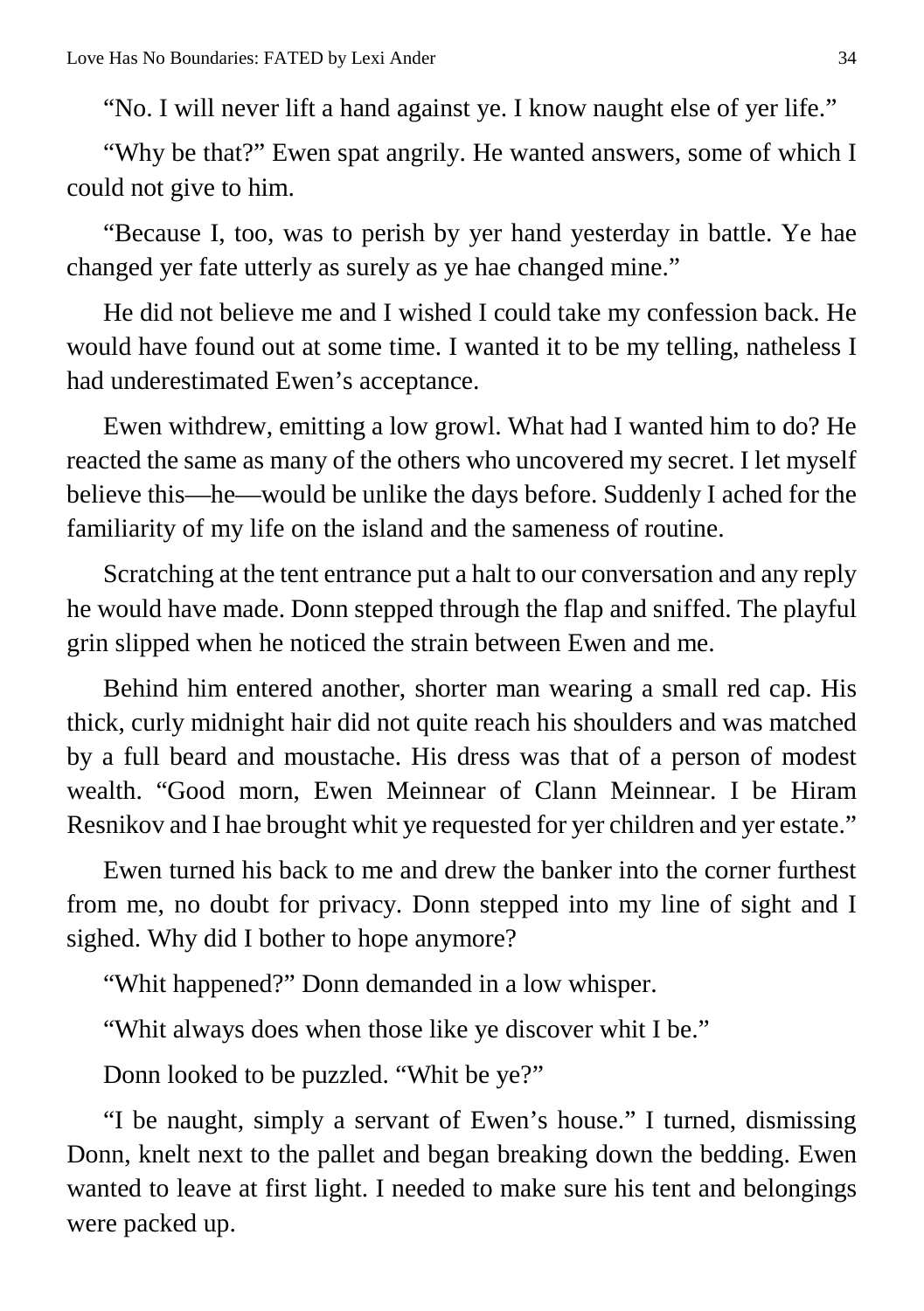"No. I will never lift a hand against ye. I know naught else of yer life."

"Why be that?" Ewen spat angrily. He wanted answers, some of which I could not give to him.

"Because I, too, was to perish by yer hand yesterday in battle. Ye hae changed yer fate utterly as surely as ye hae changed mine."

He did not believe me and I wished I could take my confession back. He would have found out at some time. I wanted it to be my telling, natheless I had underestimated Ewen's acceptance.

Ewen withdrew, emitting a low growl. What had I wanted him to do? He reacted the same as many of the others who uncovered my secret. I let myself believe this—he—would be unlike the days before. Suddenly I ached for the familiarity of my life on the island and the sameness of routine.

Scratching at the tent entrance put a halt to our conversation and any reply he would have made. Donn stepped through the flap and sniffed. The playful grin slipped when he noticed the strain between Ewen and me.

Behind him entered another, shorter man wearing a small red cap. His thick, curly midnight hair did not quite reach his shoulders and was matched by a full beard and moustache. His dress was that of a person of modest wealth. "Good morn, Ewen Meinnear of Clann Meinnear. I be Hiram Resnikov and I hae brought whit ye requested for yer children and yer estate."

Ewen turned his back to me and drew the banker into the corner furthest from me, no doubt for privacy. Donn stepped into my line of sight and I sighed. Why did I bother to hope anymore?

"Whit happened?" Donn demanded in a low whisper.

"Whit always does when those like ye discover whit I be."

Donn looked to be puzzled. "Whit be ye?"

"I be naught, simply a servant of Ewen's house." I turned, dismissing Donn, knelt next to the pallet and began breaking down the bedding. Ewen wanted to leave at first light. I needed to make sure his tent and belongings were packed up.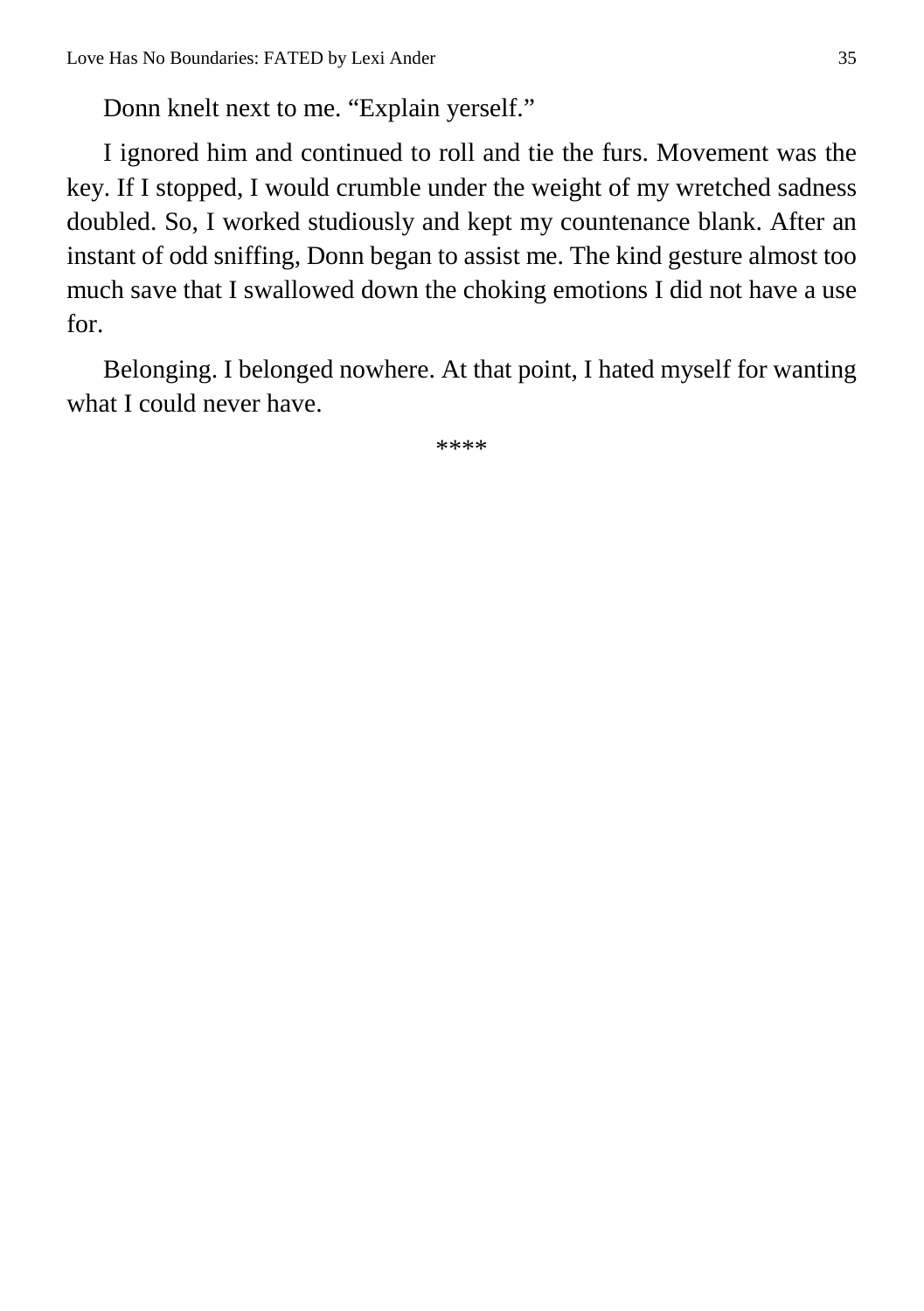Donn knelt next to me. "Explain yerself."

I ignored him and continued to roll and tie the furs. Movement was the key. If I stopped, I would crumble under the weight of my wretched sadness doubled. So, I worked studiously and kept my countenance blank. After an instant of odd sniffing, Donn began to assist me. The kind gesture almost too much save that I swallowed down the choking emotions I did not have a use for.

Belonging. I belonged nowhere. At that point, I hated myself for wanting what I could never have.

\*\*\*\*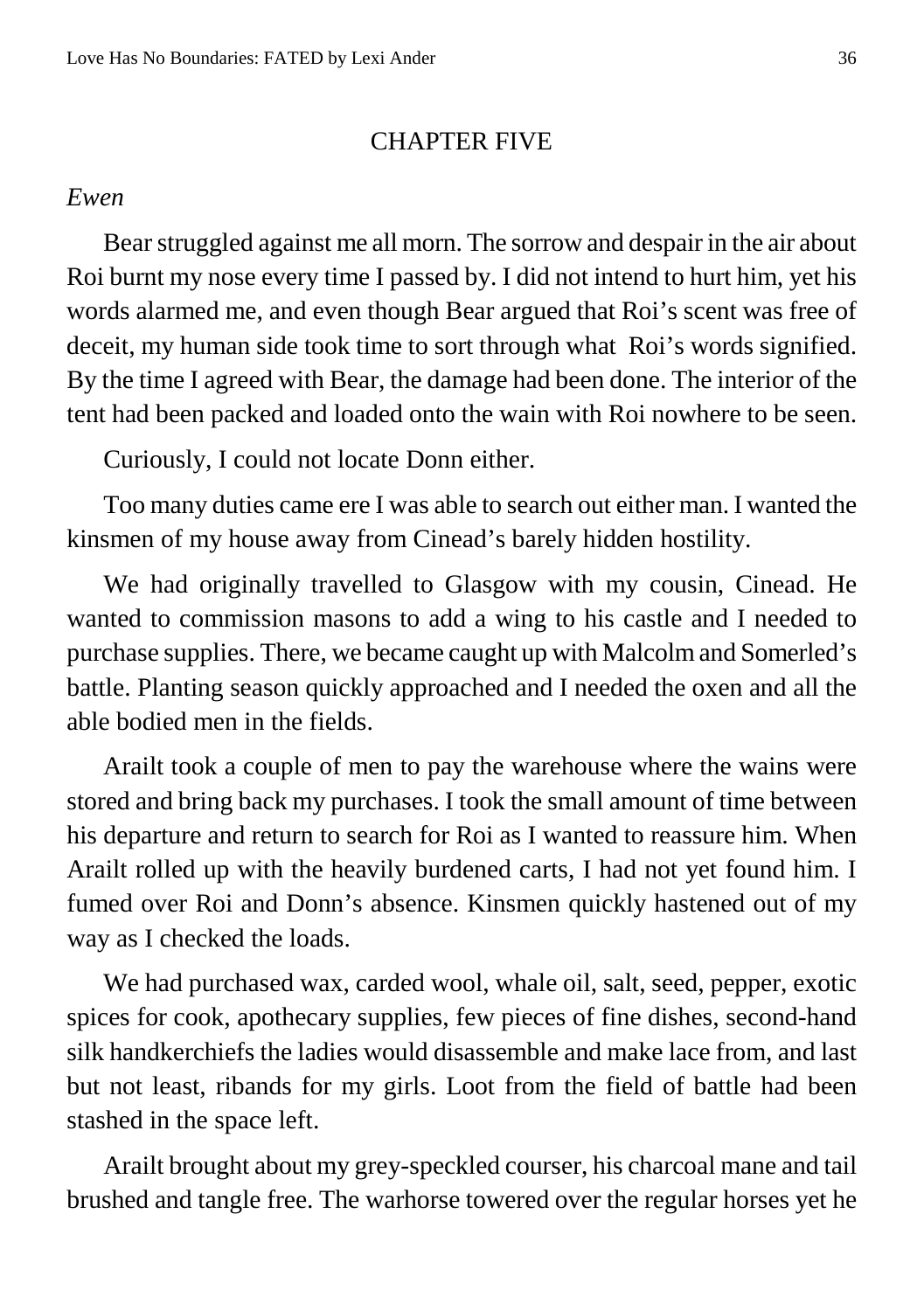### CHAPTER FIVE

#### <span id="page-35-0"></span>*Ewen*

Bearstruggled against me all morn. The sorrow and despair in the air about Roi burnt my nose every time I passed by. I did not intend to hurt him, yet his words alarmed me, and even though Bear argued that Roi's scent was free of deceit, my human side took time to sort through what Roi's words signified. By the time I agreed with Bear, the damage had been done. The interior of the tent had been packed and loaded onto the wain with Roi nowhere to be seen.

Curiously, I could not locate Donn either.

Too many duties came ere I was able to search out either man. I wanted the kinsmen of my house away from Cinead's barely hidden hostility.

We had originally travelled to Glasgow with my cousin, Cinead. He wanted to commission masons to add a wing to his castle and I needed to purchase supplies. There, we became caught up with Malcolmand Somerled's battle. Planting season quickly approached and I needed the oxen and all the able bodied men in the fields.

Arailt took a couple of men to pay the warehouse where the wains were stored and bring back my purchases. I took the small amount of time between his departure and return to search for Roi as I wanted to reassure him. When Arailt rolled up with the heavily burdened carts, I had not yet found him. I fumed over Roi and Donn's absence. Kinsmen quickly hastened out of my way as I checked the loads.

We had purchased wax, carded wool, whale oil, salt, seed, pepper, exotic spices for cook, apothecary supplies, few pieces of fine dishes, second-hand silk handkerchiefs the ladies would disassemble and make lace from, and last but not least, ribands for my girls. Loot from the field of battle had been stashed in the space left.

Arailt brought about my grey-speckled courser, his charcoal mane and tail brushed and tangle free. The warhorse towered over the regular horses yet he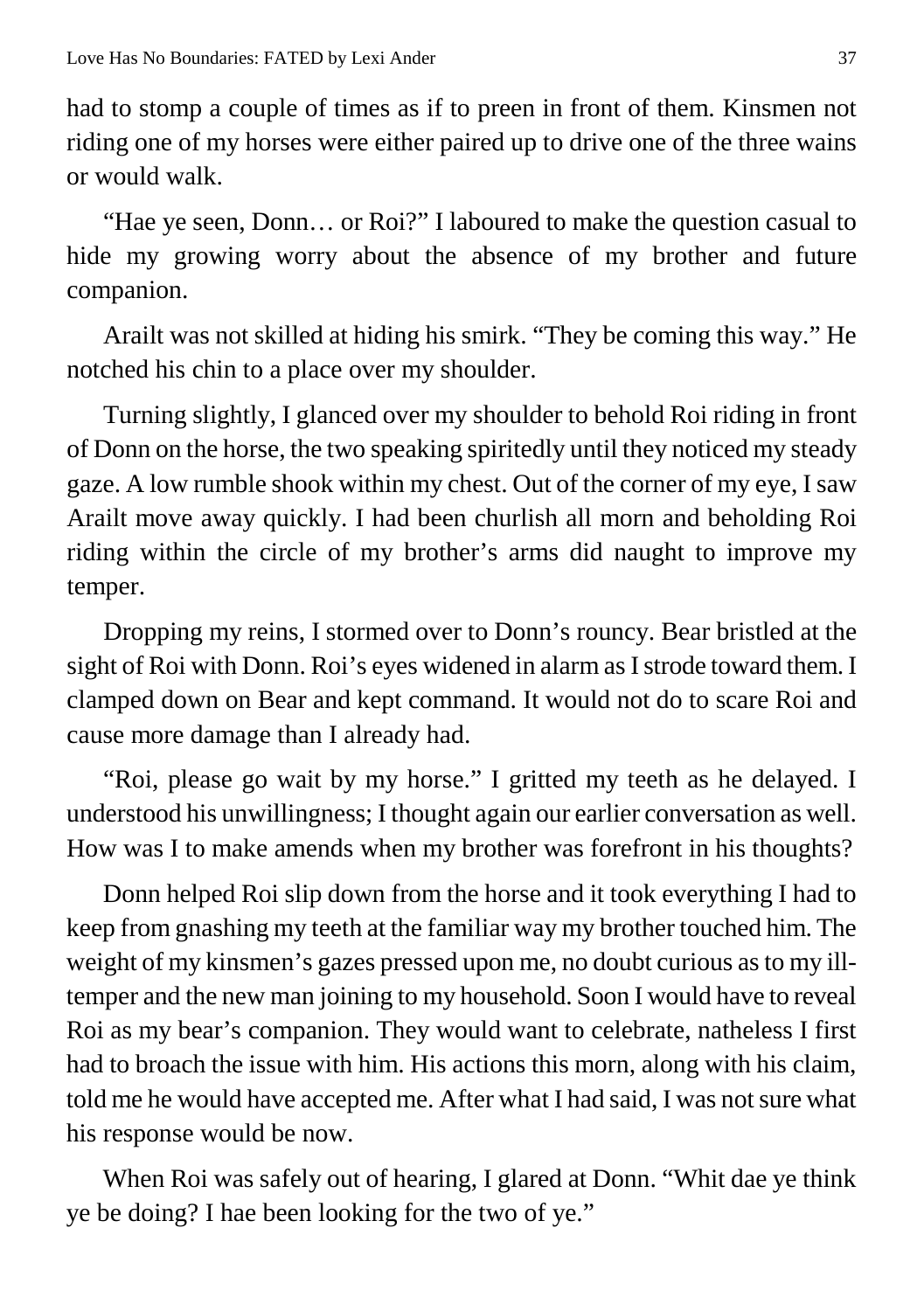had to stomp a couple of times as if to preen in front of them. Kinsmen not riding one of my horses were either paired up to drive one of the three wains or would walk.

"Hae ye seen, Donn… or Roi?" I laboured to make the question casual to hide my growing worry about the absence of my brother and future companion.

Arailt was not skilled at hiding his smirk. "They be coming this way." He notched his chin to a place over my shoulder.

Turning slightly, I glanced over my shoulder to behold Roi riding in front of Donn on the horse, the two speaking spiritedly until they noticed my steady gaze. A low rumble shook within my chest. Out of the corner of my eye, I saw Arailt move away quickly. I had been churlish all morn and beholding Roi riding within the circle of my brother's arms did naught to improve my temper.

Dropping my reins, I stormed over to Donn's rouncy. Bear bristled at the sight of Roi with Donn. Roi's eyes widened in alarm as I strode toward them. I clamped down on Bear and kept command. It would not do to scare Roi and cause more damage than I already had.

"Roi, please go wait by my horse." I gritted my teeth as he delayed. I understood his unwillingness; I thought again our earlier conversation as well. How was I to make amends when my brother was forefront in his thoughts?

Donn helped Roi slip down from the horse and it took everything I had to keep from gnashing my teeth at the familiar way my brother touched him. The weight of my kinsmen's gazes pressed upon me, no doubt curious as to my illtemper and the new man joining to my household. Soon I would have to reveal Roi as my bear's companion. They would want to celebrate, natheless I first had to broach the issue with him. His actions this morn, along with his claim, told me he would have accepted me. After what I had said, I was notsure what his response would be now.

When Roi was safely out of hearing, I glared at Donn. "Whit dae ye think ye be doing? I hae been looking for the two of ye."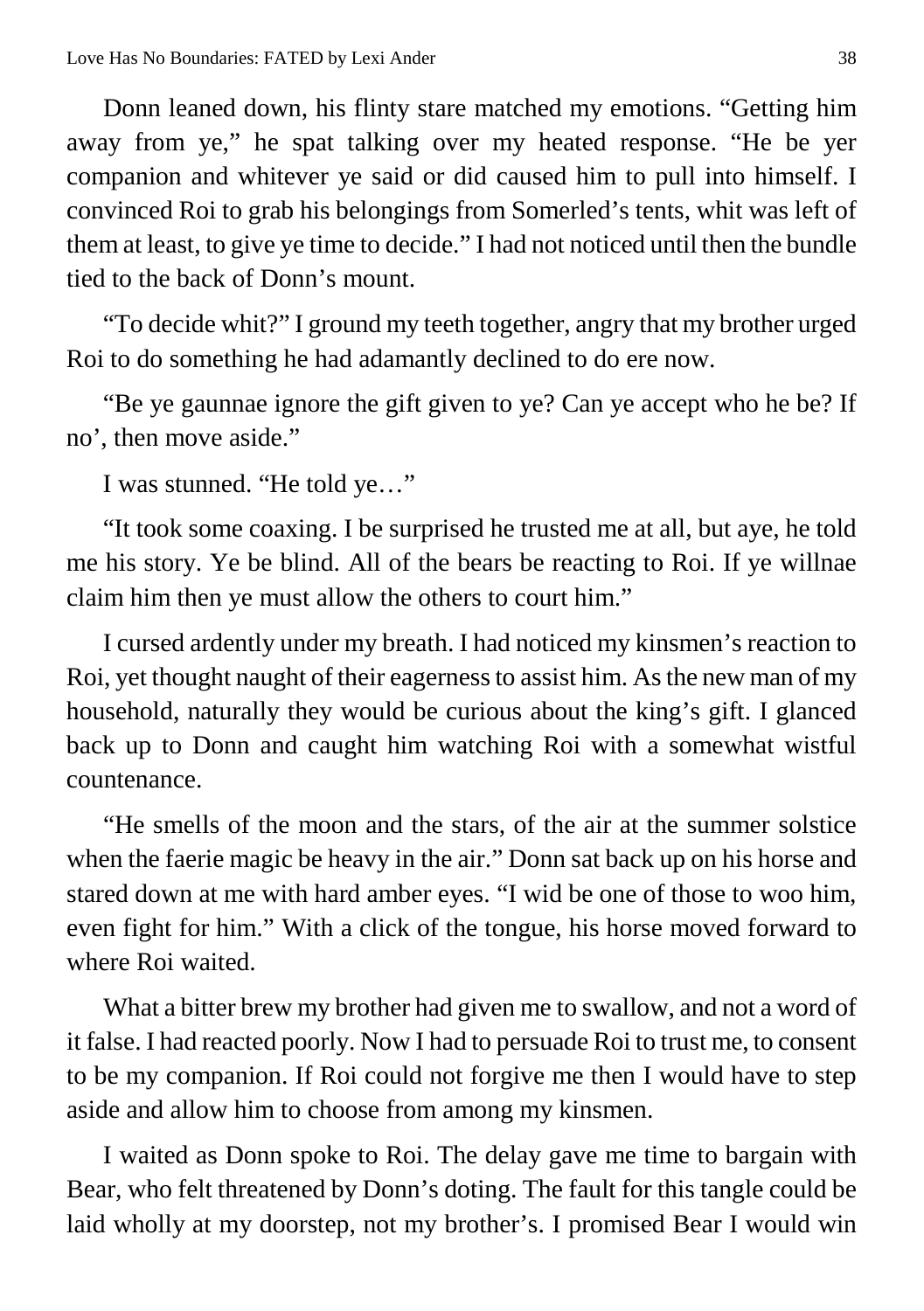Donn leaned down, his flinty stare matched my emotions. "Getting him away from ye," he spat talking over my heated response. "He be yer companion and whitever ye said or did caused him to pull into himself. I convinced Roi to grab his belongings from Somerled's tents, whit was left of them at least, to give ye time to decide." I had not noticed until then the bundle tied to the back of Donn's mount.

"To decide whit?" I ground my teeth together, angry that my brother urged Roi to do something he had adamantly declined to do ere now.

"Be ye gaunnae ignore the gift given to ye? Can ye accept who he be? If no', then move aside."

I was stunned. "He told ye…"

"It took some coaxing. I be surprised he trusted me at all, but aye, he told me his story. Ye be blind. All of the bears be reacting to Roi. If ye willnae claim him then ye must allow the others to court him."

I cursed ardently under my breath. I had noticed my kinsmen's reaction to Roi, yet thought naught of their eagernessto assist him. Asthe new man of my household, naturally they would be curious about the king's gift. I glanced back up to Donn and caught him watching Roi with a somewhat wistful countenance.

"He smells of the moon and the stars, of the air at the summer solstice when the faerie magic be heavy in the air." Donn sat back up on his horse and stared down at me with hard amber eyes. "I wid be one of those to woo him, even fight for him." With a click of the tongue, his horse moved forward to where Roi waited.

What a bitter brew my brother had given me to swallow, and not a word of it false. I had reacted poorly. Now I had to persuade Roi to trust me, to consent to be my companion. If Roi could not forgive me then I would have to step aside and allow him to choose from among my kinsmen.

I waited as Donn spoke to Roi. The delay gave me time to bargain with Bear, who felt threatened by Donn's doting. The fault for this tangle could be laid wholly at my doorstep, not my brother's. I promised Bear I would win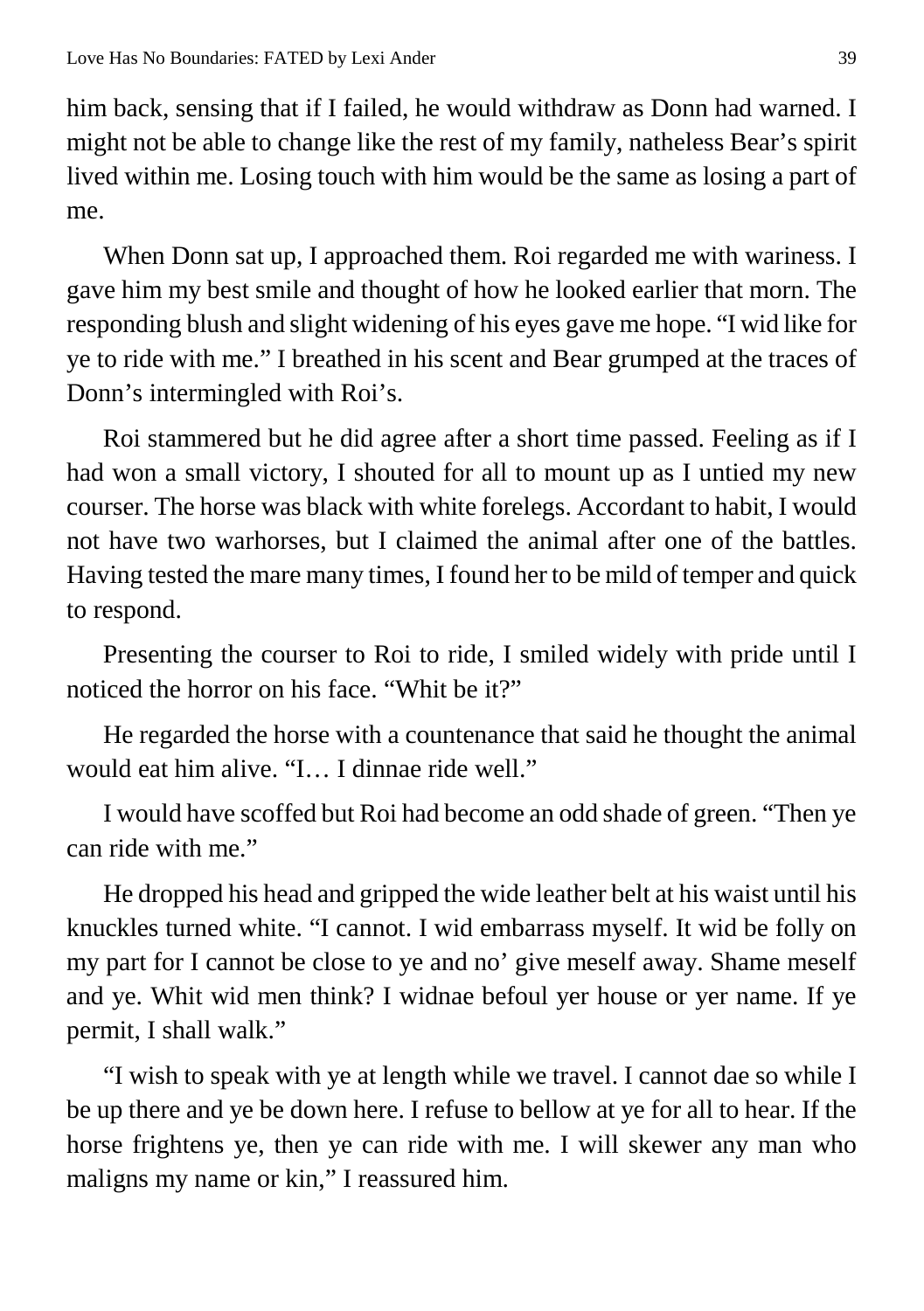him back, sensing that if I failed, he would withdraw as Donn had warned. I might not be able to change like the rest of my family, natheless Bear's spirit lived within me. Losing touch with him would be the same as losing a part of me.

When Donn sat up, I approached them. Roi regarded me with wariness. I gave him my best smile and thought of how he looked earlier that morn. The responding blush and slight widening of his eyes gave me hope. "I wid like for ye to ride with me." I breathed in his scent and Bear grumped at the traces of Donn's intermingled with Roi's.

Roi stammered but he did agree after a short time passed. Feeling as if I had won a small victory, I shouted for all to mount up as I untied my new courser. The horse was black with white forelegs. Accordant to habit, I would not have two warhorses, but I claimed the animal after one of the battles. Having tested the mare many times, I found her to be mild of temper and quick to respond.

Presenting the courser to Roi to ride, I smiled widely with pride until I noticed the horror on his face. "Whit be it?"

He regarded the horse with a countenance that said he thought the animal would eat him alive. "I… I dinnae ride well."

I would have scoffed but Roi had become an odd shade of green. "Then ye can ride with me."

He dropped his head and gripped the wide leather belt at his waist until his knuckles turned white. "I cannot. I wid embarrass myself. It wid be folly on my part for I cannot be close to ye and no' give meself away. Shame meself and ye. Whit wid men think? I widnae befoul yer house or yer name. If ye permit, I shall walk."

"I wish to speak with ye at length while we travel. I cannot dae so while I be up there and ye be down here. I refuse to bellow at ye for all to hear. If the horse frightens ye, then ye can ride with me. I will skewer any man who maligns my name or kin," I reassured him.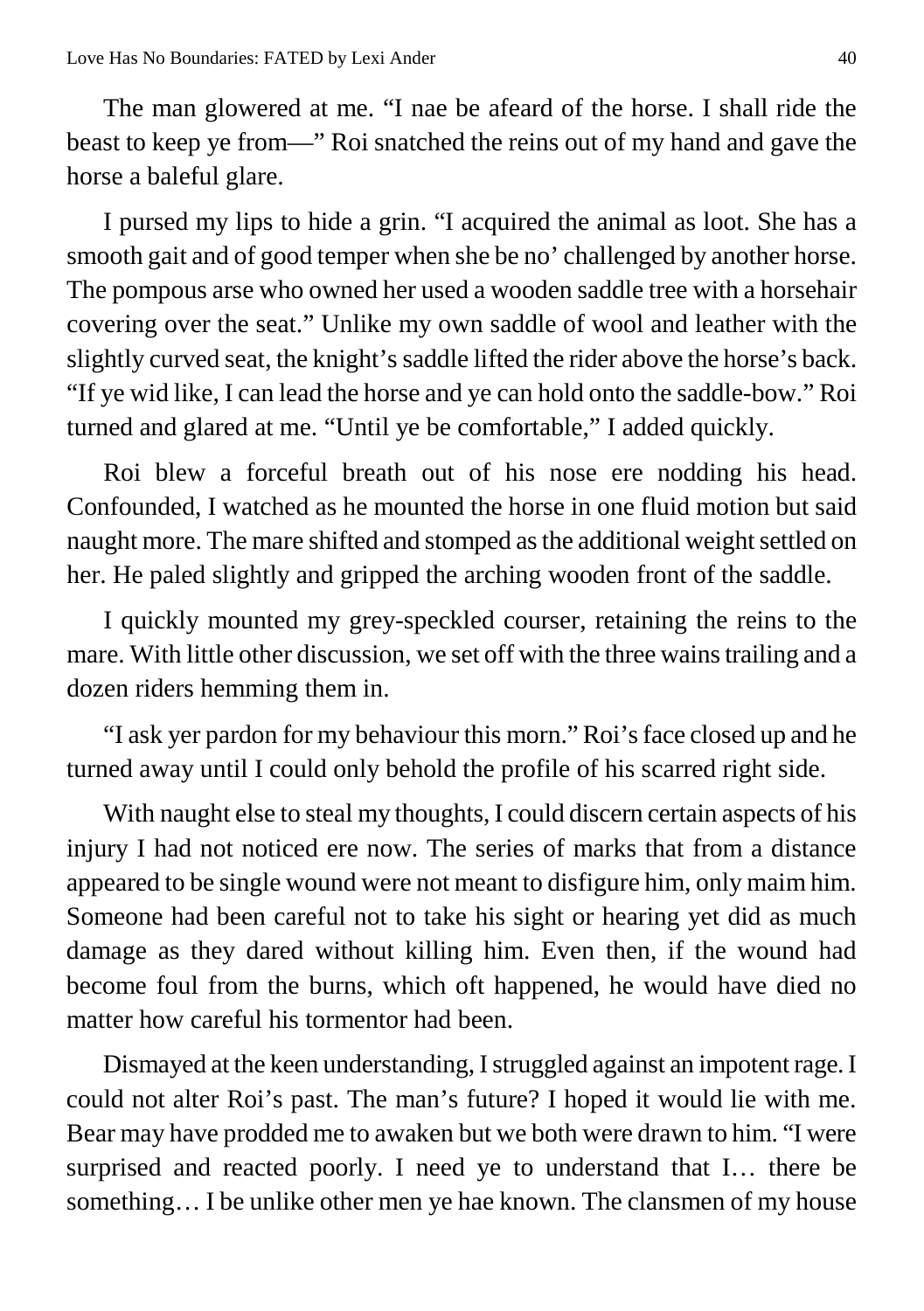The man glowered at me. "I nae be afeard of the horse. I shall ride the beast to keep ye from—" Roi snatched the reins out of my hand and gave the horse a baleful glare.

I pursed my lips to hide a grin. "I acquired the animal as loot. She has a smooth gait and of good temper when she be no' challenged by another horse. The pompous arse who owned her used a wooden saddle tree with a horsehair covering over the seat." Unlike my own saddle of wool and leather with the slightly curved seat, the knight's saddle lifted the rider above the horse's back. "If ye wid like, I can lead the horse and ye can hold onto the saddle-bow." Roi turned and glared at me. "Until ye be comfortable," I added quickly.

Roi blew a forceful breath out of his nose ere nodding his head. Confounded, I watched as he mounted the horse in one fluid motion but said naught more. The mare shifted and stomped as the additional weight settled on her. He paled slightly and gripped the arching wooden front of the saddle.

I quickly mounted my grey-speckled courser, retaining the reins to the mare. With little other discussion, we set off with the three wainstrailing and a dozen riders hemming them in.

"I ask yer pardon for my behaviour this morn." Roi'sface closed up and he turned away until I could only behold the profile of his scarred right side.

With naught else to steal my thoughts, I could discern certain aspects of his injury I had not noticed ere now. The series of marks that from a distance appeared to be single wound were not meant to disfigure him, only maim him. Someone had been careful not to take his sight or hearing yet did as much damage as they dared without killing him. Even then, if the wound had become foul from the burns, which oft happened, he would have died no matter how careful his tormentor had been.

Dismayed at the keen understanding, Istruggled against an impotent rage.I could not alter Roi's past. The man's future? I hoped it would lie with me. Bear may have prodded me to awaken but we both were drawn to him. "I were surprised and reacted poorly. I need ye to understand that I… there be something… I be unlike other men ye hae known. The clansmen of my house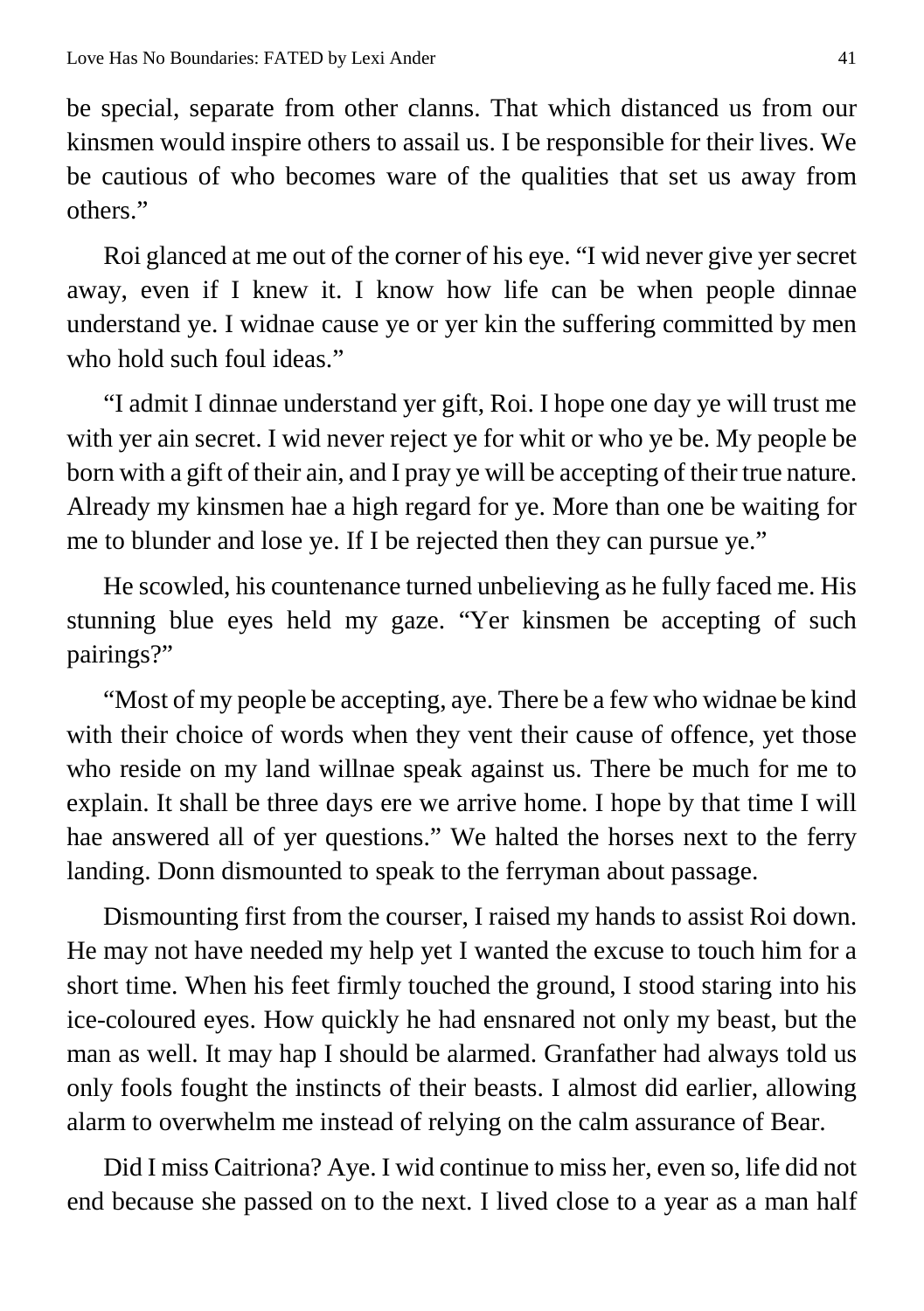be special, separate from other clanns. That which distanced us from our kinsmen would inspire others to assail us. I be responsible for their lives. We be cautious of who becomes ware of the qualities that set us away from others."

Roi glanced at me out of the corner of his eye. "I wid never give yer secret away, even if I knew it. I know how life can be when people dinnae understand ye. I widnae cause ye or yer kin the suffering committed by men who hold such foul ideas."

"I admit I dinnae understand yer gift, Roi. I hope one day ye will trust me with yer ain secret. I wid never reject ye for whit or who ye be. My people be born with a gift of their ain, and I pray ye will be accepting of their true nature. Already my kinsmen hae a high regard for ye. More than one be waiting for me to blunder and lose ye. If I be rejected then they can pursue ye."

He scowled, his countenance turned unbelieving as he fully faced me. His stunning blue eyes held my gaze. "Yer kinsmen be accepting of such pairings?"

"Most of my people be accepting, aye. There be a few who widnae be kind with their choice of words when they vent their cause of offence, yet those who reside on my land willnae speak against us. There be much for me to explain. It shall be three days ere we arrive home. I hope by that time I will hae answered all of yer questions." We halted the horses next to the ferry landing. Donn dismounted to speak to the ferryman about passage.

Dismounting first from the courser, I raised my hands to assist Roi down. He may not have needed my help yet I wanted the excuse to touch him for a short time. When his feet firmly touched the ground, I stood staring into his ice-coloured eyes. How quickly he had ensnared not only my beast, but the man as well. It may hap I should be alarmed. Granfather had always told us only fools fought the instincts of their beasts. I almost did earlier, allowing alarm to overwhelm me instead of relying on the calm assurance of Bear.

Did I miss Caitriona? Aye. I wid continue to miss her, even so, life did not end because she passed on to the next. I lived close to a year as a man half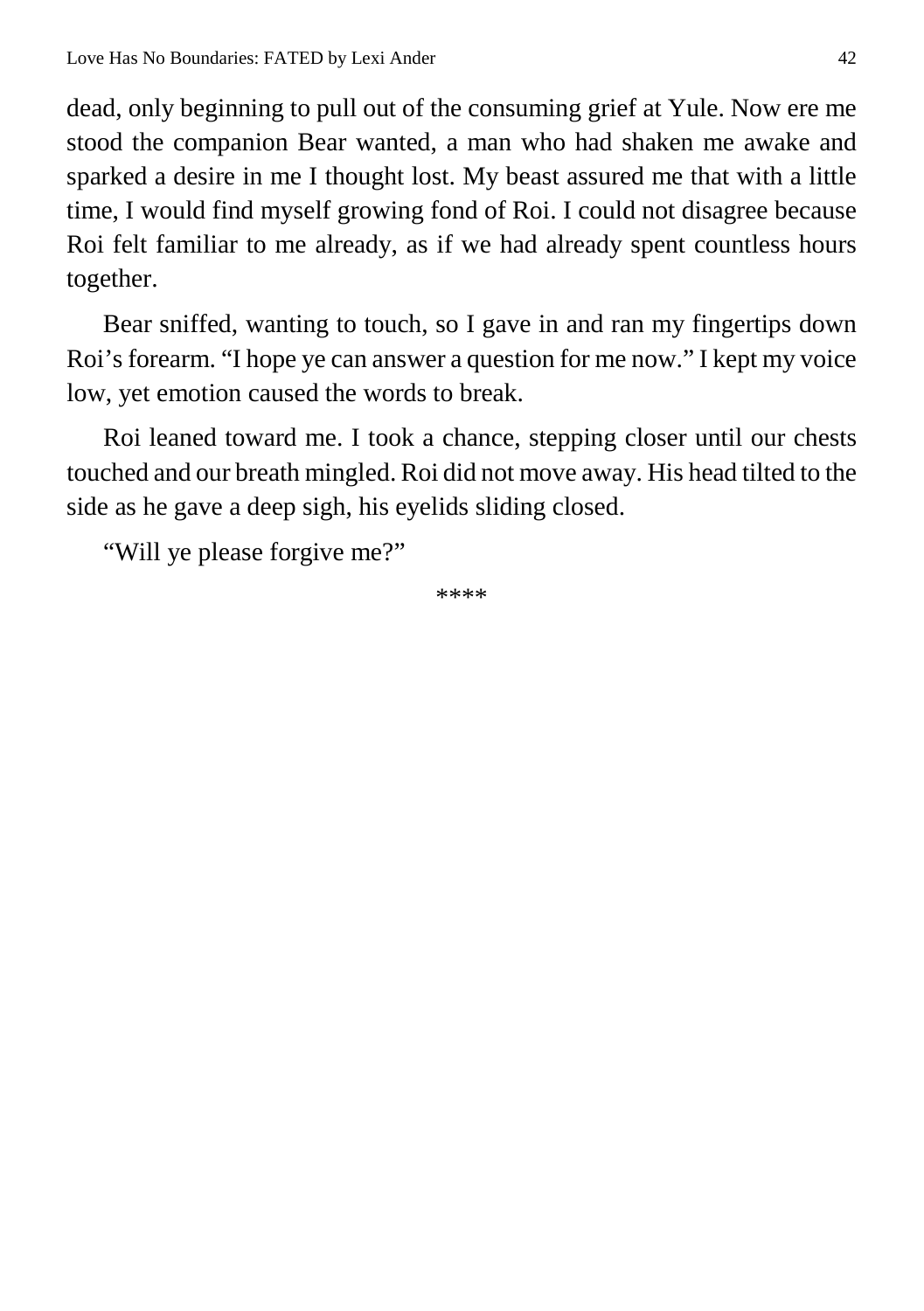dead, only beginning to pull out of the consuming grief at Yule. Now ere me stood the companion Bear wanted, a man who had shaken me awake and sparked a desire in me I thought lost. My beast assured me that with a little time, I would find myself growing fond of Roi. I could not disagree because Roi felt familiar to me already, as if we had already spent countless hours together.

Bear sniffed, wanting to touch, so I gave in and ran my fingertips down Roi's forearm. "I hope ye can answer a question for me now." I kept my voice low, yet emotion caused the words to break.

Roi leaned toward me. I took a chance, stepping closer until our chests touched and our breath mingled. Roi did not move away. His head tilted to the side as he gave a deep sigh, his eyelids sliding closed.

"Will ye please forgive me?"

\*\*\*\*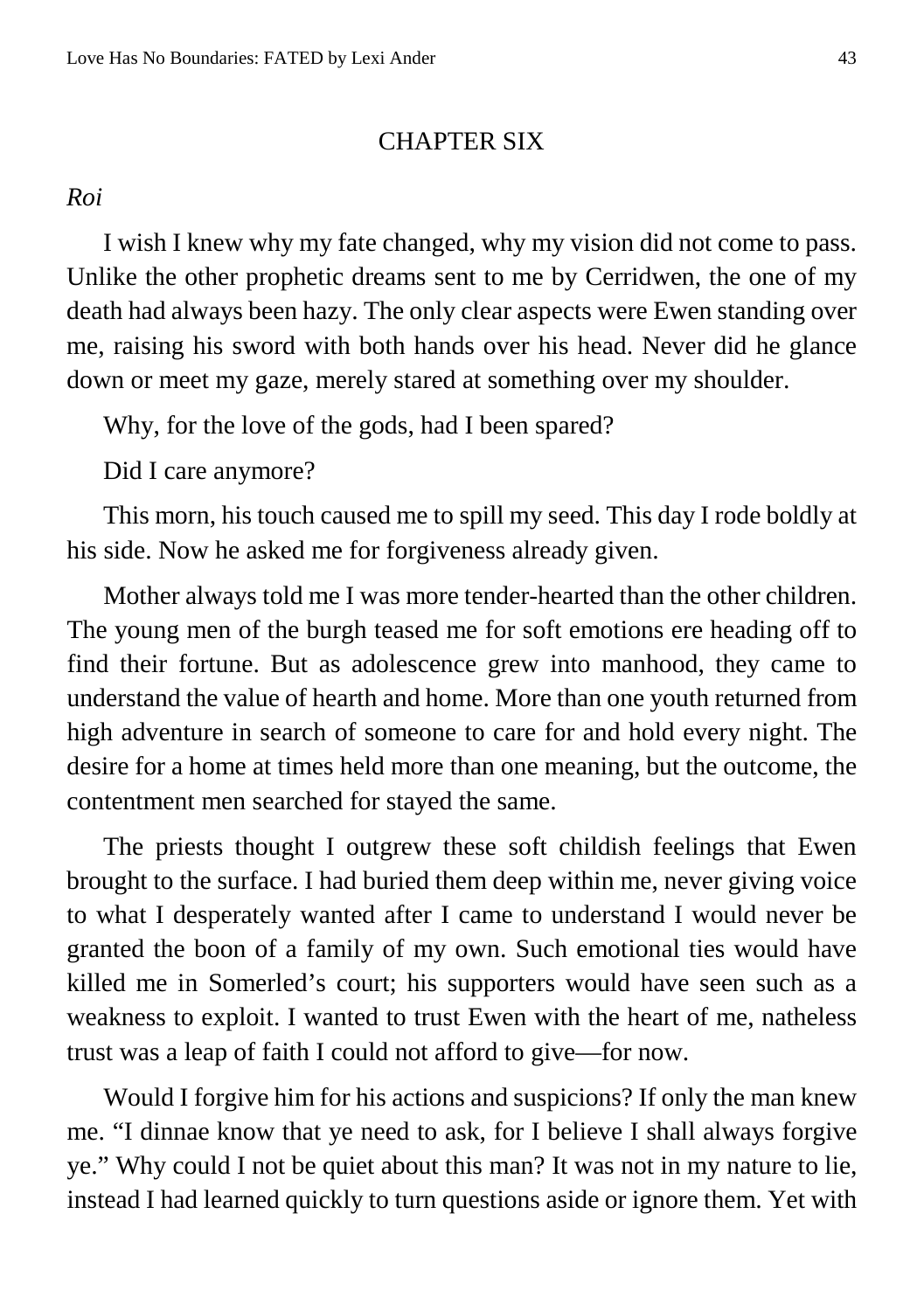## CHAPTER SIX

## *Roi*

I wish I knew why my fate changed, why my vision did not come to pass. Unlike the other prophetic dreams sent to me by Cerridwen, the one of my death had always been hazy. The only clear aspects were Ewen standing over me, raising his sword with both hands over his head. Never did he glance down or meet my gaze, merely stared at something over my shoulder.

Why, for the love of the gods, had I been spared?

Did I care anymore?

This morn, his touch caused me to spill my seed. This day I rode boldly at his side. Now he asked me for forgiveness already given.

Mother always told me I was more tender-hearted than the other children. The young men of the burgh teased me for soft emotions ere heading off to find their fortune. But as adolescence grew into manhood, they came to understand the value of hearth and home. More than one youth returned from high adventure in search of someone to care for and hold every night. The desire for a home at times held more than one meaning, but the outcome, the contentment men searched for stayed the same.

The priests thought I outgrew these soft childish feelings that Ewen brought to the surface. I had buried them deep within me, never giving voice to what I desperately wanted after I came to understand I would never be granted the boon of a family of my own. Such emotional ties would have killed me in Somerled's court; his supporters would have seen such as a weakness to exploit. I wanted to trust Ewen with the heart of me, natheless trust was a leap of faith I could not afford to give—for now.

Would I forgive him for his actions and suspicions? If only the man knew me. "I dinnae know that ye need to ask, for I believe I shall always forgive ye." Why could I not be quiet about this man? It was not in my nature to lie, instead I had learned quickly to turn questions aside or ignore them. Yet with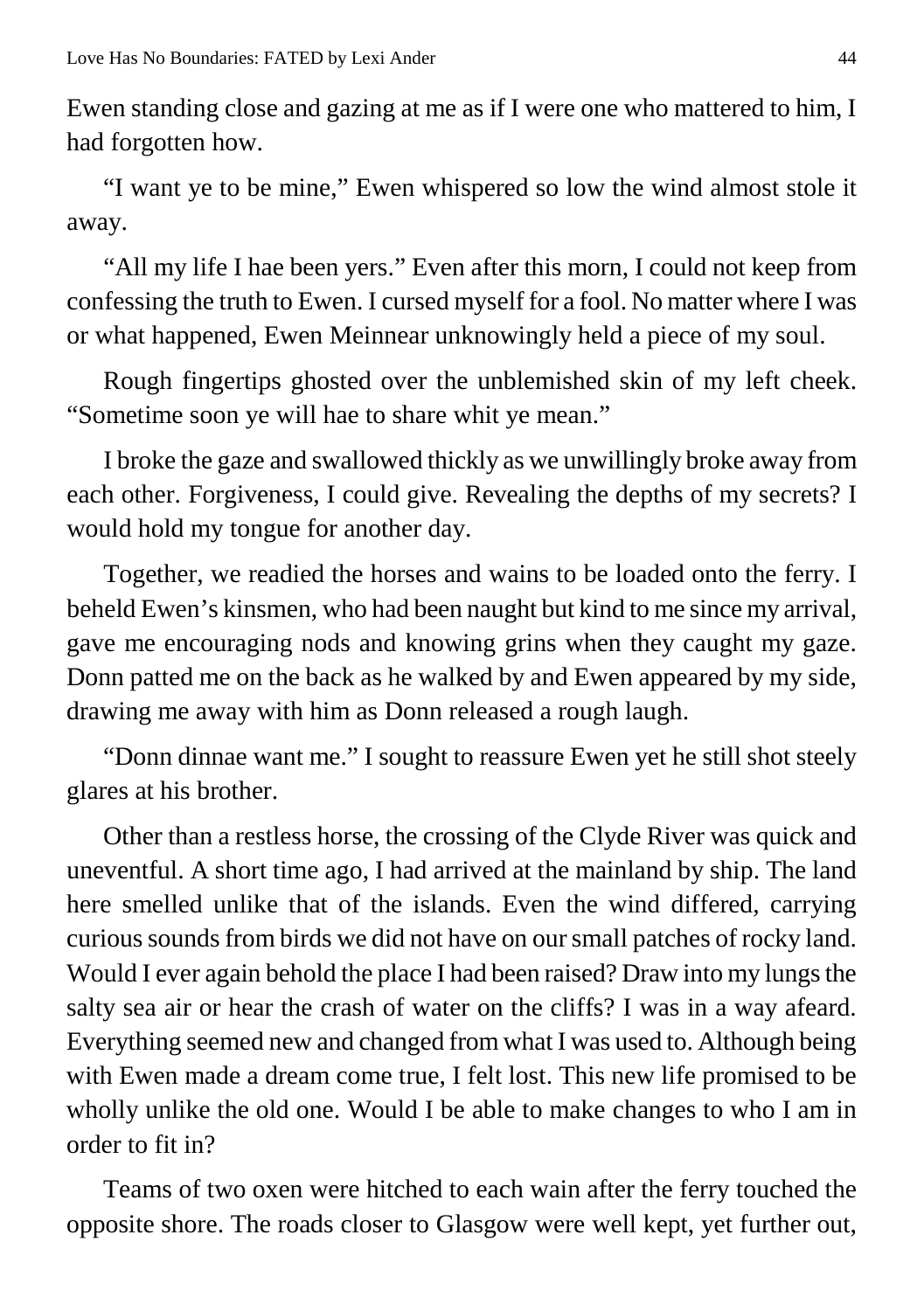Ewen standing close and gazing at me as if I were one who mattered to him, I had forgotten how.

"I want ye to be mine," Ewen whispered so low the wind almost stole it away.

"All my life I hae been yers." Even after this morn, I could not keep from confessing the truth to Ewen. I cursed myself for a fool. No matter where I was or what happened, Ewen Meinnear unknowingly held a piece of my soul.

Rough fingertips ghosted over the unblemished skin of my left cheek. "Sometime soon ye will hae to share whit ye mean."

I broke the gaze and swallowed thickly as we unwillingly broke away from each other. Forgiveness, I could give. Revealing the depths of my secrets? I would hold my tongue for another day.

Together, we readied the horses and wains to be loaded onto the ferry. I beheld Ewen's kinsmen, who had been naught but kind to me since my arrival, gave me encouraging nods and knowing grins when they caught my gaze. Donn patted me on the back as he walked by and Ewen appeared by my side, drawing me away with him as Donn released a rough laugh.

"Donn dinnae want me." I sought to reassure Ewen yet he still shot steely glares at his brother.

Other than a restless horse, the crossing of the Clyde River was quick and uneventful. A short time ago, I had arrived at the mainland by ship. The land here smelled unlike that of the islands. Even the wind differed, carrying curious sounds from birds we did not have on our small patches of rocky land. Would I ever again behold the place I had been raised? Draw into my lungs the salty sea air or hear the crash of water on the cliffs? I was in a way afeard. Everything seemed new and changed from what I was used to. Although being with Ewen made a dream come true, I felt lost. This new life promised to be wholly unlike the old one. Would I be able to make changes to who I am in order to fit in?

Teams of two oxen were hitched to each wain after the ferry touched the opposite shore. The roads closer to Glasgow were well kept, yet further out,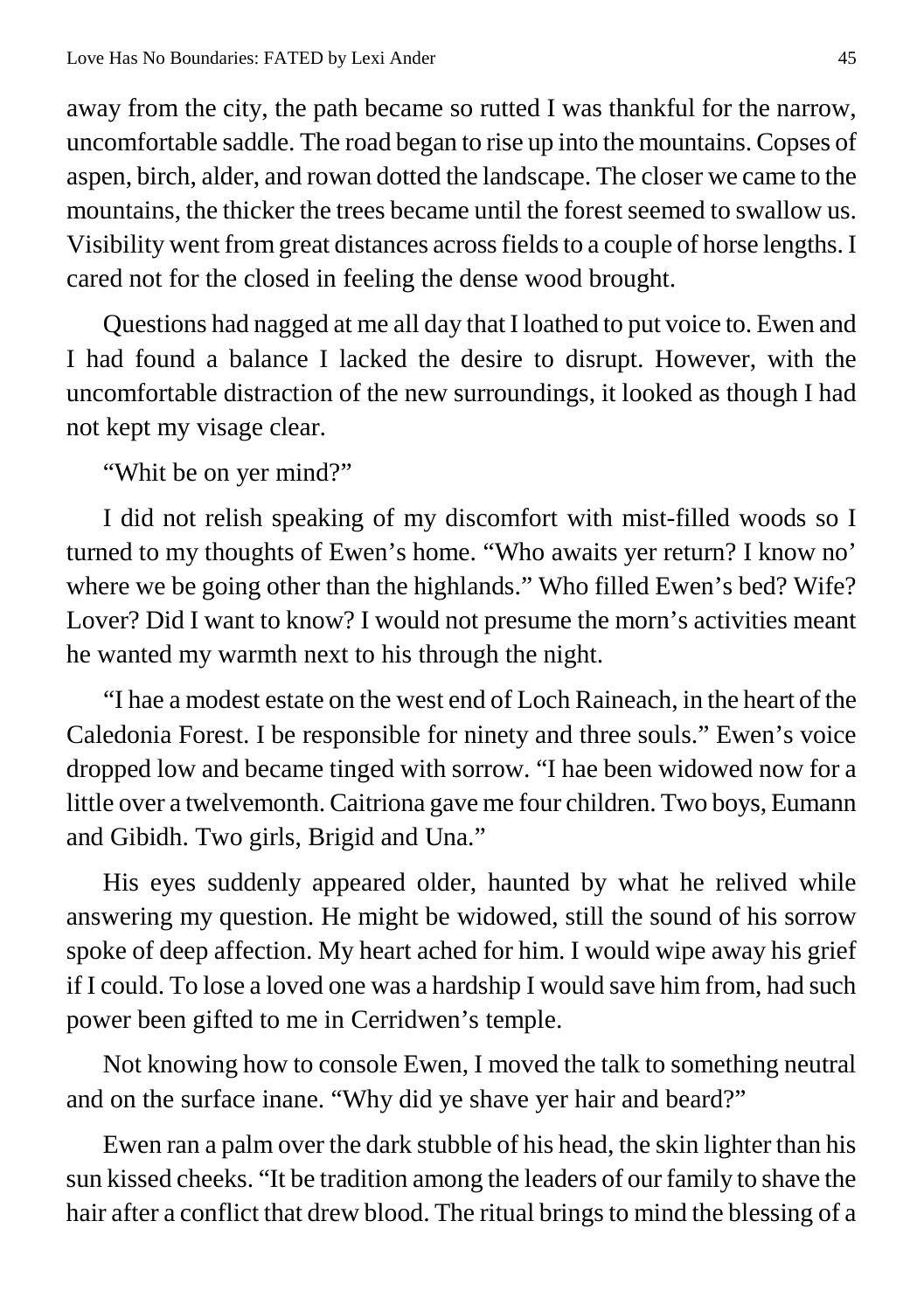away from the city, the path became so rutted I was thankful for the narrow, uncomfortable saddle. The road began to rise up into the mountains. Copses of aspen, birch, alder, and rowan dotted the landscape. The closer we came to the mountains, the thicker the trees became until the forest seemed to swallow us. Visibility went from great distances across fields to a couple of horse lengths. I cared not for the closed in feeling the dense wood brought.

Questions had nagged at me all day that I loathed to put voice to. Ewen and I had found a balance I lacked the desire to disrupt. However, with the uncomfortable distraction of the new surroundings, it looked as though I had not kept my visage clear.

"Whit be on yer mind?"

I did not relish speaking of my discomfort with mist-filled woods so I turned to my thoughts of Ewen's home. "Who awaits yer return? I know no' where we be going other than the highlands." Who filled Ewen's bed? Wife? Lover? Did I want to know? I would not presume the morn's activities meant he wanted my warmth next to his through the night.

"I hae a modest estate on the west end of Loch Raineach, in the heart of the Caledonia Forest. I be responsible for ninety and three souls." Ewen's voice dropped low and became tinged with sorrow. "I hae been widowed now for a little over a twelvemonth. Caitriona gave me four children. Two boys, Eumann and Gibidh. Two girls, Brigid and Una."

His eyes suddenly appeared older, haunted by what he relived while answering my question. He might be widowed, still the sound of his sorrow spoke of deep affection. My heart ached for him. I would wipe away his grief if I could. To lose a loved one was a hardship I would save him from, had such power been gifted to me in Cerridwen's temple.

Not knowing how to console Ewen, I moved the talk to something neutral and on the surface inane. "Why did ye shave yer hair and beard?"

Ewen ran a palm over the dark stubble of his head, the skin lighter than his sun kissed cheeks. "It be tradition among the leaders of our family to shave the hair after a conflict that drew blood. The ritual brings to mind the blessing of a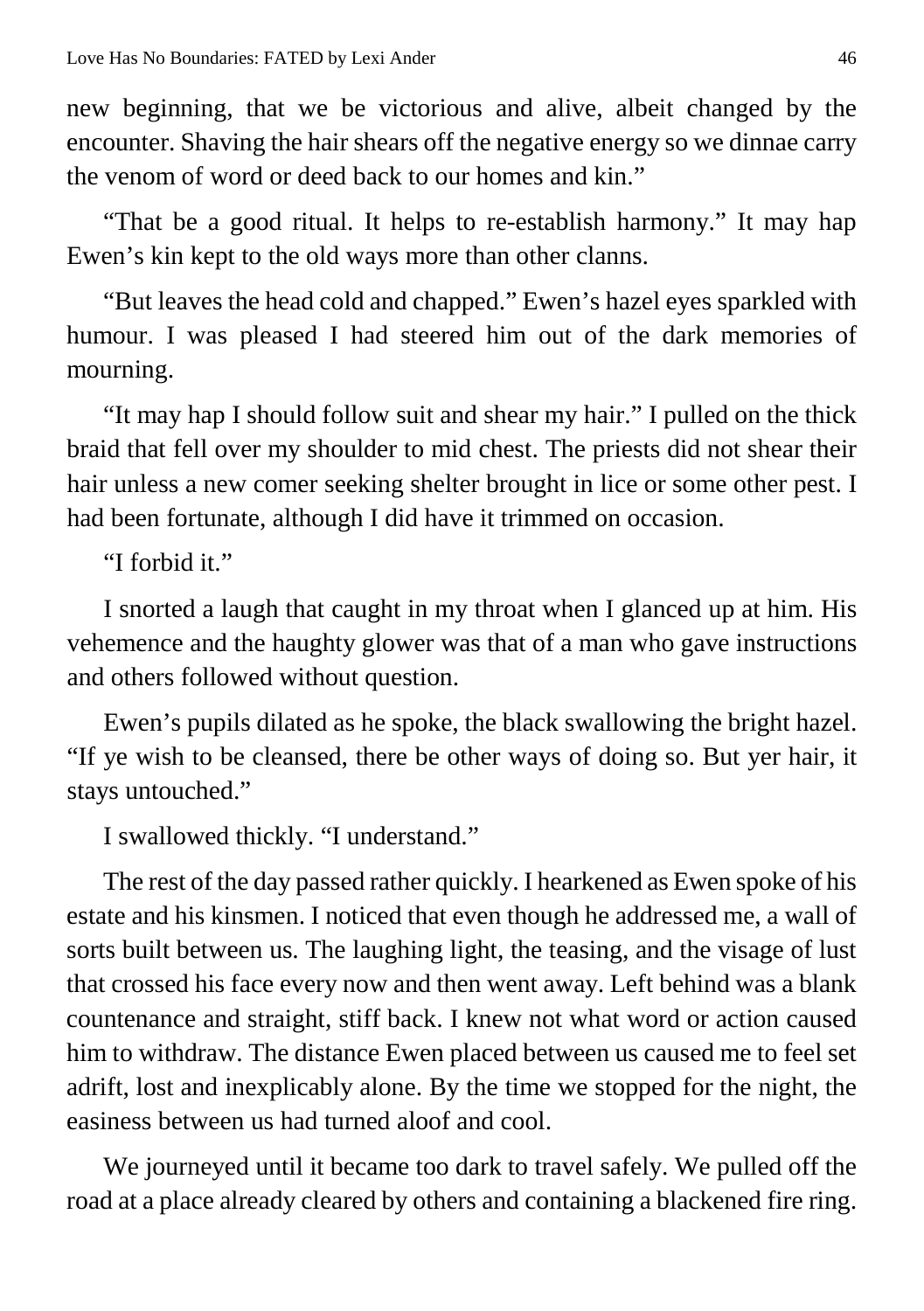new beginning, that we be victorious and alive, albeit changed by the encounter. Shaving the hair shears off the negative energy so we dinnae carry the venom of word or deed back to our homes and kin."

"That be a good ritual. It helps to re-establish harmony." It may hap Ewen's kin kept to the old ways more than other clanns.

"But leaves the head cold and chapped." Ewen's hazel eyes sparkled with humour. I was pleased I had steered him out of the dark memories of mourning.

"It may hap I should follow suit and shear my hair." I pulled on the thick braid that fell over my shoulder to mid chest. The priests did not shear their hair unless a new comer seeking shelter brought in lice or some other pest. I had been fortunate, although I did have it trimmed on occasion.

"I forbid it."

I snorted a laugh that caught in my throat when I glanced up at him. His vehemence and the haughty glower was that of a man who gave instructions and others followed without question.

Ewen's pupils dilated as he spoke, the black swallowing the bright hazel. "If ye wish to be cleansed, there be other ways of doing so. But yer hair, it stays untouched."

I swallowed thickly. "I understand."

The rest of the day passed rather quickly. I hearkened as Ewen spoke of his estate and his kinsmen. I noticed that even though he addressed me, a wall of sorts built between us. The laughing light, the teasing, and the visage of lust that crossed his face every now and then went away. Left behind was a blank countenance and straight, stiff back. I knew not what word or action caused him to withdraw. The distance Ewen placed between us caused me to feel set adrift, lost and inexplicably alone. By the time we stopped for the night, the easiness between us had turned aloof and cool.

We journeyed until it became too dark to travel safely. We pulled off the road at a place already cleared by others and containing a blackened fire ring.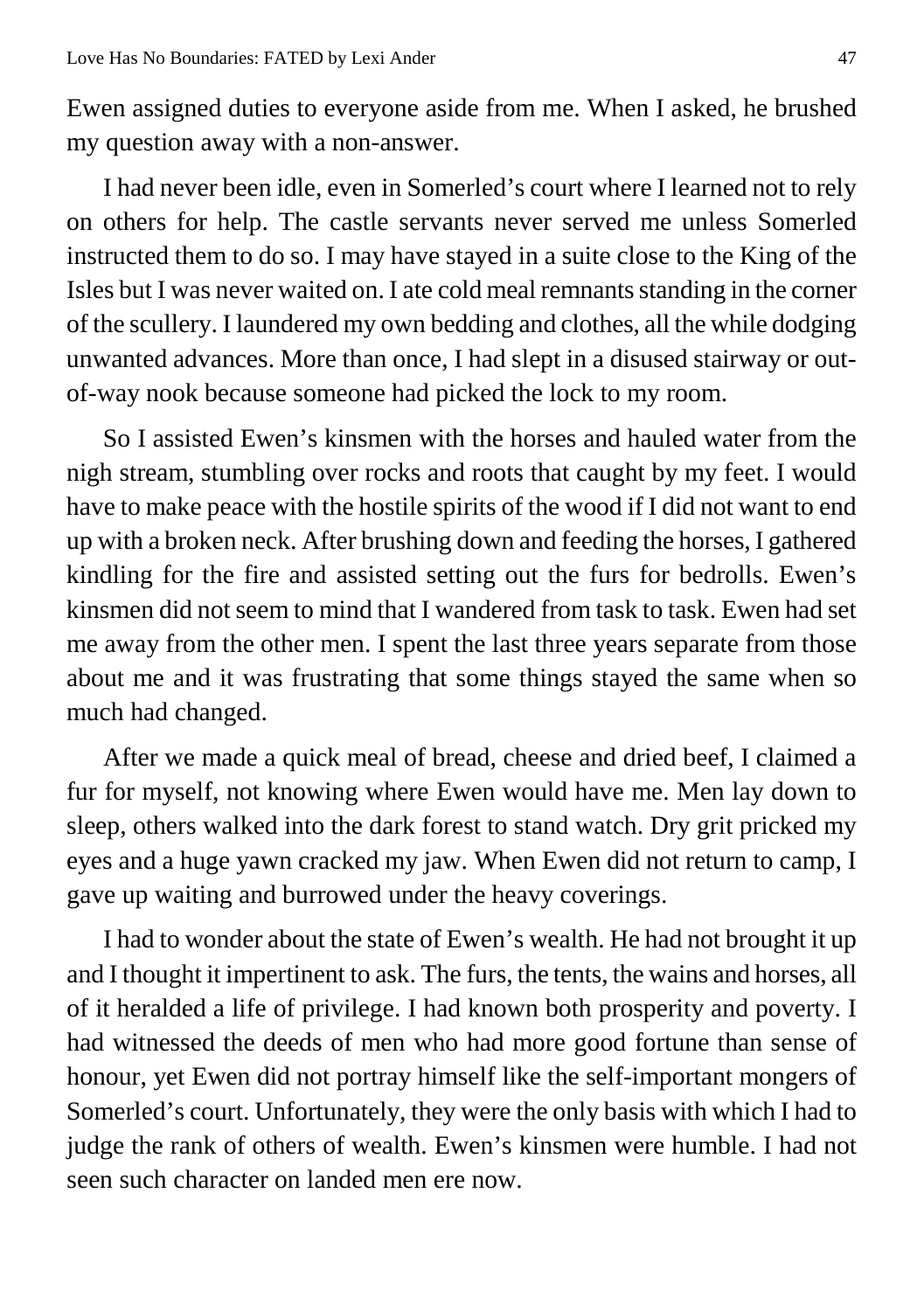Ewen assigned duties to everyone aside from me. When I asked, he brushed my question away with a non-answer.

I had never been idle, even in Somerled's court where I learned not to rely on others for help. The castle servants never served me unless Somerled instructed them to do so. I may have stayed in a suite close to the King of the Isles but I was never waited on. I ate cold meal remnants standing in the corner of the scullery. I laundered my own bedding and clothes, all the while dodging unwanted advances. More than once, I had slept in a disused stairway or outof-way nook because someone had picked the lock to my room.

So I assisted Ewen's kinsmen with the horses and hauled water from the nigh stream, stumbling over rocks and roots that caught by my feet. I would have to make peace with the hostile spirits of the wood if I did not want to end up with a broken neck. After brushing down and feeding the horses, I gathered kindling for the fire and assisted setting out the furs for bedrolls. Ewen's kinsmen did not seem to mind that I wandered from task to task. Ewen had set me away from the other men. I spent the last three years separate from those about me and it was frustrating that some things stayed the same when so much had changed.

After we made a quick meal of bread, cheese and dried beef, I claimed a fur for myself, not knowing where Ewen would have me. Men lay down to sleep, others walked into the dark forest to stand watch. Dry grit pricked my eyes and a huge yawn cracked my jaw. When Ewen did not return to camp, I gave up waiting and burrowed under the heavy coverings.

I had to wonder about the state of Ewen's wealth. He had not brought it up and I thought it impertinent to ask. The furs, the tents, the wains and horses, all of it heralded a life of privilege. I had known both prosperity and poverty. I had witnessed the deeds of men who had more good fortune than sense of honour, yet Ewen did not portray himself like the self-important mongers of Somerled's court. Unfortunately, they were the only basis with which I had to judge the rank of others of wealth. Ewen's kinsmen were humble. I had not seen such character on landed men ere now.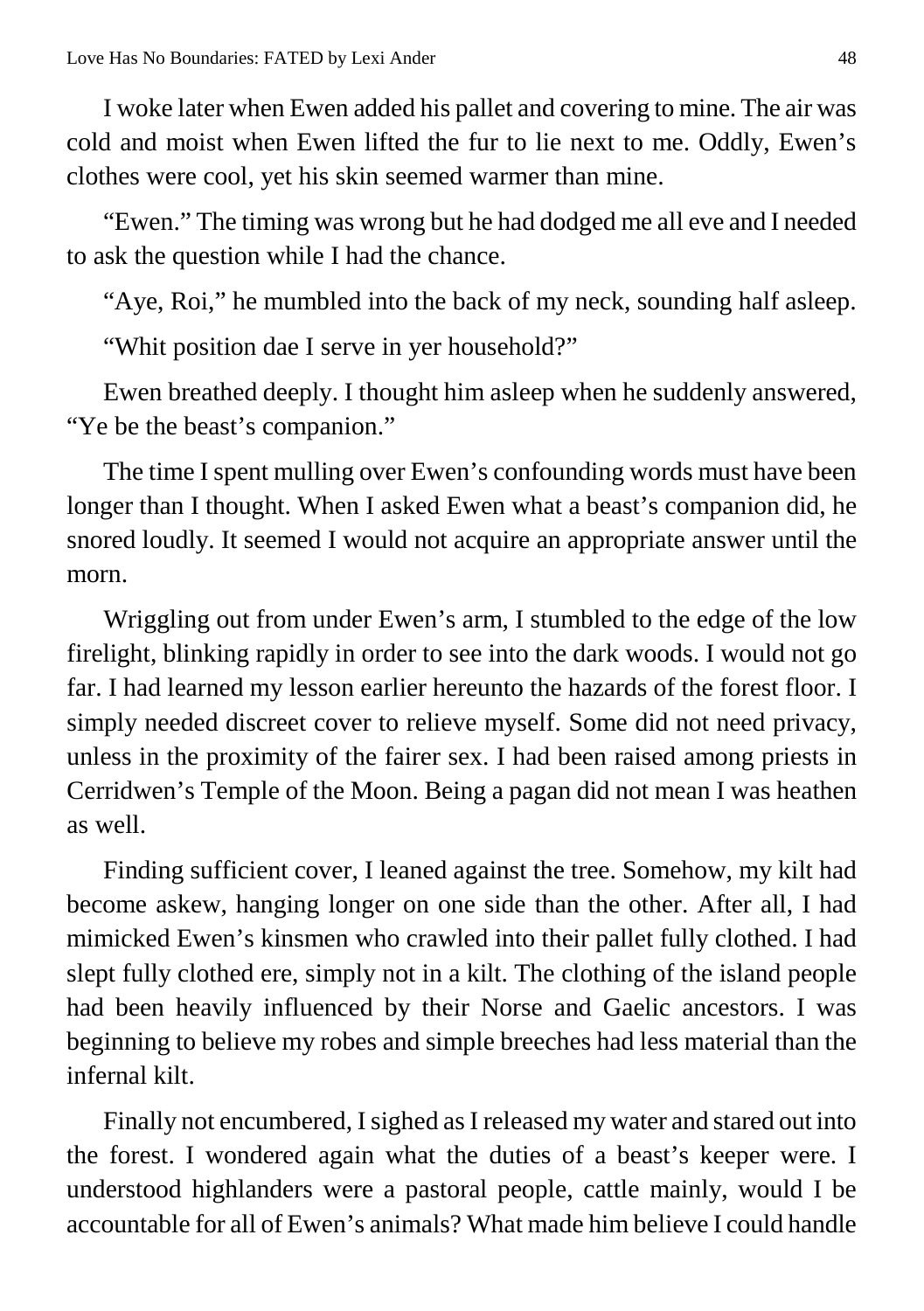I woke later when Ewen added his pallet and covering to mine. The air was cold and moist when Ewen lifted the fur to lie next to me. Oddly, Ewen's clothes were cool, yet his skin seemed warmer than mine.

"Ewen." The timing was wrong but he had dodged me all eve and I needed to ask the question while I had the chance.

"Aye, Roi," he mumbled into the back of my neck, sounding half asleep.

"Whit position dae I serve in yer household?"

Ewen breathed deeply. I thought him asleep when he suddenly answered, "Ye be the beast's companion."

The time I spent mulling over Ewen's confounding words must have been longer than I thought. When I asked Ewen what a beast's companion did, he snored loudly. It seemed I would not acquire an appropriate answer until the morn.

Wriggling out from under Ewen's arm, I stumbled to the edge of the low firelight, blinking rapidly in order to see into the dark woods. I would not go far. I had learned my lesson earlier hereunto the hazards of the forest floor. I simply needed discreet cover to relieve myself. Some did not need privacy, unless in the proximity of the fairer sex. I had been raised among priests in Cerridwen's Temple of the Moon. Being a pagan did not mean I was heathen as well.

Finding sufficient cover, I leaned against the tree. Somehow, my kilt had become askew, hanging longer on one side than the other. After all, I had mimicked Ewen's kinsmen who crawled into their pallet fully clothed. I had slept fully clothed ere, simply not in a kilt. The clothing of the island people had been heavily influenced by their Norse and Gaelic ancestors. I was beginning to believe my robes and simple breeches had less material than the infernal kilt.

Finally not encumbered, I sighed as I released my water and stared out into the forest. I wondered again what the duties of a beast's keeper were. I understood highlanders were a pastoral people, cattle mainly, would I be accountable for all of Ewen's animals? What made him believe I could handle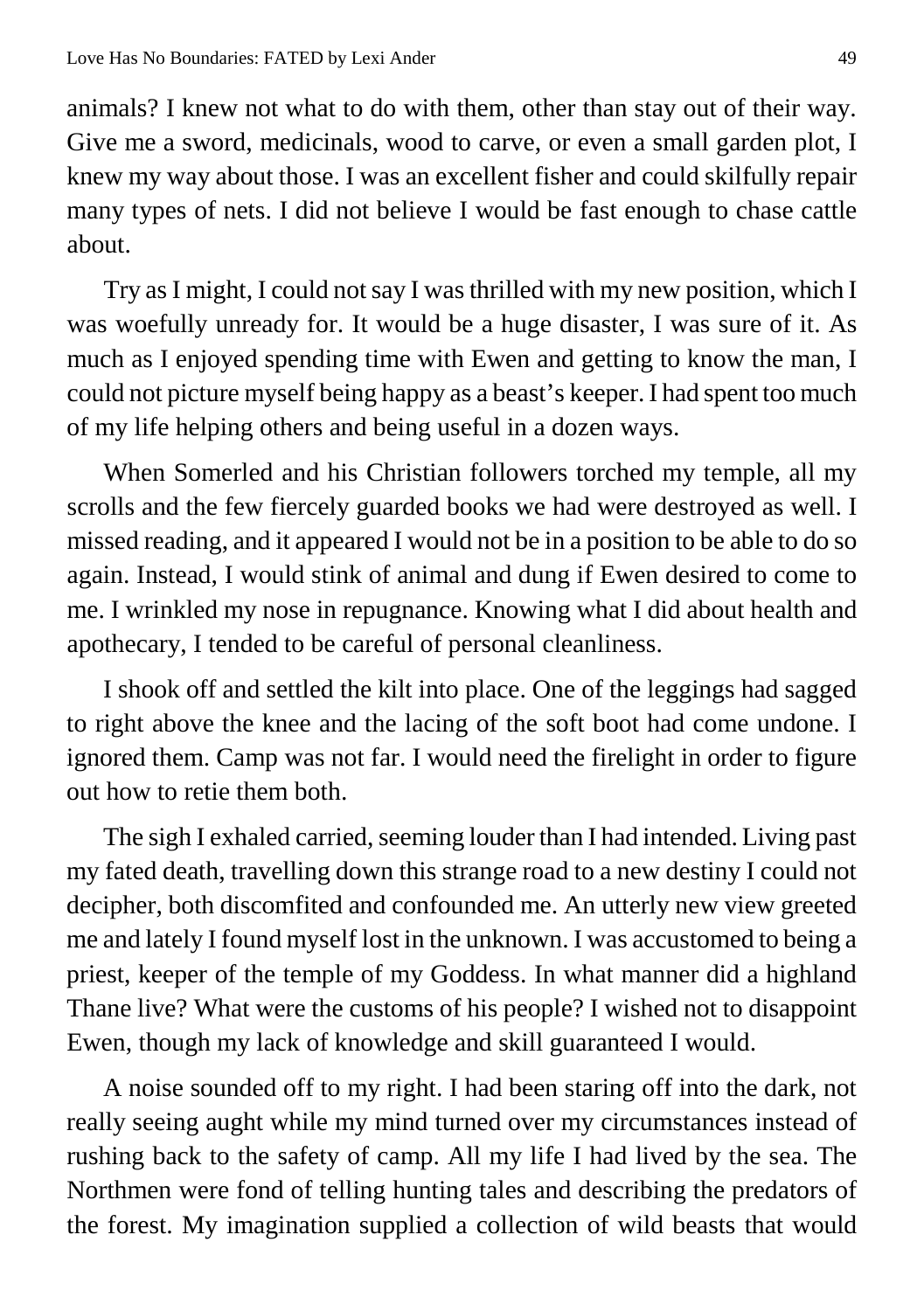animals? I knew not what to do with them, other than stay out of their way. Give me a sword, medicinals, wood to carve, or even a small garden plot, I knew my way about those. I was an excellent fisher and could skilfully repair many types of nets. I did not believe I would be fast enough to chase cattle about.

Try as I might, I could not say I was thrilled with my new position, which I was woefully unready for. It would be a huge disaster, I was sure of it. As much as I enjoyed spending time with Ewen and getting to know the man, I could not picture myself being happy as a beast's keeper. I had spent too much of my life helping others and being useful in a dozen ways.

When Somerled and his Christian followers torched my temple, all my scrolls and the few fiercely guarded books we had were destroyed as well. I missed reading, and it appeared I would not be in a position to be able to do so again. Instead, I would stink of animal and dung if Ewen desired to come to me. I wrinkled my nose in repugnance. Knowing what I did about health and apothecary, I tended to be careful of personal cleanliness.

I shook off and settled the kilt into place. One of the leggings had sagged to right above the knee and the lacing of the soft boot had come undone. I ignored them. Camp was not far. I would need the firelight in order to figure out how to retie them both.

The sigh I exhaled carried, seeming louder than I had intended. Living past my fated death, travelling down this strange road to a new destiny I could not decipher, both discomfited and confounded me. An utterly new view greeted me and lately I found myself lost in the unknown. I was accustomed to being a priest, keeper of the temple of my Goddess. In what manner did a highland Thane live? What were the customs of his people? I wished not to disappoint Ewen, though my lack of knowledge and skill guaranteed I would.

A noise sounded off to my right. I had been staring off into the dark, not really seeing aught while my mind turned over my circumstances instead of rushing back to the safety of camp. All my life I had lived by the sea. The Northmen were fond of telling hunting tales and describing the predators of the forest. My imagination supplied a collection of wild beasts that would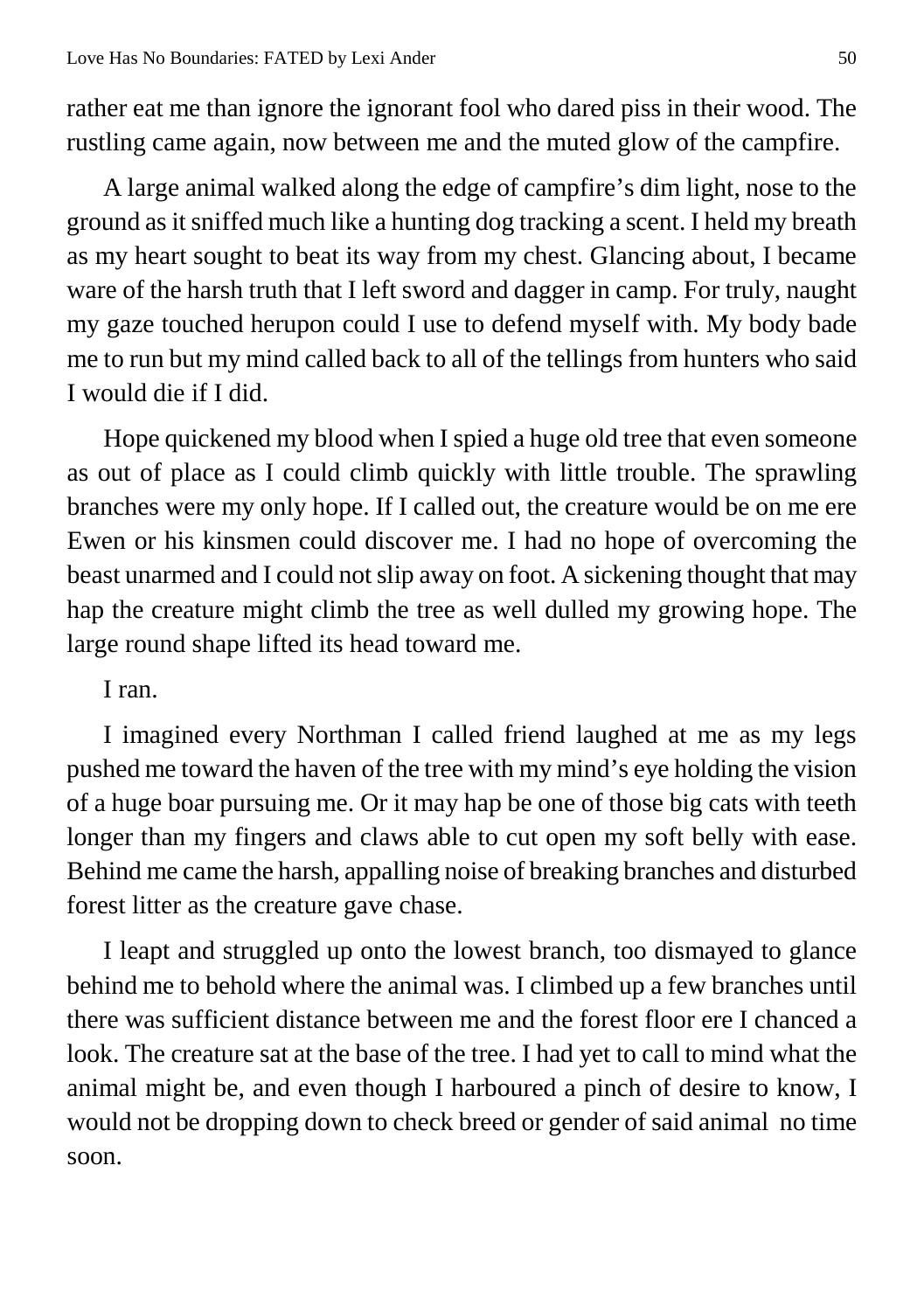rather eat me than ignore the ignorant fool who dared piss in their wood. The rustling came again, now between me and the muted glow of the campfire.

A large animal walked along the edge of campfire's dim light, nose to the ground as itsniffed much like a hunting dog tracking a scent. I held my breath as my heart sought to beat its way from my chest. Glancing about, I became ware of the harsh truth that I left sword and dagger in camp. For truly, naught my gaze touched herupon could I use to defend myself with. My body bade me to run but my mind called back to all of the tellings from hunters who said I would die if I did.

Hope quickened my blood when I spied a huge old tree that even someone as out of place as I could climb quickly with little trouble. The sprawling branches were my only hope. If I called out, the creature would be on me ere Ewen or his kinsmen could discover me. I had no hope of overcoming the beast unarmed and I could notslip away on foot. A sickening thought that may hap the creature might climb the tree as well dulled my growing hope. The large round shape lifted its head toward me.

# I ran.

I imagined every Northman I called friend laughed at me as my legs pushed me toward the haven of the tree with my mind's eye holding the vision of a huge boar pursuing me. Or it may hap be one of those big cats with teeth longer than my fingers and claws able to cut open my soft belly with ease. Behind me came the harsh, appalling noise of breaking branches and disturbed forest litter as the creature gave chase.

I leapt and struggled up onto the lowest branch, too dismayed to glance behind me to behold where the animal was. I climbed up a few branches until there was sufficient distance between me and the forest floor ere I chanced a look. The creature sat at the base of the tree. I had yet to call to mind what the animal might be, and even though I harboured a pinch of desire to know, I would not be dropping down to check breed or gender of said animal no time soon.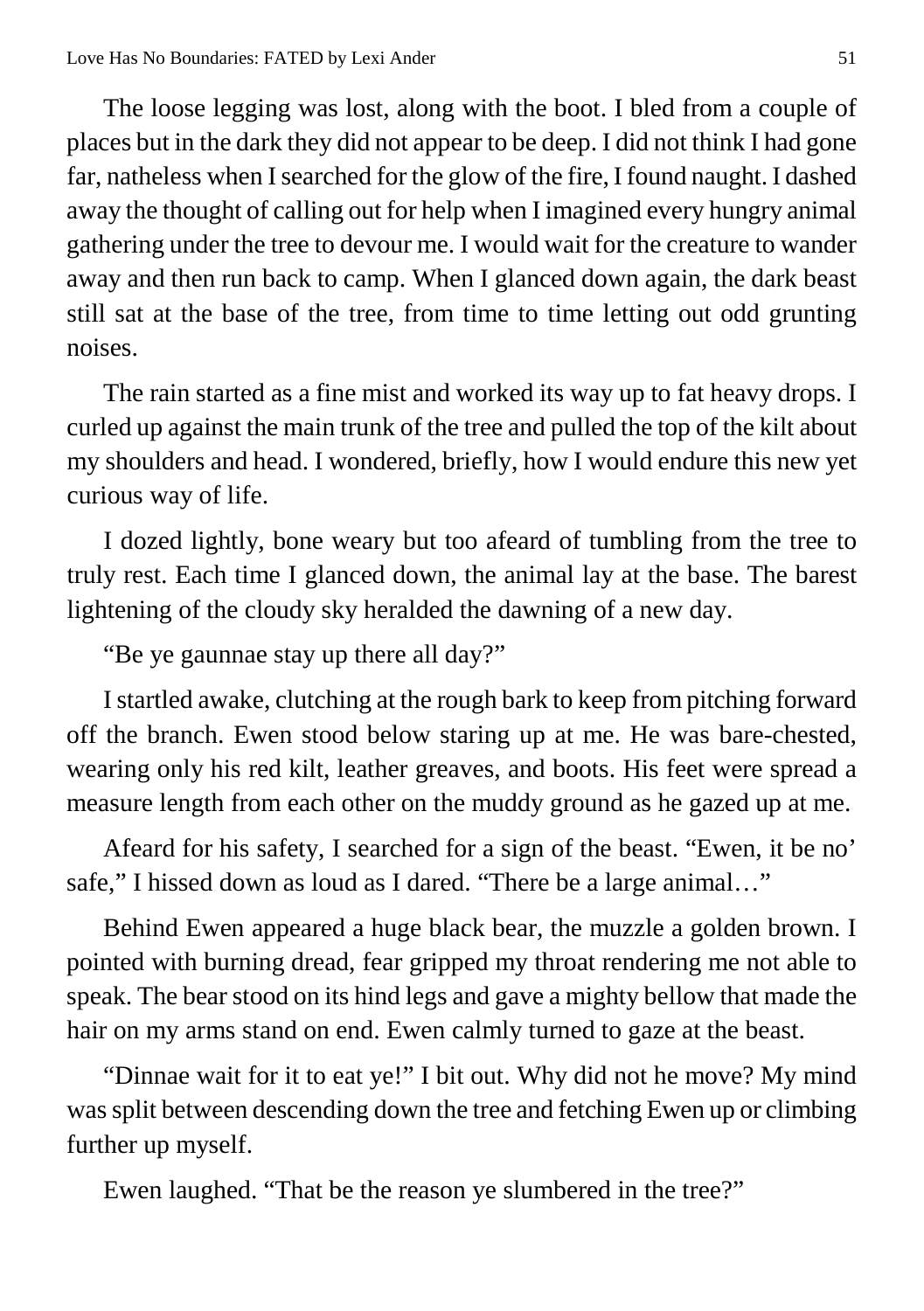The loose legging was lost, along with the boot. I bled from a couple of places but in the dark they did not appear to be deep. I did not think I had gone far, natheless when I searched for the glow of the fire, I found naught. I dashed away the thought of calling out for help when I imagined every hungry animal gathering under the tree to devour me. I would wait for the creature to wander away and then run back to camp. When I glanced down again, the dark beast still sat at the base of the tree, from time to time letting out odd grunting noises.

The rain started as a fine mist and worked its way up to fat heavy drops. I curled up against the main trunk of the tree and pulled the top of the kilt about my shoulders and head. I wondered, briefly, how I would endure this new yet curious way of life.

I dozed lightly, bone weary but too afeard of tumbling from the tree to truly rest. Each time I glanced down, the animal lay at the base. The barest lightening of the cloudy sky heralded the dawning of a new day.

"Be ye gaunnae stay up there all day?"

Istartled awake, clutching at the rough bark to keep from pitching forward off the branch. Ewen stood below staring up at me. He was bare-chested, wearing only his red kilt, leather greaves, and boots. His feet were spread a measure length from each other on the muddy ground as he gazed up at me.

Afeard for his safety, I searched for a sign of the beast. "Ewen, it be no' safe," I hissed down as loud as I dared. "There be a large animal…"

Behind Ewen appeared a huge black bear, the muzzle a golden brown. I pointed with burning dread, fear gripped my throat rendering me not able to speak. The bear stood on its hind legs and gave a mighty bellow that made the hair on my arms stand on end. Ewen calmly turned to gaze at the beast.

"Dinnae wait for it to eat ye!" I bit out. Why did not he move? My mind was split between descending down the tree and fetching Ewen up or climbing further up myself.

Ewen laughed. "That be the reason ye slumbered in the tree?"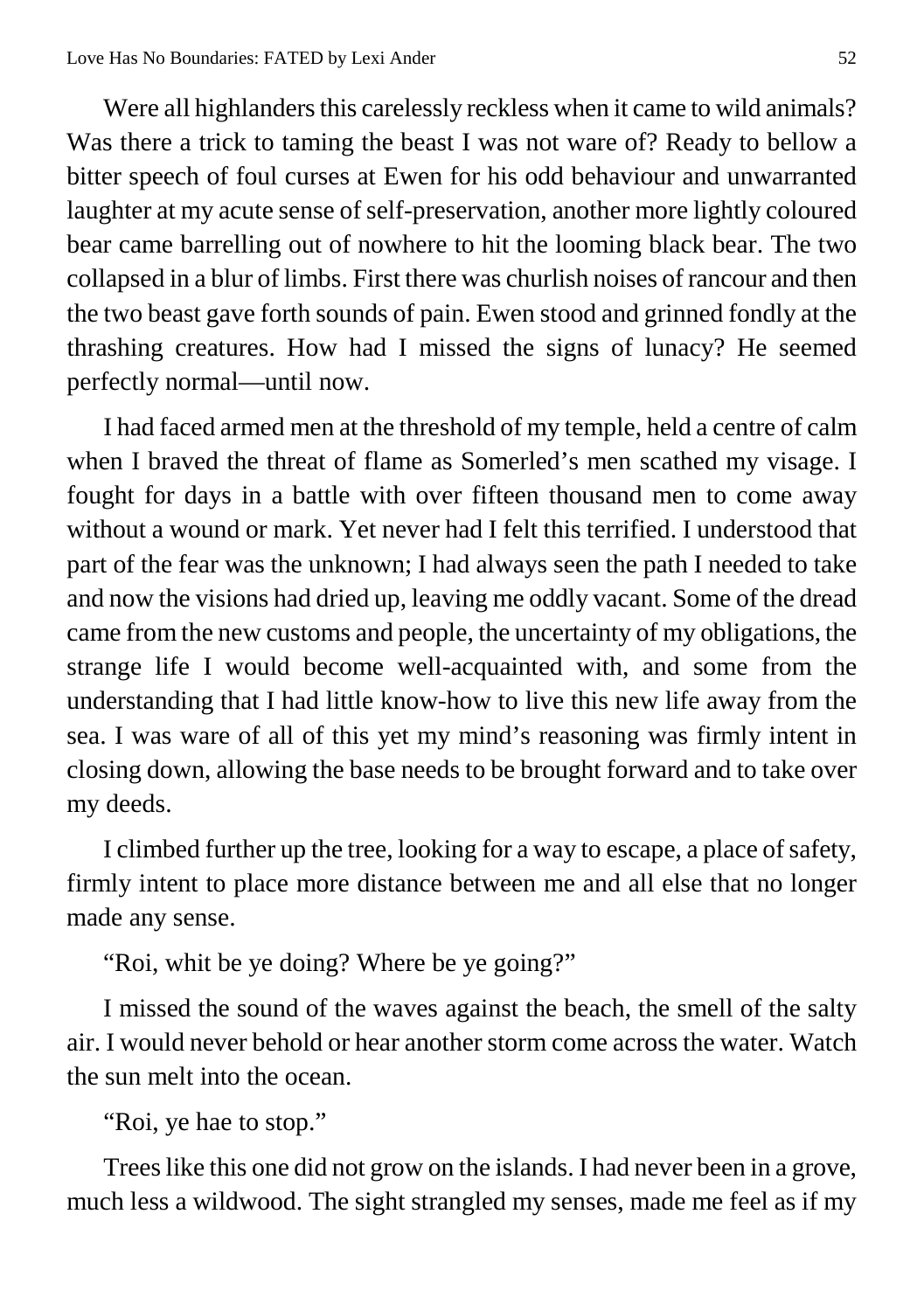Were all highlanders this carelessly reckless when it came to wild animals? Was there a trick to taming the beast I was not ware of? Ready to bellow a bitter speech of foul curses at Ewen for his odd behaviour and unwarranted laughter at my acute sense of self-preservation, another more lightly coloured bear came barrelling out of nowhere to hit the looming black bear. The two collapsed in a blur of limbs. First there was churlish noises of rancour and then the two beast gave forth sounds of pain. Ewen stood and grinned fondly at the thrashing creatures. How had I missed the signs of lunacy? He seemed perfectly normal—until now.

I had faced armed men at the threshold of my temple, held a centre of calm when I braved the threat of flame as Somerled's men scathed my visage. I fought for days in a battle with over fifteen thousand men to come away without a wound or mark. Yet never had I felt this terrified. I understood that part of the fear was the unknown; I had always seen the path I needed to take and now the visions had dried up, leaving me oddly vacant. Some of the dread came from the new customs and people, the uncertainty of my obligations, the strange life I would become well-acquainted with, and some from the understanding that I had little know-how to live this new life away from the sea. I was ware of all of this yet my mind's reasoning was firmly intent in closing down, allowing the base needs to be brought forward and to take over my deeds.

I climbed further up the tree, looking for a way to escape, a place of safety, firmly intent to place more distance between me and all else that no longer made any sense.

"Roi, whit be ye doing? Where be ye going?"

I missed the sound of the waves against the beach, the smell of the salty air. I would never behold or hear another storm come across the water. Watch the sun melt into the ocean.

"Roi, ye hae to stop."

Trees like this one did not grow on the islands. I had never been in a grove, much less a wildwood. The sight strangled my senses, made me feel as if my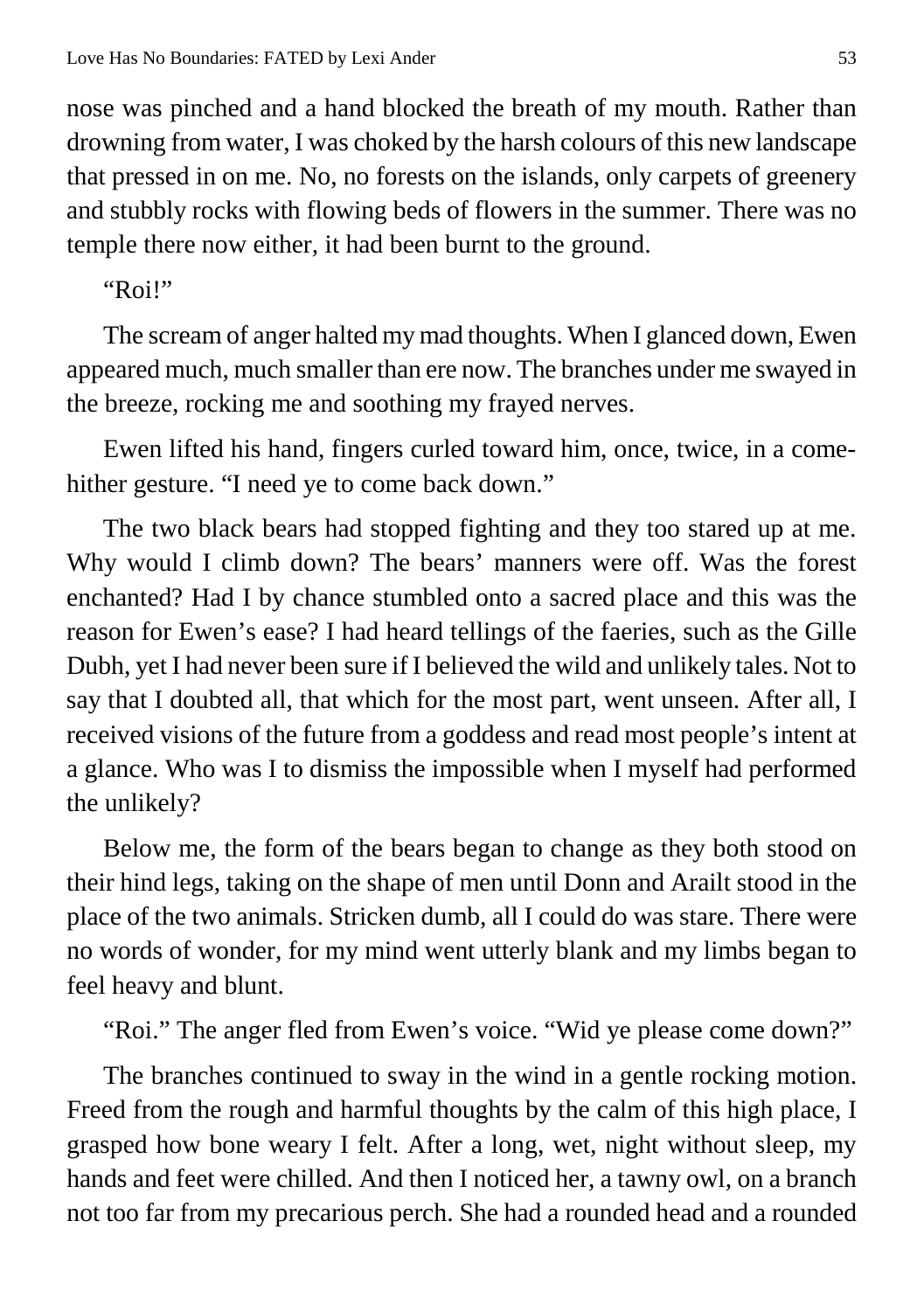nose was pinched and a hand blocked the breath of my mouth. Rather than drowning from water, I was choked by the harsh colours of this new landscape that pressed in on me. No, no forests on the islands, only carpets of greenery and stubbly rocks with flowing beds of flowers in the summer. There was no temple there now either, it had been burnt to the ground.

"Roi!"

The scream of anger halted my mad thoughts. When I glanced down, Ewen appeared much, much smaller than ere now. The branches under me swayed in the breeze, rocking me and soothing my frayed nerves.

Ewen lifted his hand, fingers curled toward him, once, twice, in a comehither gesture. "I need ye to come back down."

The two black bears had stopped fighting and they too stared up at me. Why would I climb down? The bears' manners were off. Was the forest enchanted? Had I by chance stumbled onto a sacred place and this was the reason for Ewen's ease? I had heard tellings of the faeries, such as the Gille Dubh, yet I had never been sure if I believed the wild and unlikely tales. Not to say that I doubted all, that which for the most part, went unseen. After all, I received visions of the future from a goddess and read most people's intent at a glance. Who was I to dismiss the impossible when I myself had performed the unlikely?

Below me, the form of the bears began to change as they both stood on their hind legs, taking on the shape of men until Donn and Arailt stood in the place of the two animals. Stricken dumb, all I could do was stare. There were no words of wonder, for my mind went utterly blank and my limbs began to feel heavy and blunt.

"Roi." The anger fled from Ewen's voice. "Wid ye please come down?"

The branches continued to sway in the wind in a gentle rocking motion. Freed from the rough and harmful thoughts by the calm of this high place, I grasped how bone weary I felt. After a long, wet, night without sleep, my hands and feet were chilled. And then I noticed her, a tawny owl, on a branch not too far from my precarious perch. She had a rounded head and a rounded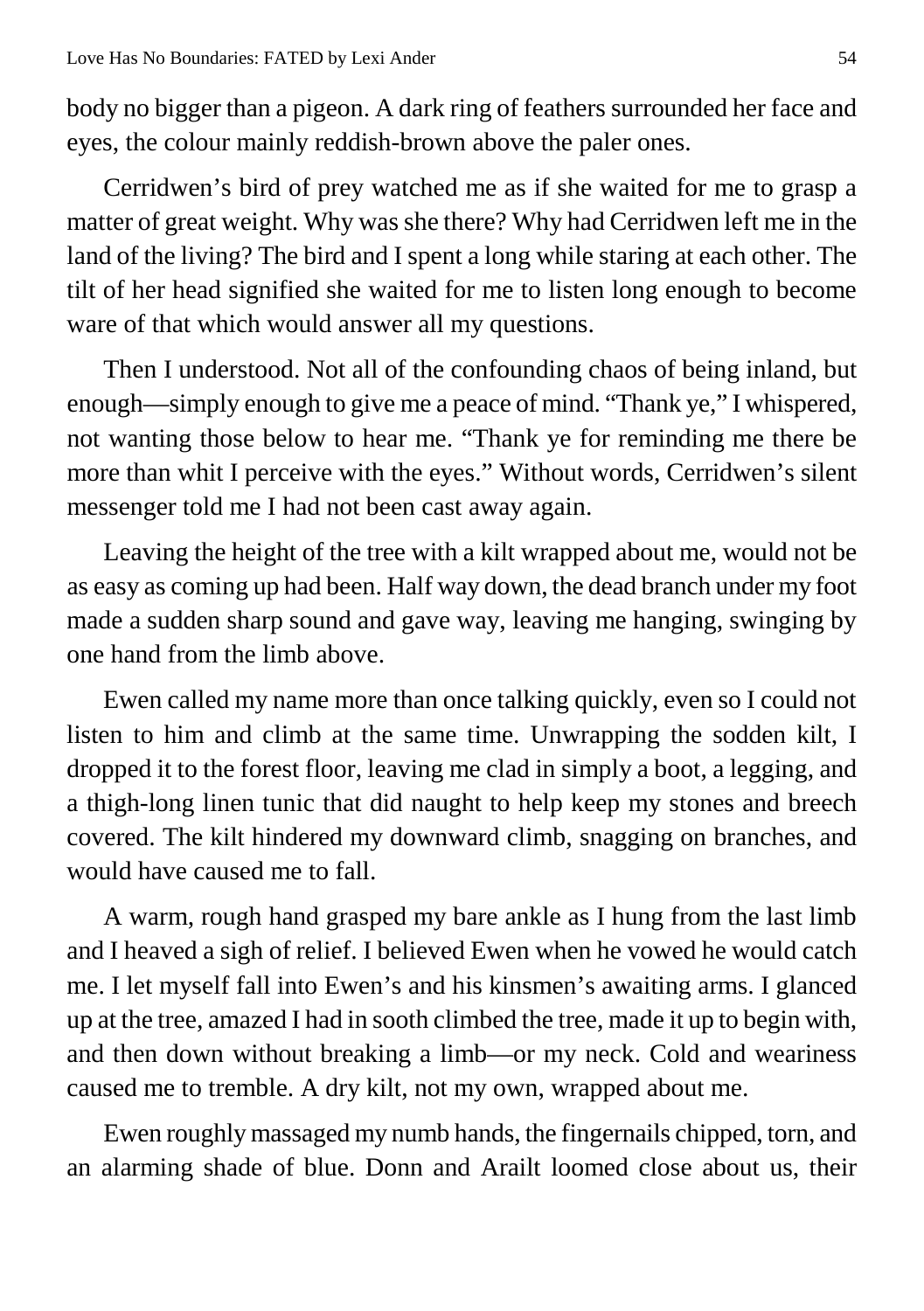body no bigger than a pigeon. A dark ring of feathers surrounded her face and eyes, the colour mainly reddish-brown above the paler ones.

Cerridwen's bird of prey watched me as if she waited for me to grasp a matter of great weight. Why was she there? Why had Cerridwen left me in the land of the living? The bird and I spent a long while staring at each other. The tilt of her head signified she waited for me to listen long enough to become ware of that which would answer all my questions.

Then I understood. Not all of the confounding chaos of being inland, but enough—simply enough to give me a peace of mind. "Thank ye," I whispered, not wanting those below to hear me. "Thank ye for reminding me there be more than whit I perceive with the eyes." Without words, Cerridwen's silent messenger told me I had not been cast away again.

Leaving the height of the tree with a kilt wrapped about me, would not be as easy as coming up had been. Half way down, the dead branch under my foot made a sudden sharp sound and gave way, leaving me hanging, swinging by one hand from the limb above.

Ewen called my name more than once talking quickly, even so I could not listen to him and climb at the same time. Unwrapping the sodden kilt, I dropped it to the forest floor, leaving me clad in simply a boot, a legging, and a thigh-long linen tunic that did naught to help keep my stones and breech covered. The kilt hindered my downward climb, snagging on branches, and would have caused me to fall.

A warm, rough hand grasped my bare ankle as I hung from the last limb and I heaved a sigh of relief. I believed Ewen when he vowed he would catch me. I let myself fall into Ewen's and his kinsmen's awaiting arms. I glanced up at the tree, amazed I had in sooth climbed the tree, made it up to begin with, and then down without breaking a limb—or my neck. Cold and weariness caused me to tremble. A dry kilt, not my own, wrapped about me.

Ewen roughly massaged my numb hands, the fingernails chipped, torn, and an alarming shade of blue. Donn and Arailt loomed close about us, their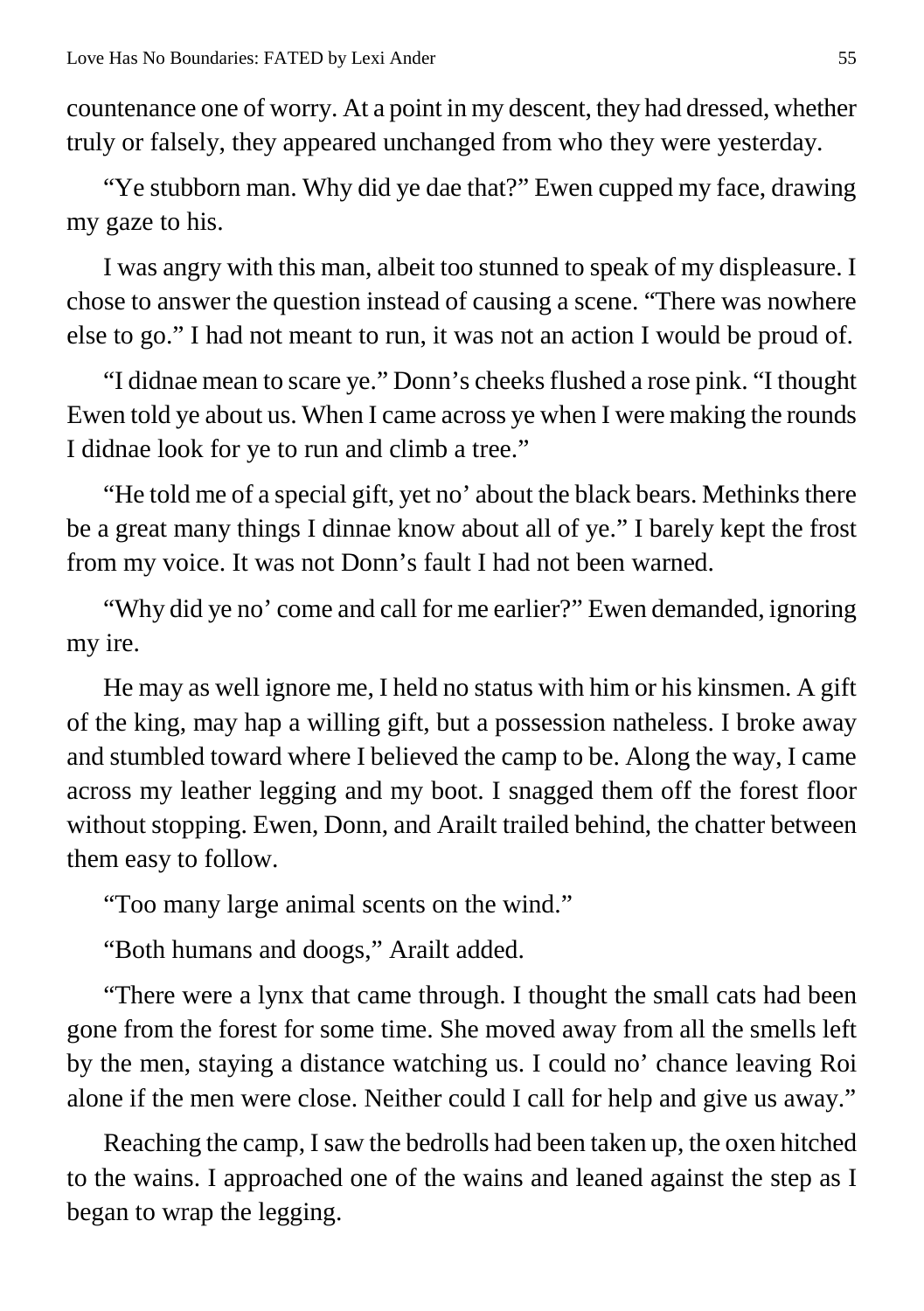countenance one of worry. At a point in my descent, they had dressed, whether truly or falsely, they appeared unchanged from who they were yesterday.

"Ye stubborn man. Why did ye dae that?" Ewen cupped my face, drawing my gaze to his.

I was angry with this man, albeit too stunned to speak of my displeasure. I chose to answer the question instead of causing a scene. "There was nowhere else to go." I had not meant to run, it was not an action I would be proud of.

"I didnae mean to scare ye." Donn's cheeksflushed a rose pink. "I thought Ewen told ye about us. When I came across ye when I were making the rounds I didnae look for ye to run and climb a tree."

"He told me of a special gift, yet no' about the black bears. Methinks there be a great many things I dinnae know about all of ye." I barely kept the frost from my voice. It was not Donn's fault I had not been warned.

"Why did ye no' come and call for me earlier?" Ewen demanded, ignoring my ire.

He may as well ignore me, I held no status with him or his kinsmen. A gift of the king, may hap a willing gift, but a possession natheless. I broke away and stumbled toward where I believed the camp to be. Along the way, I came across my leather legging and my boot. I snagged them off the forest floor without stopping. Ewen, Donn, and Arailt trailed behind, the chatter between them easy to follow.

"Too many large animal scents on the wind."

"Both humans and doogs," Arailt added.

"There were a lynx that came through. I thought the small cats had been gone from the forest for some time. She moved away from all the smells left by the men, staying a distance watching us. I could no' chance leaving Roi alone if the men were close. Neither could I call for help and give us away."

Reaching the camp, I saw the bedrolls had been taken up, the oxen hitched to the wains. I approached one of the wains and leaned against the step as I began to wrap the legging.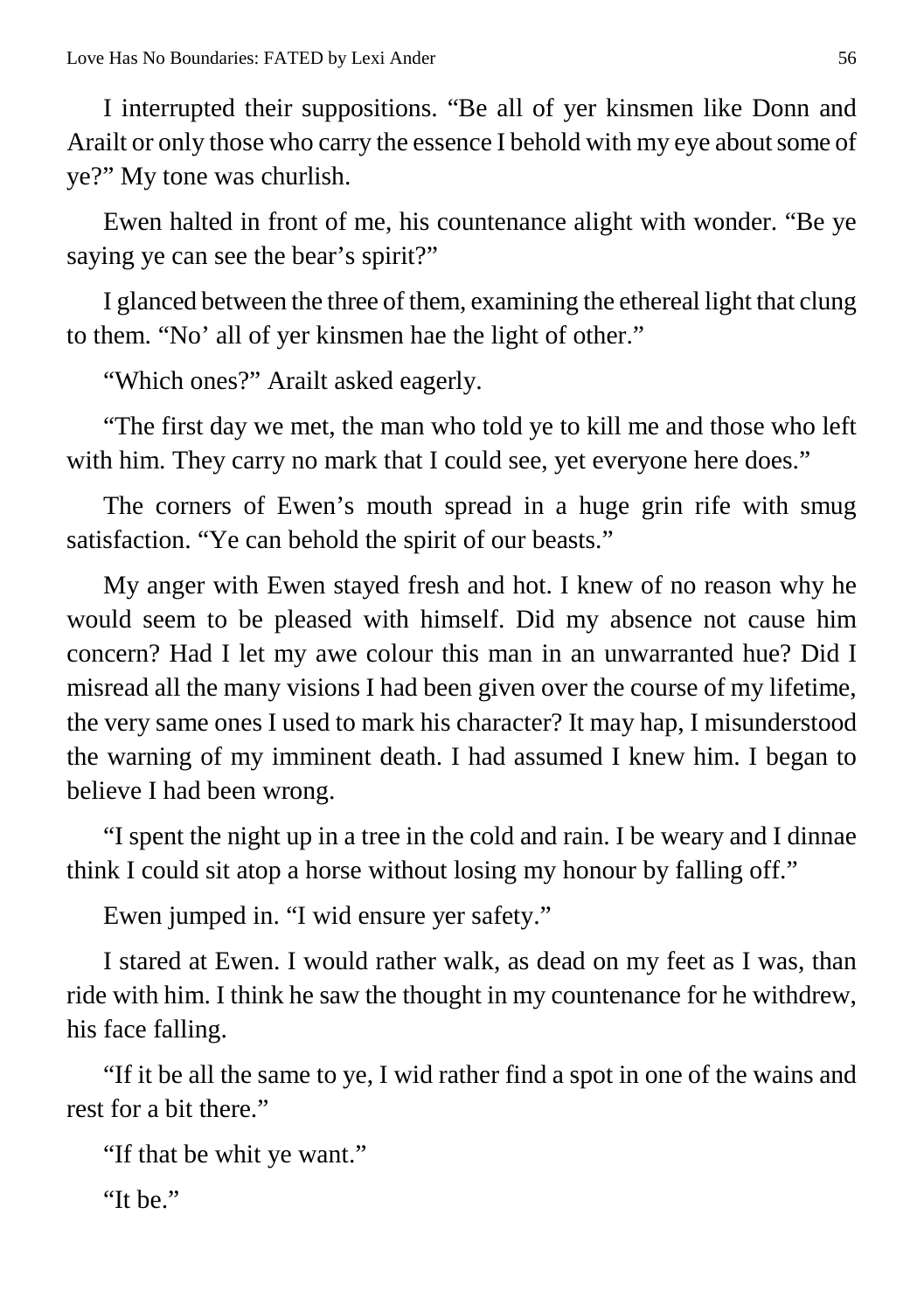I interrupted their suppositions. "Be all of yer kinsmen like Donn and Arailt or only those who carry the essence I behold with my eye about some of ye?" My tone was churlish.

Ewen halted in front of me, his countenance alight with wonder. "Be ye saying ye can see the bear's spirit?"

I glanced between the three of them, examining the ethereal light that clung to them. "No' all of yer kinsmen hae the light of other."

"Which ones?" Arailt asked eagerly.

"The first day we met, the man who told ye to kill me and those who left with him. They carry no mark that I could see, yet everyone here does."

The corners of Ewen's mouth spread in a huge grin rife with smug satisfaction. "Ye can behold the spirit of our beasts."

My anger with Ewen stayed fresh and hot. I knew of no reason why he would seem to be pleased with himself. Did my absence not cause him concern? Had I let my awe colour this man in an unwarranted hue? Did I misread all the many visions I had been given over the course of my lifetime, the very same ones I used to mark his character? It may hap, I misunderstood the warning of my imminent death. I had assumed I knew him. I began to believe I had been wrong.

"I spent the night up in a tree in the cold and rain. I be weary and I dinnae think I could sit atop a horse without losing my honour by falling off."

Ewen jumped in. "I wid ensure yer safety."

I stared at Ewen. I would rather walk, as dead on my feet as I was, than ride with him. I think he saw the thought in my countenance for he withdrew, his face falling.

"If it be all the same to ye, I wid rather find a spot in one of the wains and rest for a bit there."

"If that be whit ye want."

"It be."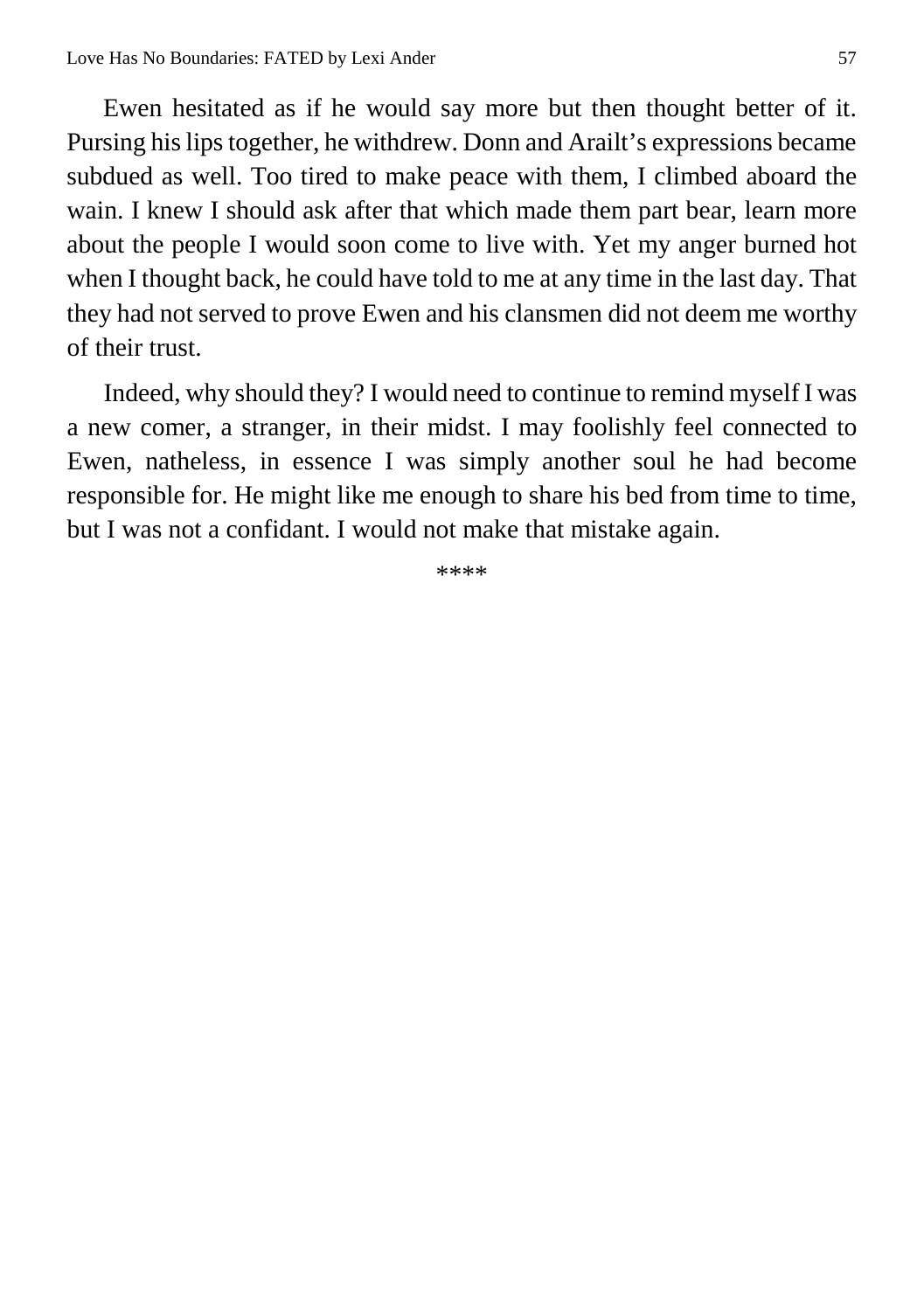Ewen hesitated as if he would say more but then thought better of it. Pursing his lips together, he withdrew. Donn and Arailt's expressions became subdued as well. Too tired to make peace with them, I climbed aboard the wain. I knew I should ask after that which made them part bear, learn more about the people I would soon come to live with. Yet my anger burned hot when I thought back, he could have told to me at any time in the last day. That they had not served to prove Ewen and his clansmen did not deem me worthy of their trust.

Indeed, why should they? I would need to continue to remind myself I was a new comer, a stranger, in their midst. I may foolishly feel connected to Ewen, natheless, in essence I was simply another soul he had become responsible for. He might like me enough to share his bed from time to time, but I was not a confidant. I would not make that mistake again.

\*\*\*\*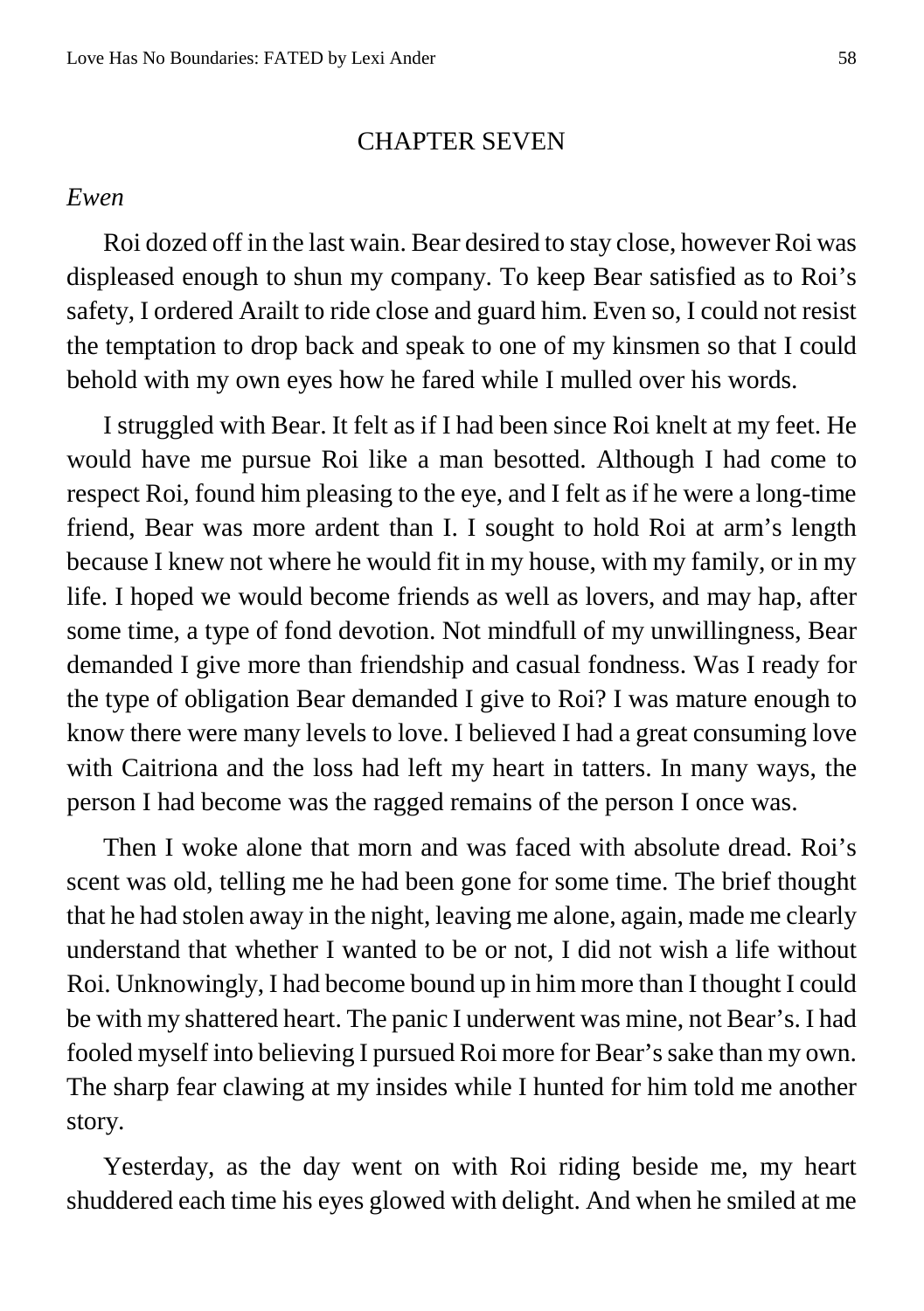#### CHAPTER SEVEN

## *Ewen*

Roi dozed off in the last wain. Bear desired to stay close, however Roi was displeased enough to shun my company. To keep Bear satisfied as to Roi's safety, I ordered Arailt to ride close and guard him. Even so, I could not resist the temptation to drop back and speak to one of my kinsmen so that I could behold with my own eyes how he fared while I mulled over his words.

I struggled with Bear. It felt as if I had been since Roi knelt at my feet. He would have me pursue Roi like a man besotted. Although I had come to respect Roi, found him pleasing to the eye, and I felt as if he were a long-time friend, Bear was more ardent than I. I sought to hold Roi at arm's length because I knew not where he would fit in my house, with my family, or in my life. I hoped we would become friends as well as lovers, and may hap, after some time, a type of fond devotion. Not mindfull of my unwillingness, Bear demanded I give more than friendship and casual fondness. Was I ready for the type of obligation Bear demanded I give to Roi? I was mature enough to know there were many levels to love. I believed I had a great consuming love with Caitriona and the loss had left my heart in tatters. In many ways, the person I had become was the ragged remains of the person I once was.

Then I woke alone that morn and was faced with absolute dread. Roi's scent was old, telling me he had been gone for some time. The brief thought that he had stolen away in the night, leaving me alone, again, made me clearly understand that whether I wanted to be or not, I did not wish a life without Roi. Unknowingly, I had become bound up in him more than I thought I could be with my shattered heart. The panic I underwent was mine, not Bear's. I had fooled myself into believing I pursued Roi more for Bear'ssake than my own. The sharp fear clawing at my insides while I hunted for him told me another story.

Yesterday, as the day went on with Roi riding beside me, my heart shuddered each time his eyes glowed with delight. And when he smiled at me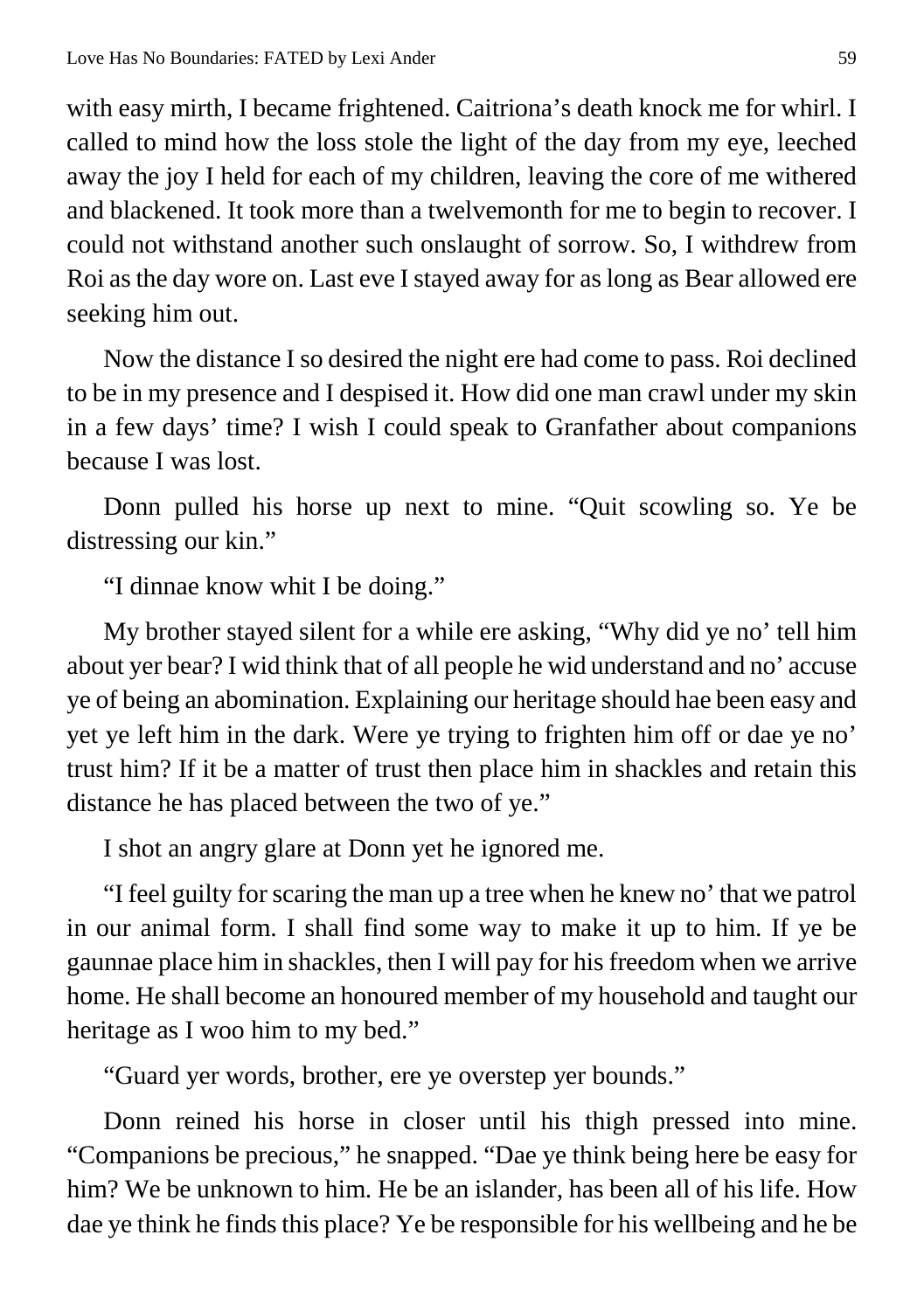with easy mirth, I became frightened. Caitriona's death knock me for whirl. I called to mind how the loss stole the light of the day from my eye, leeched away the joy I held for each of my children, leaving the core of me withered and blackened. It took more than a twelvemonth for me to begin to recover. I could not withstand another such onslaught of sorrow. So, I withdrew from Roi as the day wore on. Last eve I stayed away for as long as Bear allowed ere seeking him out.

Now the distance I so desired the night ere had come to pass. Roi declined to be in my presence and I despised it. How did one man crawl under my skin in a few days' time? I wish I could speak to Granfather about companions because I was lost.

Donn pulled his horse up next to mine. "Quit scowling so. Ye be distressing our kin."

"I dinnae know whit I be doing."

My brother stayed silent for a while ere asking, "Why did ye no' tell him about yer bear? I wid think that of all people he wid understand and no' accuse ye of being an abomination. Explaining our heritage should hae been easy and yet ye left him in the dark. Were ye trying to frighten him off or dae ye no' trust him? If it be a matter of trust then place him in shackles and retain this distance he has placed between the two of ye."

I shot an angry glare at Donn yet he ignored me.

"I feel guilty for scaring the man up a tree when he knew no' that we patrol in our animal form. I shall find some way to make it up to him. If ye be gaunnae place him in shackles, then I will pay for his freedom when we arrive home. He shall become an honoured member of my household and taught our heritage as I woo him to my bed."

"Guard yer words, brother, ere ye overstep yer bounds."

Donn reined his horse in closer until his thigh pressed into mine. "Companions be precious," he snapped. "Dae ye think being here be easy for him? We be unknown to him. He be an islander, has been all of his life. How dae ye think he finds this place? Ye be responsible for his wellbeing and he be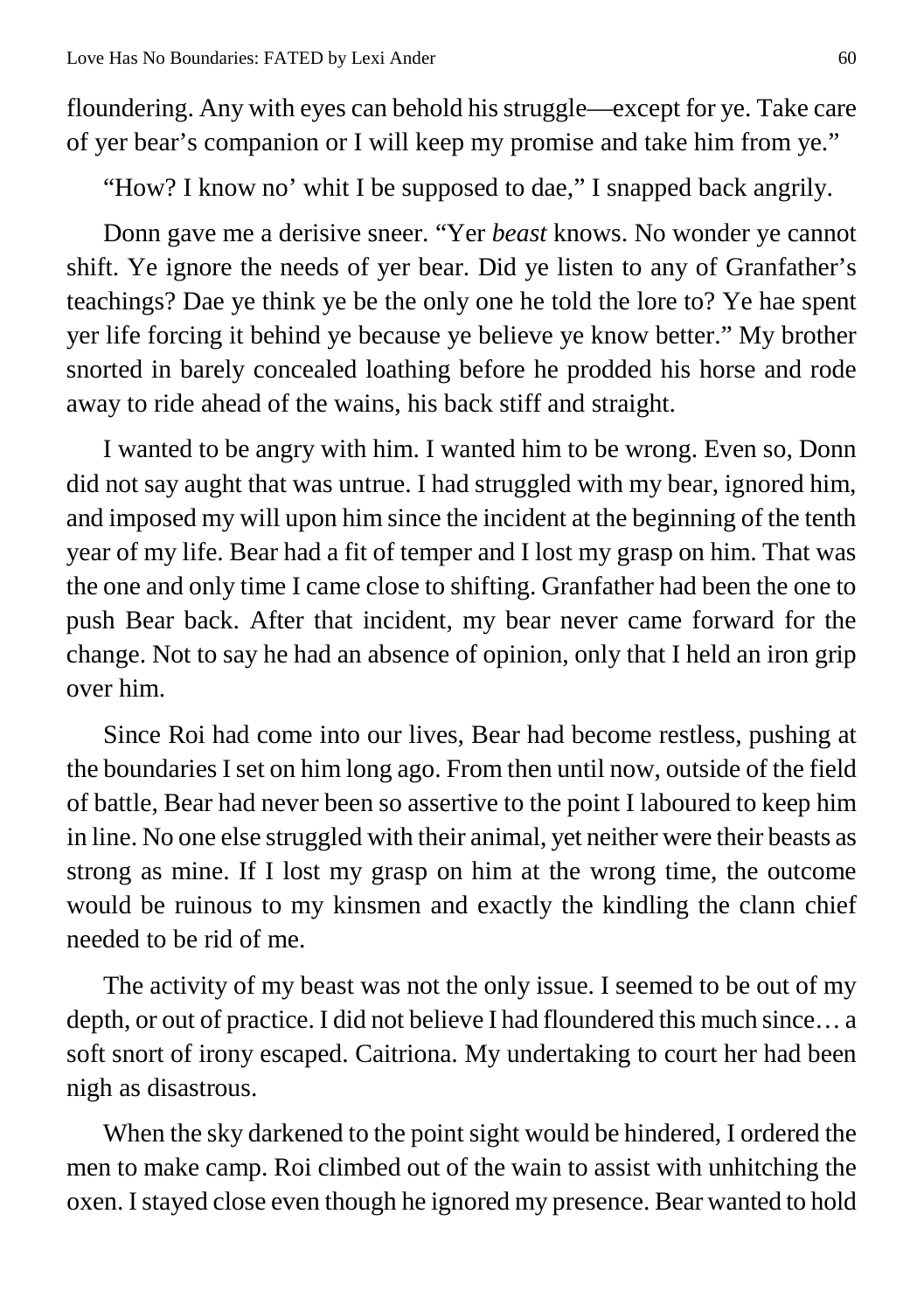floundering. Any with eyes can behold hisstruggle—except for ye. Take care of yer bear's companion or I will keep my promise and take him from ye."

"How? I know no' whit I be supposed to dae," I snapped back angrily.

Donn gave me a derisive sneer. "Yer *beast* knows. No wonder ye cannot shift. Ye ignore the needs of yer bear. Did ye listen to any of Granfather's teachings? Dae ye think ye be the only one he told the lore to? Ye hae spent yer life forcing it behind ye because ye believe ye know better." My brother snorted in barely concealed loathing before he prodded his horse and rode away to ride ahead of the wains, his back stiff and straight.

I wanted to be angry with him. I wanted him to be wrong. Even so, Donn did not say aught that was untrue. I had struggled with my bear, ignored him, and imposed my will upon him since the incident at the beginning of the tenth year of my life. Bear had a fit of temper and I lost my grasp on him. That was the one and only time I came close to shifting. Granfather had been the one to push Bear back. After that incident, my bear never came forward for the change. Not to say he had an absence of opinion, only that I held an iron grip over him.

Since Roi had come into our lives, Bear had become restless, pushing at the boundaries Iset on him long ago. From then until now, outside of the field of battle, Bear had never been so assertive to the point I laboured to keep him in line. No one else struggled with their animal, yet neither were their beasts as strong as mine. If I lost my grasp on him at the wrong time, the outcome would be ruinous to my kinsmen and exactly the kindling the clann chief needed to be rid of me.

The activity of my beast was not the only issue. I seemed to be out of my depth, or out of practice. I did not believe I had floundered this much since… a soft snort of irony escaped. Caitriona. My undertaking to court her had been nigh as disastrous.

When the sky darkened to the point sight would be hindered, I ordered the men to make camp. Roi climbed out of the wain to assist with unhitching the oxen. Istayed close even though he ignored my presence. Bear wanted to hold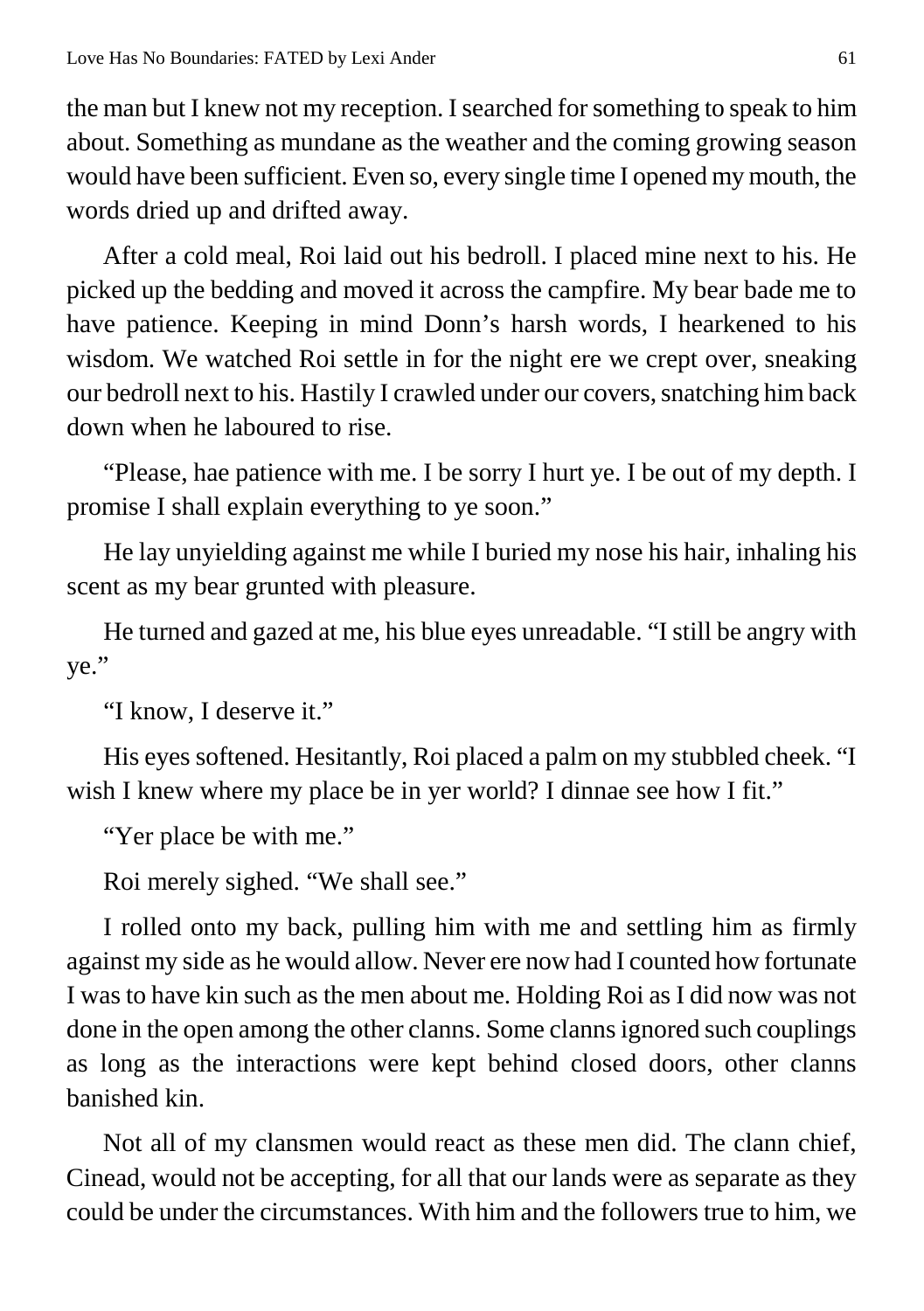the man but I knew not my reception. I searched for something to speak to him about. Something as mundane as the weather and the coming growing season would have been sufficient. Even so, every single time I opened my mouth, the words dried up and drifted away.

After a cold meal, Roi laid out his bedroll. I placed mine next to his. He picked up the bedding and moved it across the campfire. My bear bade me to have patience. Keeping in mind Donn's harsh words, I hearkened to his wisdom. We watched Roi settle in for the night ere we crept over, sneaking our bedroll next to his. Hastily I crawled under our covers, snatching him back down when he laboured to rise.

"Please, hae patience with me. I be sorry I hurt ye. I be out of my depth. I promise I shall explain everything to ye soon."

He lay unyielding against me while I buried my nose his hair, inhaling his scent as my bear grunted with pleasure.

He turned and gazed at me, his blue eyes unreadable. "I still be angry with ye."

"I know, I deserve it."

His eyes softened. Hesitantly, Roi placed a palm on my stubbled cheek. "I wish I knew where my place be in yer world? I dinnae see how I fit."

"Yer place be with me."

Roi merely sighed. "We shall see."

I rolled onto my back, pulling him with me and settling him as firmly against my side as he would allow. Never ere now had I counted how fortunate I was to have kin such as the men about me. Holding Roi as I did now was not done in the open among the other clanns. Some clannsignored such couplings as long as the interactions were kept behind closed doors, other clanns banished kin.

Not all of my clansmen would react as these men did. The clann chief, Cinead, would not be accepting, for all that our lands were as separate as they could be under the circumstances. With him and the followers true to him, we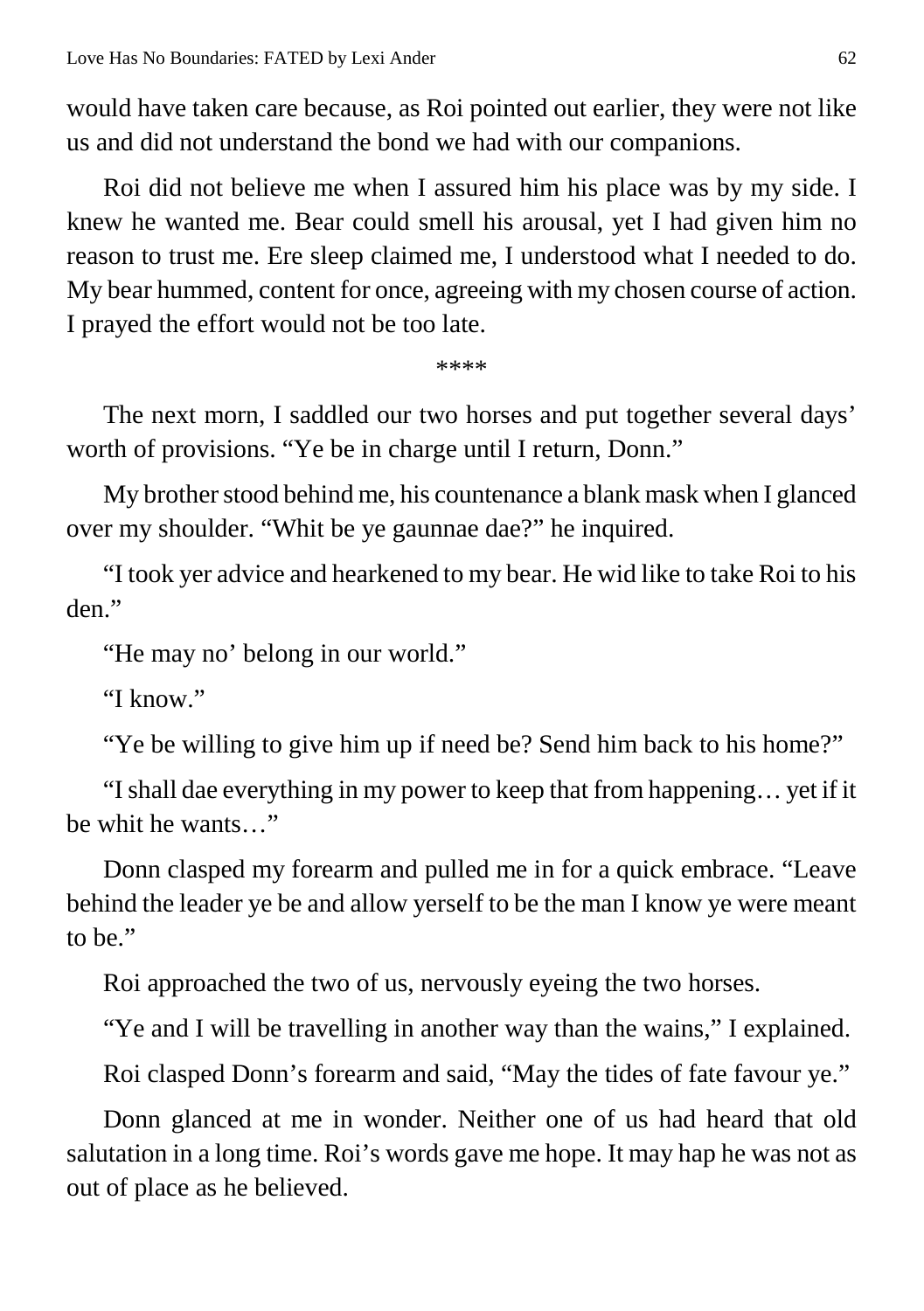would have taken care because, as Roi pointed out earlier, they were not like us and did not understand the bond we had with our companions.

Roi did not believe me when I assured him his place was by my side. I knew he wanted me. Bear could smell his arousal, yet I had given him no reason to trust me. Ere sleep claimed me, I understood what I needed to do. My bear hummed, content for once, agreeing with my chosen course of action. I prayed the effort would not be too late.

\*\*\*\*

The next morn, I saddled our two horses and put together several days' worth of provisions. "Ye be in charge until I return, Donn."

My brother stood behind me, his countenance a blank mask when I glanced over my shoulder. "Whit be ye gaunnae dae?" he inquired.

"I took yer advice and hearkened to my bear. He wid like to take Roi to his den."

"He may no' belong in our world."

"I know"

"Ye be willing to give him up if need be? Send him back to his home?"

"Ishall dae everything in my power to keep that from happening… yet if it be whit he wants…"

Donn clasped my forearm and pulled me in for a quick embrace. "Leave behind the leader ye be and allow yerself to be the man I know ye were meant to be."

Roi approached the two of us, nervously eyeing the two horses.

"Ye and I will be travelling in another way than the wains," I explained.

Roi clasped Donn's forearm and said, "May the tides of fate favour ye."

Donn glanced at me in wonder. Neither one of us had heard that old salutation in a long time. Roi's words gave me hope. It may hap he was not as out of place as he believed.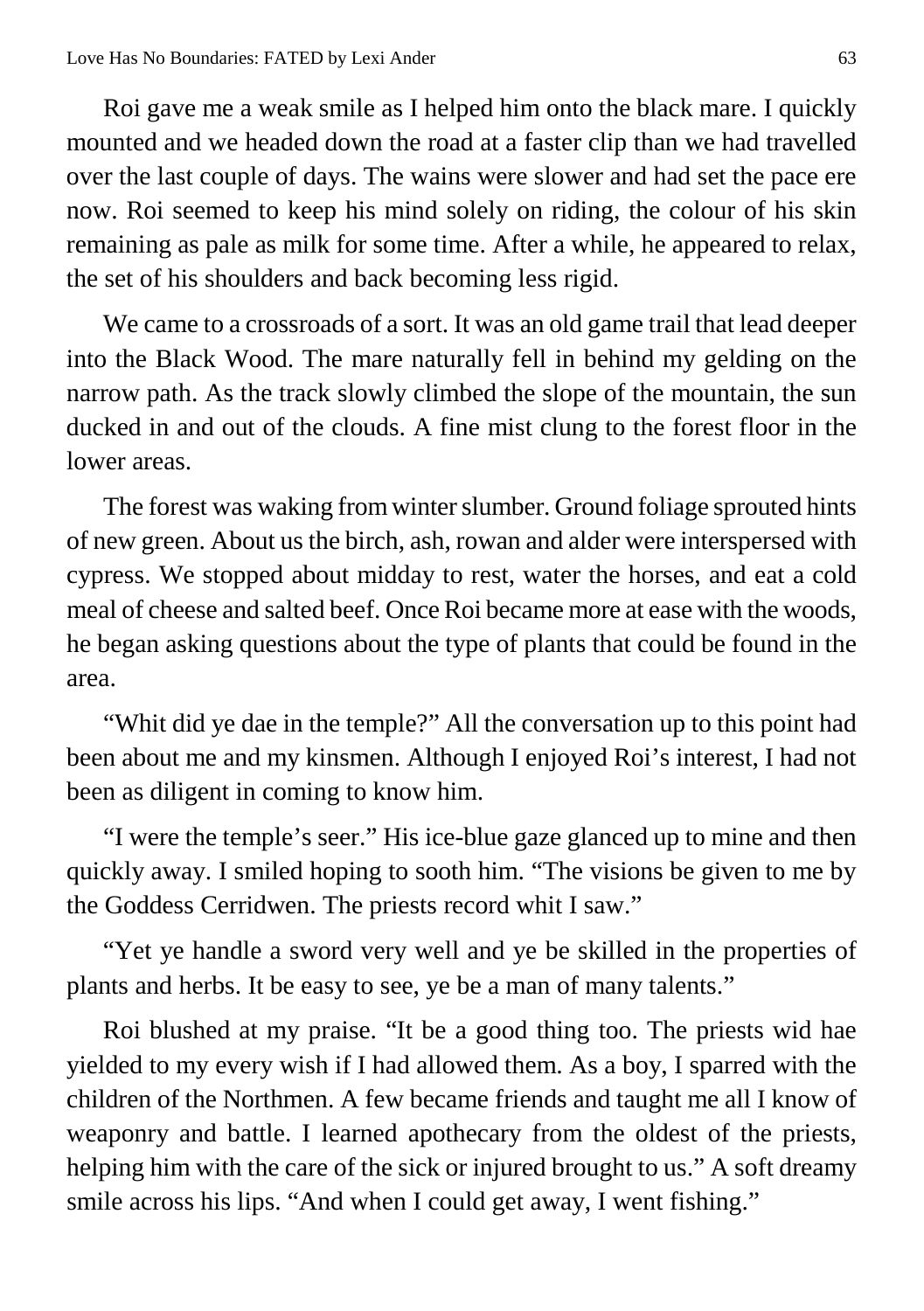Roi gave me a weak smile as I helped him onto the black mare. I quickly mounted and we headed down the road at a faster clip than we had travelled over the last couple of days. The wains were slower and had set the pace ere now. Roi seemed to keep his mind solely on riding, the colour of his skin remaining as pale as milk for some time. After a while, he appeared to relax, the set of his shoulders and back becoming less rigid.

We came to a crossroads of a sort. It was an old game trail that lead deeper into the Black Wood. The mare naturally fell in behind my gelding on the narrow path. As the track slowly climbed the slope of the mountain, the sun ducked in and out of the clouds. A fine mist clung to the forest floor in the lower areas.

The forest was waking from winter slumber. Ground foliage sprouted hints of new green. About us the birch, ash, rowan and alder were interspersed with cypress. We stopped about midday to rest, water the horses, and eat a cold meal of cheese and salted beef. Once Roi became more at ease with the woods, he began asking questions about the type of plants that could be found in the area.

"Whit did ye dae in the temple?" All the conversation up to this point had been about me and my kinsmen. Although I enjoyed Roi's interest, I had not been as diligent in coming to know him.

"I were the temple's seer." His ice-blue gaze glanced up to mine and then quickly away. I smiled hoping to sooth him. "The visions be given to me by the Goddess Cerridwen. The priests record whit I saw."

"Yet ye handle a sword very well and ye be skilled in the properties of plants and herbs. It be easy to see, ye be a man of many talents."

Roi blushed at my praise. "It be a good thing too. The priests wid hae yielded to my every wish if I had allowed them. As a boy, I sparred with the children of the Northmen. A few became friends and taught me all I know of weaponry and battle. I learned apothecary from the oldest of the priests, helping him with the care of the sick or injured brought to us." A soft dreamy smile across his lips. "And when I could get away, I went fishing."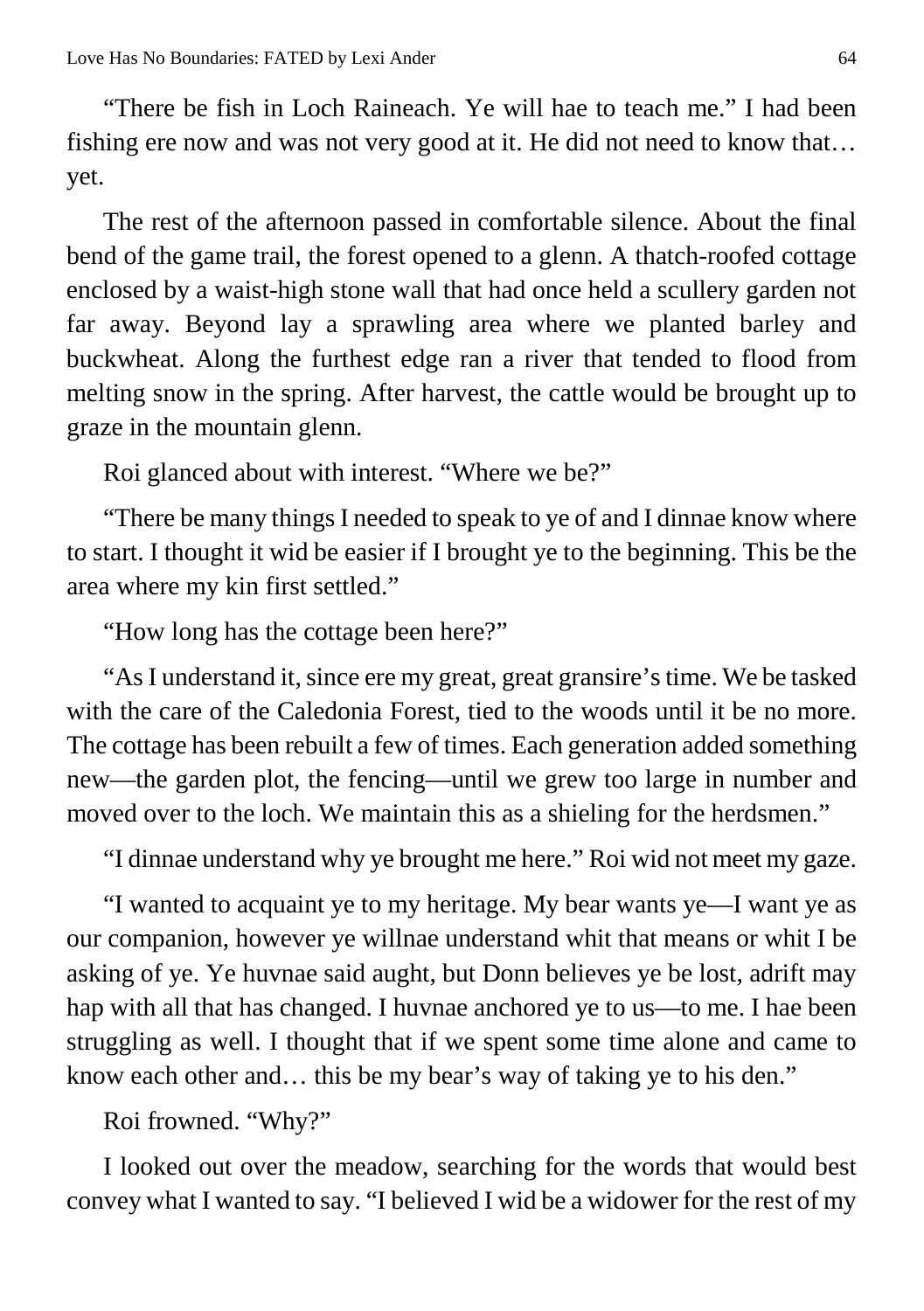"There be fish in Loch Raineach. Ye will hae to teach me." I had been fishing ere now and was not very good at it. He did not need to know that… yet.

The rest of the afternoon passed in comfortable silence. About the final bend of the game trail, the forest opened to a glenn. A thatch-roofed cottage enclosed by a waist-high stone wall that had once held a scullery garden not far away. Beyond lay a sprawling area where we planted barley and buckwheat. Along the furthest edge ran a river that tended to flood from melting snow in the spring. After harvest, the cattle would be brought up to graze in the mountain glenn.

Roi glanced about with interest. "Where we be?"

"There be many things I needed to speak to ye of and I dinnae know where to start. I thought it wid be easier if I brought ye to the beginning. This be the area where my kin first settled."

"How long has the cottage been here?"

"As I understand it, since ere my great, great gransire's time. We be tasked with the care of the Caledonia Forest, tied to the woods until it be no more. The cottage has been rebuilt a few of times. Each generation added something new—the garden plot, the fencing—until we grew too large in number and moved over to the loch. We maintain this as a shieling for the herdsmen."

"I dinnae understand why ye brought me here." Roi wid not meet my gaze.

"I wanted to acquaint ye to my heritage. My bear wants ye—I want ye as our companion, however ye willnae understand whit that means or whit I be asking of ye. Ye huvnae said aught, but Donn believes ye be lost, adrift may hap with all that has changed. I huvnae anchored ye to us—to me. I hae been struggling as well. I thought that if we spent some time alone and came to know each other and… this be my bear's way of taking ye to his den."

Roi frowned. "Why?"

I looked out over the meadow, searching for the words that would best convey what I wanted to say. "I believed I wid be a widower for the rest of my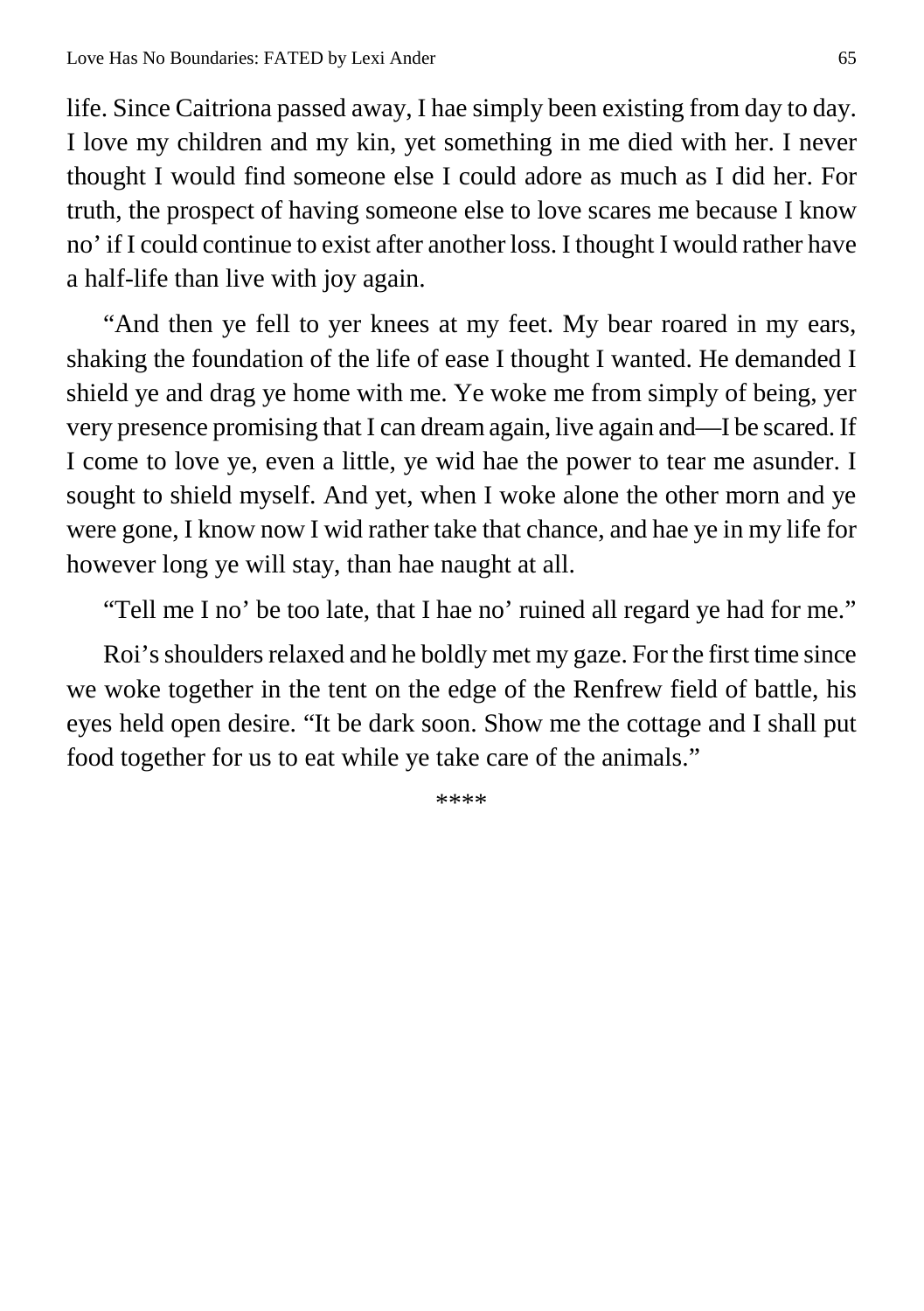life. Since Caitriona passed away, I hae simply been existing from day to day. I love my children and my kin, yet something in me died with her. I never thought I would find someone else I could adore as much as I did her. For truth, the prospect of having someone else to love scares me because I know no' if I could continue to exist after another loss. I thought I would rather have a half-life than live with joy again.

"And then ye fell to yer knees at my feet. My bear roared in my ears, shaking the foundation of the life of ease I thought I wanted. He demanded I shield ye and drag ye home with me. Ye woke me from simply of being, yer very presence promising that I can dreamagain, live again and—I be scared. If I come to love ye, even a little, ye wid hae the power to tear me asunder. I sought to shield myself. And yet, when I woke alone the other morn and ye were gone, I know now I wid rather take that chance, and hae ye in my life for however long ye will stay, than hae naught at all.

"Tell me I no' be too late, that I hae no' ruined all regard ye had for me."

Roi's shoulders relaxed and he boldly met my gaze. For the first time since we woke together in the tent on the edge of the Renfrew field of battle, his eyes held open desire. "It be dark soon. Show me the cottage and I shall put food together for us to eat while ye take care of the animals."

\*\*\*\*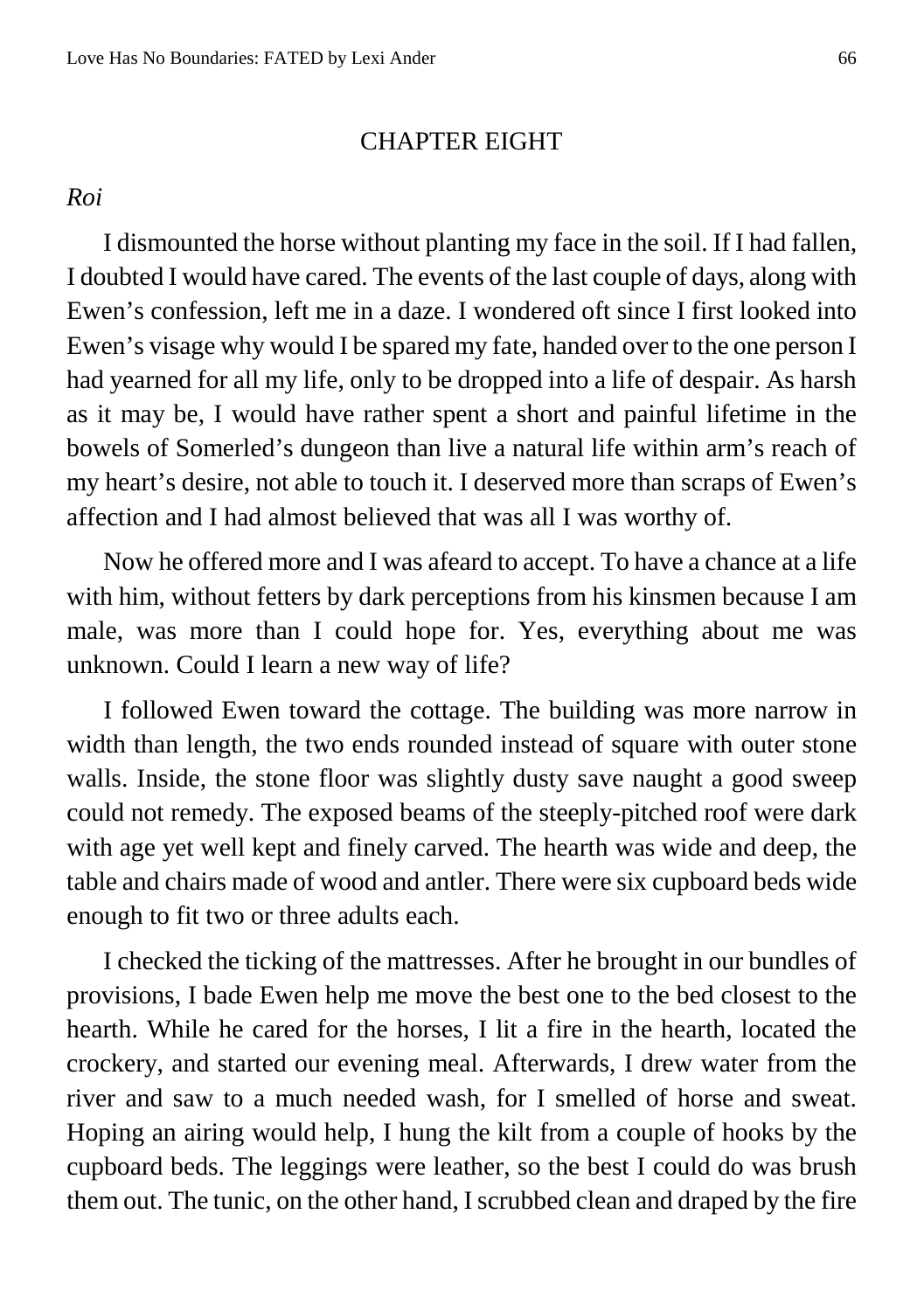## CHAPTER EIGHT

#### *Roi*

I dismounted the horse without planting my face in the soil. If I had fallen, I doubted I would have cared. The events of the last couple of days, along with Ewen's confession, left me in a daze. I wondered oft since I first looked into Ewen's visage why would I be spared my fate, handed over to the one person I had yearned for all my life, only to be dropped into a life of despair. As harsh as it may be, I would have rather spent a short and painful lifetime in the bowels of Somerled's dungeon than live a natural life within arm's reach of my heart's desire, not able to touch it. I deserved more than scraps of Ewen's affection and I had almost believed that was all I was worthy of.

Now he offered more and I was afeard to accept. To have a chance at a life with him, without fetters by dark perceptions from his kinsmen because I am male, was more than I could hope for. Yes, everything about me was unknown. Could I learn a new way of life?

I followed Ewen toward the cottage. The building was more narrow in width than length, the two ends rounded instead of square with outer stone walls. Inside, the stone floor was slightly dusty save naught a good sweep could not remedy. The exposed beams of the steeply-pitched roof were dark with age yet well kept and finely carved. The hearth was wide and deep, the table and chairs made of wood and antler. There were six cupboard beds wide enough to fit two or three adults each.

I checked the ticking of the mattresses. After he brought in our bundles of provisions, I bade Ewen help me move the best one to the bed closest to the hearth. While he cared for the horses, I lit a fire in the hearth, located the crockery, and started our evening meal. Afterwards, I drew water from the river and saw to a much needed wash, for I smelled of horse and sweat. Hoping an airing would help, I hung the kilt from a couple of hooks by the cupboard beds. The leggings were leather, so the best I could do was brush them out. The tunic, on the other hand, Iscrubbed clean and draped by the fire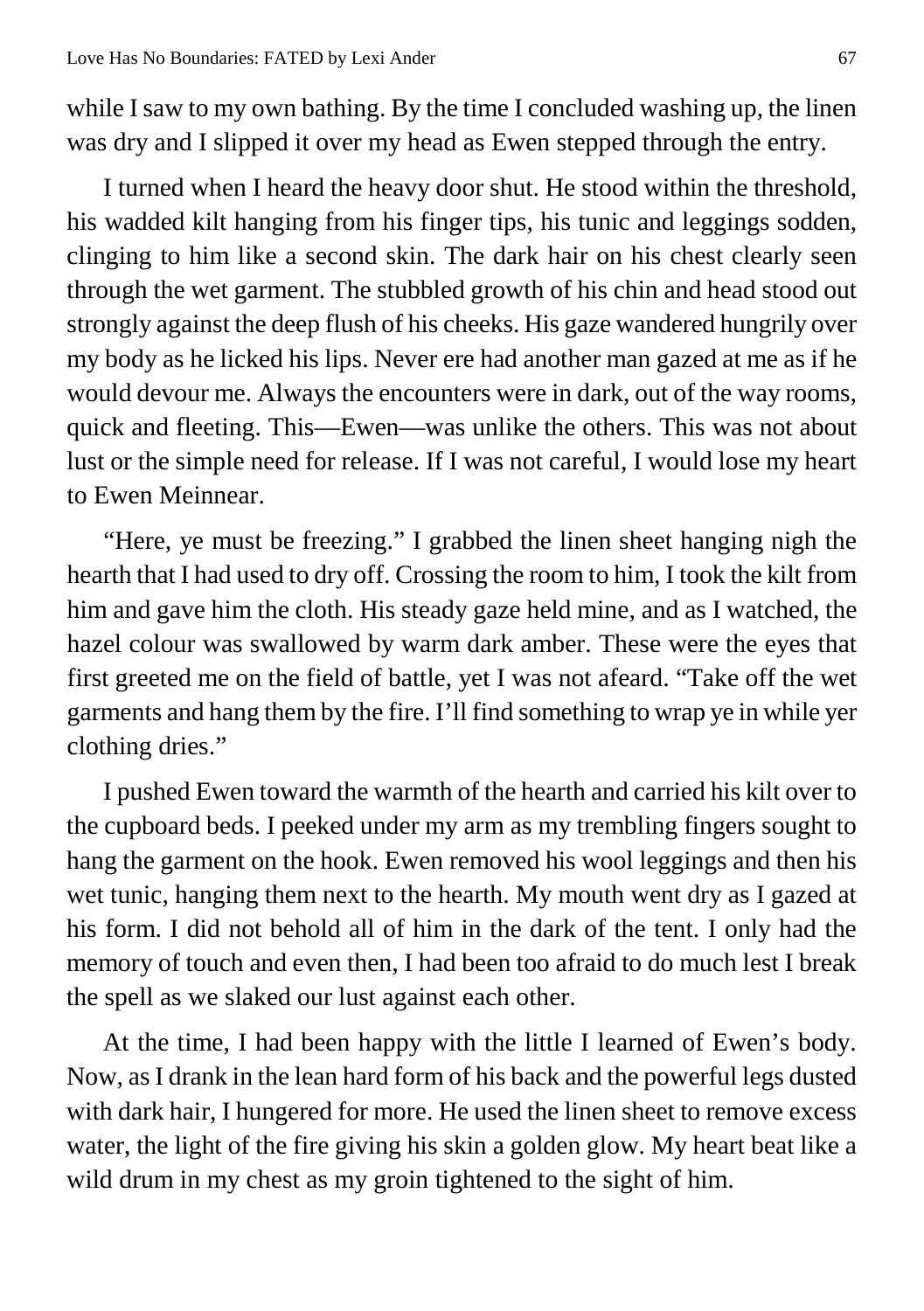while I saw to my own bathing. By the time I concluded washing up, the linen was dry and I slipped it over my head as Ewen stepped through the entry.

I turned when I heard the heavy door shut. He stood within the threshold, his wadded kilt hanging from his finger tips, his tunic and leggings sodden, clinging to him like a second skin. The dark hair on his chest clearly seen through the wet garment. The stubbled growth of his chin and head stood out strongly against the deep flush of his cheeks. His gaze wandered hungrily over my body as he licked his lips. Never ere had another man gazed at me as if he would devour me. Always the encounters were in dark, out of the way rooms, quick and fleeting. This—Ewen—was unlike the others. This was not about lust or the simple need for release. If I was not careful, I would lose my heart to Ewen Meinnear.

"Here, ye must be freezing." I grabbed the linen sheet hanging nigh the hearth that I had used to dry off. Crossing the room to him, I took the kilt from him and gave him the cloth. His steady gaze held mine, and as I watched, the hazel colour was swallowed by warm dark amber. These were the eyes that first greeted me on the field of battle, yet I was not afeard. "Take off the wet garments and hang them by the fire. I'll find something to wrap ye in while yer clothing dries."

I pushed Ewen toward the warmth of the hearth and carried his kilt over to the cupboard beds. I peeked under my arm as my trembling fingers sought to hang the garment on the hook. Ewen removed his wool leggings and then his wet tunic, hanging them next to the hearth. My mouth went dry as I gazed at his form. I did not behold all of him in the dark of the tent. I only had the memory of touch and even then, I had been too afraid to do much lest I break the spell as we slaked our lust against each other.

At the time, I had been happy with the little I learned of Ewen's body. Now, asI drank in the lean hard form of his back and the powerful legs dusted with dark hair, I hungered for more. He used the linen sheet to remove excess water, the light of the fire giving his skin a golden glow. My heart beat like a wild drum in my chest as my groin tightened to the sight of him.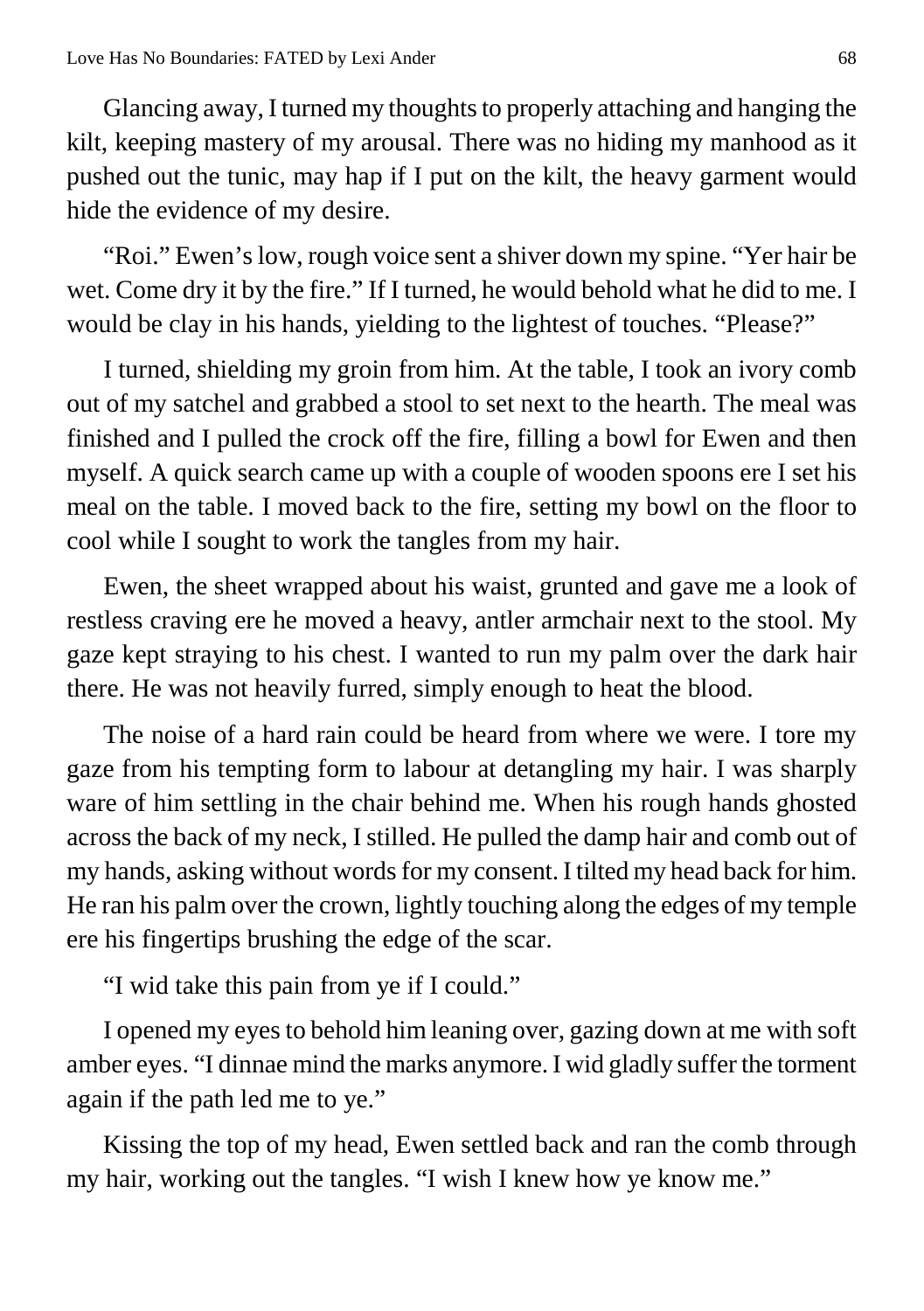Glancing away, I turned my thoughts to properly attaching and hanging the kilt, keeping mastery of my arousal. There was no hiding my manhood as it pushed out the tunic, may hap if I put on the kilt, the heavy garment would hide the evidence of my desire.

"Roi." Ewen's low, rough voice sent a shiver down my spine. "Yer hair be wet. Come dry it by the fire." If I turned, he would behold what he did to me. I would be clay in his hands, yielding to the lightest of touches. "Please?"

I turned, shielding my groin from him. At the table, I took an ivory comb out of my satchel and grabbed a stool to set next to the hearth. The meal was finished and I pulled the crock off the fire, filling a bowl for Ewen and then myself. A quick search came up with a couple of wooden spoons ere I set his meal on the table. I moved back to the fire, setting my bowl on the floor to cool while I sought to work the tangles from my hair.

Ewen, the sheet wrapped about his waist, grunted and gave me a look of restless craving ere he moved a heavy, antler armchair next to the stool. My gaze kept straying to his chest. I wanted to run my palm over the dark hair there. He was not heavily furred, simply enough to heat the blood.

The noise of a hard rain could be heard from where we were. I tore my gaze from his tempting form to labour at detangling my hair. I was sharply ware of him settling in the chair behind me. When his rough hands ghosted acrossthe back of my neck, I stilled. He pulled the damp hair and comb out of my hands, asking without words for my consent. I tilted my head back for him. He ran his palm over the crown, lightly touching along the edges of my temple ere his fingertips brushing the edge of the scar.

"I wid take this pain from ye if I could."

I opened my eyesto behold him leaning over, gazing down at me with soft amber eyes. "I dinnae mind the marks anymore. I wid gladly suffer the torment again if the path led me to ye."

Kissing the top of my head, Ewen settled back and ran the comb through my hair, working out the tangles. "I wish I knew how ye know me."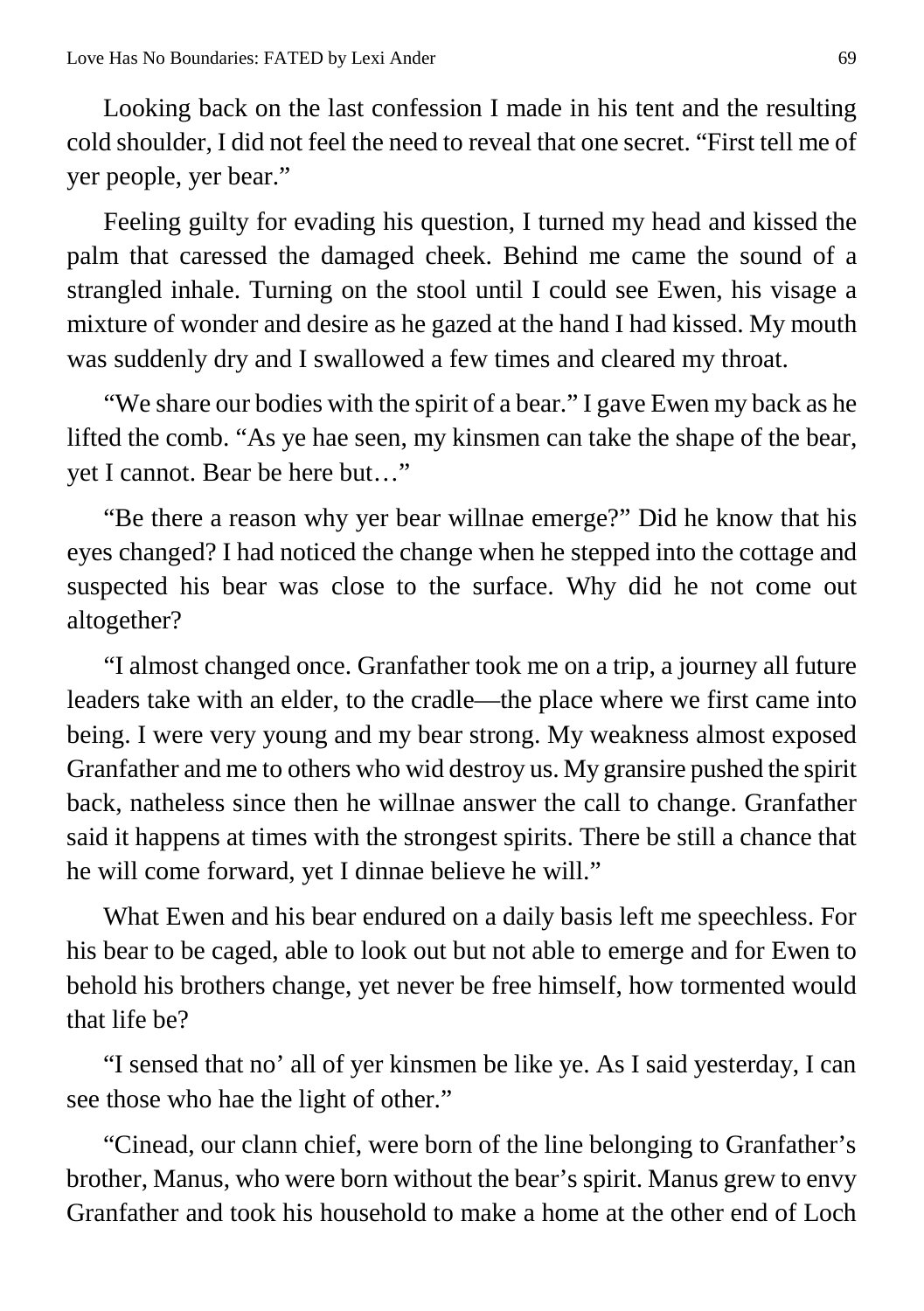Looking back on the last confession I made in his tent and the resulting cold shoulder, I did not feel the need to reveal that one secret. "First tell me of yer people, yer bear."

Feeling guilty for evading his question, I turned my head and kissed the palm that caressed the damaged cheek. Behind me came the sound of a strangled inhale. Turning on the stool until I could see Ewen, his visage a mixture of wonder and desire as he gazed at the hand I had kissed. My mouth was suddenly dry and I swallowed a few times and cleared my throat.

"We share our bodies with the spirit of a bear." I gave Ewen my back as he lifted the comb. "As ye hae seen, my kinsmen can take the shape of the bear, yet I cannot. Bear be here but…"

"Be there a reason why yer bear willnae emerge?" Did he know that his eyes changed? I had noticed the change when he stepped into the cottage and suspected his bear was close to the surface. Why did he not come out altogether?

"I almost changed once. Granfather took me on a trip, a journey all future leaders take with an elder, to the cradle—the place where we first came into being. I were very young and my bear strong. My weakness almost exposed Granfather and me to others who wid destroy us. My gransire pushed the spirit back, natheless since then he willnae answer the call to change. Granfather said it happens at times with the strongest spirits. There be still a chance that he will come forward, yet I dinnae believe he will."

What Ewen and his bear endured on a daily basis left me speechless. For his bear to be caged, able to look out but not able to emerge and for Ewen to behold his brothers change, yet never be free himself, how tormented would that life be?

"I sensed that no' all of yer kinsmen be like ye. As I said yesterday, I can see those who hae the light of other."

"Cinead, our clann chief, were born of the line belonging to Granfather's brother, Manus, who were born without the bear's spirit. Manus grew to envy Granfather and took his household to make a home at the other end of Loch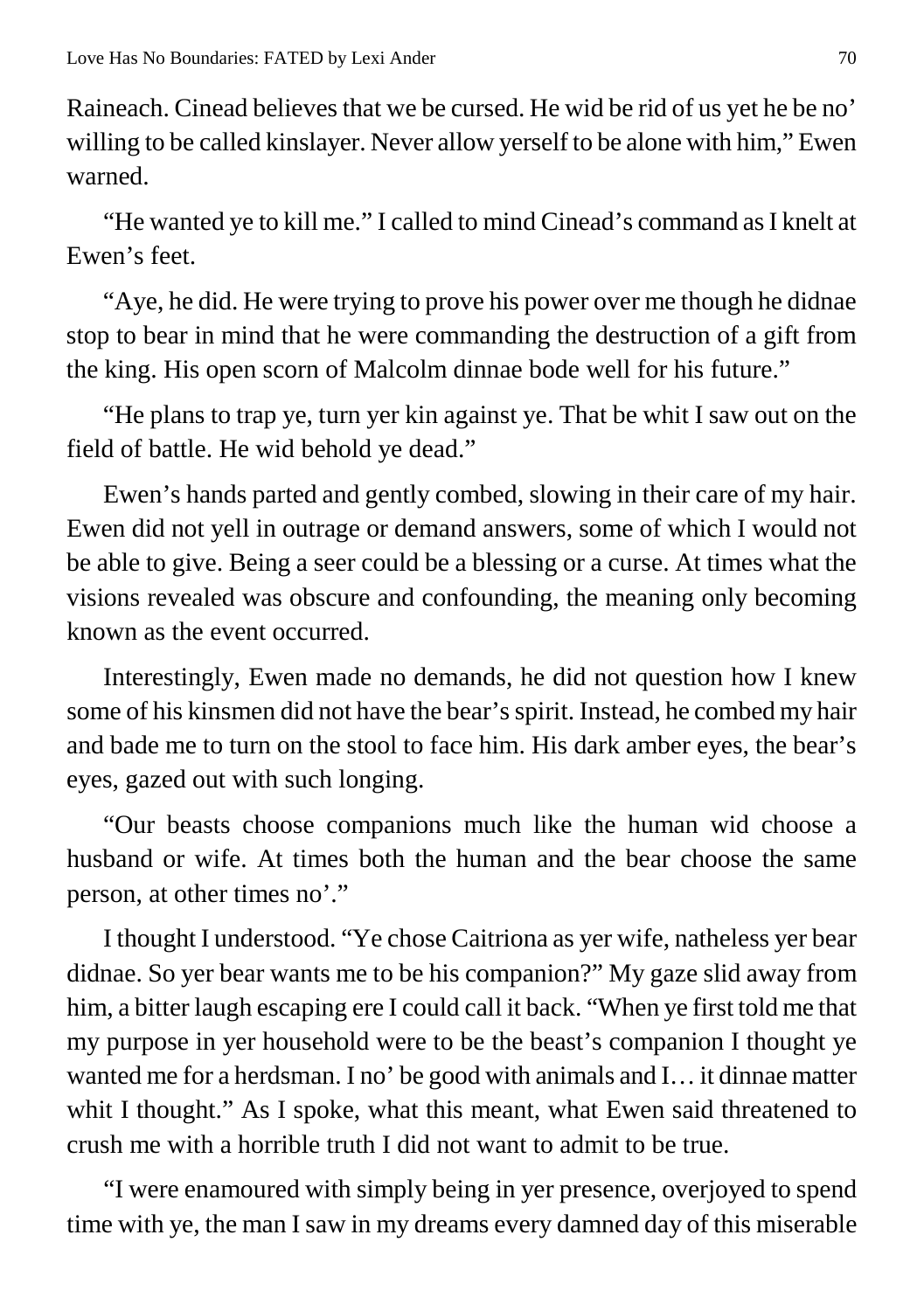Raineach. Cinead believes that we be cursed. He wid be rid of us yet he be no' willing to be called kinslayer. Never allow yerself to be alone with him," Ewen warned.

"He wanted ye to kill me." I called to mind Cinead's command as I knelt at Ewen's feet.

"Aye, he did. He were trying to prove his power over me though he didnae stop to bear in mind that he were commanding the destruction of a gift from the king. His open scorn of Malcolm dinnae bode well for his future."

"He plans to trap ye, turn yer kin against ye. That be whit I saw out on the field of battle. He wid behold ye dead."

Ewen's hands parted and gently combed, slowing in their care of my hair. Ewen did not yell in outrage or demand answers, some of which I would not be able to give. Being a seer could be a blessing or a curse. At times what the visions revealed was obscure and confounding, the meaning only becoming known as the event occurred.

Interestingly, Ewen made no demands, he did not question how I knew some of his kinsmen did not have the bear'sspirit. Instead, he combed my hair and bade me to turn on the stool to face him. His dark amber eyes, the bear's eyes, gazed out with such longing.

"Our beasts choose companions much like the human wid choose a husband or wife. At times both the human and the bear choose the same person, at other times no'."

I thought I understood. "Ye chose Caitriona as yer wife, natheless yer bear didnae. So yer bear wants me to be his companion?" My gaze slid away from him, a bitter laugh escaping ere I could call it back. "When ye first told me that my purpose in yer household were to be the beast's companion I thought ye wanted me for a herdsman. I no' be good with animals and I… it dinnae matter whit I thought." As I spoke, what this meant, what Ewen said threatened to crush me with a horrible truth I did not want to admit to be true.

"I were enamoured with simply being in yer presence, overjoyed to spend time with ye, the man I saw in my dreams every damned day of this miserable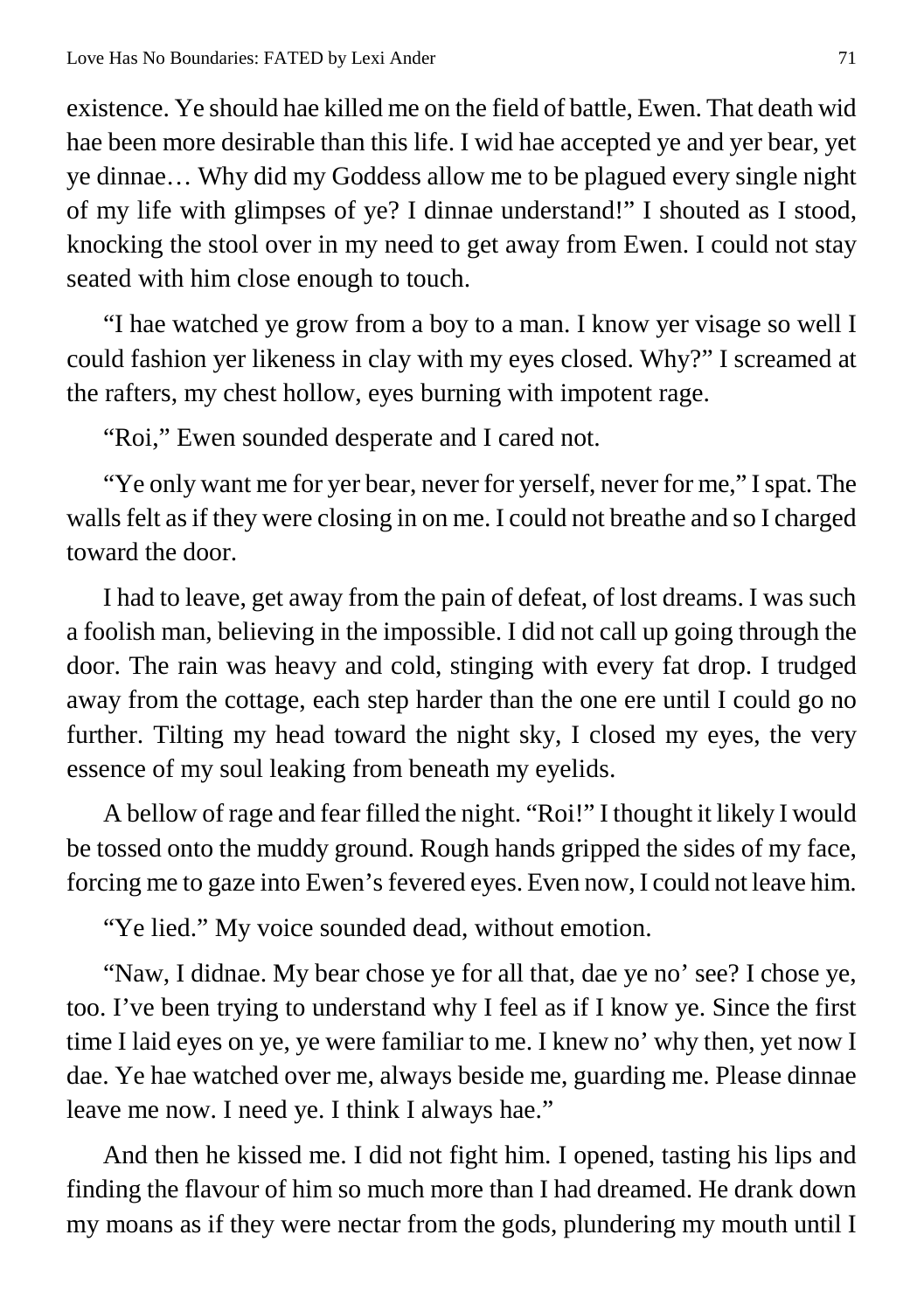existence. Ye should hae killed me on the field of battle, Ewen. That death wid hae been more desirable than this life. I wid hae accepted ye and yer bear, yet ye dinnae… Why did my Goddess allow me to be plagued every single night of my life with glimpses of ye? I dinnae understand!" I shouted as I stood, knocking the stool over in my need to get away from Ewen. I could not stay seated with him close enough to touch.

"I hae watched ye grow from a boy to a man. I know yer visage so well I could fashion yer likeness in clay with my eyes closed. Why?" I screamed at the rafters, my chest hollow, eyes burning with impotent rage.

"Roi," Ewen sounded desperate and I cared not.

"Ye only want me for yer bear, never for yerself, never for me," Ispat. The walls felt as if they were closing in on me. I could not breathe and so I charged toward the door.

I had to leave, get away from the pain of defeat, of lost dreams. I was such a foolish man, believing in the impossible. I did not call up going through the door. The rain was heavy and cold, stinging with every fat drop. I trudged away from the cottage, each step harder than the one ere until I could go no further. Tilting my head toward the night sky, I closed my eyes, the very essence of my soul leaking from beneath my eyelids.

A bellow of rage and fear filled the night. "Roi!" I thought it likely I would be tossed onto the muddy ground. Rough hands gripped the sides of my face, forcing me to gaze into Ewen'sfevered eyes. Even now, I could not leave him.

"Ye lied." My voice sounded dead, without emotion.

"Naw, I didnae. My bear chose ye for all that, dae ye no' see? I chose ye, too. I've been trying to understand why I feel as if I know ye. Since the first time I laid eyes on ye, ye were familiar to me. I knew no' why then, yet now I dae. Ye hae watched over me, always beside me, guarding me. Please dinnae leave me now. I need ye. I think I always hae."

And then he kissed me. I did not fight him. I opened, tasting his lips and finding the flavour of him so much more than I had dreamed. He drank down my moans as if they were nectar from the gods, plundering my mouth until I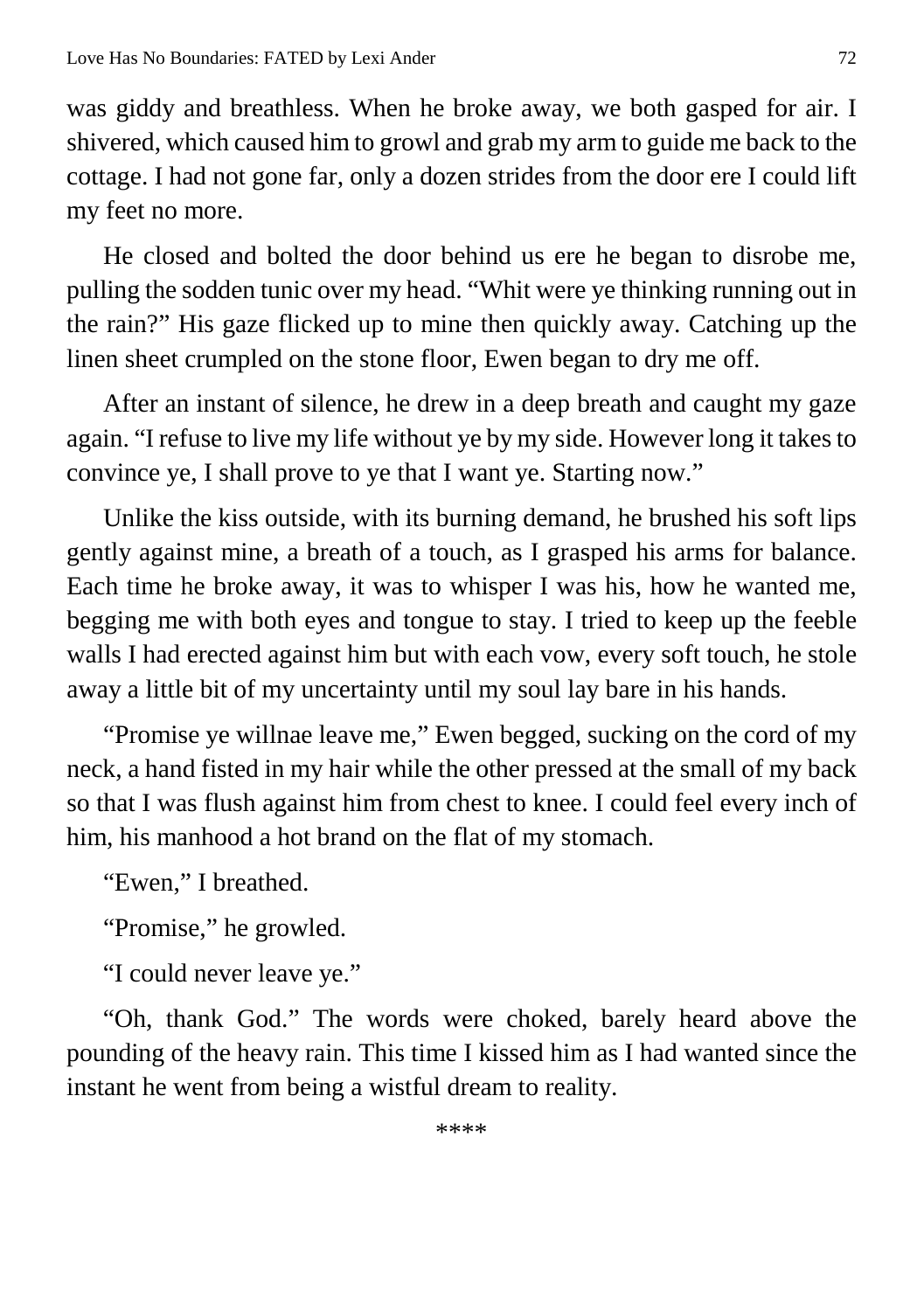was giddy and breathless. When he broke away, we both gasped for air. I shivered, which caused him to growl and grab my arm to guide me back to the cottage. I had not gone far, only a dozen strides from the door ere I could lift my feet no more.

He closed and bolted the door behind us ere he began to disrobe me, pulling the sodden tunic over my head. "Whit were ye thinking running out in the rain?" His gaze flicked up to mine then quickly away. Catching up the linen sheet crumpled on the stone floor, Ewen began to dry me off.

After an instant of silence, he drew in a deep breath and caught my gaze again. "I refuse to live my life without ye by my side. However long it takesto convince ye, I shall prove to ye that I want ye. Starting now."

Unlike the kiss outside, with its burning demand, he brushed his soft lips gently against mine, a breath of a touch, as I grasped his arms for balance. Each time he broke away, it was to whisper I was his, how he wanted me, begging me with both eyes and tongue to stay. I tried to keep up the feeble walls I had erected against him but with each vow, every soft touch, he stole away a little bit of my uncertainty until my soul lay bare in his hands.

"Promise ye willnae leave me," Ewen begged, sucking on the cord of my neck, a hand fisted in my hair while the other pressed at the small of my back so that I was flush against him from chest to knee. I could feel every inch of him, his manhood a hot brand on the flat of my stomach.

"Ewen," I breathed.

"Promise," he growled.

"I could never leave ye."

"Oh, thank God." The words were choked, barely heard above the pounding of the heavy rain. This time I kissed him as I had wanted since the instant he went from being a wistful dream to reality.

\*\*\*\*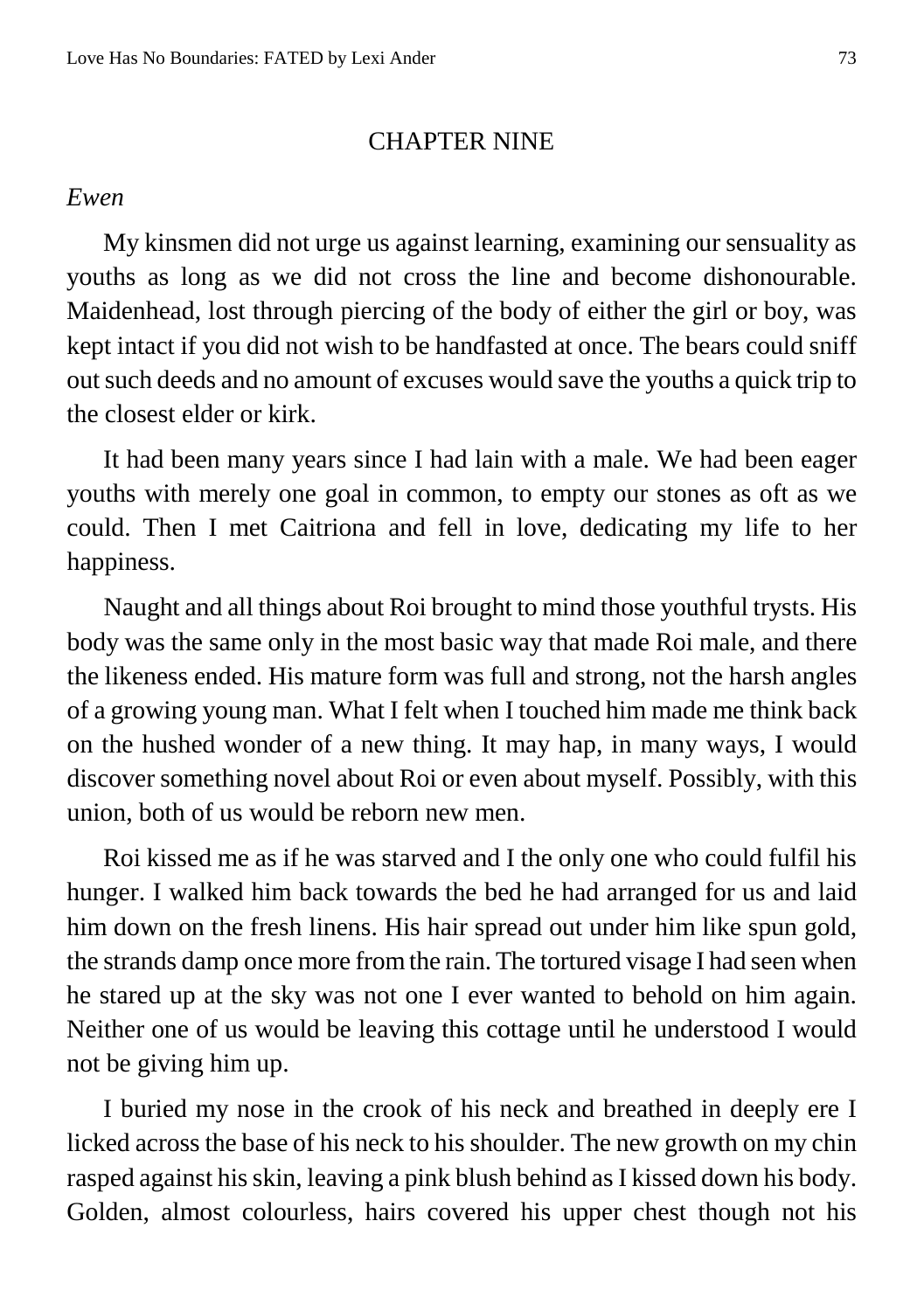#### CHAPTER NINE

#### *Ewen*

My kinsmen did not urge us against learning, examining our sensuality as youths as long as we did not cross the line and become dishonourable. Maidenhead, lost through piercing of the body of either the girl or boy, was kept intact if you did not wish to be handfasted at once. The bears could sniff outsuch deeds and no amount of excuses would save the youths a quick trip to the closest elder or kirk.

It had been many years since I had lain with a male. We had been eager youths with merely one goal in common, to empty our stones as oft as we could. Then I met Caitriona and fell in love, dedicating my life to her happiness.

Naught and all things about Roi brought to mind those youthful trysts. His body was the same only in the most basic way that made Roi male, and there the likeness ended. His mature form was full and strong, not the harsh angles of a growing young man. What I felt when I touched him made me think back on the hushed wonder of a new thing. It may hap, in many ways, I would discover something novel about Roi or even about myself. Possibly, with this union, both of us would be reborn new men.

Roi kissed me as if he was starved and I the only one who could fulfil his hunger. I walked him back towards the bed he had arranged for us and laid him down on the fresh linens. His hair spread out under him like spun gold, the strands damp once more fromthe rain. The tortured visage I had seen when he stared up at the sky was not one I ever wanted to behold on him again. Neither one of us would be leaving this cottage until he understood I would not be giving him up.

I buried my nose in the crook of his neck and breathed in deeply ere I licked across the base of his neck to his shoulder. The new growth on my chin rasped against his skin, leaving a pink blush behind as I kissed down his body. Golden, almost colourless, hairs covered his upper chest though not his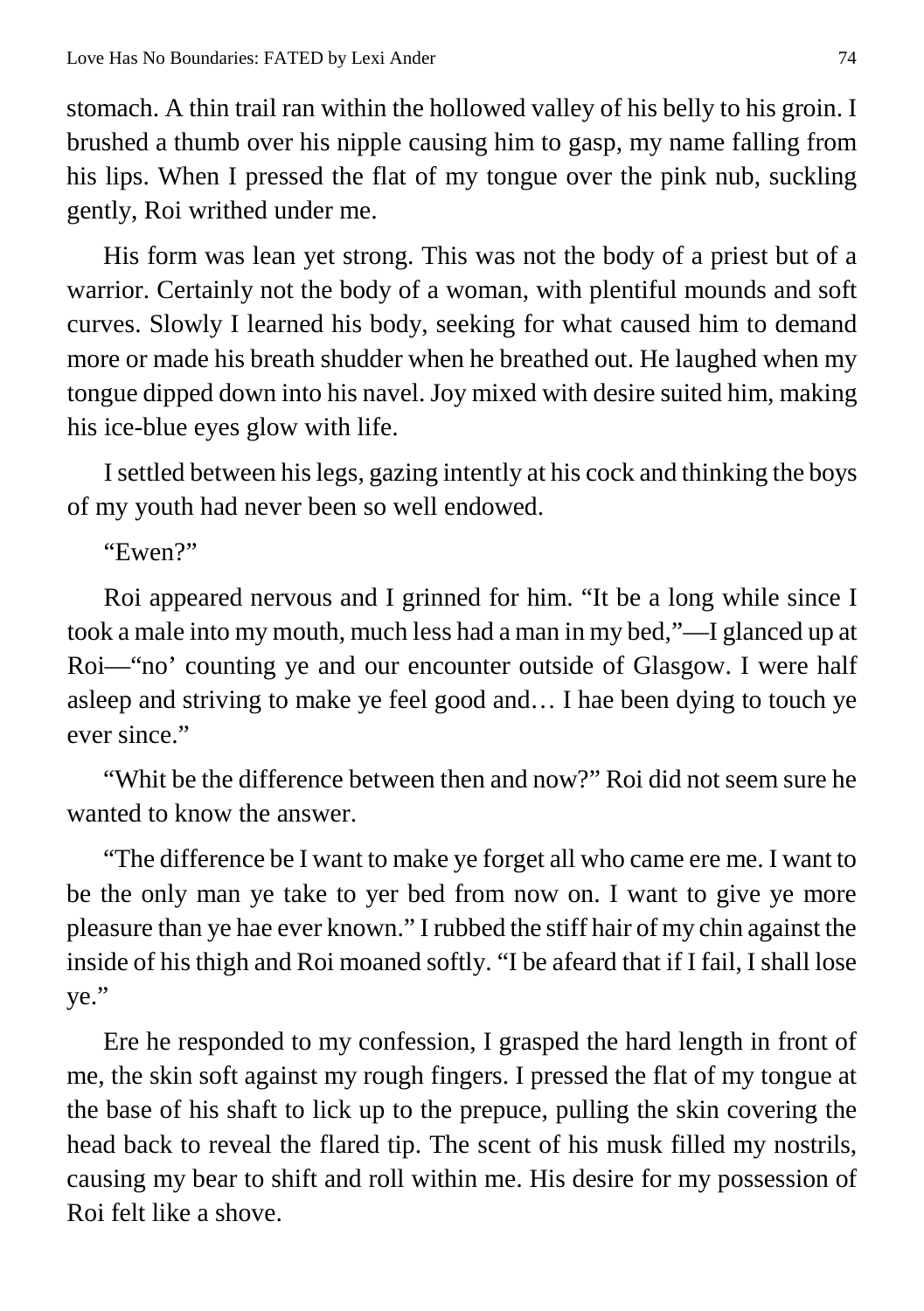stomach. A thin trail ran within the hollowed valley of his belly to his groin. I brushed a thumb over his nipple causing him to gasp, my name falling from his lips. When I pressed the flat of my tongue over the pink nub, suckling gently, Roi writhed under me.

His form was lean yet strong. This was not the body of a priest but of a warrior. Certainly not the body of a woman, with plentiful mounds and soft curves. Slowly I learned his body, seeking for what caused him to demand more or made his breath shudder when he breathed out. He laughed when my tongue dipped down into his navel. Joy mixed with desire suited him, making his ice-blue eyes glow with life.

Isettled between hislegs, gazing intently at his cock and thinking the boys of my youth had never been so well endowed.

"Ewen?"

Roi appeared nervous and I grinned for him. "It be a long while since I took a male into my mouth, much less had a man in my bed,"—I glanced up at Roi—"no' counting ye and our encounter outside of Glasgow. I were half asleep and striving to make ye feel good and… I hae been dying to touch ye ever since."

"Whit be the difference between then and now?" Roi did not seem sure he wanted to know the answer.

"The difference be I want to make ye forget all who came ere me. I want to be the only man ye take to yer bed from now on. I want to give ye more pleasure than ye hae ever known." I rubbed the stiff hair of my chin against the inside of histhigh and Roi moaned softly. "I be afeard that if I fail, I shall lose ye."

Ere he responded to my confession, I grasped the hard length in front of me, the skin soft against my rough fingers. I pressed the flat of my tongue at the base of his shaft to lick up to the prepuce, pulling the skin covering the head back to reveal the flared tip. The scent of his musk filled my nostrils, causing my bear to shift and roll within me. His desire for my possession of Roi felt like a shove.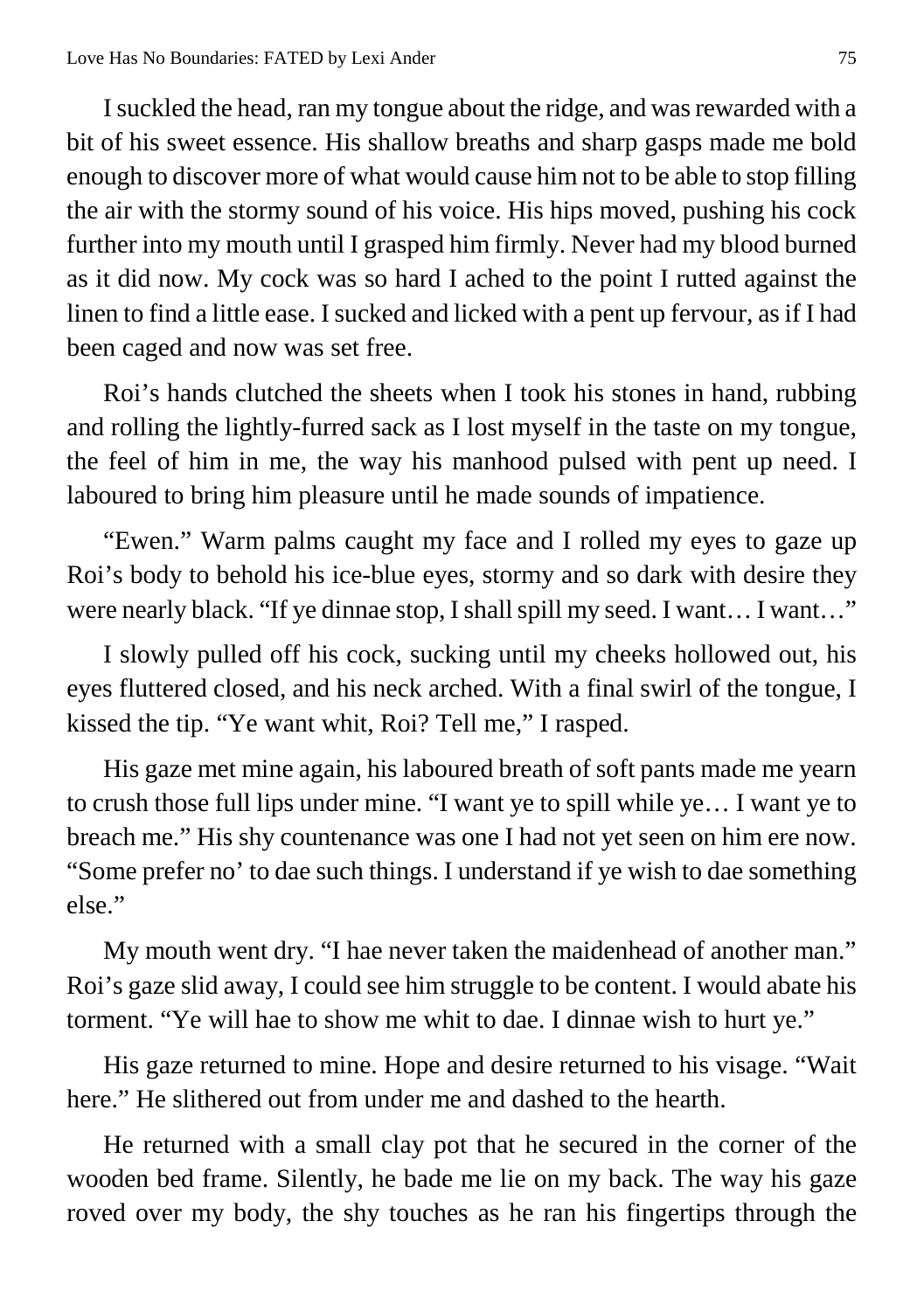I suckled the head, ran my tongue about the ridge, and was rewarded with a bit of his sweet essence. His shallow breaths and sharp gasps made me bold enough to discover more of what would cause him not to be able to stop filling the air with the stormy sound of his voice. His hips moved, pushing his cock further into my mouth until I grasped him firmly. Never had my blood burned as it did now. My cock was so hard I ached to the point I rutted against the linen to find a little ease. I sucked and licked with a pent up fervour, as if I had been caged and now was set free.

Roi's hands clutched the sheets when I took his stones in hand, rubbing and rolling the lightly-furred sack as I lost myself in the taste on my tongue, the feel of him in me, the way his manhood pulsed with pent up need. I laboured to bring him pleasure until he made sounds of impatience.

"Ewen." Warm palms caught my face and I rolled my eyes to gaze up Roi's body to behold his ice-blue eyes, stormy and so dark with desire they were nearly black. "If ye dinnae stop, I shall spill my seed. I want... I want..."

I slowly pulled off his cock, sucking until my cheeks hollowed out, his eyes fluttered closed, and his neck arched. With a final swirl of the tongue, I kissed the tip. "Ye want whit, Roi? Tell me," I rasped.

His gaze met mine again, his laboured breath of soft pants made me yearn to crush those full lips under mine. "I want ye to spill while ye… I want ye to breach me." His shy countenance was one I had not yet seen on him ere now. "Some prefer no' to dae such things. I understand if ye wish to dae something else."

My mouth went dry. "I hae never taken the maidenhead of another man." Roi's gaze slid away, I could see him struggle to be content. I would abate his torment. "Ye will hae to show me whit to dae. I dinnae wish to hurt ye."

His gaze returned to mine. Hope and desire returned to his visage. "Wait here." He slithered out from under me and dashed to the hearth.

He returned with a small clay pot that he secured in the corner of the wooden bed frame. Silently, he bade me lie on my back. The way his gaze roved over my body, the shy touches as he ran his fingertips through the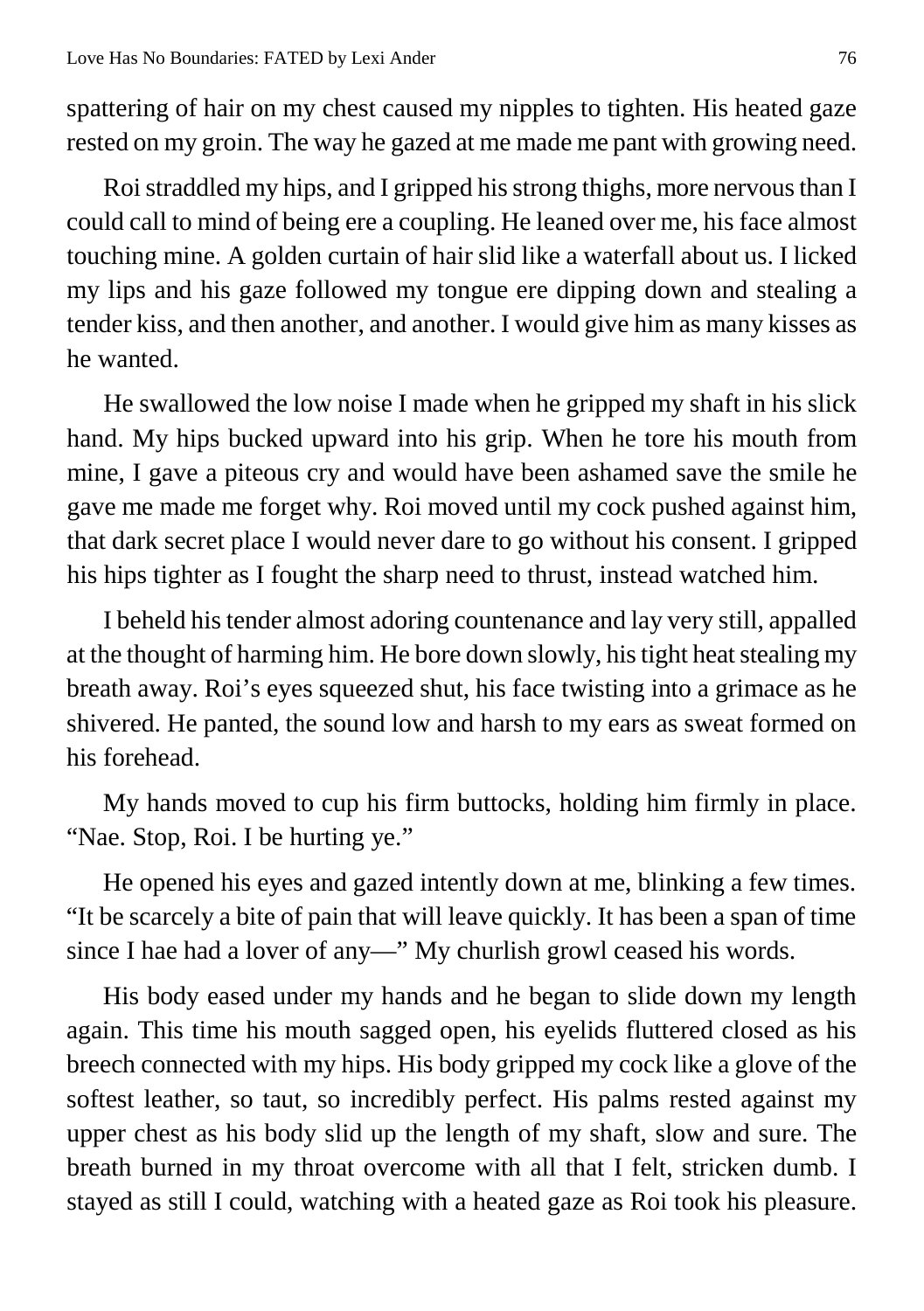spattering of hair on my chest caused my nipples to tighten. His heated gaze rested on my groin. The way he gazed at me made me pant with growing need.

Roi straddled my hips, and I gripped his strong thighs, more nervous than I could call to mind of being ere a coupling. He leaned over me, his face almost touching mine. A golden curtain of hair slid like a waterfall about us. I licked my lips and his gaze followed my tongue ere dipping down and stealing a tender kiss, and then another, and another. I would give him as many kisses as he wanted.

He swallowed the low noise I made when he gripped my shaft in his slick hand. My hips bucked upward into his grip. When he tore his mouth from mine, I gave a piteous cry and would have been ashamed save the smile he gave me made me forget why. Roi moved until my cock pushed against him, that dark secret place I would never dare to go without his consent. I gripped his hips tighter as I fought the sharp need to thrust, instead watched him.

I beheld histender almost adoring countenance and lay very still, appalled at the thought of harming him. He bore down slowly, his tight heat stealing my breath away. Roi's eyes squeezed shut, his face twisting into a grimace as he shivered. He panted, the sound low and harsh to my ears as sweat formed on his forehead.

My hands moved to cup his firm buttocks, holding him firmly in place. "Nae. Stop, Roi. I be hurting ye."

He opened his eyes and gazed intently down at me, blinking a few times. "It be scarcely a bite of pain that will leave quickly. It has been a span of time since I hae had a lover of any—" My churlish growl ceased his words.

His body eased under my hands and he began to slide down my length again. This time his mouth sagged open, his eyelids fluttered closed as his breech connected with my hips. His body gripped my cock like a glove of the softest leather, so taut, so incredibly perfect. His palms rested against my upper chest as his body slid up the length of my shaft, slow and sure. The breath burned in my throat overcome with all that I felt, stricken dumb. I stayed as still I could, watching with a heated gaze as Roi took his pleasure.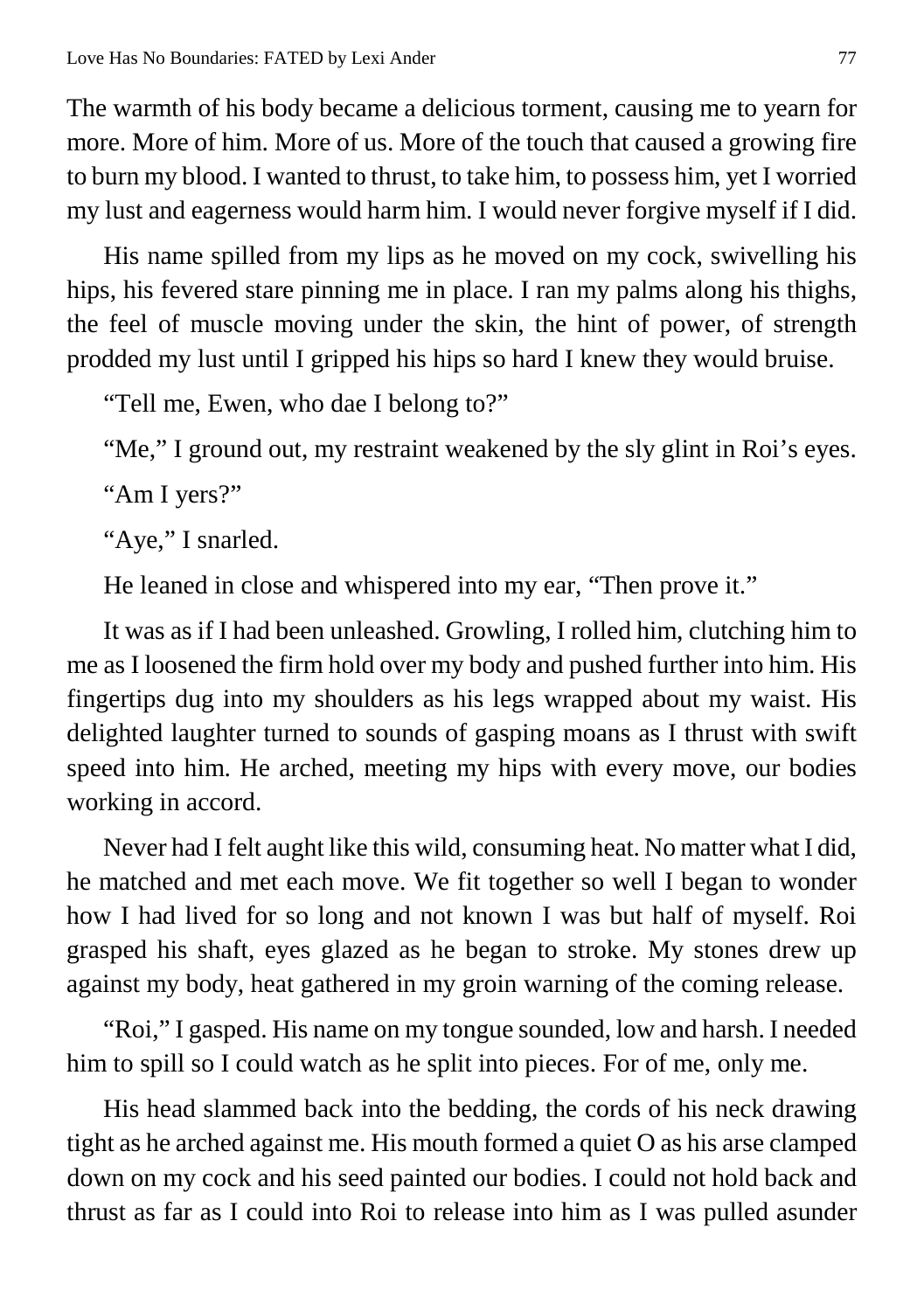The warmth of his body became a delicious torment, causing me to yearn for more. More of him. More of us. More of the touch that caused a growing fire to burn my blood. I wanted to thrust, to take him, to possess him, yet I worried my lust and eagerness would harm him. I would never forgive myself if I did.

His name spilled from my lips as he moved on my cock, swivelling his hips, his fevered stare pinning me in place. I ran my palms along his thighs, the feel of muscle moving under the skin, the hint of power, of strength prodded my lust until I gripped his hips so hard I knew they would bruise.

"Tell me, Ewen, who dae I belong to?"

"Me," I ground out, my restraint weakened by the sly glint in Roi's eyes.

"Am I yers?"

"Aye," I snarled.

He leaned in close and whispered into my ear, "Then prove it."

It was as if I had been unleashed. Growling, I rolled him, clutching him to me as I loosened the firm hold over my body and pushed further into him. His fingertips dug into my shoulders as his legs wrapped about my waist. His delighted laughter turned to sounds of gasping moans as I thrust with swift speed into him. He arched, meeting my hips with every move, our bodies working in accord.

Never had I felt aught like this wild, consuming heat. No matter what I did, he matched and met each move. We fit together so well I began to wonder how I had lived for so long and not known I was but half of myself. Roi grasped his shaft, eyes glazed as he began to stroke. My stones drew up against my body, heat gathered in my groin warning of the coming release.

"Roi," I gasped. His name on my tongue sounded, low and harsh. I needed him to spill so I could watch as he split into pieces. For of me, only me.

His head slammed back into the bedding, the cords of his neck drawing tight as he arched against me. His mouth formed a quiet O as his arse clamped down on my cock and his seed painted our bodies. I could not hold back and thrust as far as I could into Roi to release into him as I was pulled asunder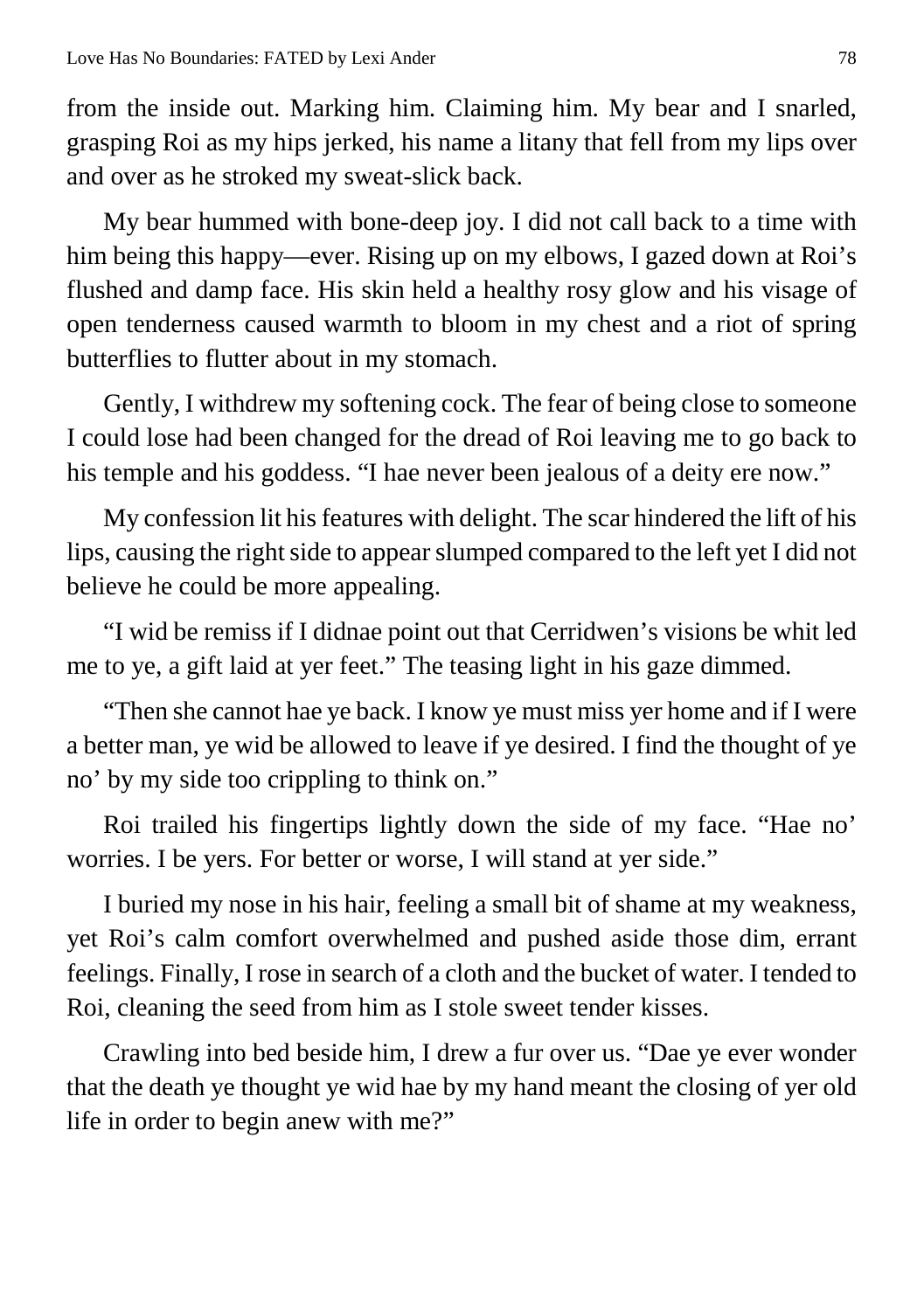from the inside out. Marking him. Claiming him. My bear and I snarled, grasping Roi as my hips jerked, his name a litany that fell from my lips over and over as he stroked my sweat-slick back.

My bear hummed with bone-deep joy. I did not call back to a time with him being this happy—ever. Rising up on my elbows, I gazed down at Roi's flushed and damp face. His skin held a healthy rosy glow and his visage of open tenderness caused warmth to bloom in my chest and a riot of spring butterflies to flutter about in my stomach.

Gently, I withdrew my softening cock. The fear of being close to someone I could lose had been changed for the dread of Roi leaving me to go back to his temple and his goddess. "I hae never been jealous of a deity ere now."

My confession lit his features with delight. The scar hindered the lift of his lips, causing the right side to appear slumped compared to the left yet I did not believe he could be more appealing.

"I wid be remiss if I didnae point out that Cerridwen's visions be whit led me to ye, a gift laid at yer feet." The teasing light in his gaze dimmed.

"Then she cannot hae ye back. I know ye must miss yer home and if I were a better man, ye wid be allowed to leave if ye desired. I find the thought of ye no' by my side too crippling to think on."

Roi trailed his fingertips lightly down the side of my face. "Hae no' worries. I be yers. For better or worse, I will stand at yer side."

I buried my nose in his hair, feeling a small bit of shame at my weakness, yet Roi's calm comfort overwhelmed and pushed aside those dim, errant feelings. Finally, I rose in search of a cloth and the bucket of water. I tended to Roi, cleaning the seed from him as I stole sweet tender kisses.

Crawling into bed beside him, I drew a fur over us. "Dae ye ever wonder that the death ye thought ye wid hae by my hand meant the closing of yer old life in order to begin anew with me?"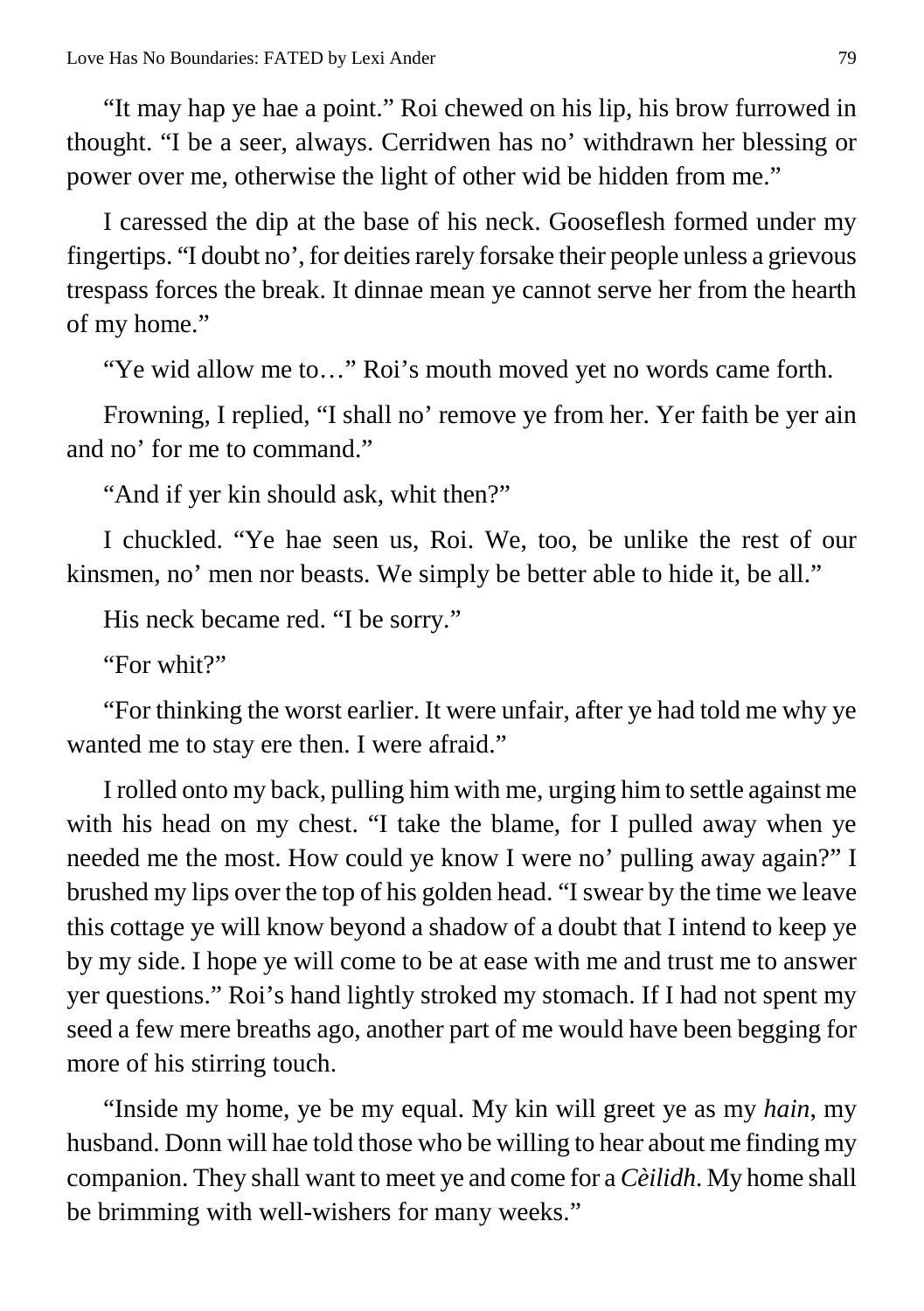"It may hap ye hae a point." Roi chewed on his lip, his brow furrowed in thought. "I be a seer, always. Cerridwen has no' withdrawn her blessing or power over me, otherwise the light of other wid be hidden from me."

I caressed the dip at the base of his neck. Gooseflesh formed under my fingertips. "I doubt no', for deitiesrarely forsake their people unless a grievous trespass forces the break. It dinnae mean ye cannot serve her from the hearth of my home."

"Ye wid allow me to…" Roi's mouth moved yet no words came forth.

Frowning, I replied, "I shall no' remove ye from her. Yer faith be yer ain and no' for me to command."

"And if yer kin should ask, whit then?"

I chuckled. "Ye hae seen us, Roi. We, too, be unlike the rest of our kinsmen, no' men nor beasts. We simply be better able to hide it, be all."

His neck became red. "I be sorry."

"For whit?"

"For thinking the worst earlier. It were unfair, after ye had told me why ye wanted me to stay ere then. I were afraid."

I rolled onto my back, pulling him with me, urging himto settle against me with his head on my chest. "I take the blame, for I pulled away when ye needed me the most. How could ye know I were no' pulling away again?" I brushed my lips over the top of his golden head. "I swear by the time we leave this cottage ye will know beyond a shadow of a doubt that I intend to keep ye by my side. I hope ye will come to be at ease with me and trust me to answer yer questions." Roi's hand lightly stroked my stomach. If I had not spent my seed a few mere breaths ago, another part of me would have been begging for more of his stirring touch.

"Inside my home, ye be my equal. My kin will greet ye as my *hain*, my husband. Donn will hae told those who be willing to hear about me finding my companion. They shall want to meet ye and come for a *Cèilidh*. My home shall be brimming with well-wishers for many weeks."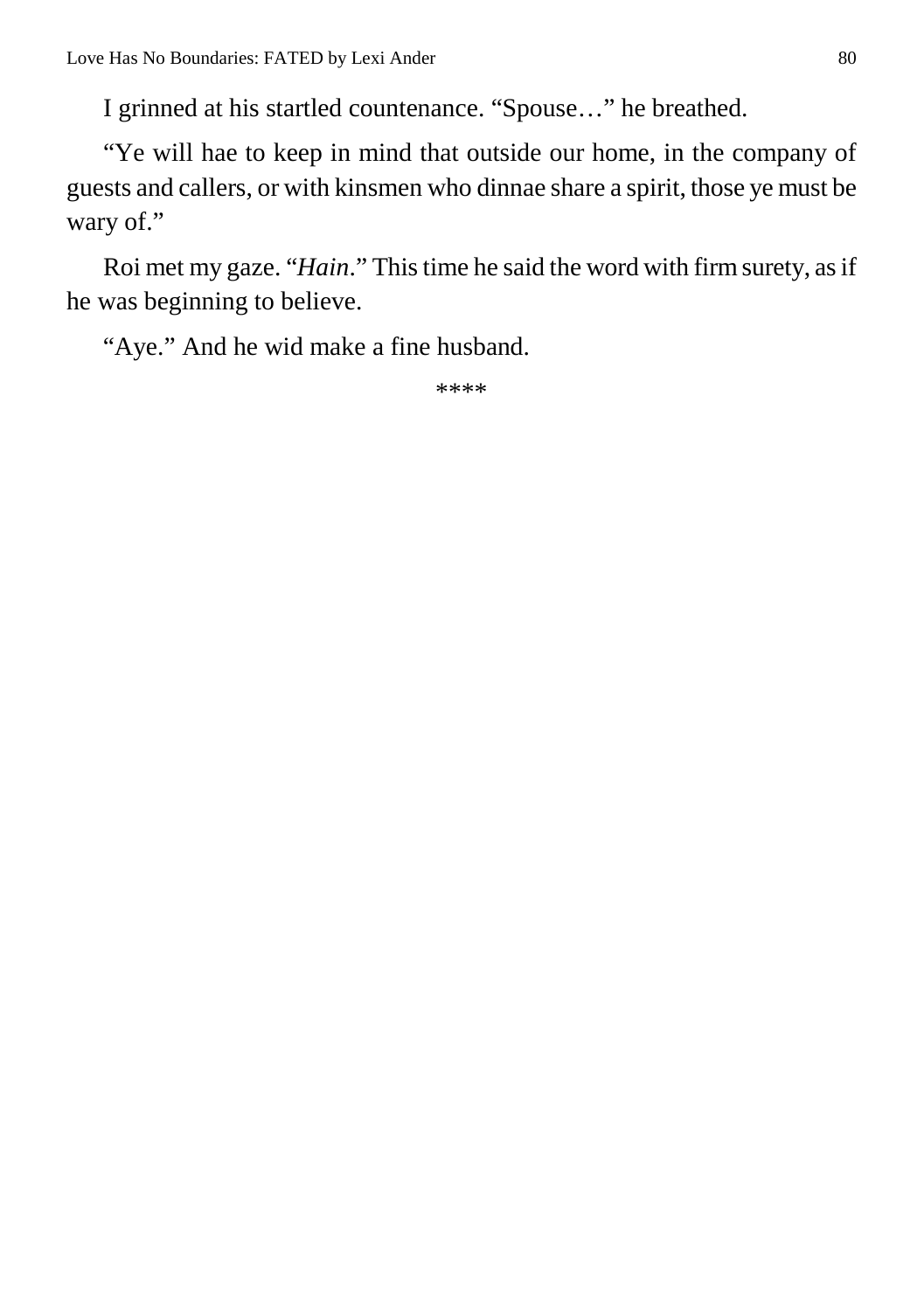I grinned at his startled countenance. "Spouse…" he breathed.

"Ye will hae to keep in mind that outside our home, in the company of guests and callers, or with kinsmen who dinnae share a spirit, those ye must be wary of."

Roi met my gaze. "*Hain*." This time he said the word with firm surety, as if he was beginning to believe.

"Aye." And he wid make a fine husband.

\*\*\*\*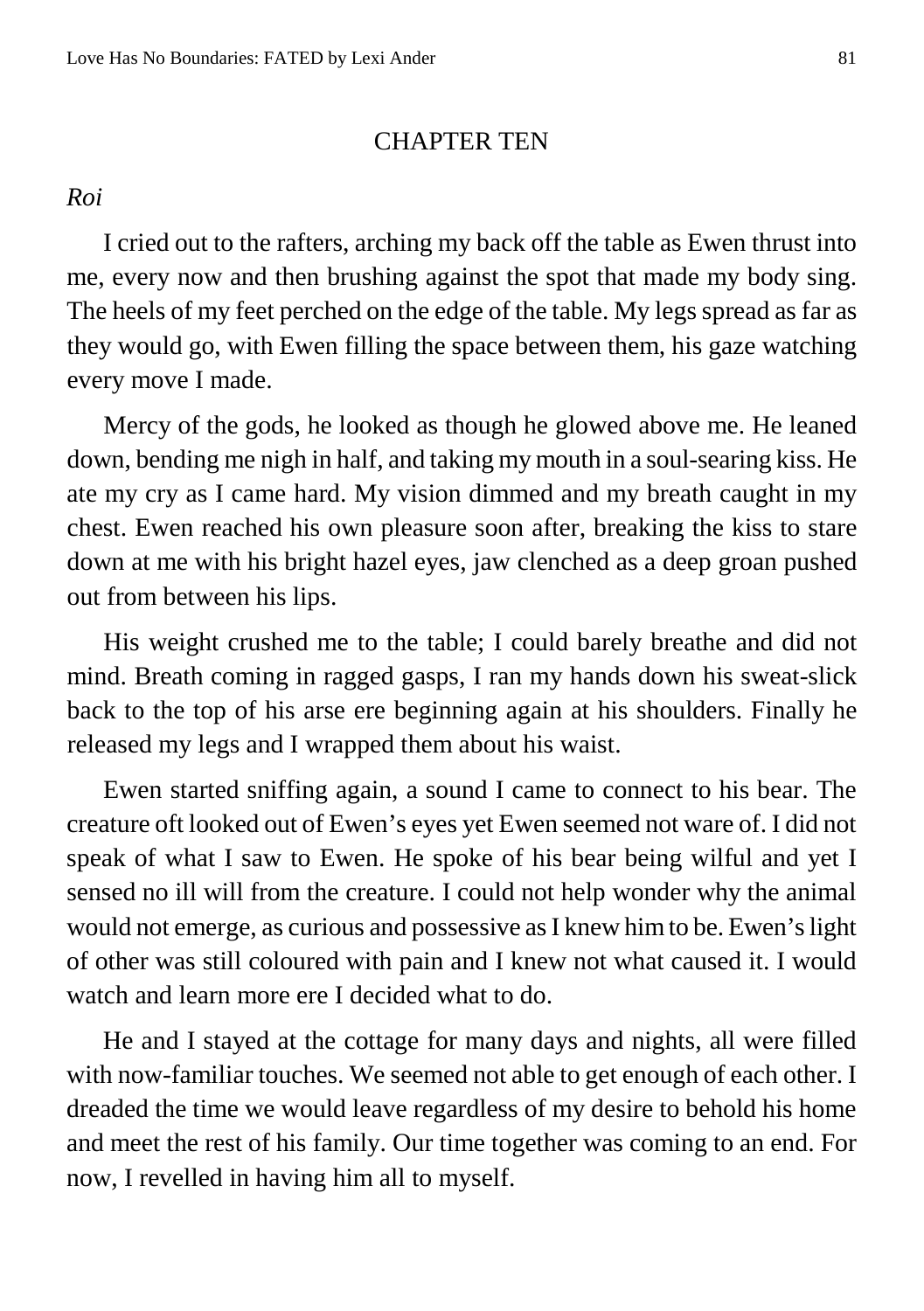#### CHAPTER TEN

#### *Roi*

I cried out to the rafters, arching my back off the table as Ewen thrust into me, every now and then brushing against the spot that made my body sing. The heels of my feet perched on the edge of the table. My legs spread as far as they would go, with Ewen filling the space between them, his gaze watching every move I made.

Mercy of the gods, he looked as though he glowed above me. He leaned down, bending me nigh in half, and taking my mouth in a soul-searing kiss. He ate my cry as I came hard. My vision dimmed and my breath caught in my chest. Ewen reached his own pleasure soon after, breaking the kiss to stare down at me with his bright hazel eyes, jaw clenched as a deep groan pushed out from between his lips.

His weight crushed me to the table; I could barely breathe and did not mind. Breath coming in ragged gasps, I ran my hands down his sweat-slick back to the top of his arse ere beginning again at his shoulders. Finally he released my legs and I wrapped them about his waist.

Ewen started sniffing again, a sound I came to connect to his bear. The creature oft looked out of Ewen's eyes yet Ewen seemed not ware of. I did not speak of what I saw to Ewen. He spoke of his bear being wilful and yet I sensed no ill will from the creature. I could not help wonder why the animal would not emerge, as curious and possessive as I knew him to be. Ewen's light of other was still coloured with pain and I knew not what caused it. I would watch and learn more ere I decided what to do.

He and I stayed at the cottage for many days and nights, all were filled with now-familiar touches. We seemed not able to get enough of each other. I dreaded the time we would leave regardless of my desire to behold his home and meet the rest of his family. Our time together was coming to an end. For now, I revelled in having him all to myself.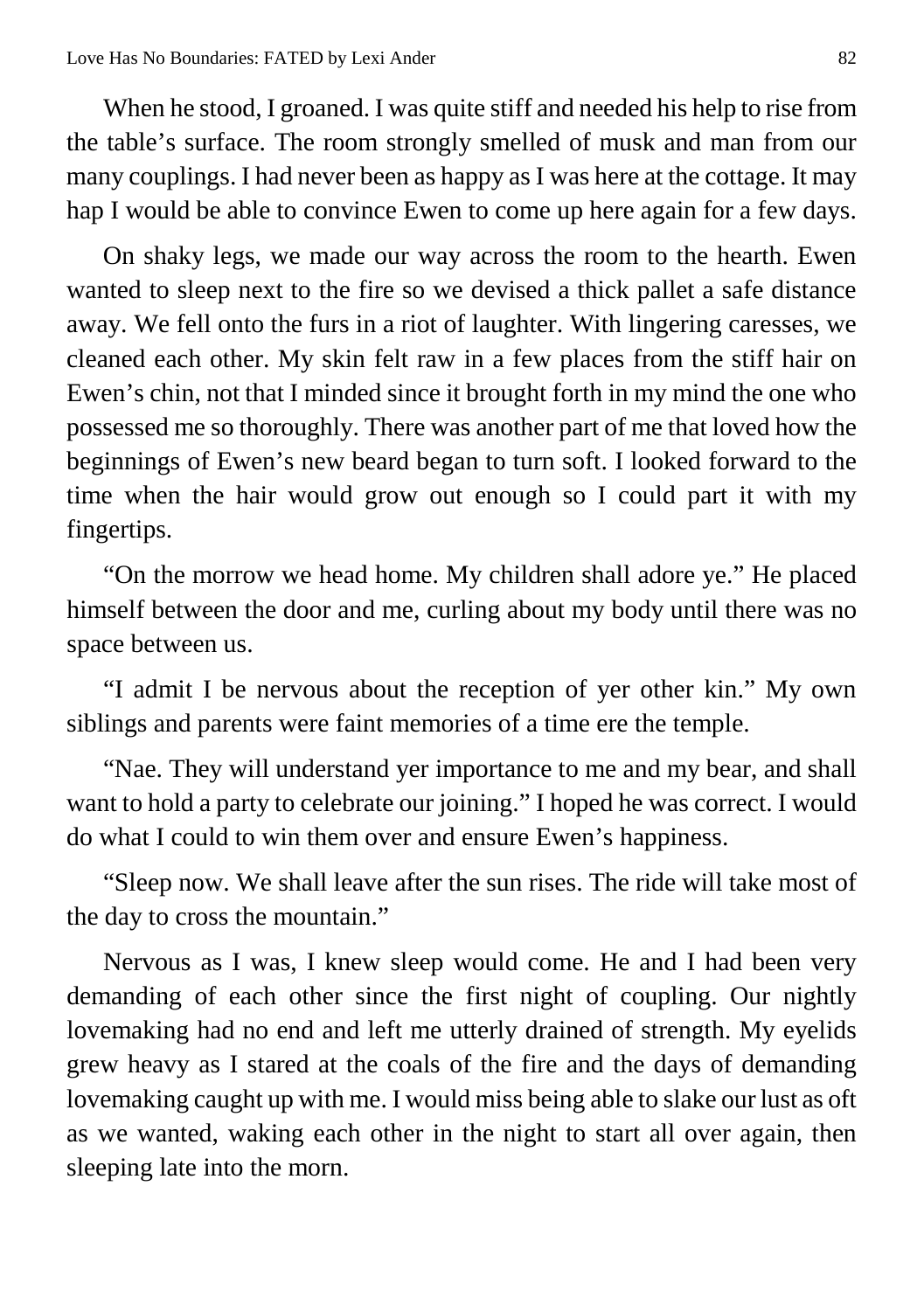When he stood, I groaned. I was quite stiff and needed his help to rise from the table's surface. The room strongly smelled of musk and man from our many couplings. I had never been as happy as I was here at the cottage. It may hap I would be able to convince Ewen to come up here again for a few days.

On shaky legs, we made our way across the room to the hearth. Ewen wanted to sleep next to the fire so we devised a thick pallet a safe distance away. We fell onto the furs in a riot of laughter. With lingering caresses, we cleaned each other. My skin felt raw in a few places from the stiff hair on Ewen's chin, not that I minded since it brought forth in my mind the one who possessed me so thoroughly. There was another part of me that loved how the beginnings of Ewen's new beard began to turn soft. I looked forward to the time when the hair would grow out enough so I could part it with my fingertips.

"On the morrow we head home. My children shall adore ye." He placed himself between the door and me, curling about my body until there was no space between us.

"I admit I be nervous about the reception of yer other kin." My own siblings and parents were faint memories of a time ere the temple.

"Nae. They will understand yer importance to me and my bear, and shall want to hold a party to celebrate our joining." I hoped he was correct. I would do what I could to win them over and ensure Ewen's happiness.

"Sleep now. We shall leave after the sun rises. The ride will take most of the day to cross the mountain."

Nervous as I was, I knew sleep would come. He and I had been very demanding of each other since the first night of coupling. Our nightly lovemaking had no end and left me utterly drained of strength. My eyelids grew heavy as I stared at the coals of the fire and the days of demanding lovemaking caught up with me. I would miss being able to slake our lust as oft as we wanted, waking each other in the night to start all over again, then sleeping late into the morn.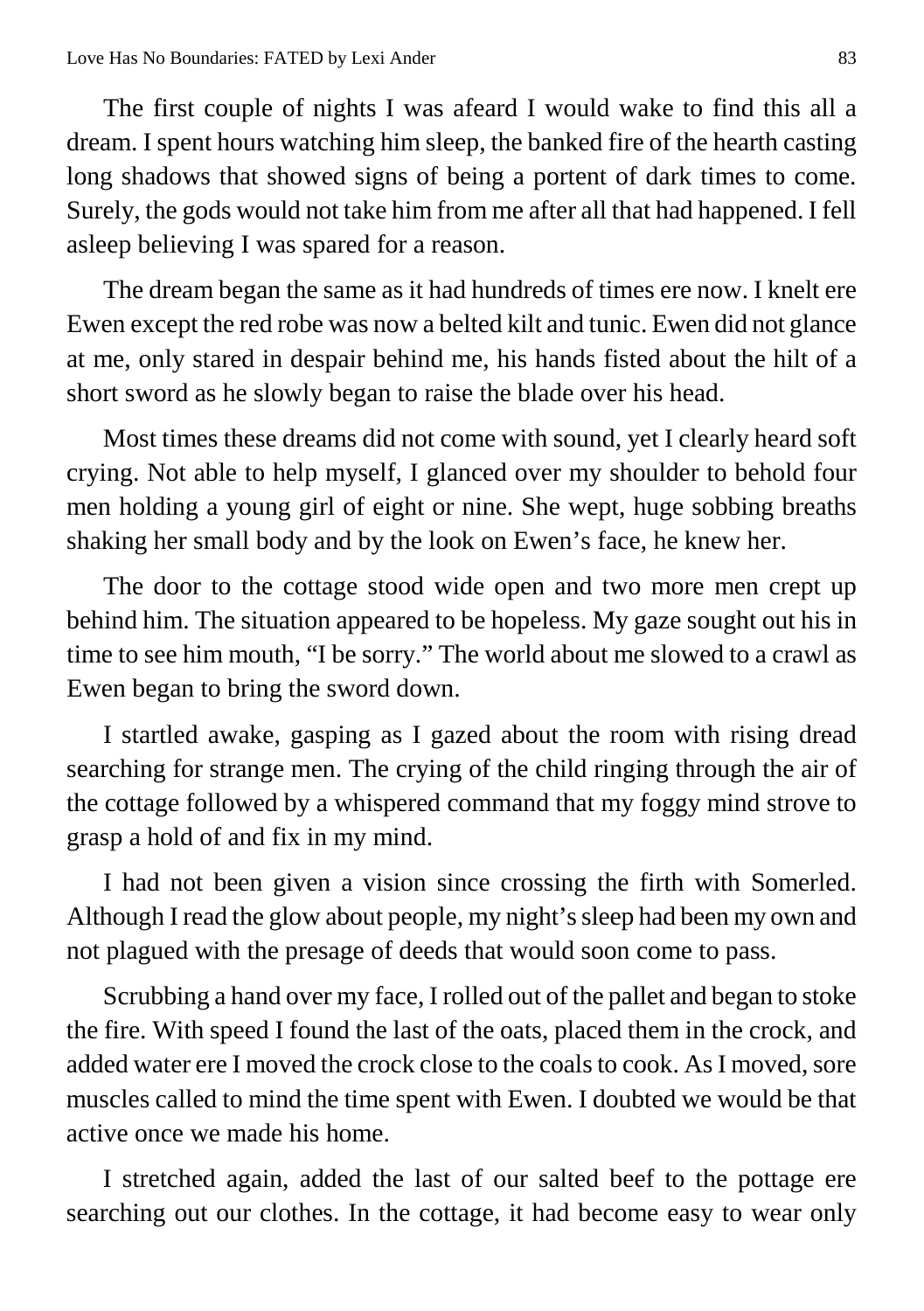The first couple of nights I was afeard I would wake to find this all a dream. I spent hours watching him sleep, the banked fire of the hearth casting long shadows that showed signs of being a portent of dark times to come. Surely, the gods would not take him from me after all that had happened. I fell asleep believing I was spared for a reason.

The dream began the same as it had hundreds of times ere now. I knelt ere Ewen except the red robe was now a belted kilt and tunic. Ewen did not glance at me, only stared in despair behind me, his hands fisted about the hilt of a short sword as he slowly began to raise the blade over his head.

Most times these dreams did not come with sound, yet I clearly heard soft crying. Not able to help myself, I glanced over my shoulder to behold four men holding a young girl of eight or nine. She wept, huge sobbing breaths shaking her small body and by the look on Ewen's face, he knew her.

The door to the cottage stood wide open and two more men crept up behind him. The situation appeared to be hopeless. My gaze sought out his in time to see him mouth, "I be sorry." The world about me slowed to a crawl as Ewen began to bring the sword down.

I startled awake, gasping as I gazed about the room with rising dread searching for strange men. The crying of the child ringing through the air of the cottage followed by a whispered command that my foggy mind strove to grasp a hold of and fix in my mind.

I had not been given a vision since crossing the firth with Somerled. Although I read the glow about people, my night's sleep had been my own and not plagued with the presage of deeds that would soon come to pass.

Scrubbing a hand over my face, I rolled out of the pallet and began to stoke the fire. With speed I found the last of the oats, placed them in the crock, and added water ere I moved the crock close to the coals to cook. As I moved, sore muscles called to mind the time spent with Ewen. I doubted we would be that active once we made his home.

I stretched again, added the last of our salted beef to the pottage ere searching out our clothes. In the cottage, it had become easy to wear only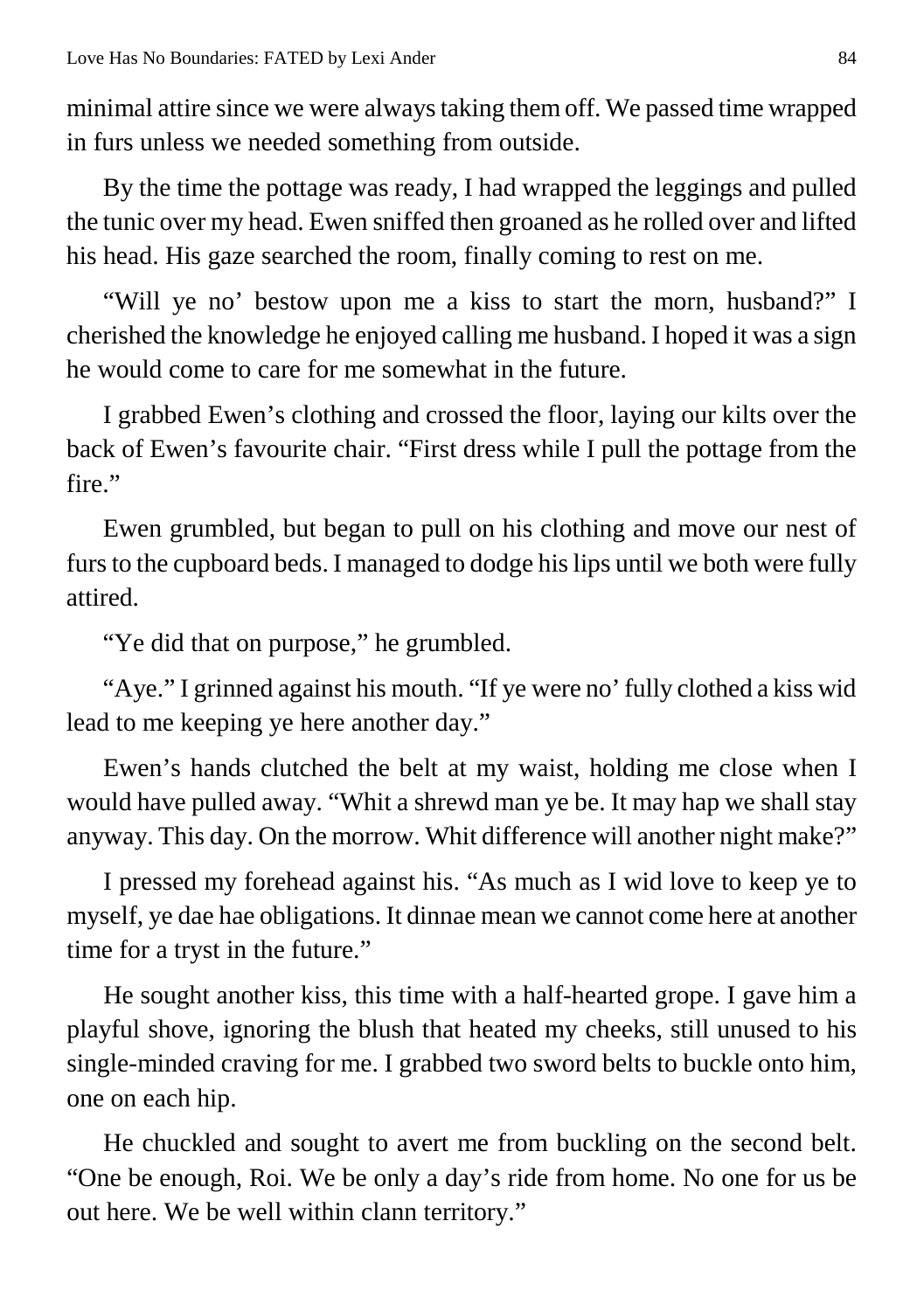minimal attire since we were always taking them off. We passed time wrapped in furs unless we needed something from outside.

By the time the pottage was ready, I had wrapped the leggings and pulled the tunic over my head. Ewen sniffed then groaned as he rolled over and lifted his head. His gaze searched the room, finally coming to rest on me.

"Will ye no' bestow upon me a kiss to start the morn, husband?" I cherished the knowledge he enjoyed calling me husband. I hoped it was a sign he would come to care for me somewhat in the future.

I grabbed Ewen's clothing and crossed the floor, laying our kilts over the back of Ewen's favourite chair. "First dress while I pull the pottage from the fire."

Ewen grumbled, but began to pull on his clothing and move our nest of furs to the cupboard beds. I managed to dodge his lips until we both were fully attired.

"Ye did that on purpose," he grumbled.

"Aye." I grinned against his mouth. "If ye were no'fully clothed a kiss wid lead to me keeping ye here another day."

Ewen's hands clutched the belt at my waist, holding me close when I would have pulled away. "Whit a shrewd man ye be. It may hap we shall stay anyway. This day. On the morrow. Whit difference will another night make?"

I pressed my forehead against his. "As much as I wid love to keep ye to myself, ye dae hae obligations. It dinnae mean we cannot come here at another time for a tryst in the future."

He sought another kiss, this time with a half-hearted grope. I gave him a playful shove, ignoring the blush that heated my cheeks, still unused to his single-minded craving for me. I grabbed two sword belts to buckle onto him, one on each hip.

He chuckled and sought to avert me from buckling on the second belt. "One be enough, Roi. We be only a day's ride from home. No one for us be out here. We be well within clann territory."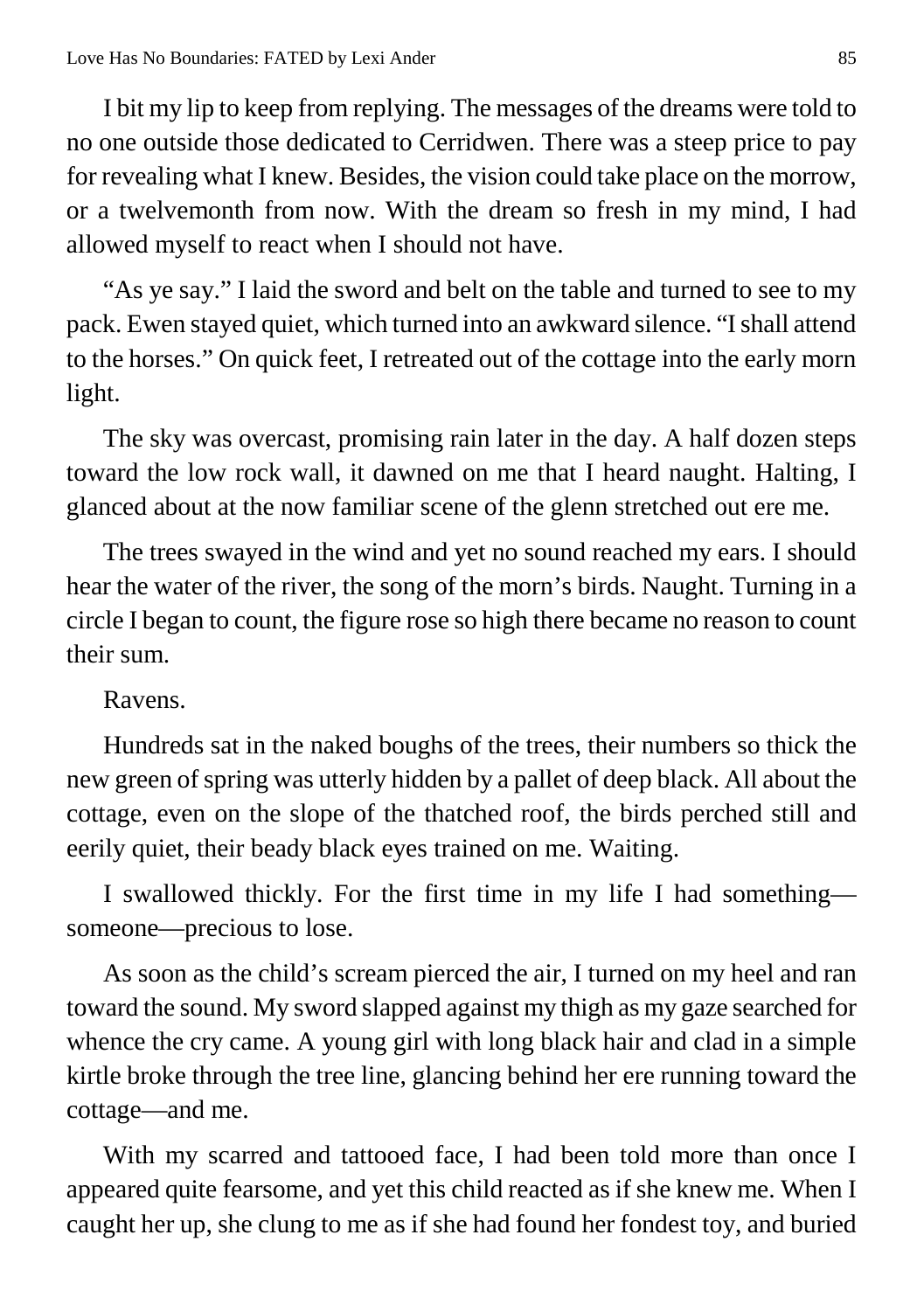I bit my lip to keep from replying. The messages of the dreams were told to no one outside those dedicated to Cerridwen. There was a steep price to pay for revealing what I knew. Besides, the vision could take place on the morrow, or a twelvemonth from now. With the dream so fresh in my mind, I had allowed myself to react when I should not have.

"As ye say." I laid the sword and belt on the table and turned to see to my pack. Ewen stayed quiet, which turned into an awkward silence. "Ishall attend to the horses." On quick feet, I retreated out of the cottage into the early morn light.

The sky was overcast, promising rain later in the day. A half dozen steps toward the low rock wall, it dawned on me that I heard naught. Halting, I glanced about at the now familiar scene of the glenn stretched out ere me.

The trees swayed in the wind and yet no sound reached my ears. I should hear the water of the river, the song of the morn's birds. Naught. Turning in a circle I began to count, the figure rose so high there became no reason to count their sum.

### Ravens.

Hundreds sat in the naked boughs of the trees, their numbers so thick the new green of spring was utterly hidden by a pallet of deep black. All about the cottage, even on the slope of the thatched roof, the birds perched still and eerily quiet, their beady black eyes trained on me. Waiting.

I swallowed thickly. For the first time in my life I had something someone—precious to lose.

As soon as the child's scream pierced the air, I turned on my heel and ran toward the sound. My sword slapped against my thigh as my gaze searched for whence the cry came. A young girl with long black hair and clad in a simple kirtle broke through the tree line, glancing behind her ere running toward the cottage—and me.

With my scarred and tattooed face, I had been told more than once I appeared quite fearsome, and yet this child reacted as if she knew me. When I caught her up, she clung to me as if she had found her fondest toy, and buried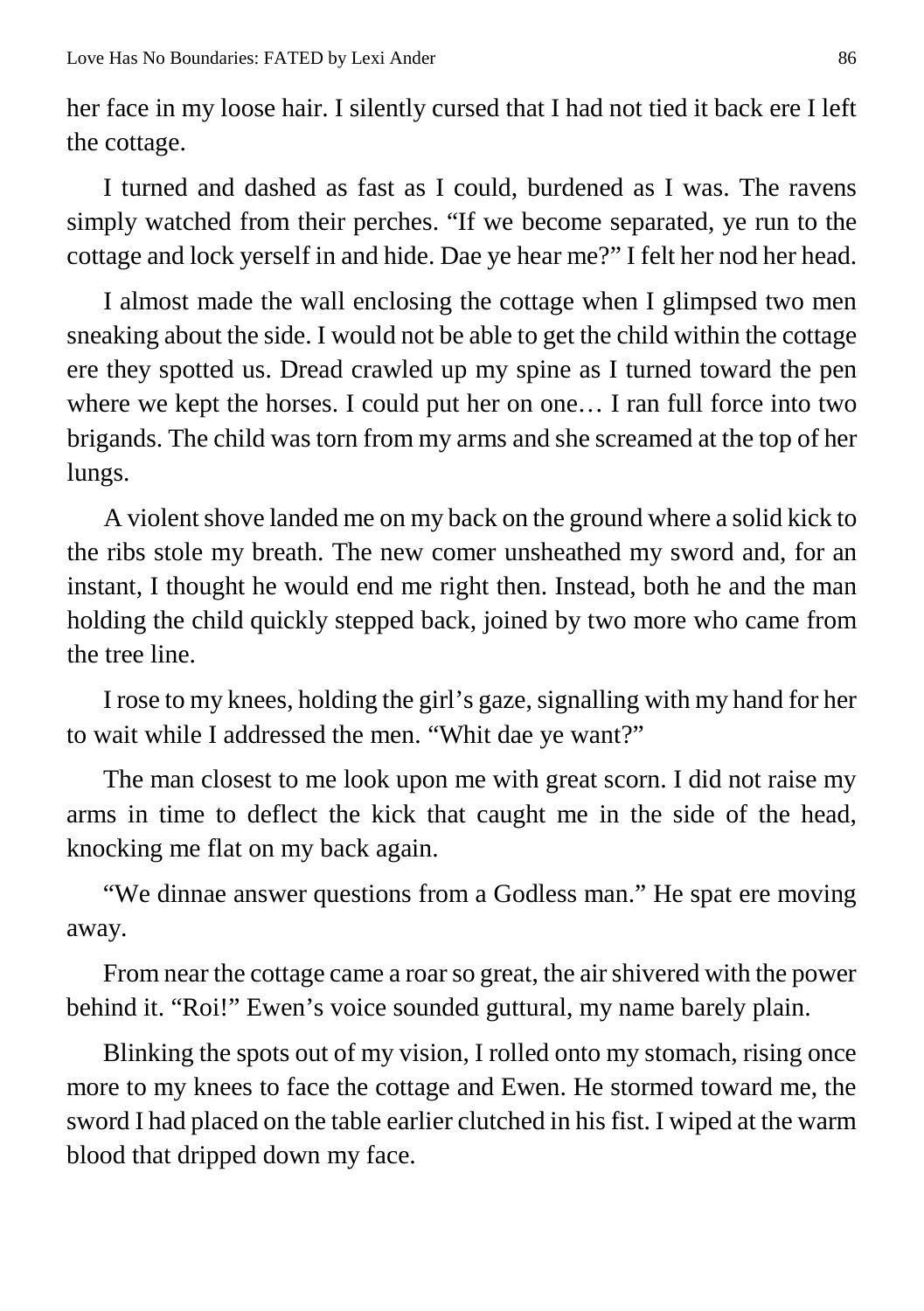her face in my loose hair. I silently cursed that I had not tied it back ere I left the cottage.

I turned and dashed as fast as I could, burdened as I was. The ravens simply watched from their perches. "If we become separated, ye run to the cottage and lock yerself in and hide. Dae ye hear me?" I felt her nod her head.

I almost made the wall enclosing the cottage when I glimpsed two men sneaking about the side. I would not be able to get the child within the cottage ere they spotted us. Dread crawled up my spine as I turned toward the pen where we kept the horses. I could put her on one… I ran full force into two brigands. The child was torn from my arms and she screamed at the top of her lungs.

A violent shove landed me on my back on the ground where a solid kick to the ribs stole my breath. The new comer unsheathed my sword and, for an instant, I thought he would end me right then. Instead, both he and the man holding the child quickly stepped back, joined by two more who came from the tree line.

I rose to my knees, holding the girl's gaze, signalling with my hand for her to wait while I addressed the men. "Whit dae ye want?"

The man closest to me look upon me with great scorn. I did not raise my arms in time to deflect the kick that caught me in the side of the head, knocking me flat on my back again.

"We dinnae answer questions from a Godless man." He spat ere moving away.

From near the cottage came a roar so great, the air shivered with the power behind it. "Roi!" Ewen's voice sounded guttural, my name barely plain.

Blinking the spots out of my vision, I rolled onto my stomach, rising once more to my knees to face the cottage and Ewen. He stormed toward me, the sword I had placed on the table earlier clutched in his fist. I wiped at the warm blood that dripped down my face.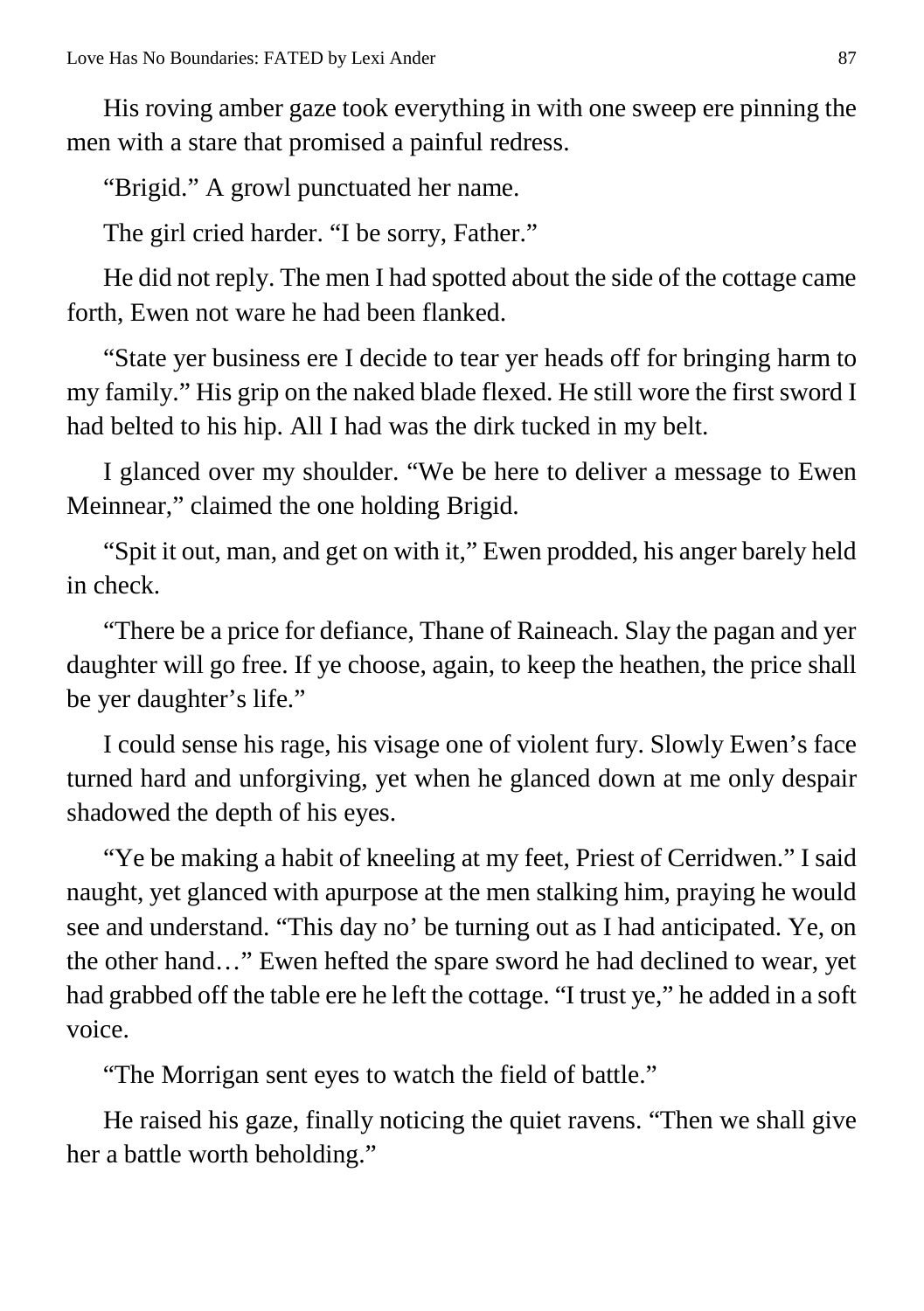His roving amber gaze took everything in with one sweep ere pinning the men with a stare that promised a painful redress.

"Brigid." A growl punctuated her name.

The girl cried harder. "I be sorry, Father."

He did not reply. The men I had spotted about the side of the cottage came forth, Ewen not ware he had been flanked.

"State yer business ere I decide to tear yer heads off for bringing harm to my family." His grip on the naked blade flexed. He still wore the first sword I had belted to his hip. All I had was the dirk tucked in my belt.

I glanced over my shoulder. "We be here to deliver a message to Ewen Meinnear," claimed the one holding Brigid.

"Spit it out, man, and get on with it," Ewen prodded, his anger barely held in check.

"There be a price for defiance, Thane of Raineach. Slay the pagan and yer daughter will go free. If ye choose, again, to keep the heathen, the price shall be yer daughter's life."

I could sense his rage, his visage one of violent fury. Slowly Ewen's face turned hard and unforgiving, yet when he glanced down at me only despair shadowed the depth of his eyes.

"Ye be making a habit of kneeling at my feet, Priest of Cerridwen." I said naught, yet glanced with apurpose at the men stalking him, praying he would see and understand. "This day no' be turning out as I had anticipated. Ye, on the other hand…" Ewen hefted the spare sword he had declined to wear, yet had grabbed off the table ere he left the cottage. "I trust ye," he added in a soft voice.

"The Morrigan sent eyes to watch the field of battle."

He raised his gaze, finally noticing the quiet ravens. "Then we shall give her a battle worth beholding."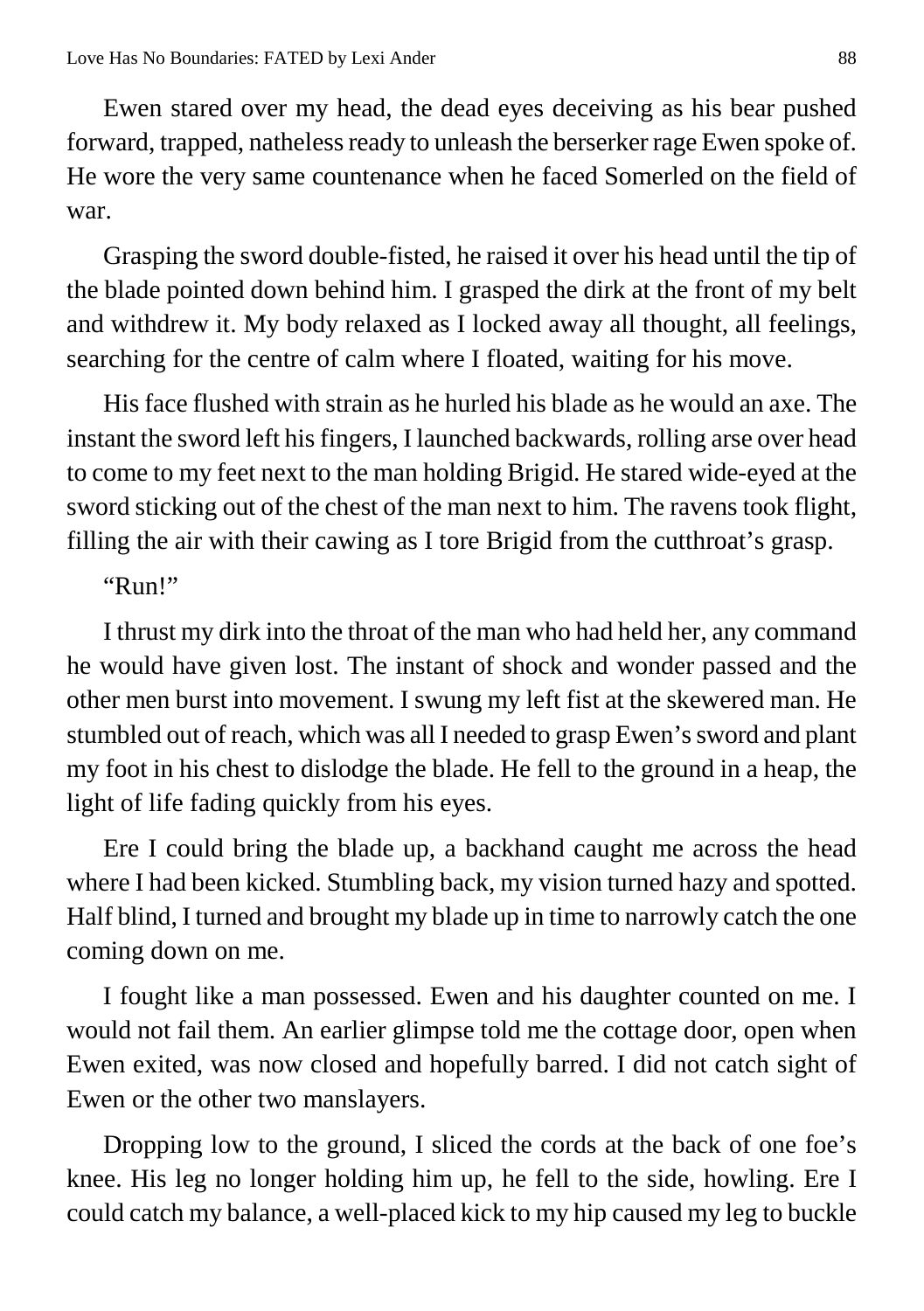Ewen stared over my head, the dead eyes deceiving as his bear pushed forward, trapped, natheless ready to unleash the berserker rage Ewen spoke of. He wore the very same countenance when he faced Somerled on the field of war.

Grasping the sword double-fisted, he raised it over his head until the tip of the blade pointed down behind him. I grasped the dirk at the front of my belt and withdrew it. My body relaxed as I locked away all thought, all feelings, searching for the centre of calm where I floated, waiting for his move.

His face flushed with strain as he hurled his blade as he would an axe. The instant the sword left his fingers, I launched backwards, rolling arse over head to come to my feet next to the man holding Brigid. He stared wide-eyed at the sword sticking out of the chest of the man next to him. The ravens took flight, filling the air with their cawing as I tore Brigid from the cutthroat's grasp.

### "Run!"

I thrust my dirk into the throat of the man who had held her, any command he would have given lost. The instant of shock and wonder passed and the other men burst into movement. I swung my left fist at the skewered man. He stumbled out of reach, which was all I needed to grasp Ewen's sword and plant my foot in his chest to dislodge the blade. He fell to the ground in a heap, the light of life fading quickly from his eyes.

Ere I could bring the blade up, a backhand caught me across the head where I had been kicked. Stumbling back, my vision turned hazy and spotted. Half blind, I turned and brought my blade up in time to narrowly catch the one coming down on me.

I fought like a man possessed. Ewen and his daughter counted on me. I would not fail them. An earlier glimpse told me the cottage door, open when Ewen exited, was now closed and hopefully barred. I did not catch sight of Ewen or the other two manslayers.

Dropping low to the ground, I sliced the cords at the back of one foe's knee. His leg no longer holding him up, he fell to the side, howling. Ere I could catch my balance, a well-placed kick to my hip caused my leg to buckle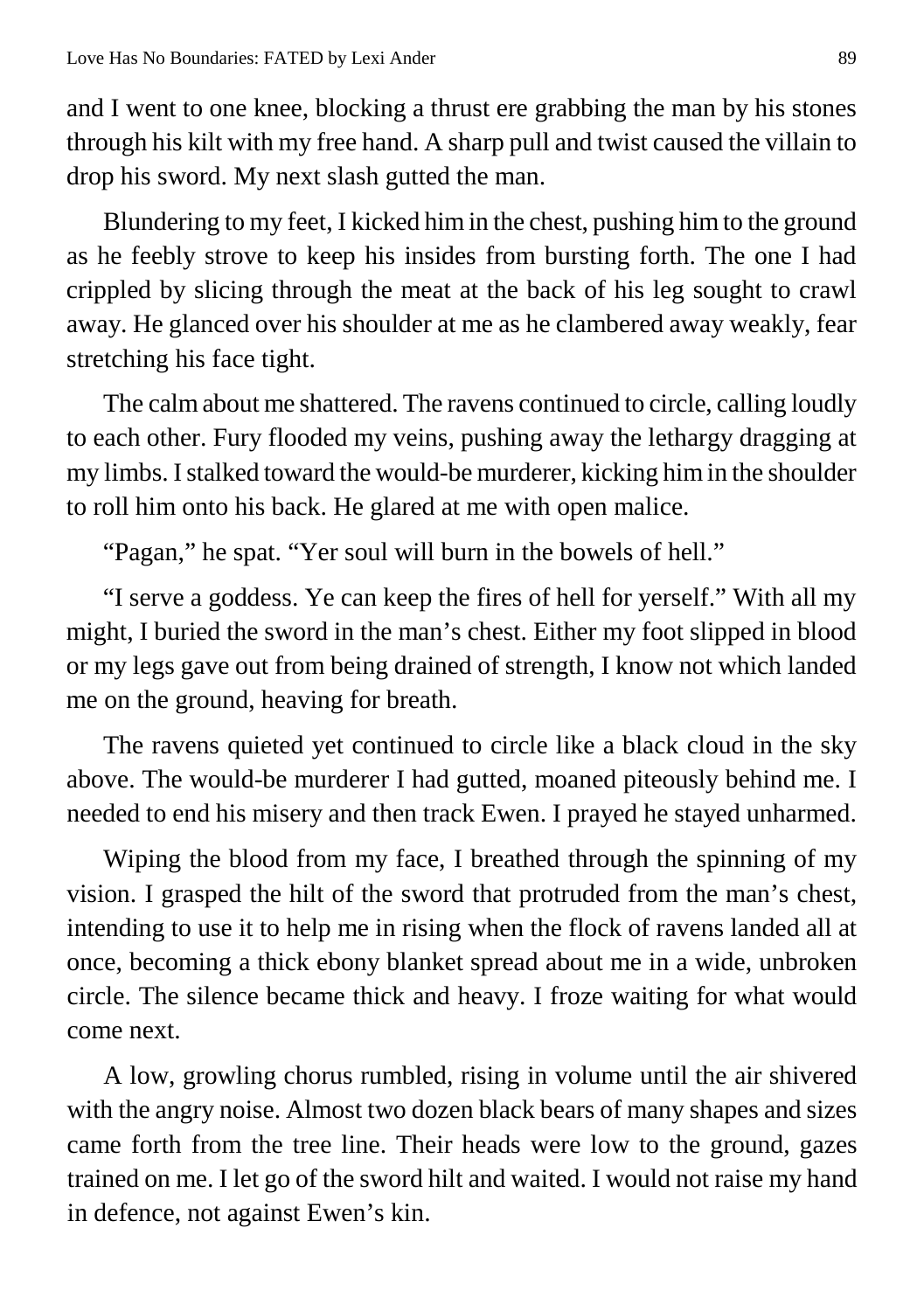and I went to one knee, blocking a thrust ere grabbing the man by his stones through his kilt with my free hand. A sharp pull and twist caused the villain to drop his sword. My next slash gutted the man.

Blundering to my feet, I kicked himin the chest, pushing himto the ground as he feebly strove to keep his insides from bursting forth. The one I had crippled by slicing through the meat at the back of his leg sought to crawl away. He glanced over his shoulder at me as he clambered away weakly, fear stretching his face tight.

The calmabout me shattered. The ravens continued to circle, calling loudly to each other. Fury flooded my veins, pushing away the lethargy dragging at my limbs. I stalked toward the would-be murderer, kicking him in the shoulder to roll him onto his back. He glared at me with open malice.

"Pagan," he spat. "Yer soul will burn in the bowels of hell."

"I serve a goddess. Ye can keep the fires of hell for yerself." With all my might, I buried the sword in the man's chest. Either my foot slipped in blood or my legs gave out from being drained of strength, I know not which landed me on the ground, heaving for breath.

The ravens quieted yet continued to circle like a black cloud in the sky above. The would-be murderer I had gutted, moaned piteously behind me. I needed to end his misery and then track Ewen. I prayed he stayed unharmed.

Wiping the blood from my face, I breathed through the spinning of my vision. I grasped the hilt of the sword that protruded from the man's chest, intending to use it to help me in rising when the flock of ravens landed all at once, becoming a thick ebony blanket spread about me in a wide, unbroken circle. The silence became thick and heavy. I froze waiting for what would come next.

A low, growling chorus rumbled, rising in volume until the air shivered with the angry noise. Almost two dozen black bears of many shapes and sizes came forth from the tree line. Their heads were low to the ground, gazes trained on me. I let go of the sword hilt and waited. I would not raise my hand in defence, not against Ewen's kin.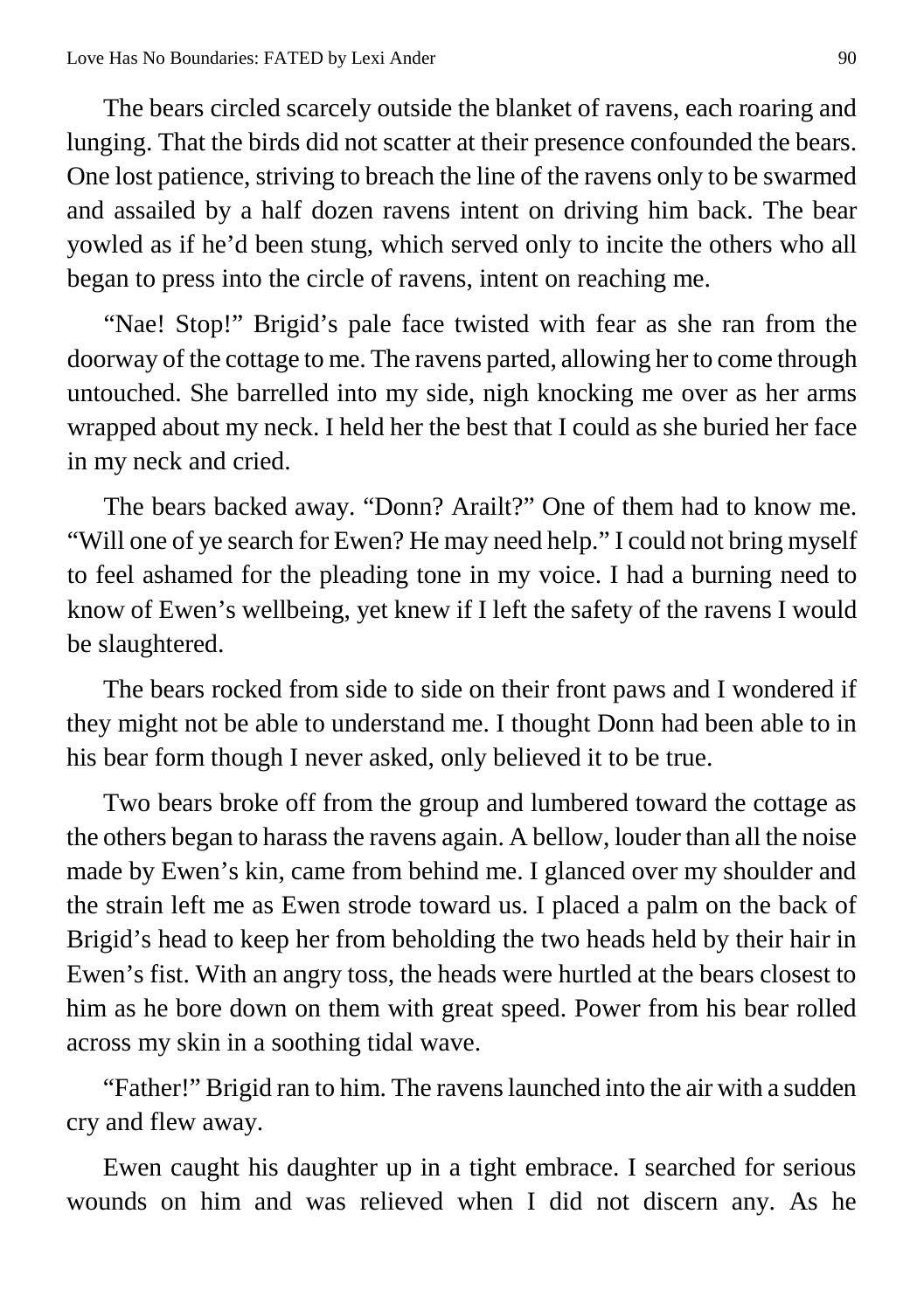The bears circled scarcely outside the blanket of ravens, each roaring and lunging. That the birds did not scatter at their presence confounded the bears. One lost patience, striving to breach the line of the ravens only to be swarmed and assailed by a half dozen ravens intent on driving him back. The bear yowled as if he'd been stung, which served only to incite the others who all began to press into the circle of ravens, intent on reaching me.

"Nae! Stop!" Brigid's pale face twisted with fear as she ran from the doorway of the cottage to me. The ravens parted, allowing her to come through untouched. She barrelled into my side, nigh knocking me over as her arms wrapped about my neck. I held her the best that I could as she buried her face in my neck and cried.

The bears backed away. "Donn? Arailt?" One of them had to know me. "Will one of ye search for Ewen? He may need help." I could not bring myself to feel ashamed for the pleading tone in my voice. I had a burning need to know of Ewen's wellbeing, yet knew if I left the safety of the ravens I would be slaughtered.

The bears rocked from side to side on their front paws and I wondered if they might not be able to understand me. I thought Donn had been able to in his bear form though I never asked, only believed it to be true.

Two bears broke off from the group and lumbered toward the cottage as the others began to harass the ravens again. A bellow, louder than all the noise made by Ewen's kin, came from behind me. I glanced over my shoulder and the strain left me as Ewen strode toward us. I placed a palm on the back of Brigid's head to keep her from beholding the two heads held by their hair in Ewen's fist. With an angry toss, the heads were hurtled at the bears closest to him as he bore down on them with great speed. Power from his bear rolled across my skin in a soothing tidal wave.

"Father!" Brigid ran to him. The ravenslaunched into the air with a sudden cry and flew away.

Ewen caught his daughter up in a tight embrace. I searched for serious wounds on him and was relieved when I did not discern any. As he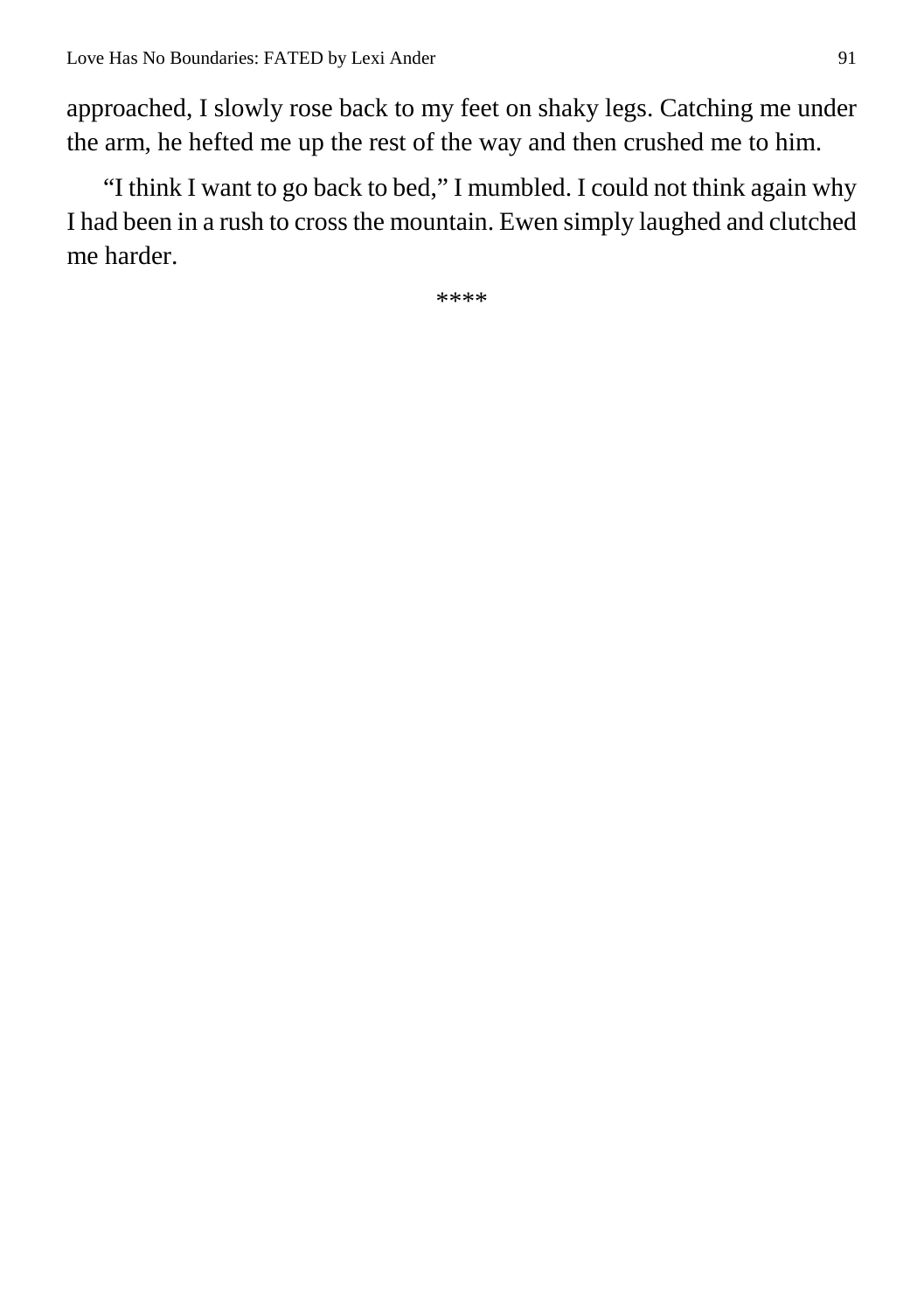approached, I slowly rose back to my feet on shaky legs. Catching me under the arm, he hefted me up the rest of the way and then crushed me to him.

"I think I want to go back to bed," I mumbled. I could not think again why I had been in a rush to cross the mountain. Ewen simply laughed and clutched me harder.

\*\*\*\*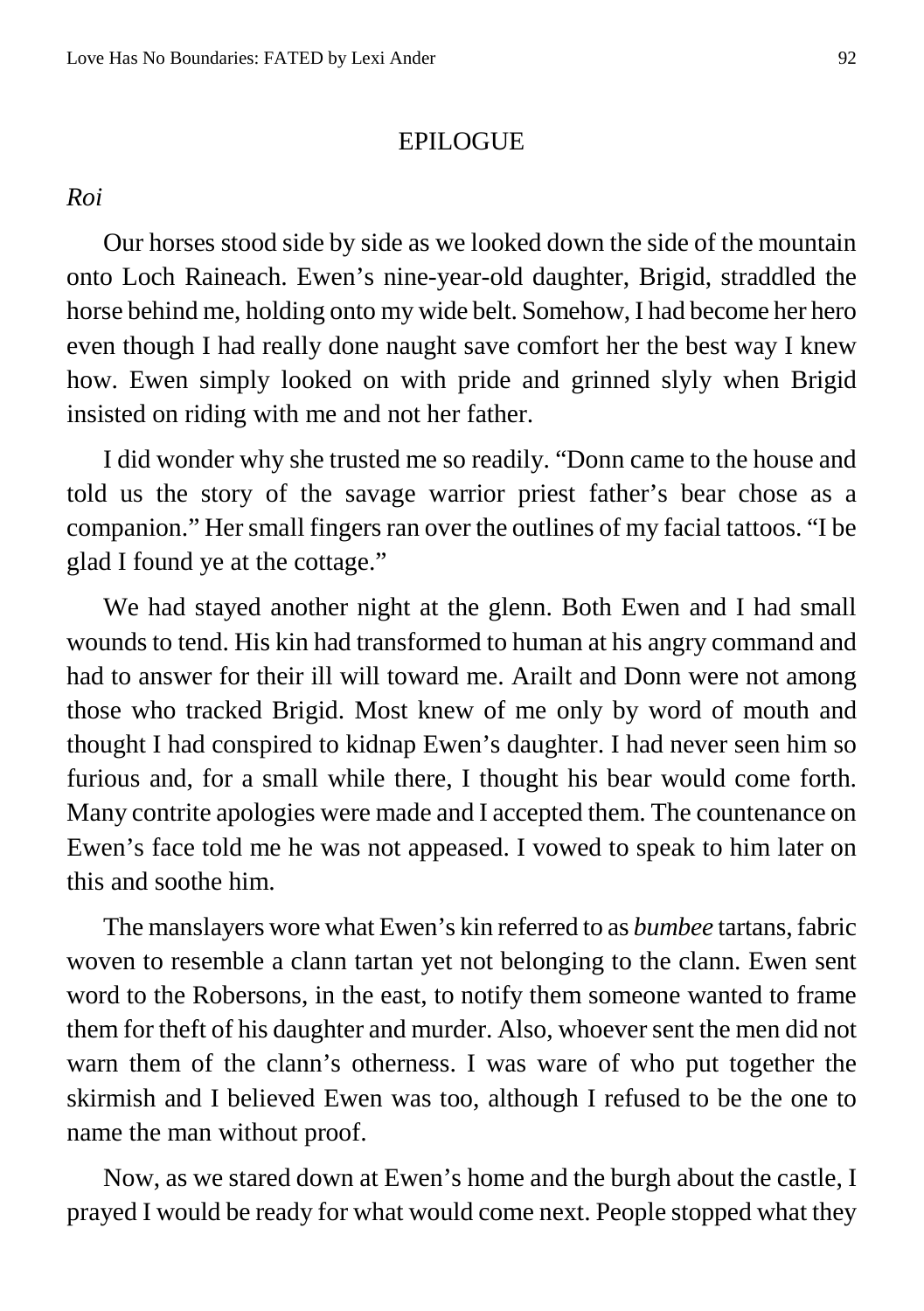#### EPILOGUE

#### *Roi*

Our horses stood side by side as we looked down the side of the mountain onto Loch Raineach. Ewen's nine-year-old daughter, Brigid, straddled the horse behind me, holding onto my wide belt. Somehow, I had become her hero even though I had really done naught save comfort her the best way I knew how. Ewen simply looked on with pride and grinned slyly when Brigid insisted on riding with me and not her father.

I did wonder why she trusted me so readily. "Donn came to the house and told us the story of the savage warrior priest father's bear chose as a companion." Her small fingers ran over the outlines of my facial tattoos. "I be glad I found ye at the cottage."

We had stayed another night at the glenn. Both Ewen and I had small wounds to tend. His kin had transformed to human at his angry command and had to answer for their ill will toward me. Arailt and Donn were not among those who tracked Brigid. Most knew of me only by word of mouth and thought I had conspired to kidnap Ewen's daughter. I had never seen him so furious and, for a small while there, I thought his bear would come forth. Many contrite apologies were made and I accepted them. The countenance on Ewen's face told me he was not appeased. I vowed to speak to him later on this and soothe him.

The manslayers wore what Ewen's kin referred to as *bumbee* tartans, fabric woven to resemble a clann tartan yet not belonging to the clann. Ewen sent word to the Robersons, in the east, to notify them someone wanted to frame them for theft of his daughter and murder. Also, whoever sent the men did not warn them of the clann's otherness. I was ware of who put together the skirmish and I believed Ewen was too, although I refused to be the one to name the man without proof.

Now, as we stared down at Ewen's home and the burgh about the castle, I prayed I would be ready for what would come next. People stopped what they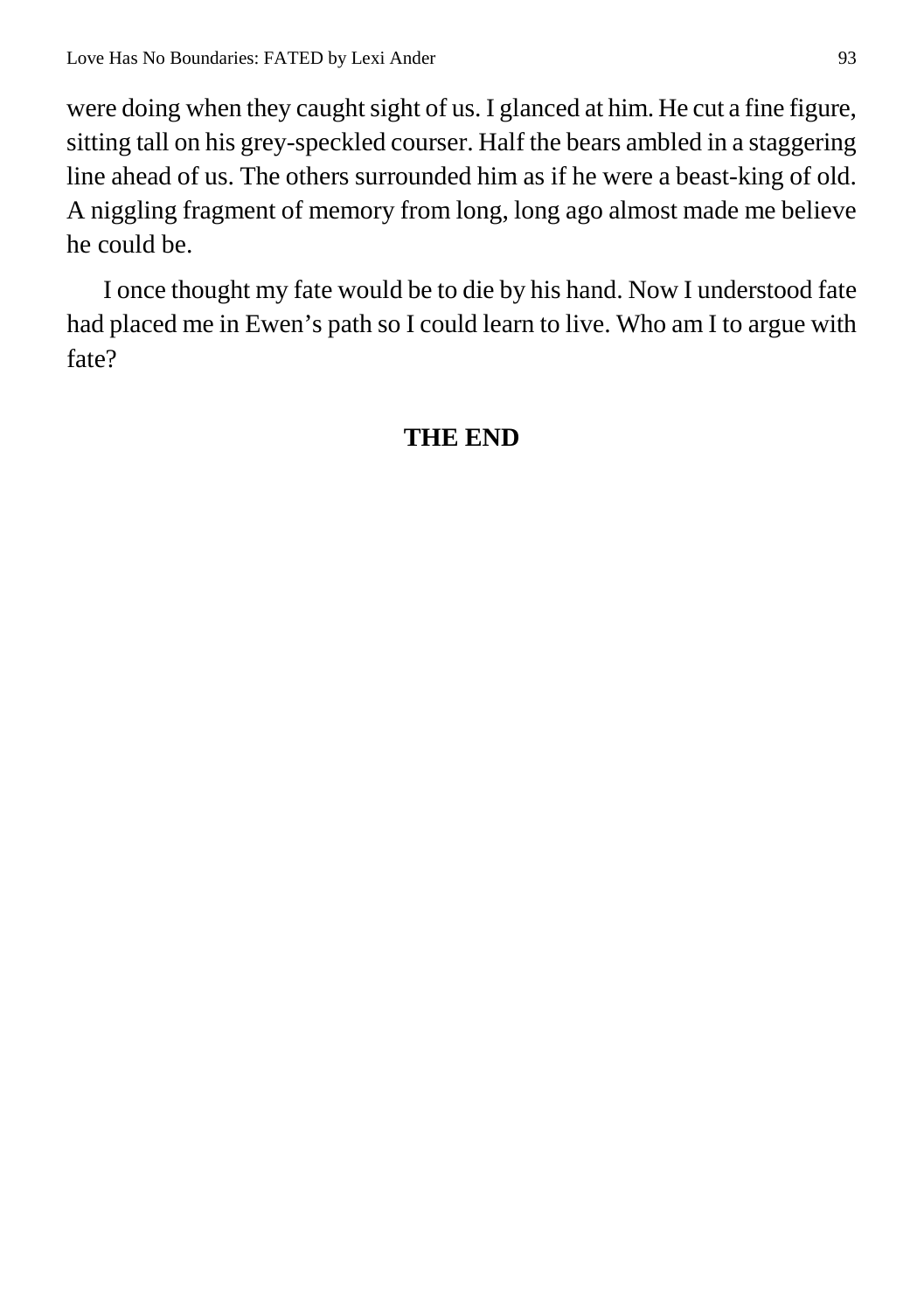were doing when they caught sight of us. I glanced at him. He cut a fine figure, sitting tall on his grey-speckled courser. Half the bears ambled in a staggering line ahead of us. The others surrounded him as if he were a beast-king of old. A niggling fragment of memory from long, long ago almost made me believe he could be.

I once thought my fate would be to die by his hand. Now I understood fate had placed me in Ewen's path so I could learn to live. Who am I to argue with fate?

### **THE END**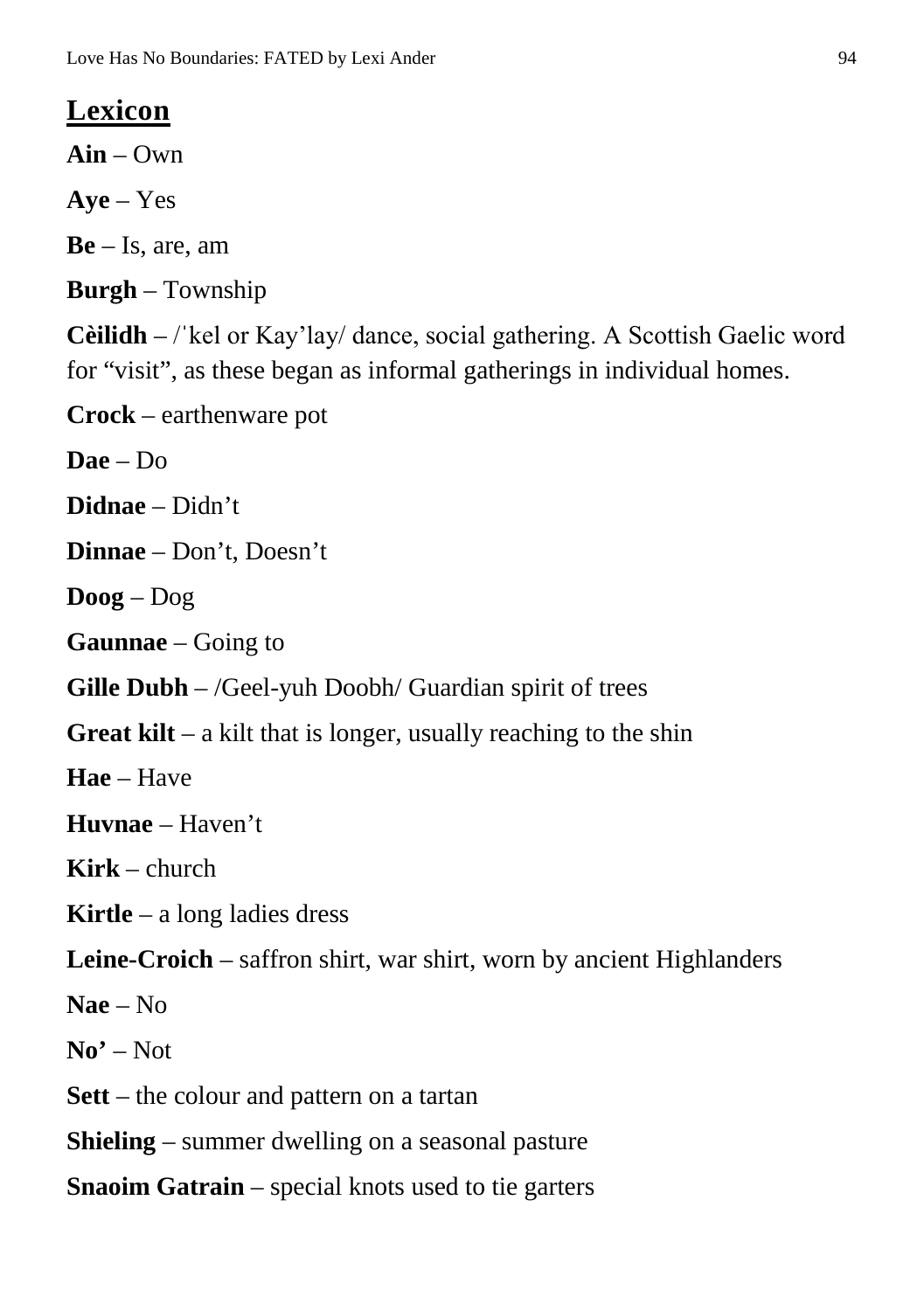# **Lexicon**

**Ain** – Own

**Aye** – Yes

**Be** – Is, are, am

**Burgh** – Township

**Cèilidh** – /ˈkel or Kay'lay/ dance, social gathering. A Scottish Gaelic word for "visit", as these began as informal gatherings in individual homes.

**Crock** – earthenware pot

**Dae** – Do

**Didnae** – Didn't

**Dinnae** – Don't, Doesn't

**Doog** – Dog

**Gaunnae** – Going to

**Gille Dubh** – /Geel-yuh Doobh/ Guardian spirit of trees

**Great kilt** – a kilt that is longer, usually reaching to the shin

**Hae** – Have

**Huvnae** – Haven't

**Kirk** – church

**Kirtle** – a long ladies dress

**Leine-Croich** – saffron shirt, war shirt, worn by ancient Highlanders

**Nae** – No

**No'** – Not

**Sett** – the colour and pattern on a tartan

**Shieling** – summer dwelling on a seasonal pasture

**Snaoim Gatrain** – special knots used to tie garters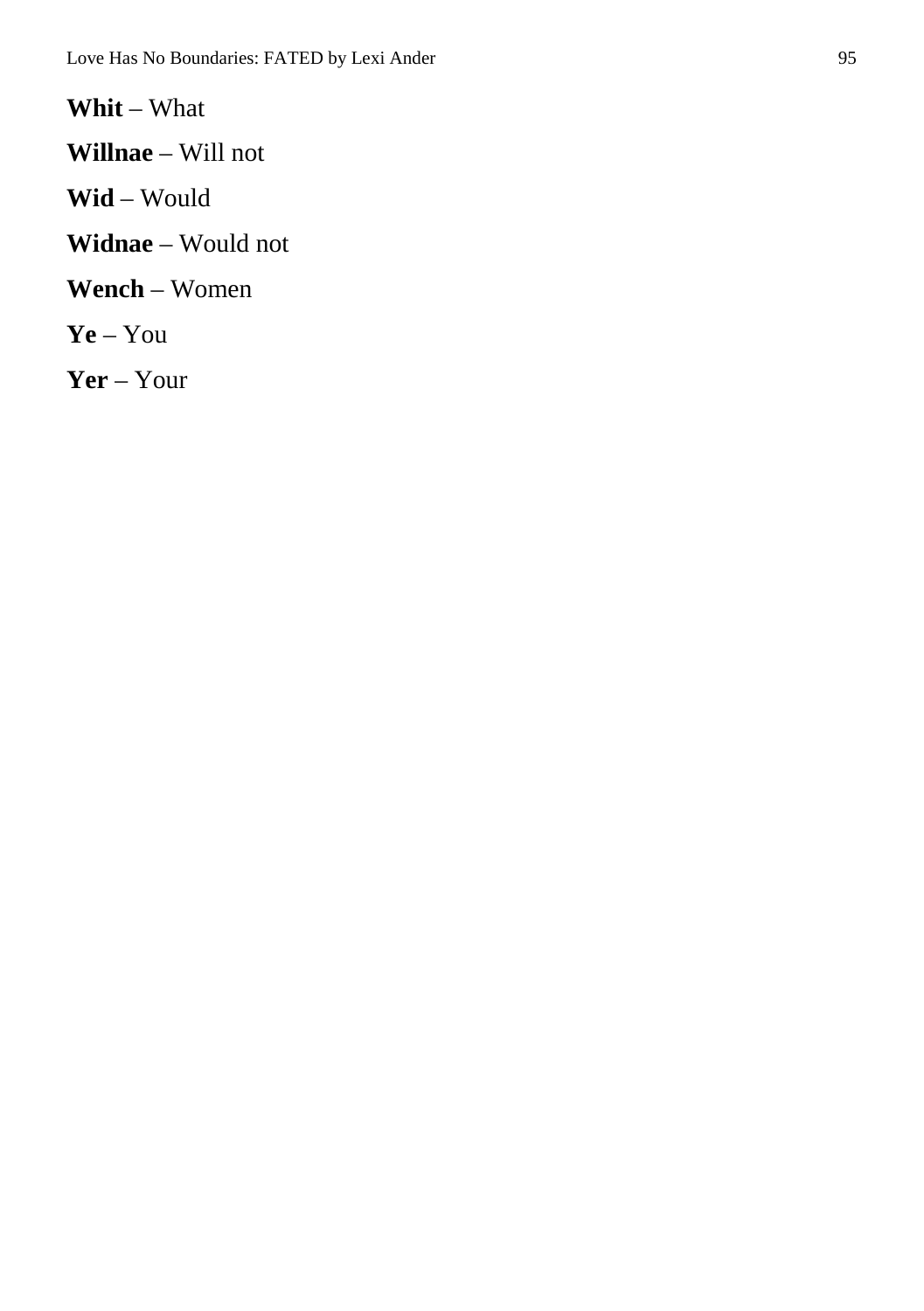**Whit** – What **Willnae** – Will not **Wid** – Would **Widnae** – Would not **Wench** – Women **Ye** – You **Yer** – Your